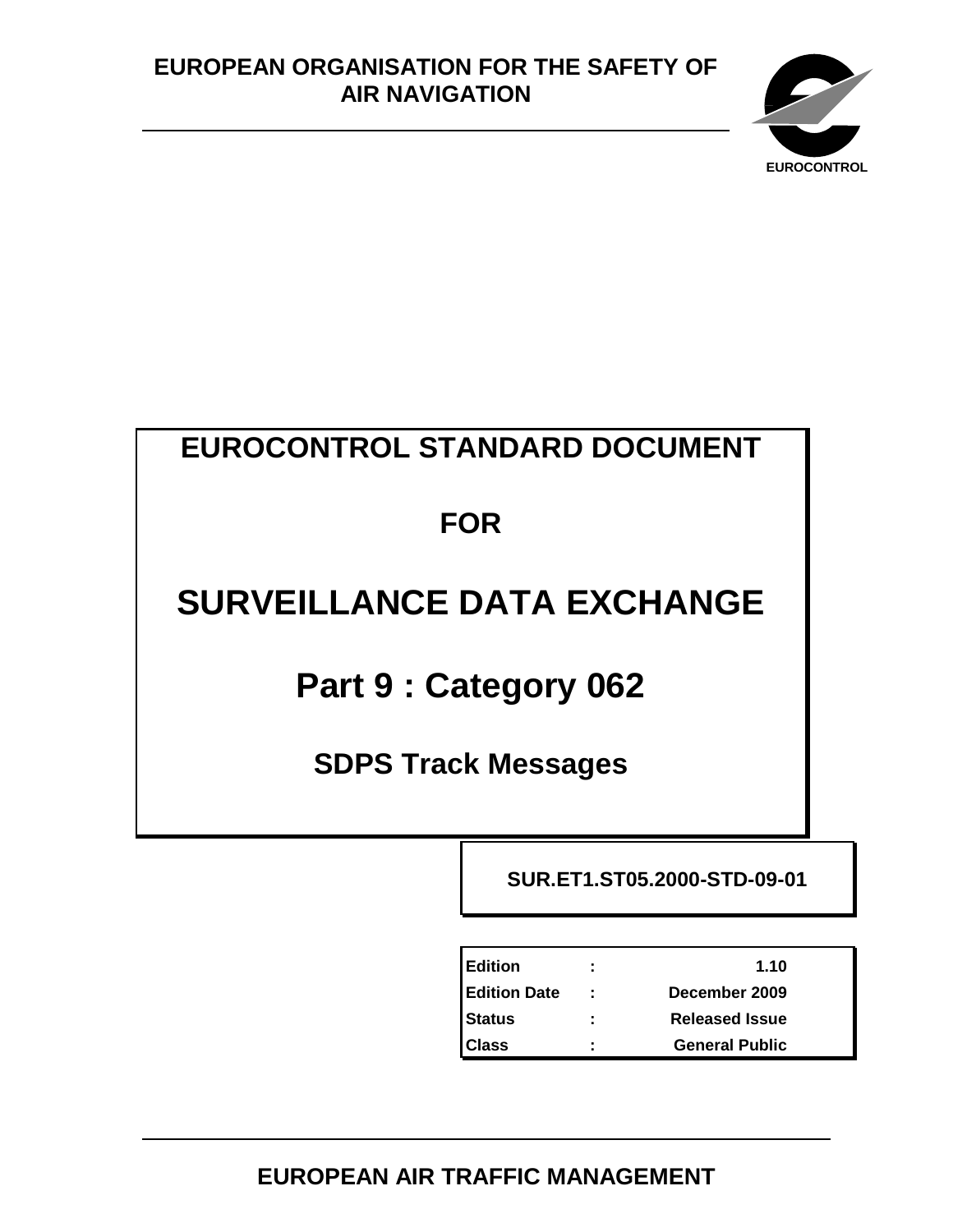## **EUROPEAN ORGANISATION FOR THE SAFETY OF AIR NAVIGATION**



## **EUROCONTROL STANDARD DOCUMENT**

## **FOR**

# **SURVEILLANCE DATA EXCHANGE**

# **Part 9 : Category 062**

**SDPS Track Messages**

**SUR.ET1.ST05.2000-STD-09-01** 

| <b>Edition</b>      | ۰ | 1.10                  |
|---------------------|---|-----------------------|
| <b>Edition Date</b> | ٠ | December 2009         |
| <b>Status</b>       | ٠ | <b>Released Issue</b> |
| <b>IClass</b>       | ٠ | <b>General Public</b> |

**EUROPEAN AIR TRAFFIC MANAGEMENT**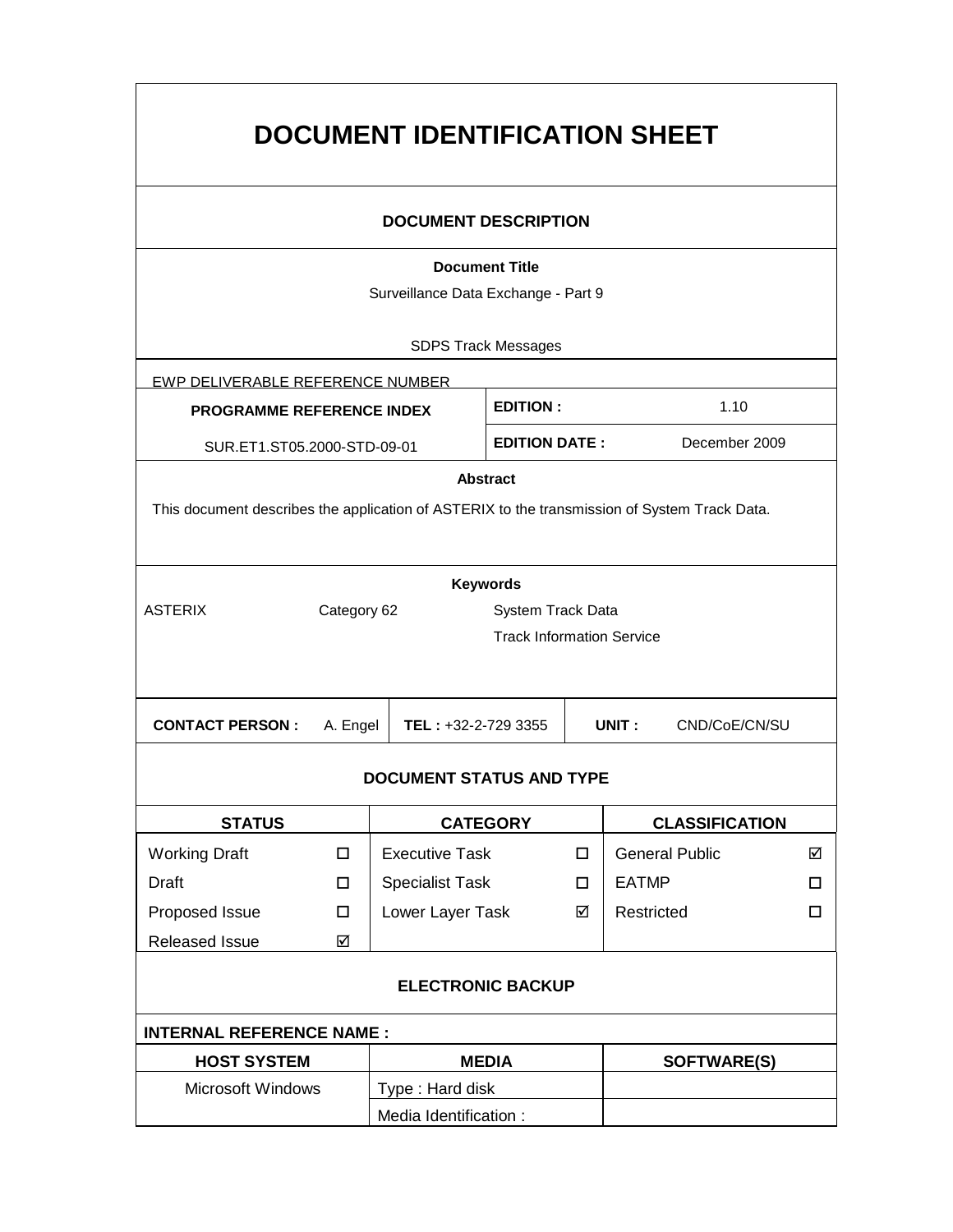|                                  |                                  |                                                              |                      |        | DOCUMENT IDENTIFICATION SHEET                                                                |   |
|----------------------------------|----------------------------------|--------------------------------------------------------------|----------------------|--------|----------------------------------------------------------------------------------------------|---|
|                                  |                                  | <b>DOCUMENT DESCRIPTION</b>                                  |                      |        |                                                                                              |   |
|                                  |                                  | <b>Document Title</b><br>Surveillance Data Exchange - Part 9 |                      |        |                                                                                              |   |
|                                  |                                  | <b>SDPS Track Messages</b>                                   |                      |        |                                                                                              |   |
| EWP DELIVERABLE REFERENCE NUMBER |                                  |                                                              |                      |        |                                                                                              |   |
| <b>PROGRAMME REFERENCE INDEX</b> |                                  |                                                              | <b>EDITION:</b>      |        | 1.10                                                                                         |   |
| SUR.ET1.ST05.2000-STD-09-01      |                                  |                                                              | <b>EDITION DATE:</b> |        | December 2009                                                                                |   |
|                                  |                                  | <b>Abstract</b>                                              |                      |        |                                                                                              |   |
|                                  |                                  |                                                              |                      |        | This document describes the application of ASTERIX to the transmission of System Track Data. |   |
|                                  |                                  | <b>Keywords</b>                                              |                      |        |                                                                                              |   |
| <b>ASTERIX</b>                   | Category 62                      |                                                              | System Track Data    |        |                                                                                              |   |
|                                  | <b>Track Information Service</b> |                                                              |                      |        |                                                                                              |   |
|                                  |                                  |                                                              |                      |        |                                                                                              |   |
| <b>CONTACT PERSON:</b>           | A. Engel                         | TEL: $+32-2-729$ 3355                                        |                      |        | UNIT:<br>CND/CoE/CN/SU                                                                       |   |
|                                  |                                  | <b>DOCUMENT STATUS AND TYPE</b>                              |                      |        |                                                                                              |   |
| <b>STATUS</b>                    |                                  | <b>CATEGORY</b>                                              |                      |        | <b>CLASSIFICATION</b>                                                                        |   |
| <b>Working Draft</b>             | $\Box$                           | <b>Executive Task</b>                                        |                      | $\Box$ | <b>General Public</b>                                                                        | ✓ |
| <b>Draft</b>                     | $\Box$                           | <b>Specialist Task</b>                                       |                      | □      | <b>EATMP</b>                                                                                 | □ |
| Proposed Issue                   | $\Box$                           | Lower Layer Task                                             |                      | ☑      | Restricted                                                                                   | □ |
| <b>Released Issue</b>            | ☑                                |                                                              |                      |        |                                                                                              |   |
| <b>ELECTRONIC BACKUP</b>         |                                  |                                                              |                      |        |                                                                                              |   |
| <b>INTERNAL REFERENCE NAME:</b>  |                                  |                                                              |                      |        |                                                                                              |   |
| <b>HOST SYSTEM</b>               |                                  |                                                              | <b>MEDIA</b>         |        | <b>SOFTWARE(S)</b>                                                                           |   |
| <b>Microsoft Windows</b>         | Type: Hard disk                  |                                                              |                      |        |                                                                                              |   |
|                                  |                                  | Media Identification :                                       |                      |        |                                                                                              |   |

 $\overline{\phantom{a}}$ 

 $\overline{\phantom{a}}$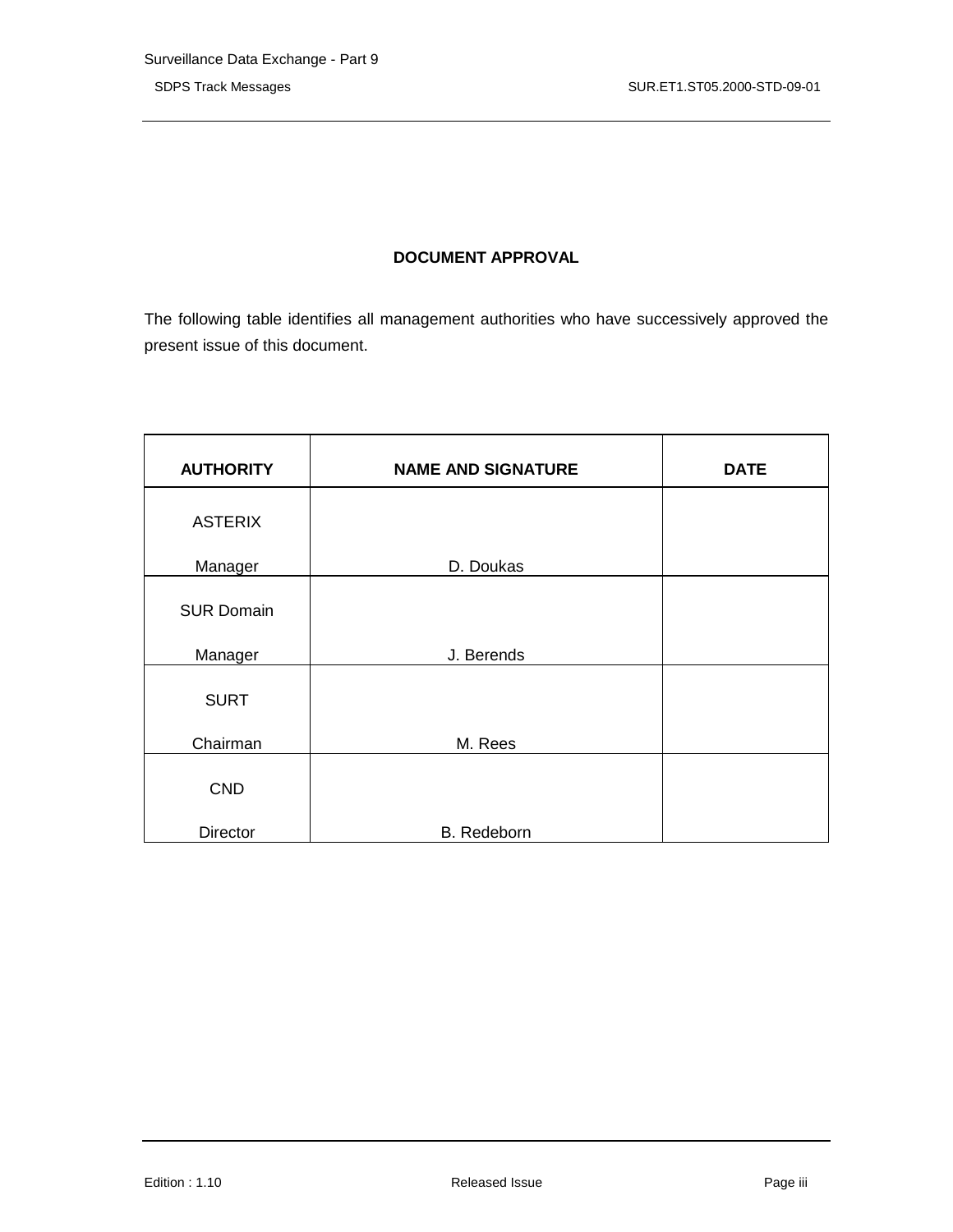## **DOCUMENT APPROVAL**

The following table identifies all management authorities who have successively approved the present issue of this document.

| <b>AUTHORITY</b>  | <b>NAME AND SIGNATURE</b> | <b>DATE</b> |
|-------------------|---------------------------|-------------|
| <b>ASTERIX</b>    |                           |             |
| Manager           | D. Doukas                 |             |
| <b>SUR Domain</b> |                           |             |
| Manager           | J. Berends                |             |
| <b>SURT</b>       |                           |             |
| Chairman          | M. Rees                   |             |
| <b>CND</b>        |                           |             |
| <b>Director</b>   | B. Redeborn               |             |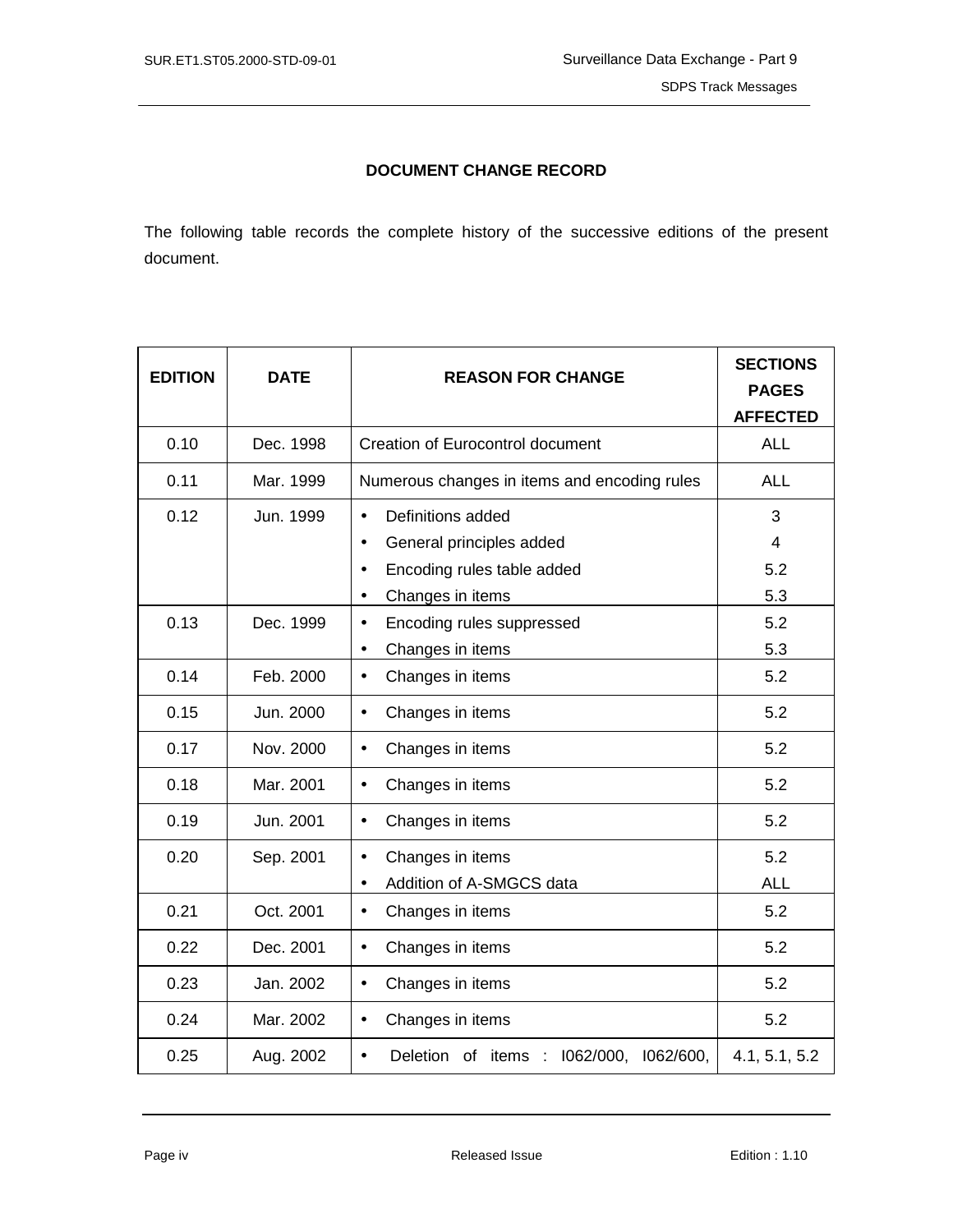## **DOCUMENT CHANGE RECORD**

The following table records the complete history of the successive editions of the present document.

| <b>EDITION</b> | <b>DATE</b> | <b>REASON FOR CHANGE</b>                                | <b>SECTIONS</b><br><b>PAGES</b> |
|----------------|-------------|---------------------------------------------------------|---------------------------------|
| 0.10           | Dec. 1998   | <b>Creation of Eurocontrol document</b>                 | <b>AFFECTED</b><br><b>ALL</b>   |
| 0.11           | Mar. 1999   | Numerous changes in items and encoding rules            | <b>ALL</b>                      |
| 0.12           | Jun. 1999   | Definitions added<br>$\bullet$                          | 3                               |
|                |             | General principles added<br>$\bullet$                   | 4                               |
|                |             | Encoding rules table added                              | 5.2                             |
|                |             | Changes in items<br>$\bullet$                           | 5.3                             |
| 0.13           | Dec. 1999   | Encoding rules suppressed<br>$\bullet$                  | 5.2                             |
|                |             | Changes in items<br>$\bullet$                           | 5.3                             |
| 0.14           | Feb. 2000   | Changes in items<br>$\bullet$                           | 5.2                             |
| 0.15           | Jun. 2000   | Changes in items<br>$\bullet$                           | 5.2                             |
| 0.17           | Nov. 2000   | Changes in items<br>$\bullet$                           | 5.2                             |
| 0.18           | Mar. 2001   | Changes in items<br>$\bullet$                           | 5.2                             |
| 0.19           | Jun. 2001   | Changes in items<br>$\bullet$                           | 5.2                             |
| 0.20           | Sep. 2001   | Changes in items<br>$\bullet$                           | 5.2                             |
|                |             | Addition of A-SMGCS data<br>$\bullet$                   | <b>ALL</b>                      |
| 0.21           | Oct. 2001   | Changes in items<br>$\bullet$                           | 5.2                             |
| 0.22           | Dec. 2001   | Changes in items<br>$\bullet$                           | 5.2                             |
| 0.23           | Jan. 2002   | Changes in items<br>$\bullet$                           | 5.2                             |
| 0.24           | Mar. 2002   | Changes in items<br>$\bullet$                           | 5.2                             |
| 0.25           | Aug. 2002   | Deletion of items :<br>1062/000, 1062/600,<br>$\bullet$ | 4.1, 5.1, 5.2                   |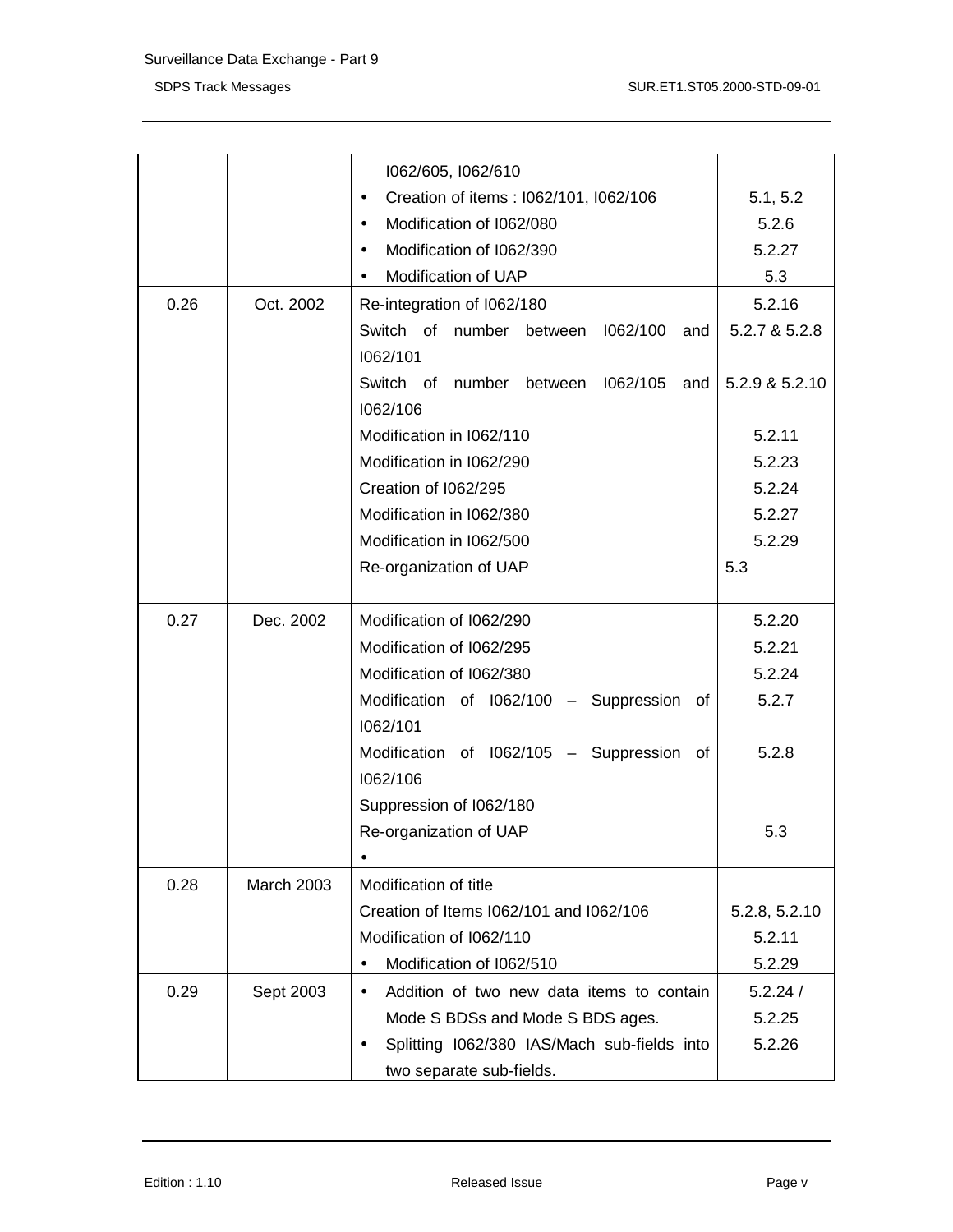|      |                   | 1062/605, 1062/610                                       |                  |
|------|-------------------|----------------------------------------------------------|------------------|
|      |                   | Creation of items: I062/101, I062/106<br>$\bullet$       | 5.1, 5.2         |
|      |                   | Modification of I062/080<br>$\bullet$                    | 5.2.6            |
|      |                   | Modification of I062/390<br>$\bullet$                    | 5.2.27           |
|      |                   | Modification of UAP<br>$\bullet$                         | 5.3              |
| 0.26 | Oct. 2002         | Re-integration of I062/180                               | 5.2.16           |
|      |                   | Switch of number between<br>1062/100<br>and              | 5.2.7 & 5.2.8    |
|      |                   | 1062/101                                                 |                  |
|      |                   | Switch of number between<br>1062/105<br>and              | 5.2.9 & 5.2.10   |
|      |                   | 1062/106                                                 |                  |
|      |                   | Modification in I062/110                                 | 5.2.11           |
|      |                   | Modification in 1062/290                                 | 5.2.23           |
|      |                   | Creation of I062/295                                     | 5.2.24           |
|      |                   | Modification in I062/380                                 | 5.2.27           |
|      |                   | Modification in I062/500                                 | 5.2.29           |
|      |                   | Re-organization of UAP                                   | 5.3              |
|      |                   |                                                          |                  |
| 0.27 | Dec. 2002         | Modification of I062/290                                 | 5.2.20           |
|      |                   | Modification of I062/295<br>Modification of I062/380     | 5.2.21<br>5.2.24 |
|      |                   | Modification of I062/100<br>- Suppression of             | 5.2.7            |
|      |                   | 1062/101                                                 |                  |
|      |                   | Modification<br>of I062/105 - Suppression of             | 5.2.8            |
|      |                   | 1062/106                                                 |                  |
|      |                   | Suppression of I062/180                                  |                  |
|      |                   | Re-organization of UAP                                   | 5.3              |
|      |                   | $\bullet$                                                |                  |
| 0.28 | <b>March 2003</b> | Modification of title                                    |                  |
|      |                   | Creation of Items I062/101 and I062/106                  | 5.2.8, 5.2.10    |
|      |                   | Modification of I062/110                                 | 5.2.11           |
|      |                   | Modification of I062/510<br>$\bullet$                    | 5.2.29           |
| 0.29 | Sept 2003         | Addition of two new data items to contain<br>$\bullet$   | 5.2.24/          |
|      |                   | Mode S BDSs and Mode S BDS ages.                         | 5.2.25           |
|      |                   | Splitting I062/380 IAS/Mach sub-fields into<br>$\bullet$ | 5.2.26           |
|      |                   | two separate sub-fields.                                 |                  |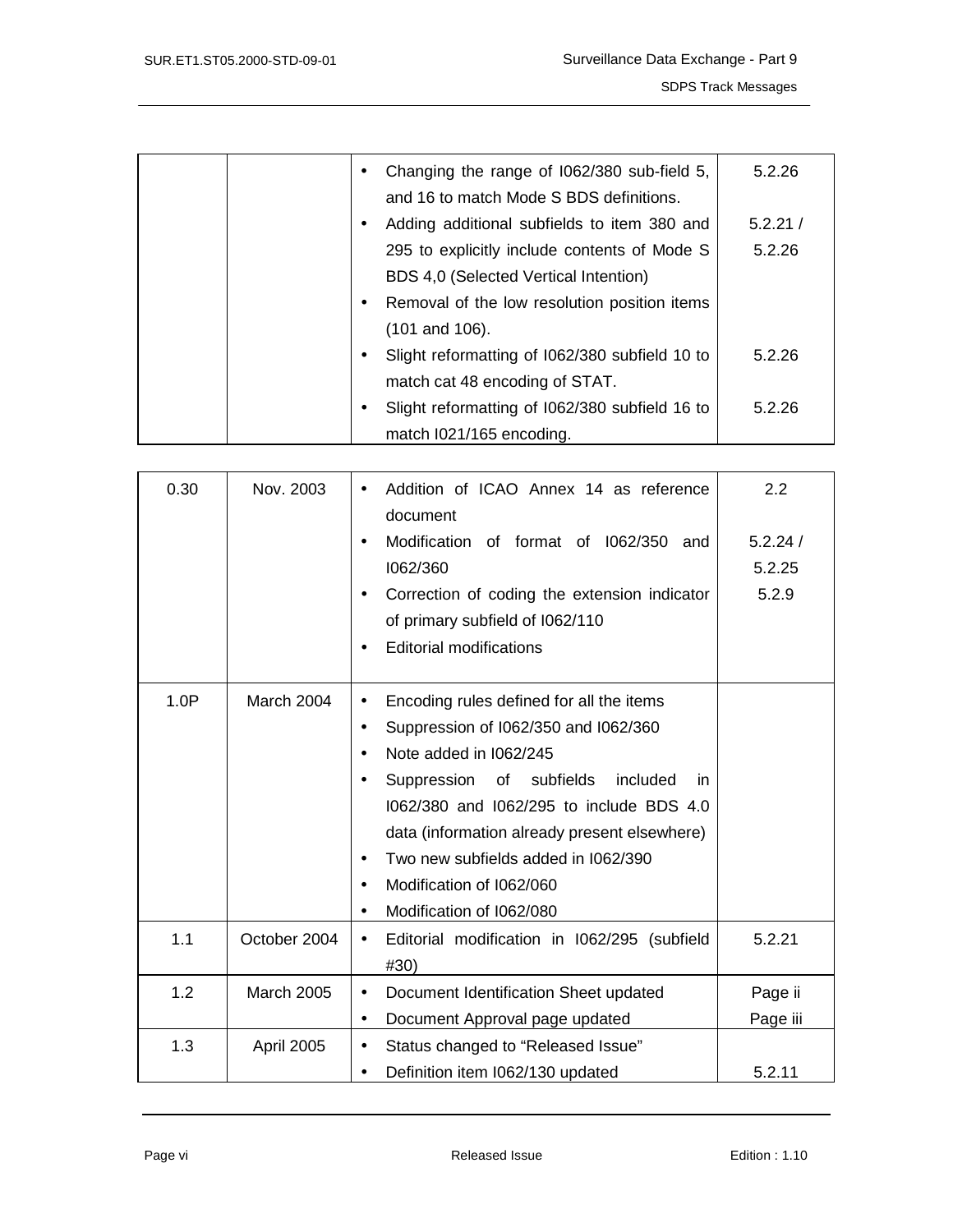|  | ٠         | Changing the range of 1062/380 sub-field 5,<br>and 16 to match Mode S BDS definitions. | 5.2.26  |
|--|-----------|----------------------------------------------------------------------------------------|---------|
|  |           |                                                                                        |         |
|  | $\bullet$ | Adding additional subfields to item 380 and                                            | 5.2.21/ |
|  |           | 295 to explicitly include contents of Mode S                                           | 5.2.26  |
|  |           | BDS 4,0 (Selected Vertical Intention)                                                  |         |
|  | ٠         | Removal of the low resolution position items                                           |         |
|  |           | $(101$ and $106)$ .                                                                    |         |
|  | ٠         | Slight reformatting of 1062/380 subfield 10 to                                         | 5.2.26  |
|  |           | match cat 48 encoding of STAT.                                                         |         |
|  | $\bullet$ | Slight reformatting of I062/380 subfield 16 to                                         | 5.2.26  |
|  |           | match I021/165 encoding.                                                               |         |

| 0.30 | Nov. 2003         | Addition of ICAO Annex 14 as reference<br>$\bullet$<br>document | 2.2      |
|------|-------------------|-----------------------------------------------------------------|----------|
|      |                   | Modification of format of 1062/350<br>and                       | 5.2.24/  |
|      |                   | 1062/360                                                        | 5.2.25   |
|      |                   | Correction of coding the extension indicator<br>$\bullet$       | 5.2.9    |
|      |                   | of primary subfield of I062/110                                 |          |
|      |                   | <b>Editorial modifications</b>                                  |          |
| 1.0P | March 2004        | Encoding rules defined for all the items<br>$\bullet$           |          |
|      |                   | Suppression of I062/350 and I062/360<br>$\bullet$               |          |
|      |                   | Note added in 1062/245<br>$\bullet$                             |          |
|      |                   | Suppression<br>of<br>subfields<br>included<br>in.<br>$\bullet$  |          |
|      |                   | 1062/380 and 1062/295 to include BDS 4.0                        |          |
|      |                   | data (information already present elsewhere)                    |          |
|      |                   | Two new subfields added in I062/390<br>$\bullet$                |          |
|      |                   | Modification of I062/060<br>$\bullet$                           |          |
|      |                   | Modification of I062/080<br>$\bullet$                           |          |
| 1.1  | October 2004      | Editorial modification in 1062/295 (subfield<br>$\bullet$       | 5.2.21   |
|      |                   | #30)                                                            |          |
| 1.2  | <b>March 2005</b> | Document Identification Sheet updated<br>$\bullet$              | Page ii  |
|      |                   | Document Approval page updated<br>$\bullet$                     | Page iii |
| 1.3  | April 2005        | Status changed to "Released Issue"<br>$\bullet$                 |          |
|      |                   | Definition item I062/130 updated                                | 5.2.11   |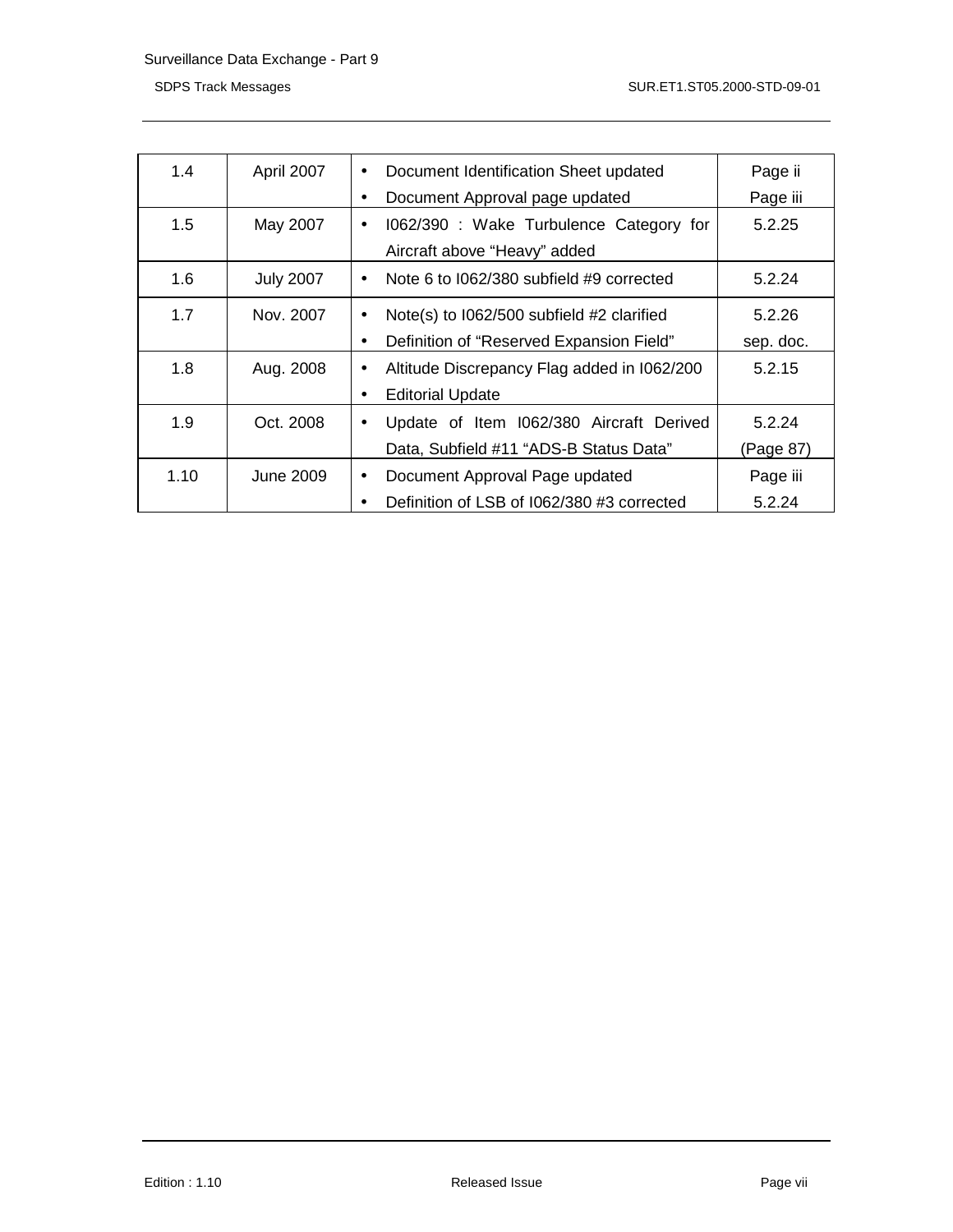| 1.4  | April 2007       | Document Identification Sheet updated<br>$\bullet$       | Page ii   |
|------|------------------|----------------------------------------------------------|-----------|
|      |                  | Document Approval page updated<br>$\bullet$              | Page iii  |
| 1.5  | May 2007         | 1062/390 : Wake Turbulence Category for<br>$\bullet$     | 5.2.25    |
|      |                  | Aircraft above "Heavy" added                             |           |
| 1.6  | <b>July 2007</b> | Note 6 to 1062/380 subfield #9 corrected<br>$\bullet$    | 5.2.24    |
| 1.7  | Nov. 2007        | Note(s) to I062/500 subfield #2 clarified<br>$\bullet$   | 5.2.26    |
|      |                  | Definition of "Reserved Expansion Field"<br>$\bullet$    | sep. doc. |
| 1.8  | Aug. 2008        | Altitude Discrepancy Flag added in I062/200<br>$\bullet$ | 5.2.15    |
|      |                  | <b>Editorial Update</b><br>٠                             |           |
| 1.9  | Oct. 2008        | Update of Item I062/380 Aircraft Derived<br>٠            | 5.2.24    |
|      |                  | Data, Subfield #11 "ADS-B Status Data"                   | (Page 87) |
| 1.10 | June 2009        | Document Approval Page updated<br>$\bullet$              | Page iii  |
|      |                  | Definition of LSB of 1062/380 #3 corrected               | 5.2.24    |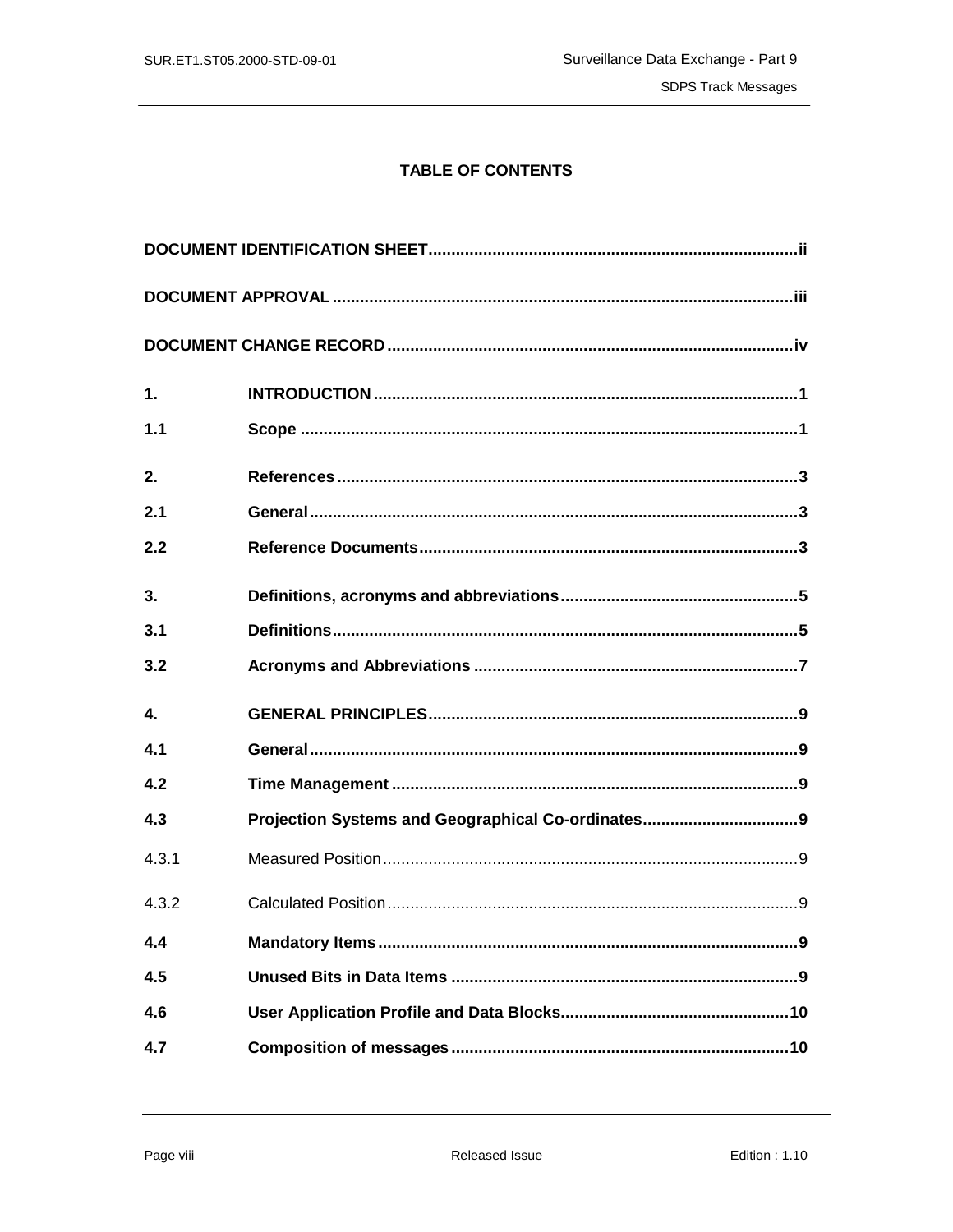## **TABLE OF CONTENTS**

| 1.           |  |
|--------------|--|
| 1.1          |  |
| 2.           |  |
| 2.1          |  |
| 2.2          |  |
| 3.           |  |
| 3.1          |  |
| 3.2          |  |
| $\mathbf{4}$ |  |
| 4.1          |  |
| 4.2          |  |
| 4.3          |  |
| 4.3.1        |  |
| 4.3.2        |  |
| 4.4          |  |
| 4.5          |  |
| 4.6          |  |
| 4.7          |  |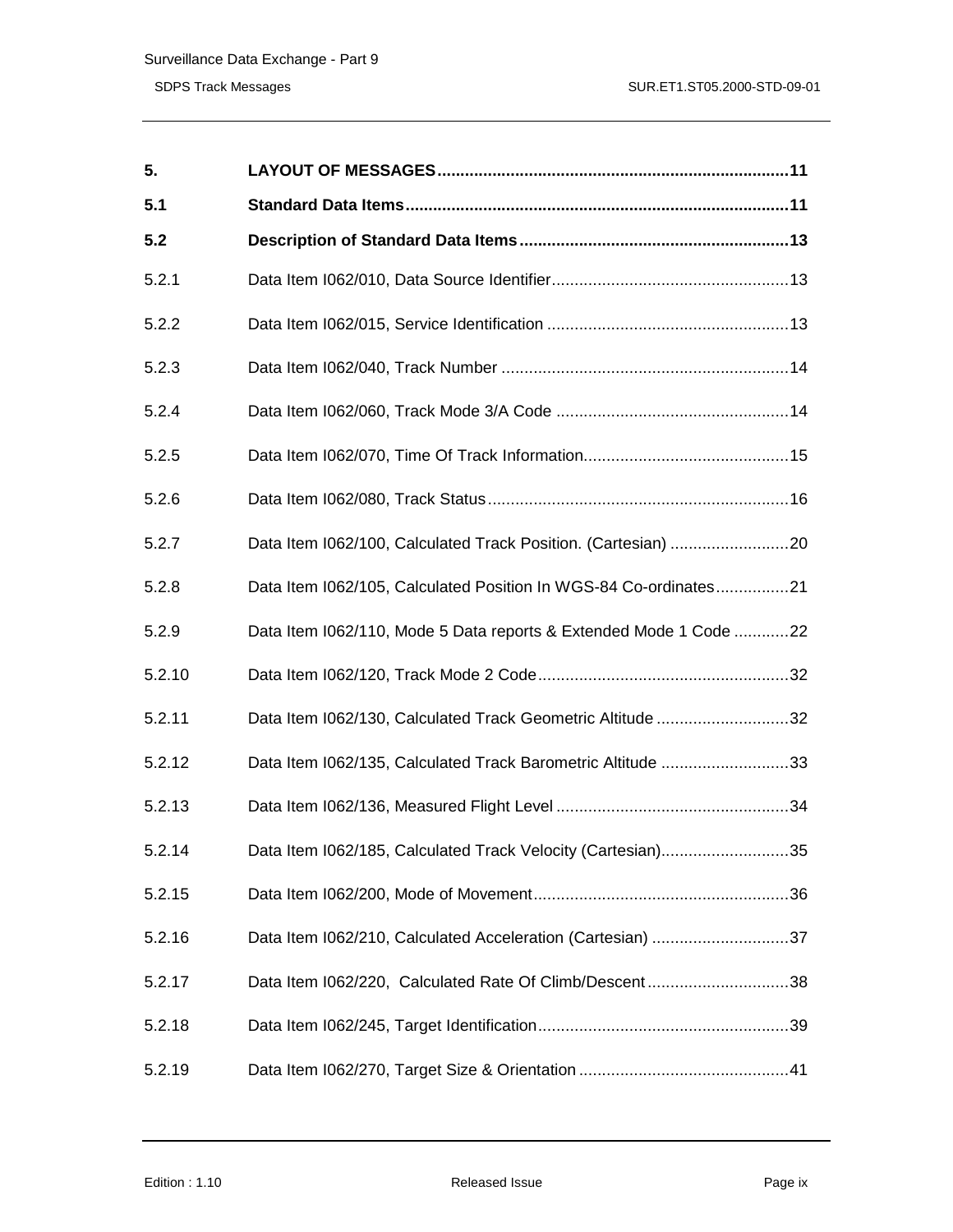| 5.     |                                                                   |
|--------|-------------------------------------------------------------------|
| 5.1    |                                                                   |
| 5.2    |                                                                   |
| 5.2.1  |                                                                   |
| 5.2.2  |                                                                   |
| 5.2.3  |                                                                   |
| 5.2.4  |                                                                   |
| 5.2.5  |                                                                   |
| 5.2.6  |                                                                   |
| 5.2.7  |                                                                   |
| 5.2.8  | Data Item I062/105, Calculated Position In WGS-84 Co-ordinates21  |
| 5.2.9  | Data Item I062/110, Mode 5 Data reports & Extended Mode 1 Code 22 |
| 5.2.10 |                                                                   |
| 5.2.11 | Data Item I062/130, Calculated Track Geometric Altitude 32        |
| 5.2.12 | Data Item I062/135, Calculated Track Barometric Altitude 33       |
| 5.2.13 |                                                                   |
| 5.2.14 | Data Item I062/185, Calculated Track Velocity (Cartesian)<br>.35  |
| 5.2.15 |                                                                   |
| 5.2.16 | Data Item I062/210, Calculated Acceleration (Cartesian) 37        |
| 5.2.17 | Data Item I062/220, Calculated Rate Of Climb/Descent38            |
| 5.2.18 |                                                                   |
| 5.2.19 |                                                                   |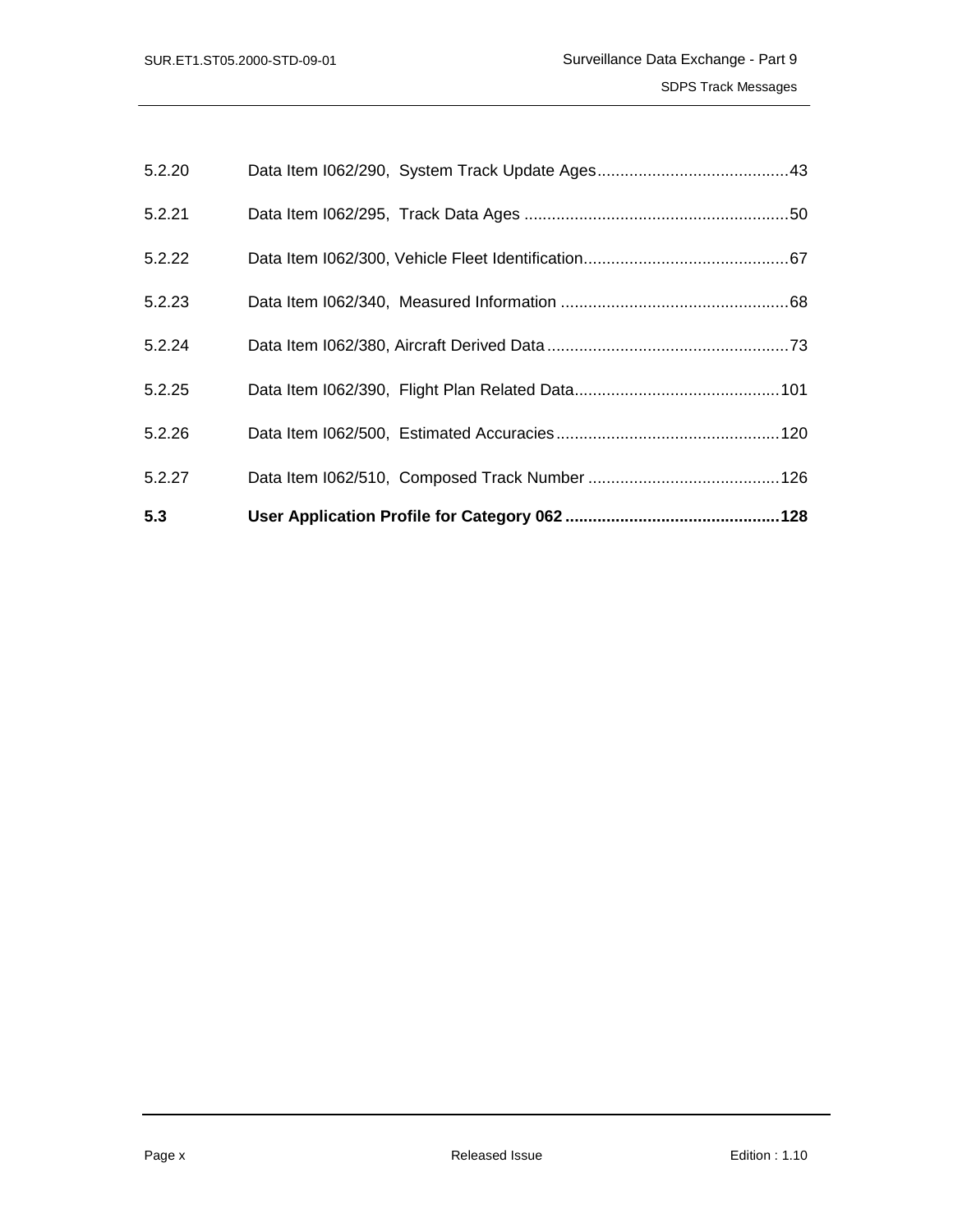| 5.3    |  |
|--------|--|
| 5.2.27 |  |
| 5.2.26 |  |
| 5.2.25 |  |
| 5.2.24 |  |
| 5.2.23 |  |
| 5.2.22 |  |
| 5.2.21 |  |
| 5.2.20 |  |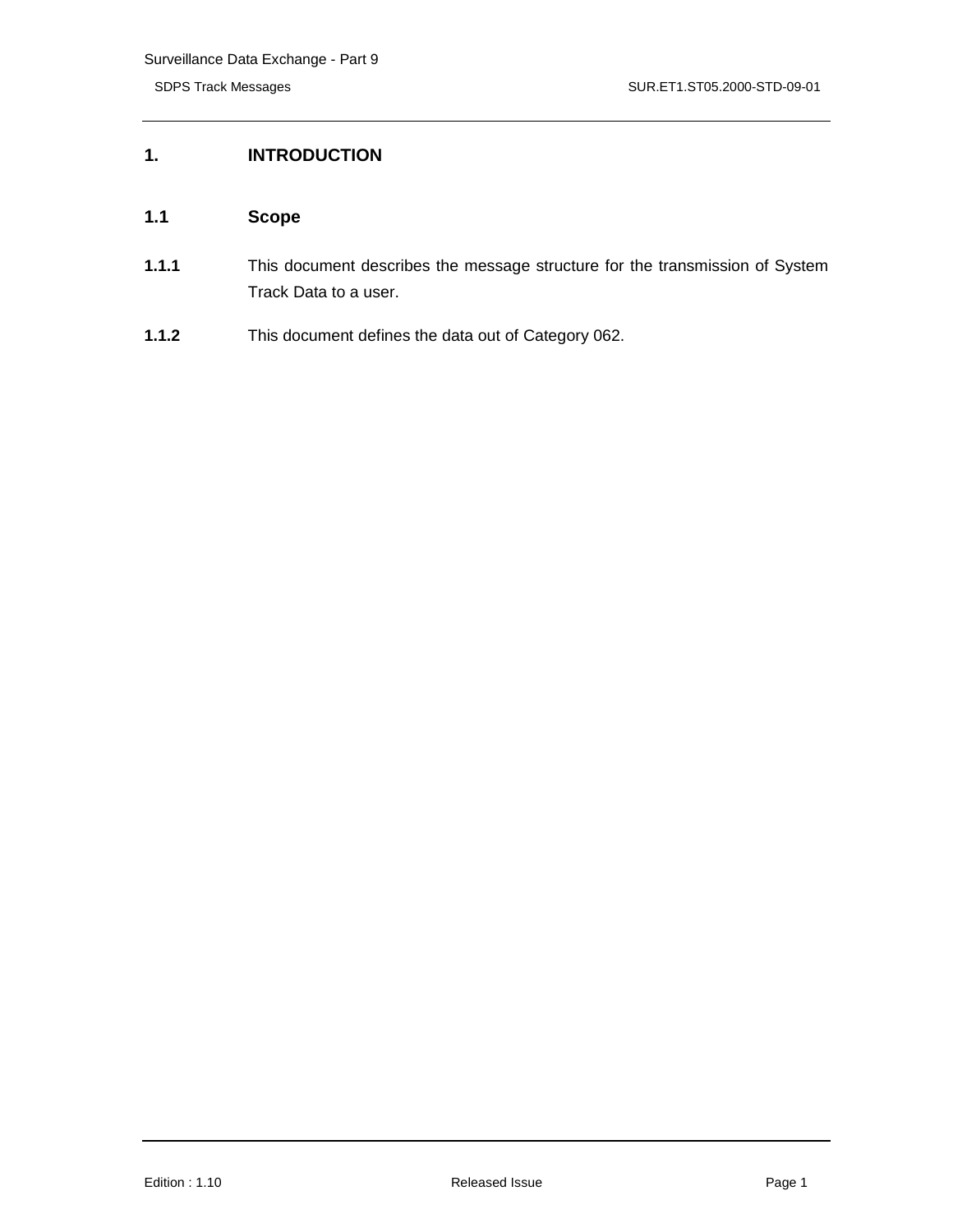## **1. INTRODUCTION**

## **1.1 Scope**

- **1.1.1** This document describes the message structure for the transmission of System Track Data to a user.
- **1.1.2** This document defines the data out of Category 062.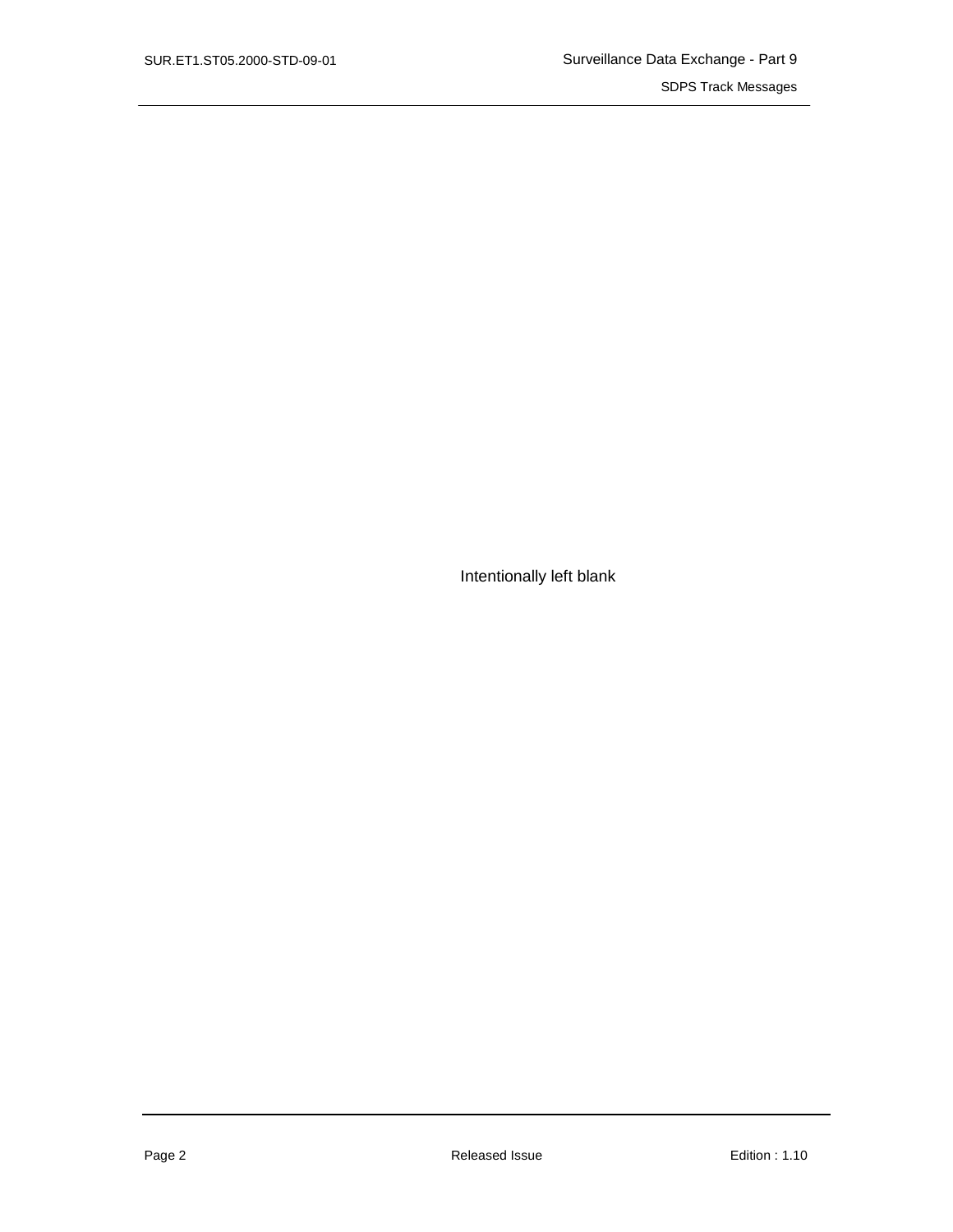Intentionally left blank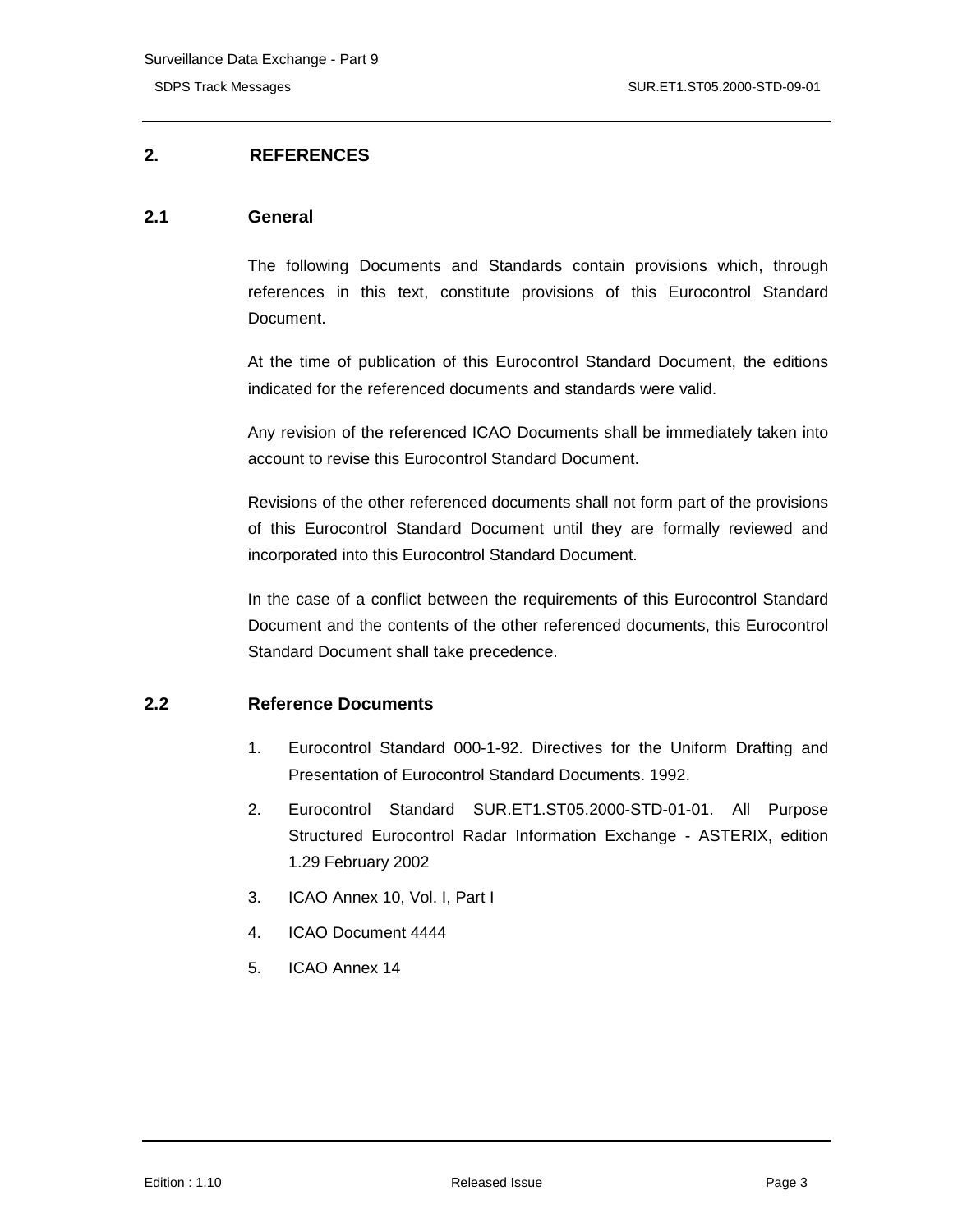#### **2. REFERENCES**

#### **2.1 General**

 The following Documents and Standards contain provisions which, through references in this text, constitute provisions of this Eurocontrol Standard Document.

 At the time of publication of this Eurocontrol Standard Document, the editions indicated for the referenced documents and standards were valid.

 Any revision of the referenced ICAO Documents shall be immediately taken into account to revise this Eurocontrol Standard Document.

 Revisions of the other referenced documents shall not form part of the provisions of this Eurocontrol Standard Document until they are formally reviewed and incorporated into this Eurocontrol Standard Document.

 In the case of a conflict between the requirements of this Eurocontrol Standard Document and the contents of the other referenced documents, this Eurocontrol Standard Document shall take precedence.

#### **2.2 Reference Documents**

- 1. Eurocontrol Standard 000-1-92. Directives for the Uniform Drafting and Presentation of Eurocontrol Standard Documents. 1992.
- 2. Eurocontrol Standard SUR.ET1.ST05.2000-STD-01-01. All Purpose Structured Eurocontrol Radar Information Exchange - ASTERIX, edition 1.29 February 2002
- 3. ICAO Annex 10, Vol. I, Part I
- 4. ICAO Document 4444
- 5. ICAO Annex 14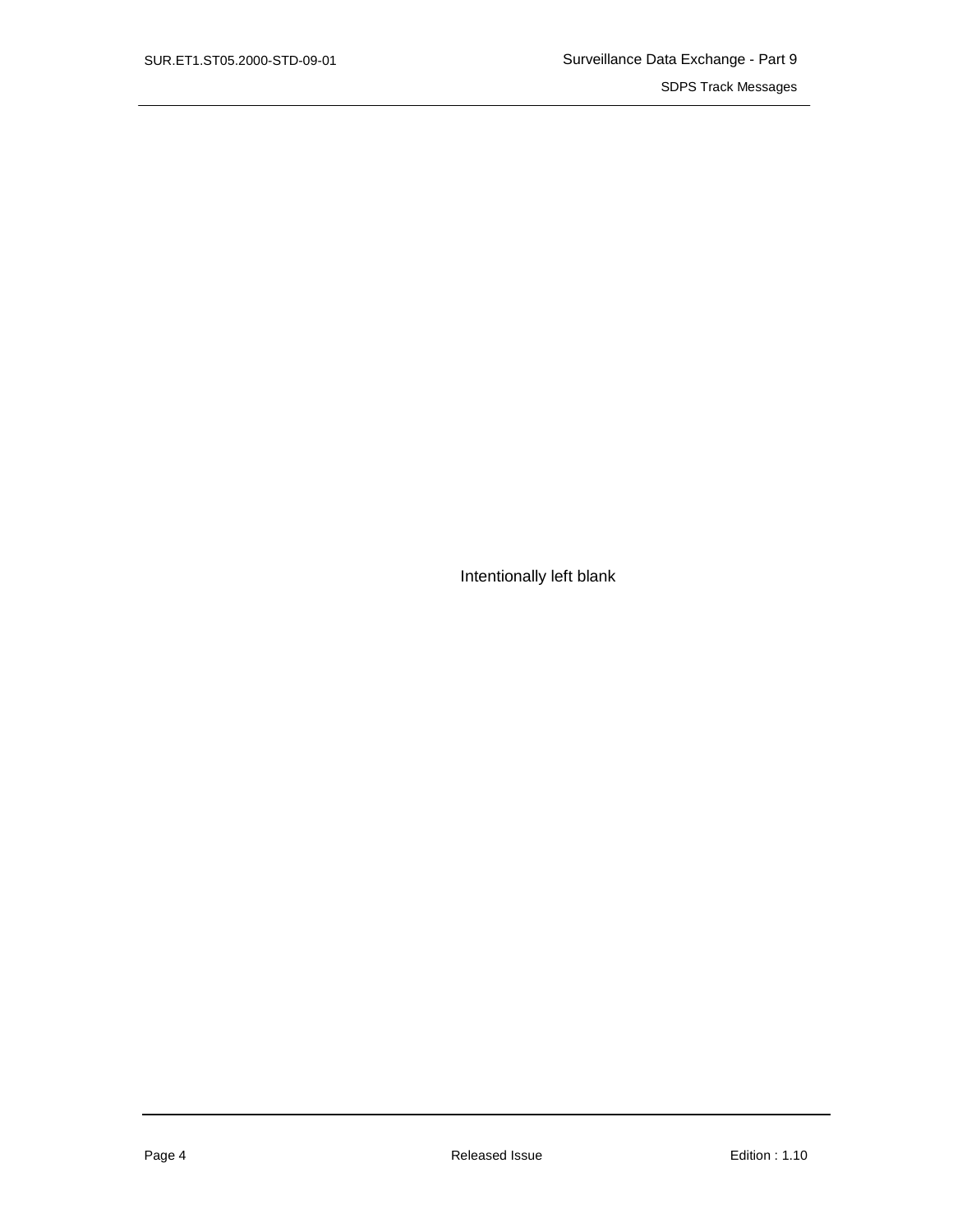Intentionally left blank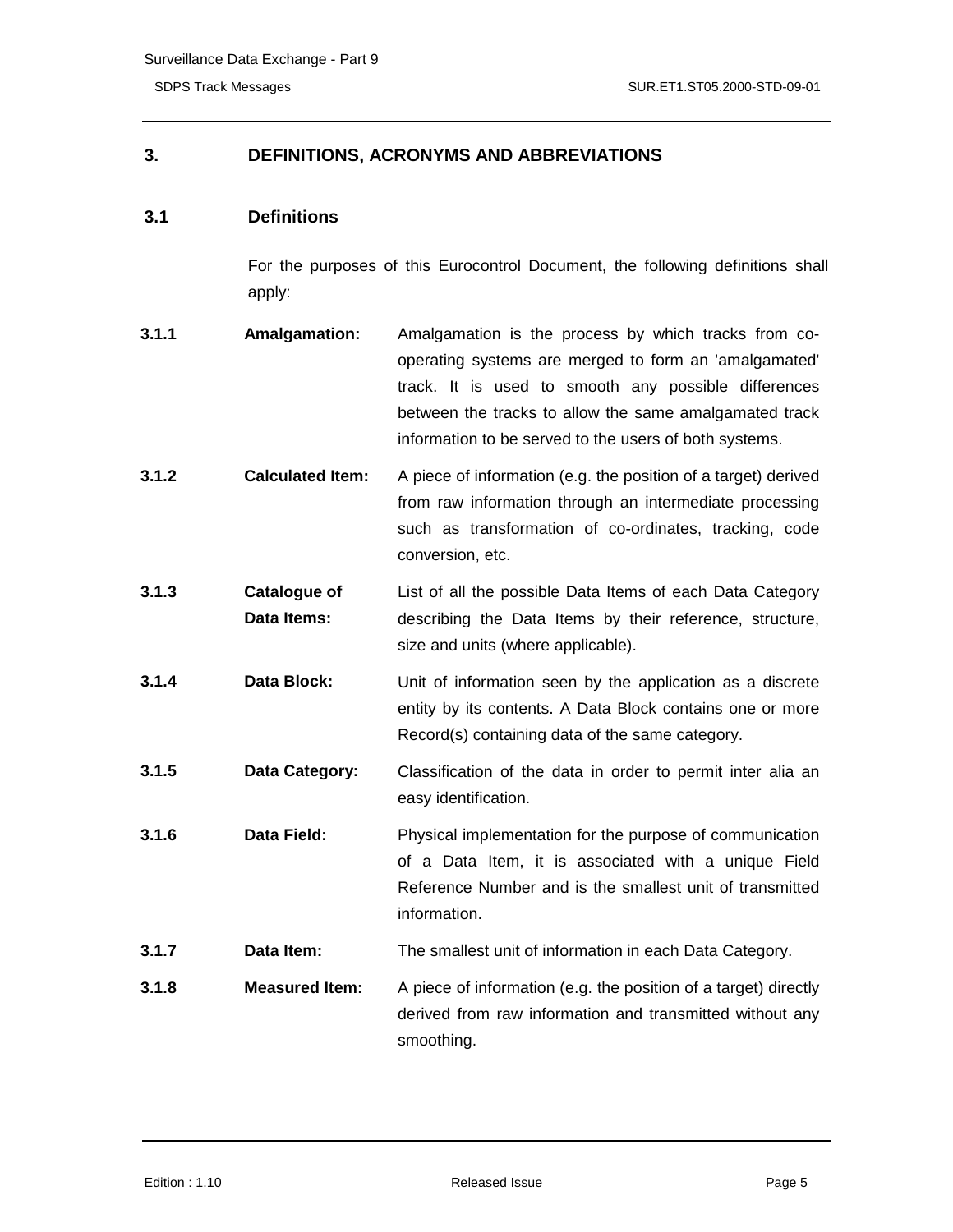## **3. DEFINITIONS, ACRONYMS AND ABBREVIATIONS**

## **3.1 Definitions**

For the purposes of this Eurocontrol Document, the following definitions shall apply:

| 3.1.1 | Amalgamation:                             | Amalgamation is the process by which tracks from co-<br>operating systems are merged to form an 'amalgamated'<br>track. It is used to smooth any possible differences<br>between the tracks to allow the same amalgamated track<br>information to be served to the users of both systems. |
|-------|-------------------------------------------|-------------------------------------------------------------------------------------------------------------------------------------------------------------------------------------------------------------------------------------------------------------------------------------------|
| 3.1.2 | <b>Calculated Item:</b>                   | A piece of information (e.g. the position of a target) derived<br>from raw information through an intermediate processing<br>such as transformation of co-ordinates, tracking, code<br>conversion, etc.                                                                                   |
| 3.1.3 | <b>Catalogue of</b><br><b>Data Items:</b> | List of all the possible Data Items of each Data Category<br>describing the Data Items by their reference, structure,<br>size and units (where applicable).                                                                                                                               |
| 3.1.4 | Data Block:                               | Unit of information seen by the application as a discrete<br>entity by its contents. A Data Block contains one or more<br>Record(s) containing data of the same category.                                                                                                                 |
| 3.1.5 | Data Category:                            | Classification of the data in order to permit inter alia an<br>easy identification.                                                                                                                                                                                                       |
| 3.1.6 | Data Field:                               | Physical implementation for the purpose of communication<br>of a Data Item, it is associated with a unique Field<br>Reference Number and is the smallest unit of transmitted<br>information.                                                                                              |
| 3.1.7 | Data Item:                                | The smallest unit of information in each Data Category.                                                                                                                                                                                                                                   |
| 3.1.8 | <b>Measured Item:</b>                     | A piece of information (e.g. the position of a target) directly<br>derived from raw information and transmitted without any<br>smoothing.                                                                                                                                                 |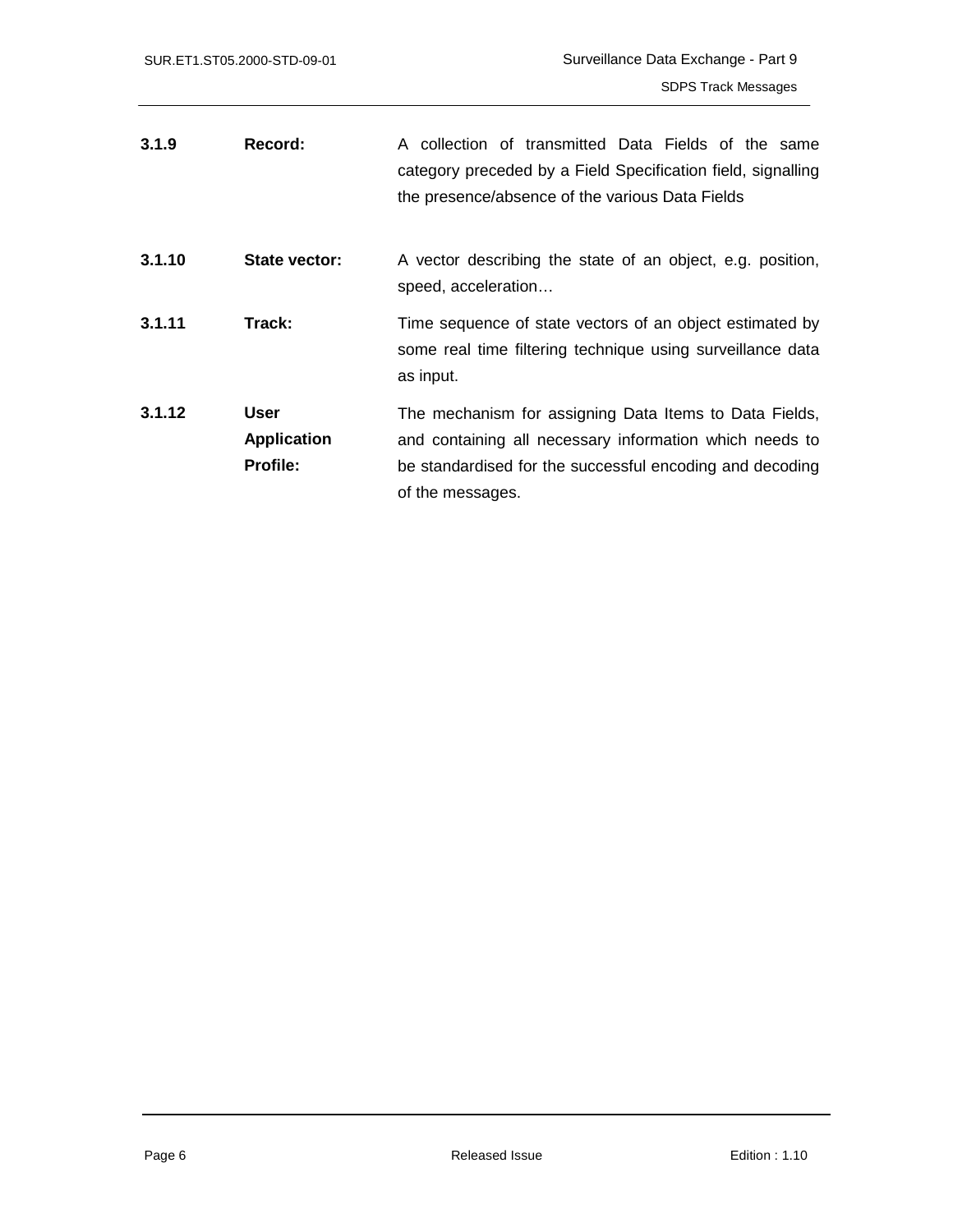| 3.1.9  | Record:                                       | A collection of transmitted Data Fields of the same<br>category preceded by a Field Specification field, signalling<br>the presence/absence of the various Data Fields                            |
|--------|-----------------------------------------------|---------------------------------------------------------------------------------------------------------------------------------------------------------------------------------------------------|
| 3.1.10 | State vector:                                 | A vector describing the state of an object, e.g. position,<br>speed, acceleration                                                                                                                 |
| 3.1.11 | Track:                                        | Time sequence of state vectors of an object estimated by<br>some real time filtering technique using surveillance data<br>as input.                                                               |
| 3.1.12 | User<br><b>Application</b><br><b>Profile:</b> | The mechanism for assigning Data Items to Data Fields,<br>and containing all necessary information which needs to<br>be standardised for the successful encoding and decoding<br>of the messages. |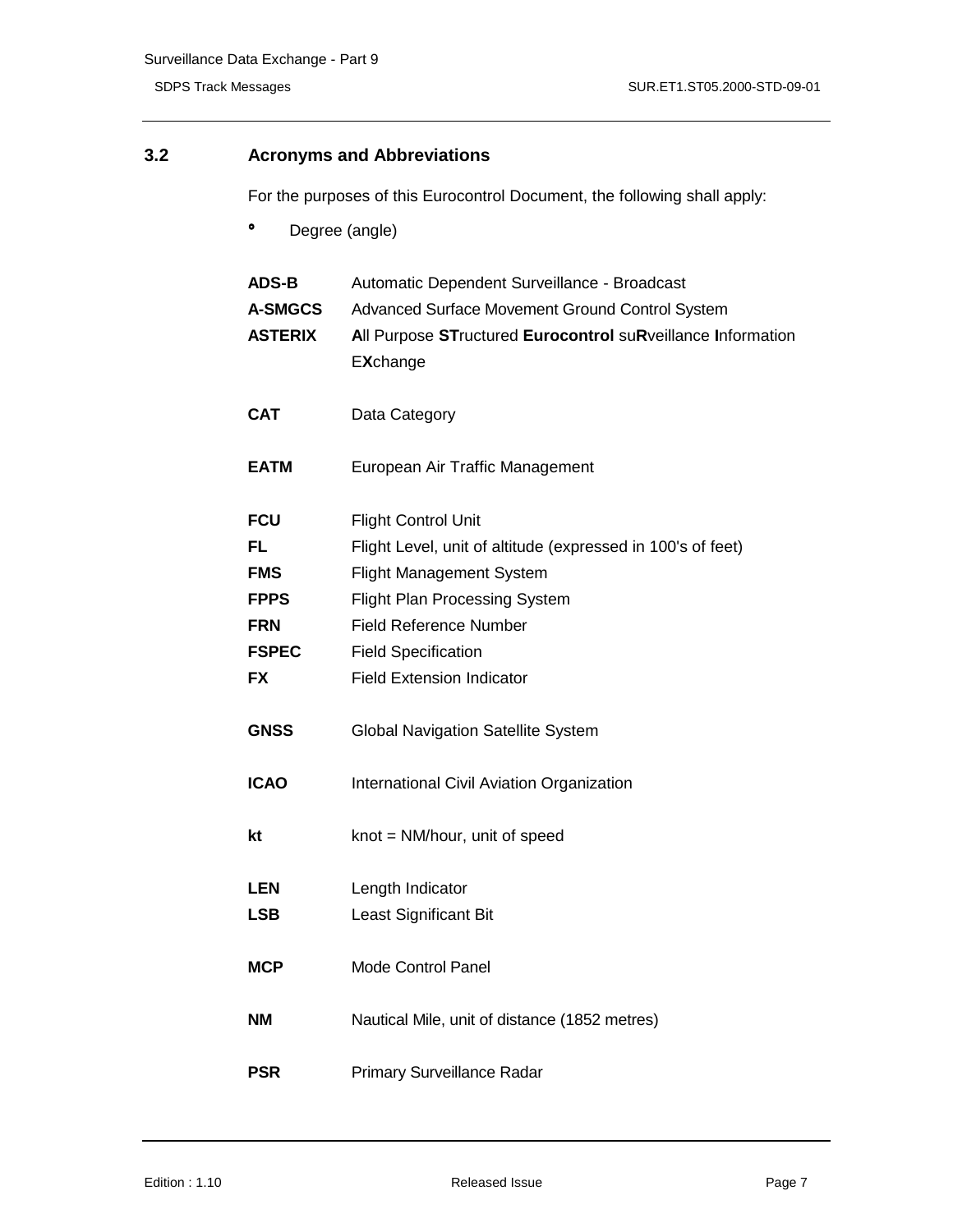## **3.2 Acronyms and Abbreviations**

For the purposes of this Eurocontrol Document, the following shall apply:

° Degree (angle)

| <b>ADS-B</b><br><b>A-SMGCS</b> | Automatic Dependent Surveillance - Broadcast<br>Advanced Surface Movement Ground Control System |
|--------------------------------|-------------------------------------------------------------------------------------------------|
| <b>ASTERIX</b>                 | All Purpose STructured Eurocontrol suRveillance Information                                     |
|                                | <b>EXchange</b>                                                                                 |
|                                |                                                                                                 |
| <b>CAT</b>                     | Data Category                                                                                   |
|                                |                                                                                                 |
| <b>EATM</b>                    | European Air Traffic Management                                                                 |
| <b>FCU</b>                     | <b>Flight Control Unit</b>                                                                      |
| FL.                            | Flight Level, unit of altitude (expressed in 100's of feet)                                     |
| <b>FMS</b>                     | <b>Flight Management System</b>                                                                 |
| <b>FPPS</b>                    | <b>Flight Plan Processing System</b>                                                            |
| <b>FRN</b>                     | <b>Field Reference Number</b>                                                                   |
| <b>FSPEC</b>                   | <b>Field Specification</b>                                                                      |
| FX                             | <b>Field Extension Indicator</b>                                                                |
|                                |                                                                                                 |
| <b>GNSS</b>                    | <b>Global Navigation Satellite System</b>                                                       |
|                                |                                                                                                 |
| <b>ICAO</b>                    | International Civil Aviation Organization                                                       |
| kt                             | knot = NM/hour, unit of speed                                                                   |
|                                |                                                                                                 |
| <b>LEN</b>                     | Length Indicator                                                                                |
| <b>LSB</b>                     | Least Significant Bit                                                                           |
|                                |                                                                                                 |
| <b>MCP</b>                     | <b>Mode Control Panel</b>                                                                       |
|                                |                                                                                                 |
| NΜ                             | Nautical Mile, unit of distance (1852 metres)                                                   |
| <b>PSR</b>                     | <b>Primary Surveillance Radar</b>                                                               |
|                                |                                                                                                 |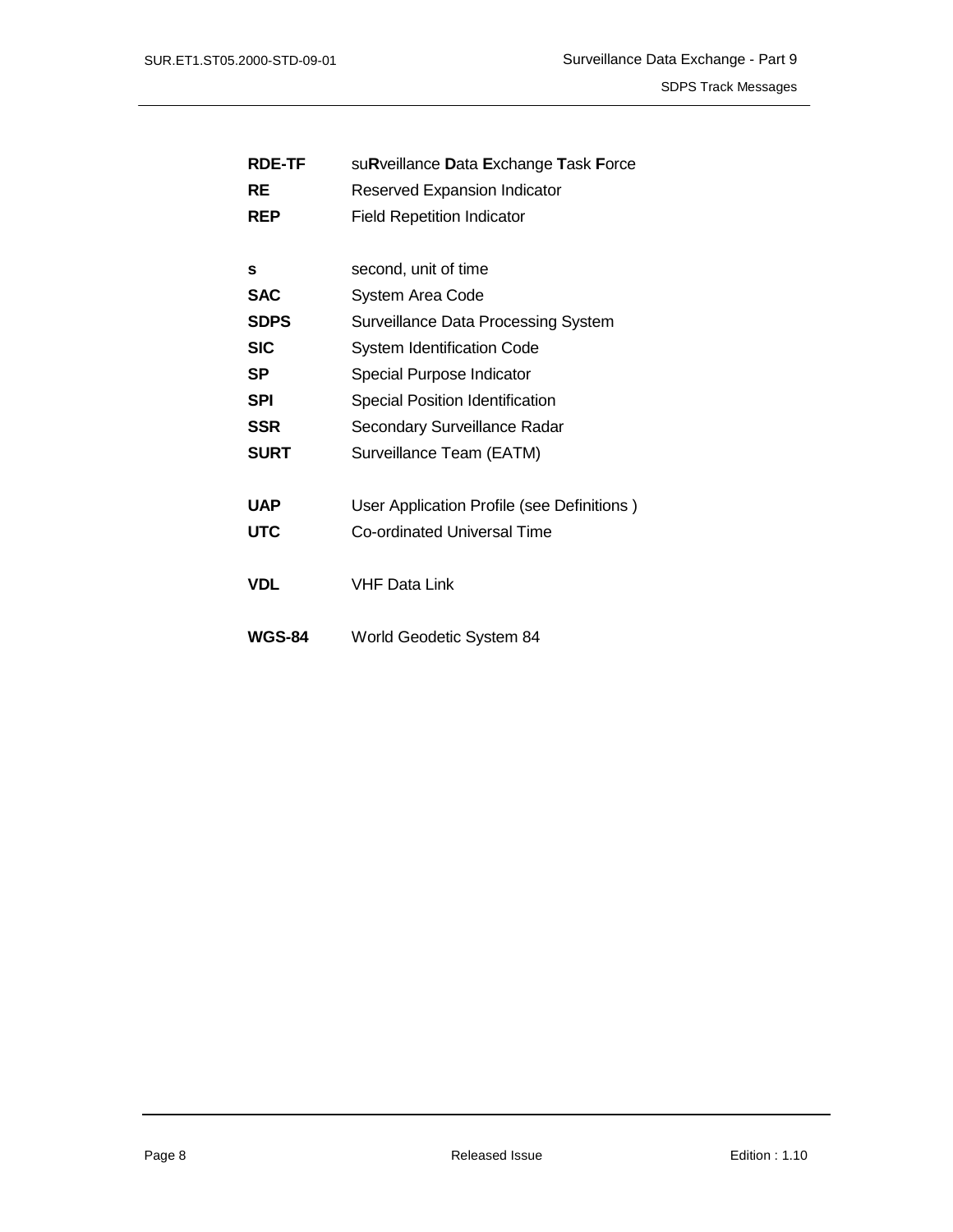| <b>RDE-TF</b> | suRveillance Data Exchange Task Force      |
|---------------|--------------------------------------------|
| <b>RE</b>     | <b>Reserved Expansion Indicator</b>        |
| <b>REP</b>    | <b>Field Repetition Indicator</b>          |
|               |                                            |
| S             | second, unit of time                       |
| <b>SAC</b>    | <b>System Area Code</b>                    |
| <b>SDPS</b>   | <b>Surveillance Data Processing System</b> |
| <b>SIC</b>    | <b>System Identification Code</b>          |
| <b>SP</b>     | Special Purpose Indicator                  |
| SPI           | Special Position Identification            |
| <b>SSR</b>    | Secondary Surveillance Radar               |
| <b>SURT</b>   | Surveillance Team (EATM)                   |
|               |                                            |
| <b>UAP</b>    | User Application Profile (see Definitions) |
| <b>UTC</b>    | Co-ordinated Universal Time                |
|               |                                            |
| <b>VDL</b>    | VHF Data Link                              |
|               |                                            |
| <b>WGS-84</b> | World Geodetic System 84                   |
|               |                                            |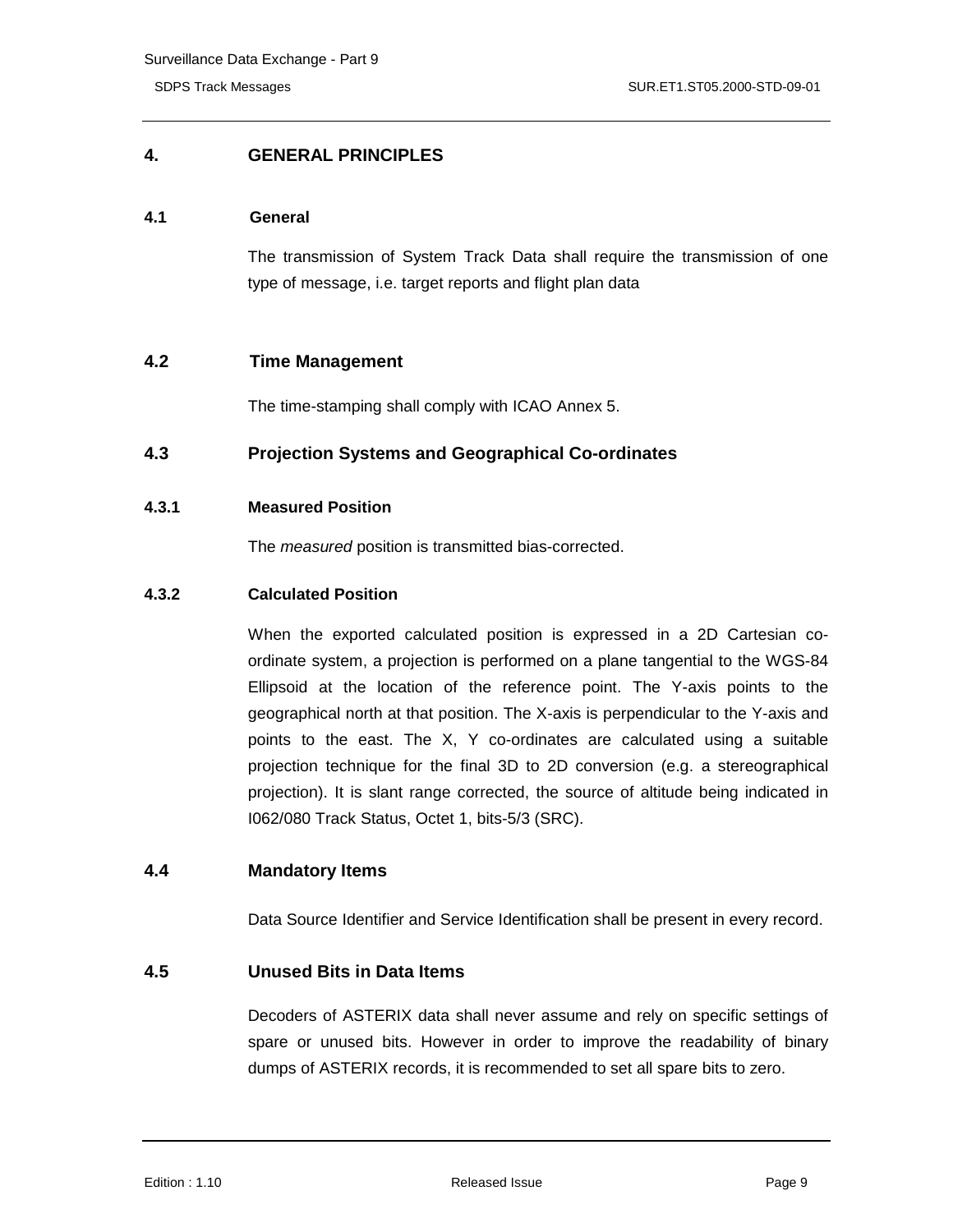### **4. GENERAL PRINCIPLES**

#### **4.1 General**

 The transmission of System Track Data shall require the transmission of one type of message, i.e. target reports and flight plan data

#### **4.2 Time Management**

The time-stamping shall comply with ICAO Annex 5.

#### **4.3 Projection Systems and Geographical Co-ordinates**

#### **4.3.1 Measured Position**

The *measured* position is transmitted bias-corrected.

#### **4.3.2 Calculated Position**

When the exported calculated position is expressed in a 2D Cartesian coordinate system, a projection is performed on a plane tangential to the WGS-84 Ellipsoid at the location of the reference point. The Y-axis points to the geographical north at that position. The X-axis is perpendicular to the Y-axis and points to the east. The X, Y co-ordinates are calculated using a suitable projection technique for the final 3D to 2D conversion (e.g. a stereographical projection). It is slant range corrected, the source of altitude being indicated in I062/080 Track Status, Octet 1, bits-5/3 (SRC).

#### **4.4 Mandatory Items**

Data Source Identifier and Service Identification shall be present in every record.

#### **4.5 Unused Bits in Data Items**

Decoders of ASTERIX data shall never assume and rely on specific settings of spare or unused bits. However in order to improve the readability of binary dumps of ASTERIX records, it is recommended to set all spare bits to zero.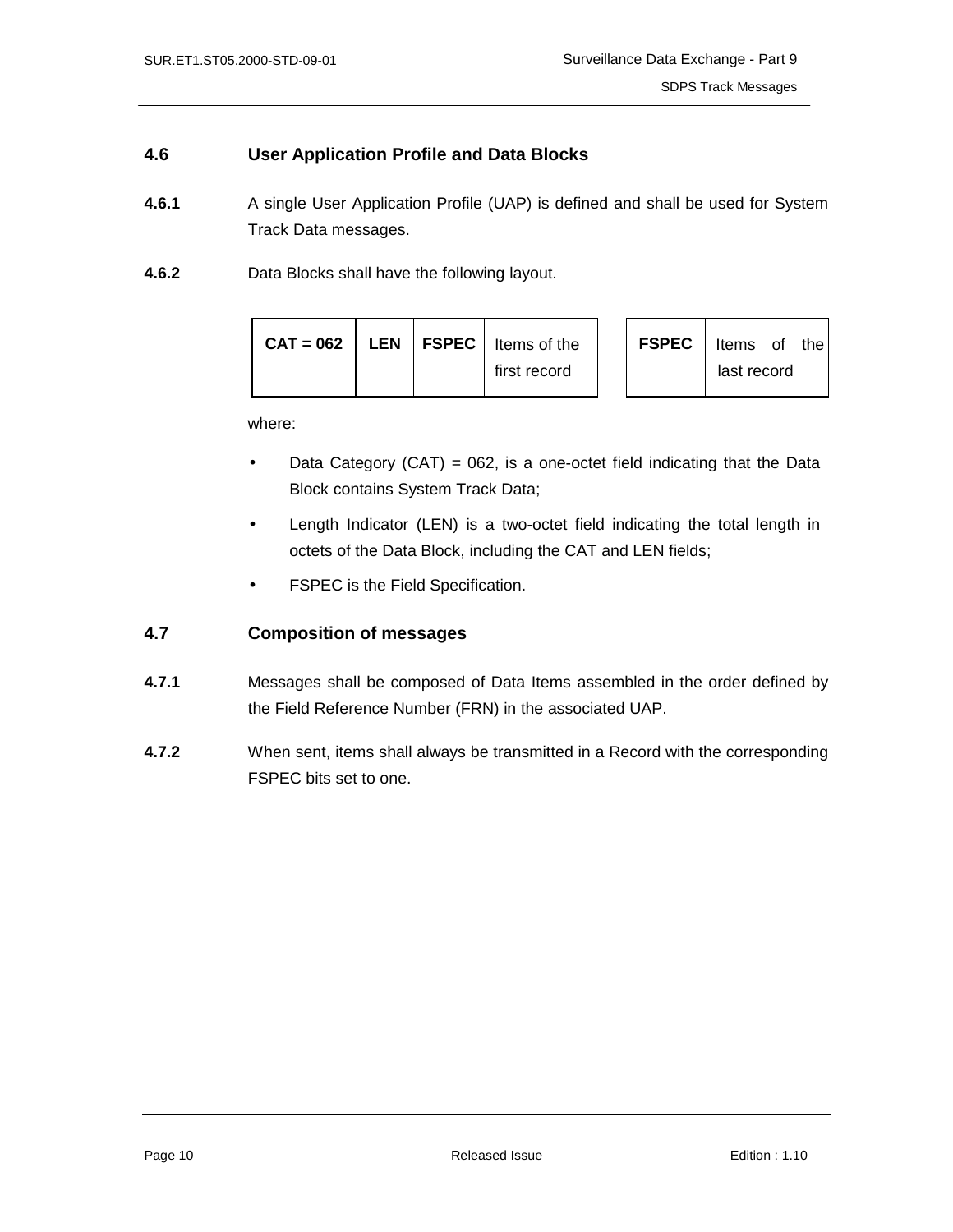#### **4.6 User Application Profile and Data Blocks**

- **4.6.1** A single User Application Profile (UAP) is defined and shall be used for System Track Data messages.
- **4.6.2** Data Blocks shall have the following layout.

|  | $CAT = 062$   LEN   FSPEC   Items of the |  |  | <b>FSPEC</b> litems of the |  |
|--|------------------------------------------|--|--|----------------------------|--|
|  | first record                             |  |  | last record                |  |

where:

- Data Category (CAT) = 062, is a one-octet field indicating that the Data Block contains System Track Data;
- Length Indicator (LEN) is a two-octet field indicating the total length in octets of the Data Block, including the CAT and LEN fields;
- FSPEC is the Field Specification.

#### **4.7 Composition of messages**

- **4.7.1** Messages shall be composed of Data Items assembled in the order defined by the Field Reference Number (FRN) in the associated UAP.
- **4.7.2** When sent, items shall always be transmitted in a Record with the corresponding FSPEC bits set to one.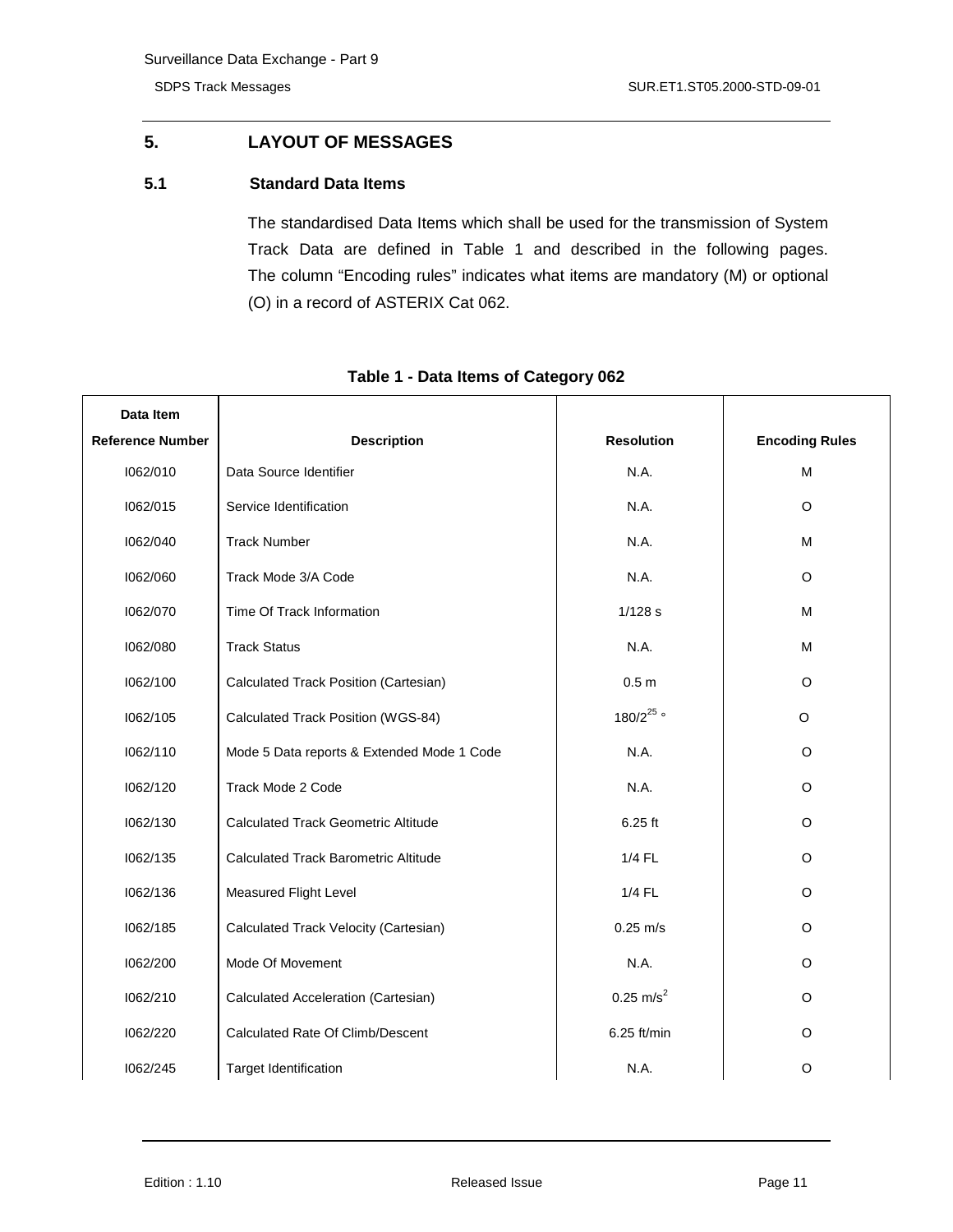#### **5. LAYOUT OF MESSAGES**

#### **5.1 Standard Data Items**

 The standardised Data Items which shall be used for the transmission of System Track Data are defined in Table 1 and described in the following pages. The column "Encoding rules" indicates what items are mandatory (M) or optional (O) in a record of ASTERIX Cat 062.

| Data Item               |                                              |                         |                       |
|-------------------------|----------------------------------------------|-------------------------|-----------------------|
| <b>Reference Number</b> | <b>Description</b>                           | <b>Resolution</b>       | <b>Encoding Rules</b> |
| 1062/010                | Data Source Identifier                       | N.A.                    | M                     |
| 1062/015                | Service Identification                       | N.A.                    | $\circ$               |
| 1062/040                | <b>Track Number</b>                          | N.A.                    | M                     |
| 1062/060                | Track Mode 3/A Code                          | N.A.                    | $\circ$               |
| 1062/070                | Time Of Track Information                    | 1/128 s                 | M                     |
| 1062/080                | <b>Track Status</b>                          | N.A.                    | M                     |
| 1062/100                | <b>Calculated Track Position (Cartesian)</b> | 0.5 <sub>m</sub>        | $\circ$               |
| 1062/105                | Calculated Track Position (WGS-84)           | $180/2^{25}$            | $\circ$               |
| 1062/110                | Mode 5 Data reports & Extended Mode 1 Code   | N.A.                    | $\circ$               |
| 1062/120                | Track Mode 2 Code                            | N.A.                    | $\circ$               |
| 1062/130                | <b>Calculated Track Geometric Altitude</b>   | $6.25$ ft               | $\circ$               |
| 1062/135                | <b>Calculated Track Barometric Altitude</b>  | $1/4$ FL                | $\circ$               |
| 1062/136                | <b>Measured Flight Level</b>                 | $1/4$ FL                | $\Omega$              |
| 1062/185                | Calculated Track Velocity (Cartesian)        | $0.25 \, \text{m/s}$    | O                     |
| 1062/200                | Mode Of Movement                             | N.A.                    | $\Omega$              |
| 1062/210                | Calculated Acceleration (Cartesian)          | $0.25$ m/s <sup>2</sup> | O                     |
| 1062/220                | Calculated Rate Of Climb/Descent             | 6.25 ft/min             | $\Omega$              |
| 1062/245                | Target Identification                        | N.A.                    | $\circ$               |

## **Table 1 - Data Items of Category 062**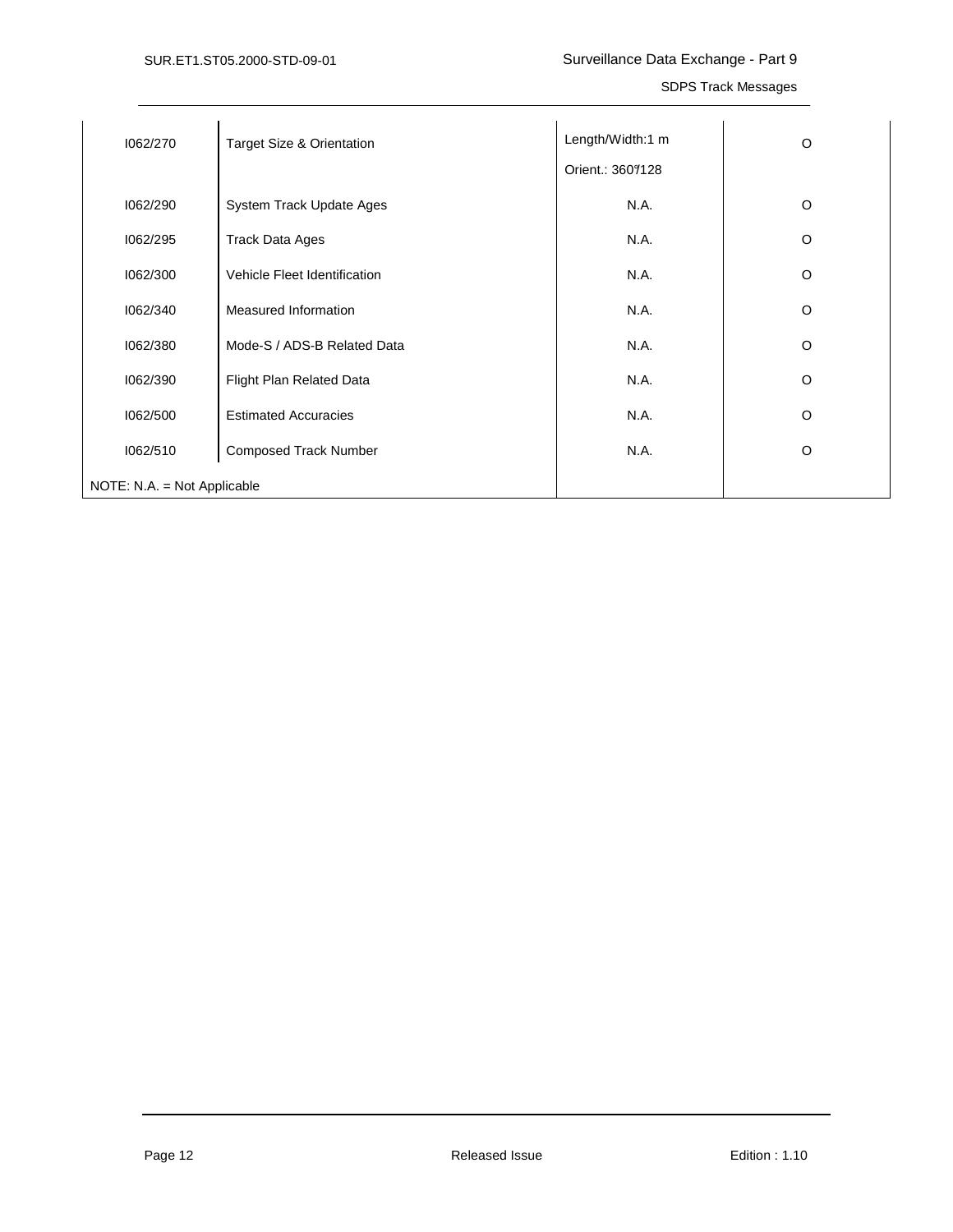| 1062/270 | Target Size & Orientation    | Length/Width:1 m | O       |  |  |  |  |  |  |  |
|----------|------------------------------|------------------|---------|--|--|--|--|--|--|--|
|          |                              | Orient.: 3609128 |         |  |  |  |  |  |  |  |
| 1062/290 | System Track Update Ages     | N.A.             | O       |  |  |  |  |  |  |  |
| 1062/295 | <b>Track Data Ages</b>       | N.A.             | $\circ$ |  |  |  |  |  |  |  |
| 1062/300 | Vehicle Fleet Identification | N.A.             | $\circ$ |  |  |  |  |  |  |  |
| 1062/340 | Measured Information         | N.A.             | $\circ$ |  |  |  |  |  |  |  |
| 1062/380 | Mode-S / ADS-B Related Data  | N.A.             | O       |  |  |  |  |  |  |  |
| 1062/390 | Flight Plan Related Data     | N.A.             | O       |  |  |  |  |  |  |  |
| 1062/500 | <b>Estimated Accuracies</b>  | N.A.             | $\circ$ |  |  |  |  |  |  |  |
| 1062/510 | <b>Composed Track Number</b> | N.A.             | O       |  |  |  |  |  |  |  |
|          | NOTE: N.A. = Not Applicable  |                  |         |  |  |  |  |  |  |  |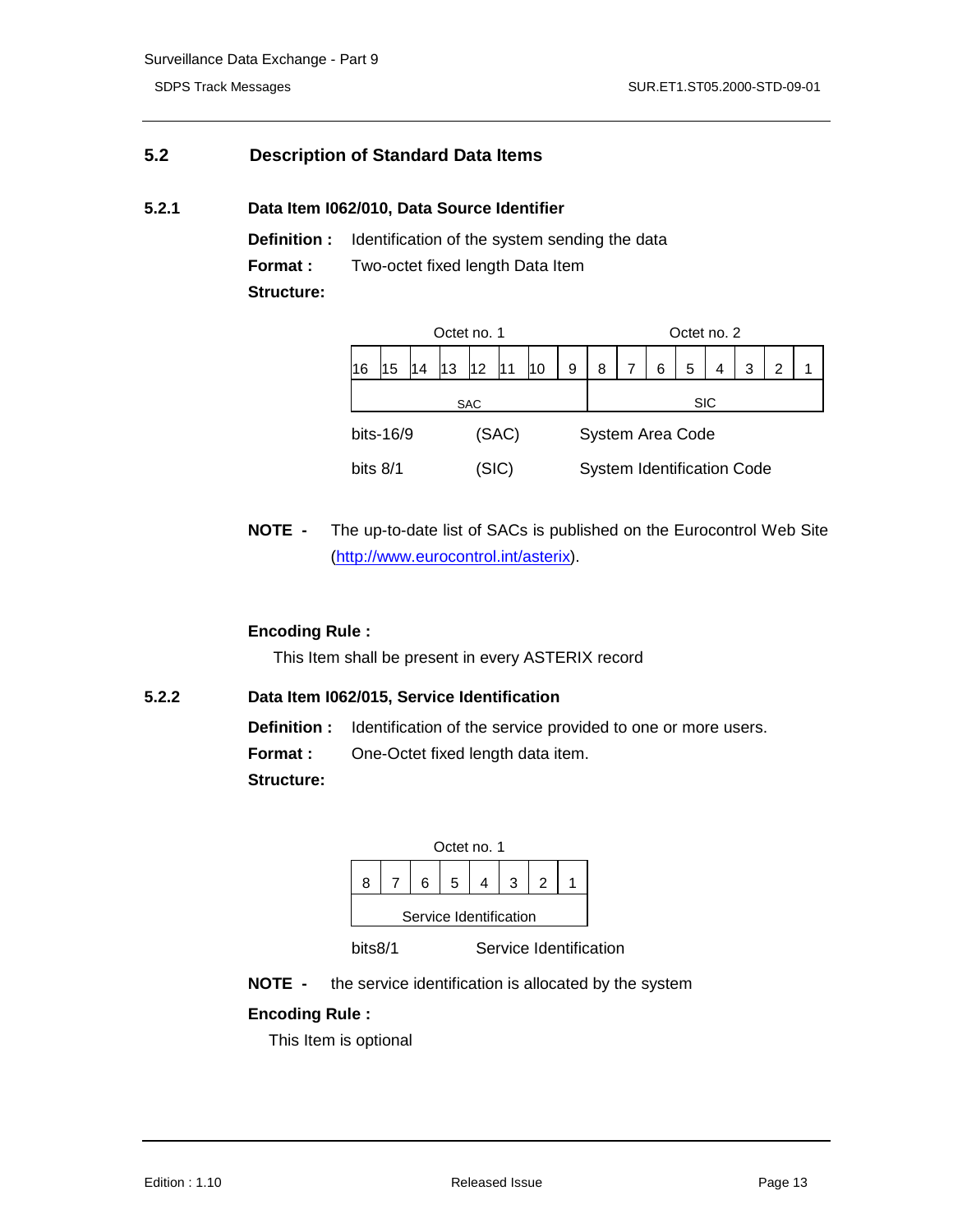## **5.2 Description of Standard Data Items**

#### **5.2.1 Data Item I062/010, Data Source Identifier**

**Definition :** Identification of the system sending the data **Format :** Two-octet fixed length Data Item **Structure:** 

|                    |            |    | Octet no. 1          |  |  |                                   |   | Octet no. 2 |  |   |   |   |   |                |  |
|--------------------|------------|----|----------------------|--|--|-----------------------------------|---|-------------|--|---|---|---|---|----------------|--|
| 16                 | 15         | 14 | $13 \mid 12 \mid 11$ |  |  | 10                                | 9 | 8           |  | 6 | 5 | 4 | 3 | $\mathfrak{p}$ |  |
|                    | <b>SAC</b> |    |                      |  |  |                                   |   | <b>SIC</b>  |  |   |   |   |   |                |  |
| (SAC)<br>bits-16/9 |            |    |                      |  |  | System Area Code                  |   |             |  |   |   |   |   |                |  |
| (SIC)<br>bits 8/1  |            |    |                      |  |  | <b>System Identification Code</b> |   |             |  |   |   |   |   |                |  |

**NOTE -** The up-to-date list of SACs is published on the Eurocontrol Web Site (http://www.eurocontrol.int/asterix).

#### **Encoding Rule :**

This Item shall be present in every ASTERIX record

#### **5.2.2 Data Item I062/015, Service Identification**

**Definition :** Identification of the service provided to one or more users.

**Format :** One-Octet fixed length data item.

**Structure:** 







#### **Encoding Rule :**

This Item is optional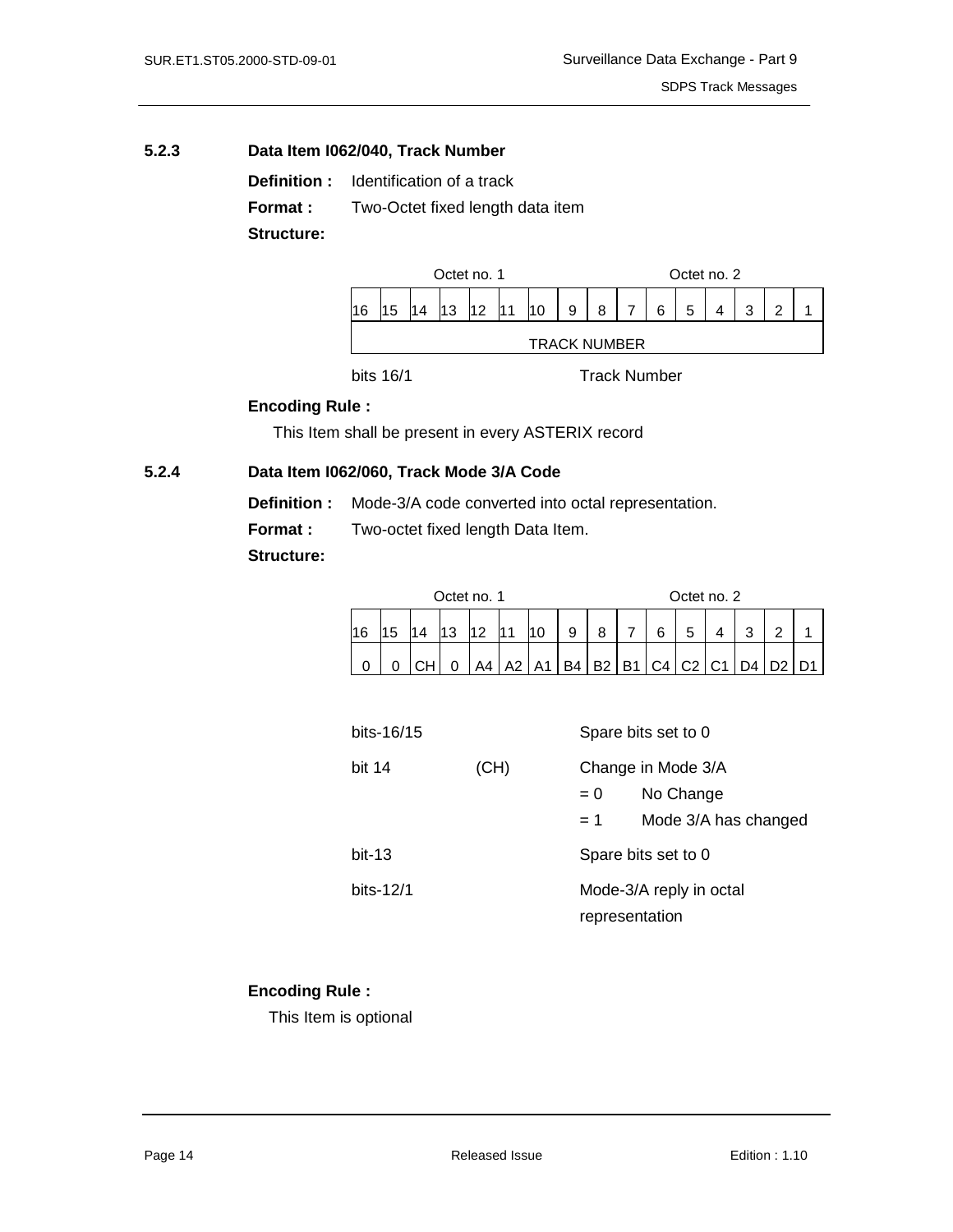#### **5.2.3 Data Item I062/040, Track Number**

**Definition :** Identification of a track **Format :** Two-Octet fixed length data item **Structure:** 



#### **Encoding Rule :**

This Item shall be present in every ASTERIX record

#### **5.2.4 Data Item I062/060, Track Mode 3/A Code**

|  |  |  | <b>Definition:</b> Mode-3/A code converted into octal representation. |
|--|--|--|-----------------------------------------------------------------------|
|--|--|--|-----------------------------------------------------------------------|

**Format :** Two-octet fixed length Data Item.

**Structure:** 

|     |    |    | Octet no. 1 |    |            |    | Octet no. 2 |                |  |   |                   |  |                |  |  |
|-----|----|----|-------------|----|------------|----|-------------|----------------|--|---|-------------------|--|----------------|--|--|
| 116 | 15 | 14 | 13          | 12 | -1         | 10 | 9           | 8              |  | 6 | 5                 |  | ົ              |  |  |
|     |    |    |             |    | $\Delta$ 2 | A1 | B4          | B <sub>2</sub> |  |   | B1   C4   C2   C1 |  | D <sub>4</sub> |  |  |

| bits-16/15    |      | Spare bits set to 0 |                                                         |  |  |  |
|---------------|------|---------------------|---------------------------------------------------------|--|--|--|
| <b>bit 14</b> | (CH) | $= 0$<br>$= 1$      | Change in Mode 3/A<br>No Change<br>Mode 3/A has changed |  |  |  |
| $bit-13$      |      | Spare bits set to 0 |                                                         |  |  |  |
| bits- $12/1$  |      | representation      | Mode-3/A reply in octal                                 |  |  |  |

#### **Encoding Rule :**

This Item is optional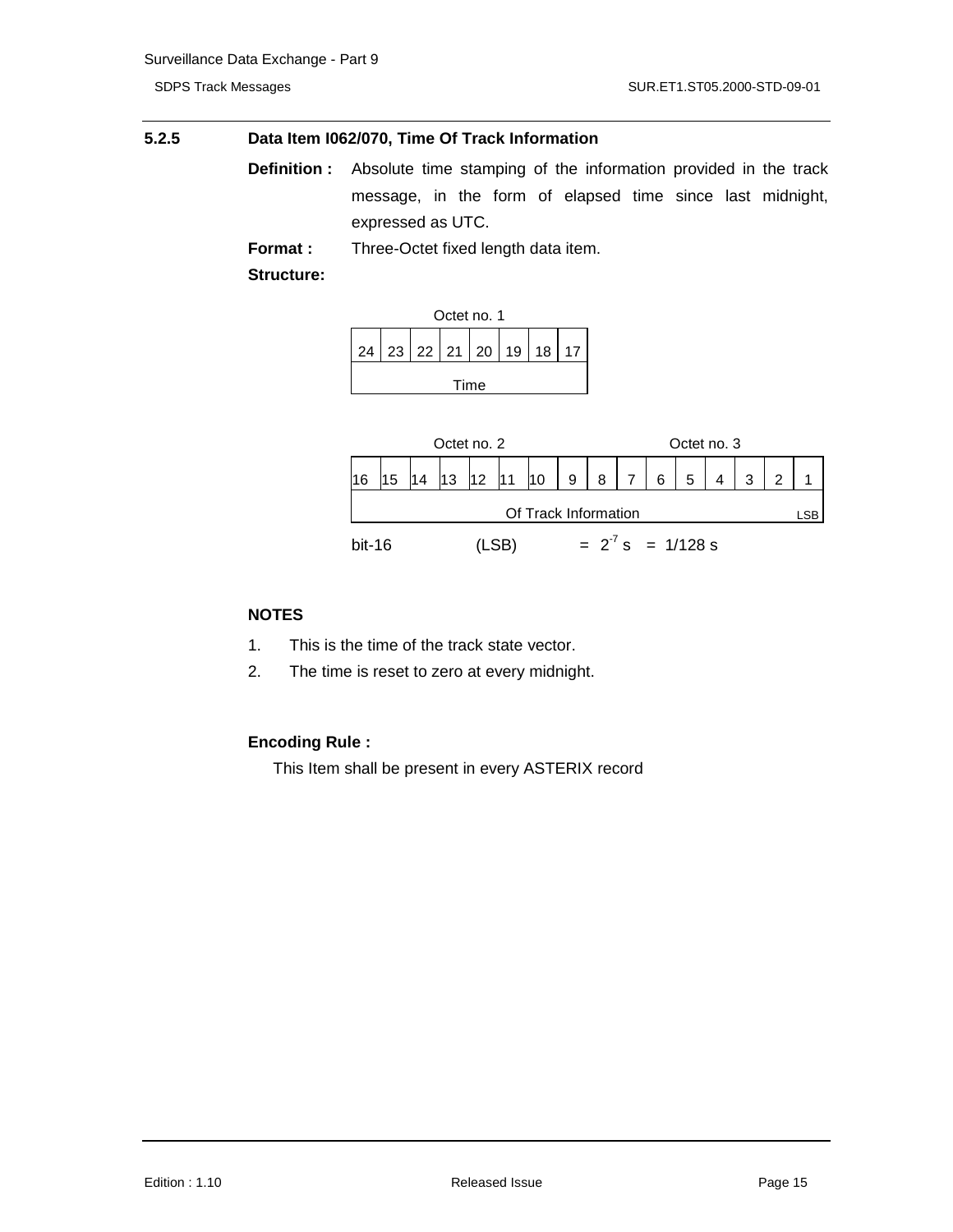#### **5.2.5 Data Item I062/070, Time Of Track Information**

- **Definition :** Absolute time stamping of the information provided in the track message, in the form of elapsed time since last midnight, expressed as UTC.
	- **Format :** Three-Octet fixed length data item.

**Structure:** 





## **NOTES**

- 1. This is the time of the track state vector.
- 2. The time is reset to zero at every midnight.

#### **Encoding Rule :**

This Item shall be present in every ASTERIX record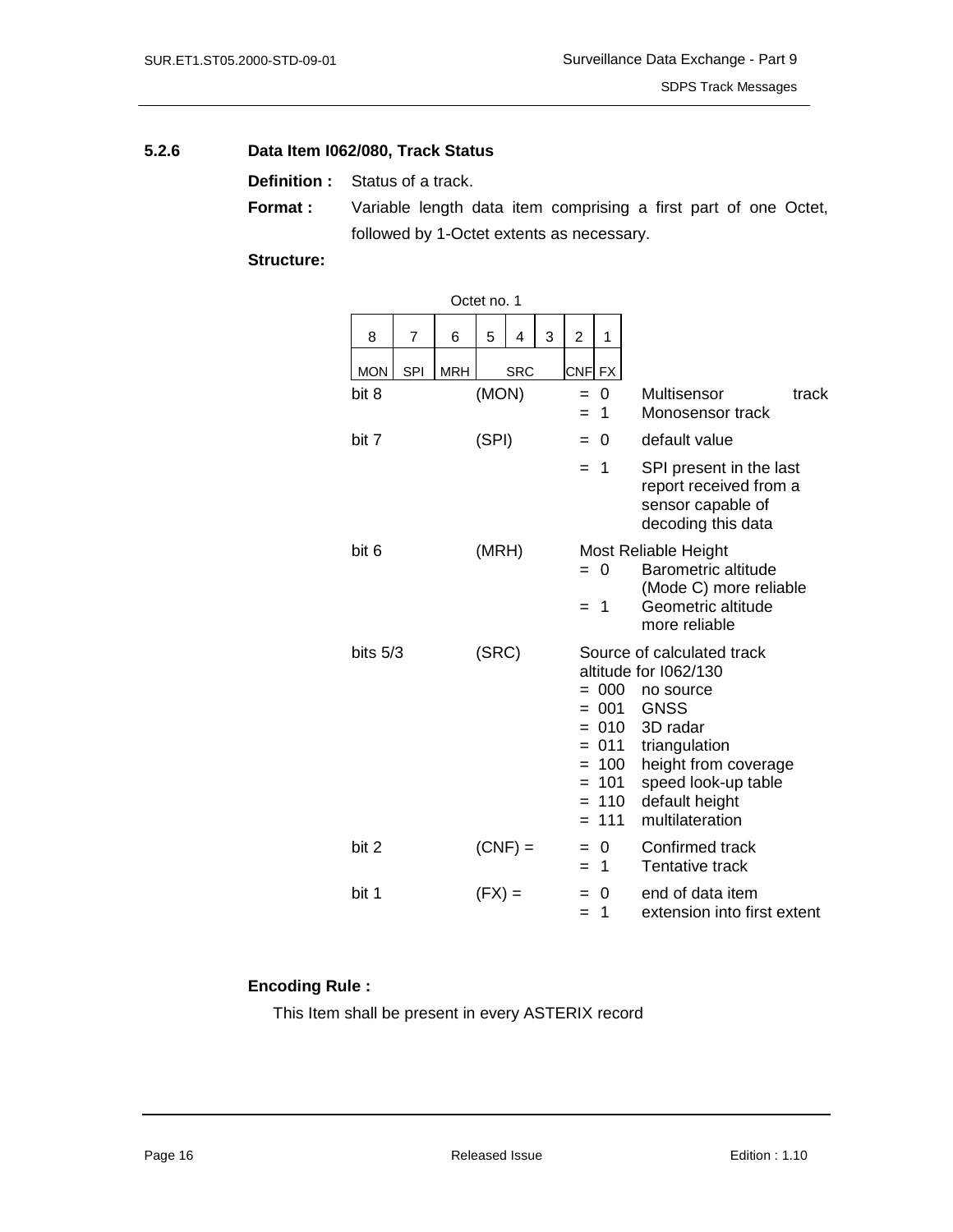#### **5.2.6 Data Item I062/080, Track Status**

**Definition :** Status of a track.

Format : Variable length data item comprising a first part of one Octet, followed by 1-Octet extents as necessary.

**Structure:** 

|            |            |            | Octet no. 1 |            |   |                |                                                                                      |                                                                                                                                                                                                  |       |  |  |  |
|------------|------------|------------|-------------|------------|---|----------------|--------------------------------------------------------------------------------------|--------------------------------------------------------------------------------------------------------------------------------------------------------------------------------------------------|-------|--|--|--|
| 8          | 7          | 6          | 5           | 4          | 3 | $\overline{2}$ | 1                                                                                    |                                                                                                                                                                                                  |       |  |  |  |
| <b>MON</b> | <b>SPI</b> | <b>MRH</b> |             | <b>SRC</b> |   | CNF FX         |                                                                                      |                                                                                                                                                                                                  |       |  |  |  |
| bit 8      |            |            | (MON)       |            |   | $=$<br>$=$     | $\mathbf 0$<br>1                                                                     | Multisensor<br>Monosensor track                                                                                                                                                                  | track |  |  |  |
| bit 7      |            |            | (SPI)       |            |   | $=$            | 0                                                                                    | default value                                                                                                                                                                                    |       |  |  |  |
|            |            |            |             |            |   | $=$            | 1                                                                                    | SPI present in the last<br>report received from a<br>sensor capable of<br>decoding this data                                                                                                     |       |  |  |  |
| bit 6      |            |            | (MRH)       |            |   |                |                                                                                      | Most Reliable Height                                                                                                                                                                             |       |  |  |  |
|            |            |            |             |            |   | $= 0$          | <b>Barometric altitude</b>                                                           |                                                                                                                                                                                                  |       |  |  |  |
|            |            |            |             |            |   | $=$            | - 1                                                                                  | (Mode C) more reliable<br>Geometric altitude<br>more reliable                                                                                                                                    |       |  |  |  |
| bits 5/3   |            |            | (SRC)       |            |   |                | $= 000$<br>$= 001$<br>$= 010$<br>$= 011$<br>$= 100$<br>$= 101$<br>$= 110$<br>$= 111$ | Source of calculated track<br>altitude for 1062/130<br>no source<br><b>GNSS</b><br>3D radar<br>triangulation<br>height from coverage<br>speed look-up table<br>default height<br>multilateration |       |  |  |  |
| bit 2      |            |            |             | $(CNF) =$  |   | =<br>$=$       | 0<br>1                                                                               | Confirmed track<br><b>Tentative track</b>                                                                                                                                                        |       |  |  |  |
| bit 1      |            |            | (FX) =      |            |   | $=$            | 0<br>1                                                                               | end of data item<br>extension into first extent                                                                                                                                                  |       |  |  |  |

#### **Encoding Rule :**

This Item shall be present in every ASTERIX record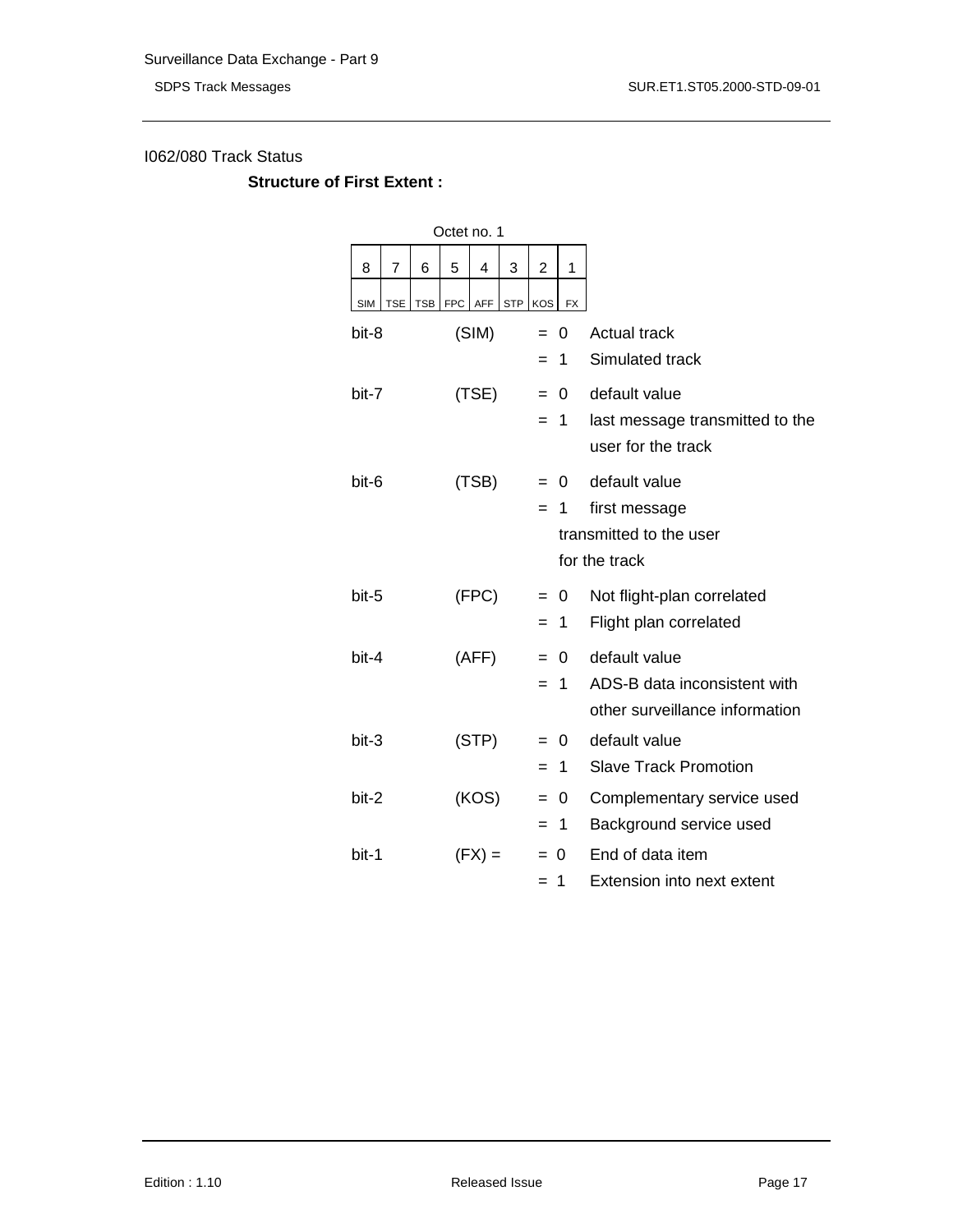## I062/080 Track Status

#### **Structure of First Extent :**

|            |            |     | Octet no. 1 |          |         |                |                |                                 |
|------------|------------|-----|-------------|----------|---------|----------------|----------------|---------------------------------|
| 8          | 7          | 6   | 5           | 4        | 3       | $\overline{2}$ | 1              |                                 |
| <b>SIM</b> | <b>TSE</b> | TSB | FPC         |          | AFF STP | KOS            | <b>FX</b>      |                                 |
| bit-8      |            |     |             | (SIM)    |         | $=$            | $\Omega$       | <b>Actual track</b>             |
|            |            |     |             |          |         | =              | 1              | Simulated track                 |
| bit-7      |            |     |             | (TSE)    |         | $=$            | 0              | default value                   |
|            |            |     |             |          |         | $=$            | 1              | last message transmitted to the |
|            |            |     |             |          |         |                |                | user for the track              |
| bit-6      |            |     |             | (TSB)    |         | $=$            | - 0            | default value                   |
|            |            |     |             |          |         | $=$            | 1              | first message                   |
|            |            |     |             |          |         |                |                | transmitted to the user         |
|            |            |     |             |          |         |                |                | for the track                   |
| bit-5      |            |     |             | (FPC)    |         | $=$            | - 0            | Not flight-plan correlated      |
|            |            |     |             |          |         | $=$            | 1              | Flight plan correlated          |
| bit-4      |            |     |             | (AFF)    |         | $=$            | $\Omega$       | default value                   |
|            |            |     |             |          |         | $=$            | $\overline{1}$ | ADS-B data inconsistent with    |
|            |            |     |             |          |         |                |                | other surveillance information  |
| $bit-3$    |            |     |             | (STP)    |         | $=$            | - 0            | default value                   |
|            |            |     |             |          |         | $=$            | 1              | <b>Slave Track Promotion</b>    |
| bit-2      |            |     |             | (KOS)    |         | $=$            | 0              | Complementary service used      |
|            |            |     |             |          |         | $=$            | 1              | Background service used         |
| bit-1      |            |     |             | $(FX) =$ |         | $=$            | 0              | End of data item                |
|            |            |     |             |          |         | $=$            | -1             | Extension into next extent      |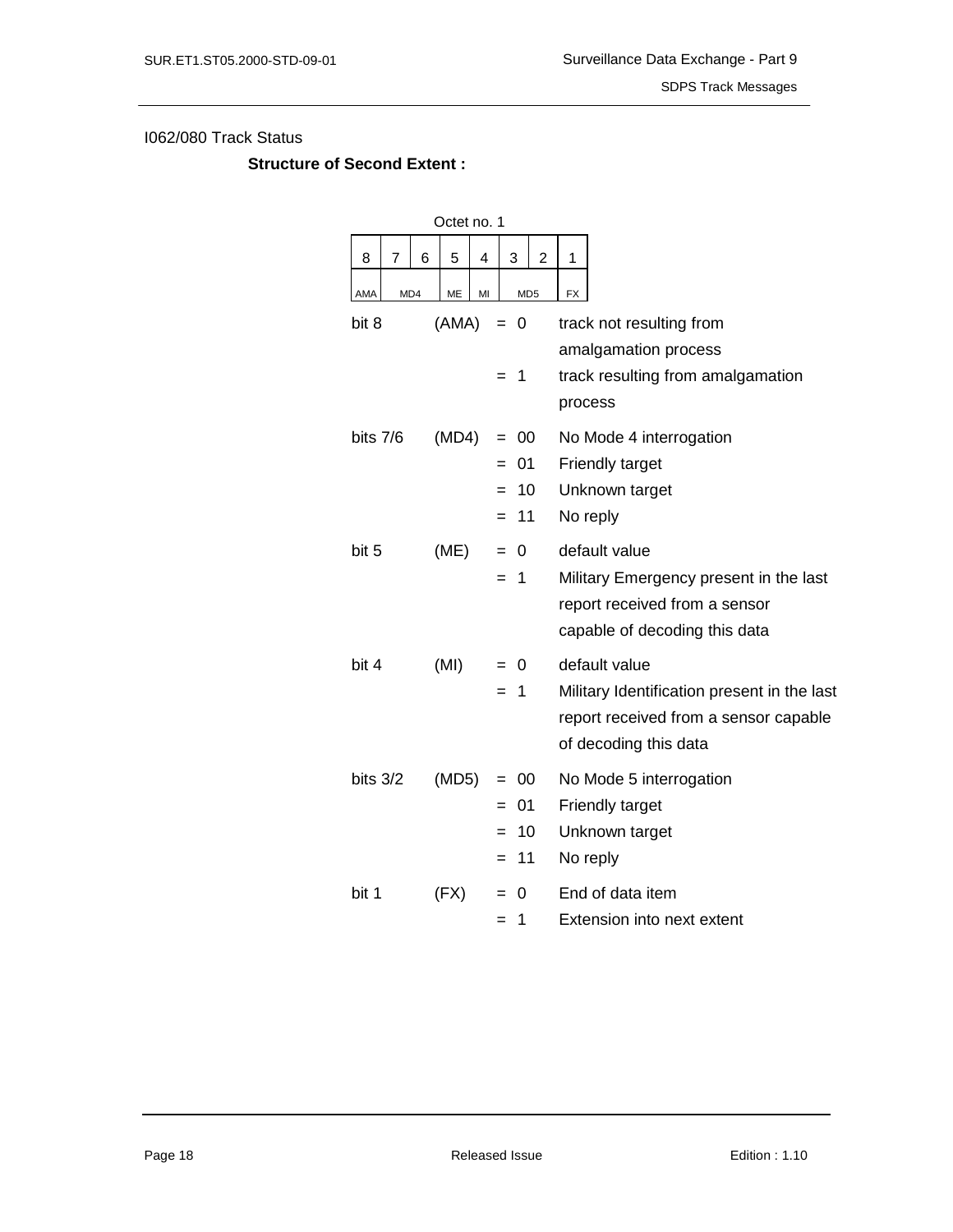### I062/080 Track Status

## **Structure of Second Extent :**

|               |     |   | Octet no. 1 |    |                                            |                 |                                                                                                                                |                                                                                 |  |  |  |  |  |  |  |  |               |  |  |                                                |
|---------------|-----|---|-------------|----|--------------------------------------------|-----------------|--------------------------------------------------------------------------------------------------------------------------------|---------------------------------------------------------------------------------|--|--|--|--|--|--|--|--|---------------|--|--|------------------------------------------------|
| 8             | 7   | 6 | 5           | 4  | 3                                          | 2               | 1                                                                                                                              |                                                                                 |  |  |  |  |  |  |  |  |               |  |  |                                                |
| AMA           | MD4 |   | ME          | MI |                                            | MD <sub>5</sub> | FX                                                                                                                             |                                                                                 |  |  |  |  |  |  |  |  |               |  |  |                                                |
| bit 8         |     |   | (AMA)       |    | 0<br>$=$<br>$\overline{\mathbf{1}}$<br>$=$ |                 | track not resulting from<br>amalgamation process<br>track resulting from amalgamation<br>process                               |                                                                                 |  |  |  |  |  |  |  |  |               |  |  |                                                |
| bits 7/6      |     |   | (MD4)       |    | $= 00$<br>01<br>$=$<br>$=$<br>$=$          | 10<br>11        | No Mode 4 interrogation<br><b>Friendly target</b><br>Unknown target<br>No reply                                                |                                                                                 |  |  |  |  |  |  |  |  |               |  |  |                                                |
| bit 5<br>(ME) |     |   |             |    | - 0<br>$=$<br>- 1<br>$=$                   |                 | default value<br>Military Emergency present in the last<br>report received from a sensor<br>capable of decoding this data      |                                                                                 |  |  |  |  |  |  |  |  |               |  |  |                                                |
| bit 4<br>(MI) |     |   |             |    | - 0<br>$=$<br>- 1<br>$=$                   |                 | default value<br>Military Identification present in the last<br>report received from a sensor capable<br>of decoding this data |                                                                                 |  |  |  |  |  |  |  |  |               |  |  |                                                |
| bits $3/2$    |     |   | (MD5)       |    | - 00<br>$=$<br>01<br>$=$<br>$=$<br>$=$     | 10<br>11        |                                                                                                                                | No Mode 5 interrogation<br><b>Friendly target</b><br>Unknown target<br>No reply |  |  |  |  |  |  |  |  |               |  |  |                                                |
| bit 1         |     |   | (FX)        |    |                                            |                 |                                                                                                                                |                                                                                 |  |  |  |  |  |  |  |  | 0<br>1<br>$=$ |  |  | End of data item<br>Extension into next extent |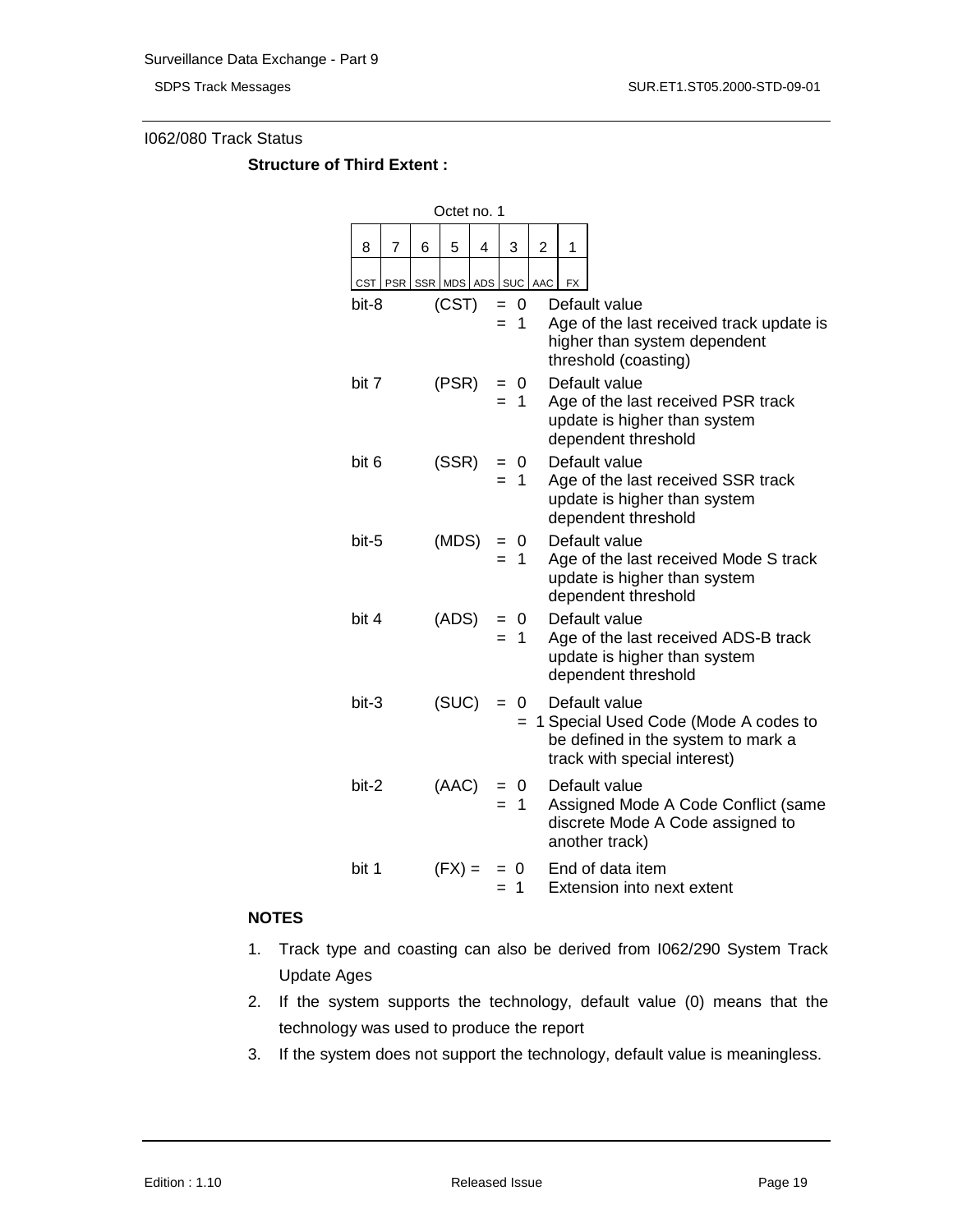#### I062/080 Track Status

## **Structure of Third Extent :**

|         | Octet no. 1 |   |                     |                |                   |                |                                                                                                                   |                                                                                                                             |  |  |  |  |  |  |
|---------|-------------|---|---------------------|----------------|-------------------|----------------|-------------------------------------------------------------------------------------------------------------------|-----------------------------------------------------------------------------------------------------------------------------|--|--|--|--|--|--|
| 8       | 7           | 6 | 5                   | $\overline{4}$ | 3                 | $\overline{2}$ | 1                                                                                                                 |                                                                                                                             |  |  |  |  |  |  |
|         | CST PSR     |   | SSR MDS ADS SUC AAC |                |                   |                | <b>FX</b>                                                                                                         |                                                                                                                             |  |  |  |  |  |  |
| bit-8   |             |   | (CST)               |                | $= 0$<br>1<br>$=$ |                | Default value<br>Age of the last received track update is<br>higher than system dependent<br>threshold (coasting) |                                                                                                                             |  |  |  |  |  |  |
| bit 7   |             |   | (PSR)               |                | $= 0$<br>= 1      |                | Default value<br>Age of the last received PSR track<br>update is higher than system<br>dependent threshold        |                                                                                                                             |  |  |  |  |  |  |
| bit 6   |             |   | (SSR)               |                | $= 0$<br>$= 1$    |                | Default value<br>Age of the last received SSR track<br>update is higher than system<br>dependent threshold        |                                                                                                                             |  |  |  |  |  |  |
| bit-5   |             |   | (MDS)               |                | $= 0$<br>1<br>$=$ |                |                                                                                                                   | Default value<br>Age of the last received Mode S track<br>update is higher than system<br>dependent threshold               |  |  |  |  |  |  |
| bit 4   |             |   | (ADS)               |                | $= 0$<br>$=$      | $1 \quad$      |                                                                                                                   | Default value<br>Age of the last received ADS-B track<br>update is higher than system<br>dependent threshold                |  |  |  |  |  |  |
| $bit-3$ |             |   | $(SUC) = 0$         |                | $=$               |                |                                                                                                                   | Default value<br>1 Special Used Code (Mode A codes to<br>be defined in the system to mark a<br>track with special interest) |  |  |  |  |  |  |
| bit-2   |             |   | (AAC)               |                | $= 0$<br>1        |                |                                                                                                                   | Default value<br>Assigned Mode A Code Conflict (same<br>discrete Mode A Code assigned to<br>another track)                  |  |  |  |  |  |  |
| bit 1   |             |   | $(FX) =$            |                | $= 0$<br>1        |                |                                                                                                                   | End of data item<br>Extension into next extent                                                                              |  |  |  |  |  |  |

#### **NOTES**

- 1. Track type and coasting can also be derived from I062/290 System Track Update Ages
- 2. If the system supports the technology, default value (0) means that the technology was used to produce the report
- 3. If the system does not support the technology, default value is meaningless.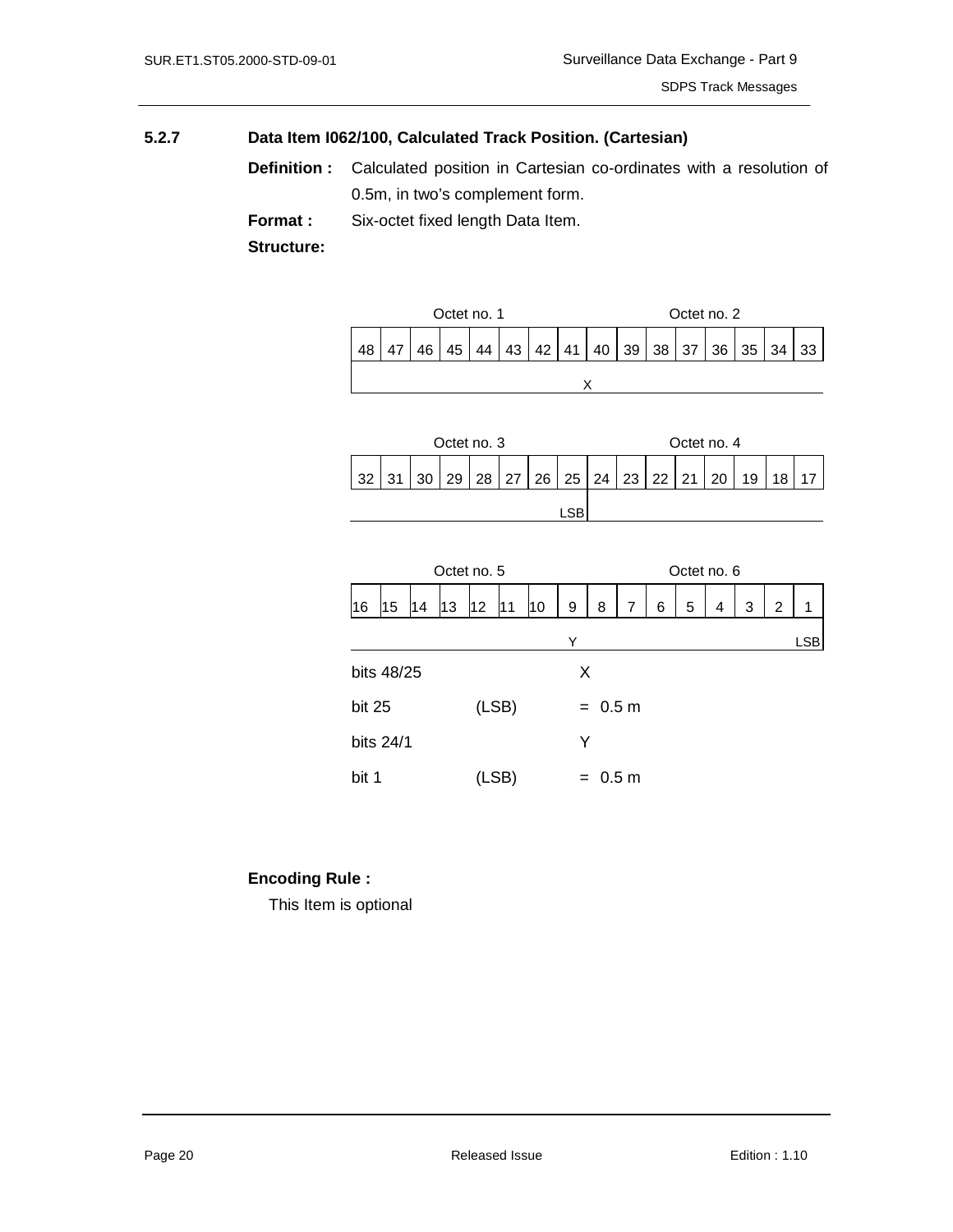#### **5.2.7 Data Item I062/100, Calculated Track Position. (Cartesian)**

**Definition :** Calculated position in Cartesian co-ordinates with a resolution of 0.5m, in two's complement form.

**Format :** Six-octet fixed length Data Item.

**Structure:** 





|        |            |    | Octet no. 5 |    |       |    | Octet no. 6 |                         |                |   |   |   |   |                |     |
|--------|------------|----|-------------|----|-------|----|-------------|-------------------------|----------------|---|---|---|---|----------------|-----|
| 16     | 15         | 14 | 13          | 12 | 111   | 10 | 9           | 8                       | $\overline{7}$ | 6 | 5 | 4 | 3 | $\overline{2}$ | 1   |
|        |            |    |             |    |       |    | Y           |                         |                |   |   |   |   |                | LSB |
|        | bits 48/25 |    |             |    |       |    | X           |                         |                |   |   |   |   |                |     |
| bit 25 |            |    |             |    | (LSB) |    |             | $= 0.5 m$               |                |   |   |   |   |                |     |
|        | bits 24/1  |    |             |    |       |    |             | Y                       |                |   |   |   |   |                |     |
| bit 1  |            |    |             |    | (LSB) |    |             | 0.5 <sub>m</sub><br>$=$ |                |   |   |   |   |                |     |

#### **Encoding Rule :**

This Item is optional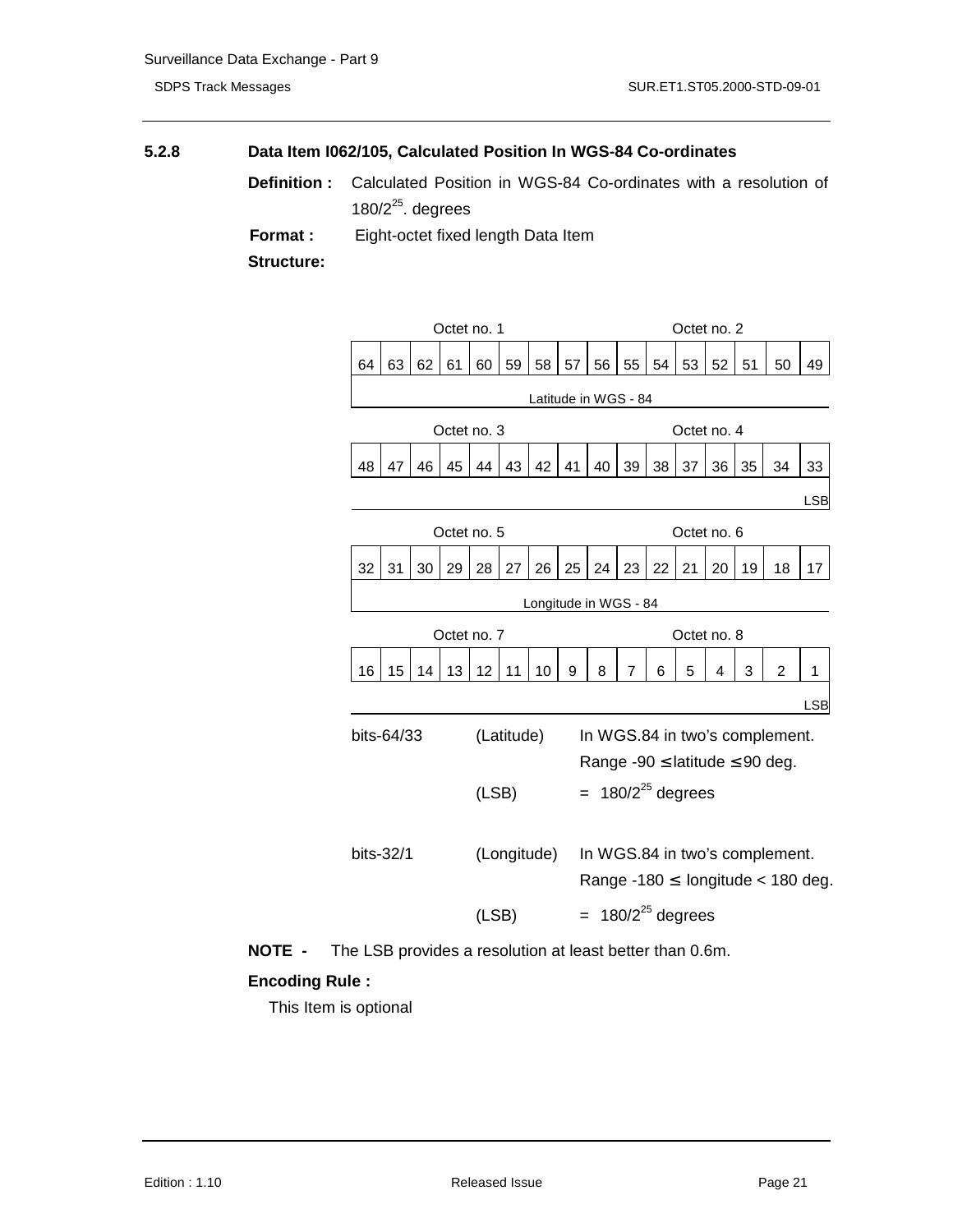- **5.2.8 Data Item I062/105, Calculated Position In WGS-84 Co-ordinates Definition :** Calculated Position in WGS-84 Co-ordinates with a resolution of  $180/2^{25}$ . degrees
	- **Format :** Eight-octet fixed length Data Item

**Structure:**





#### **Encoding Rule :**

This Item is optional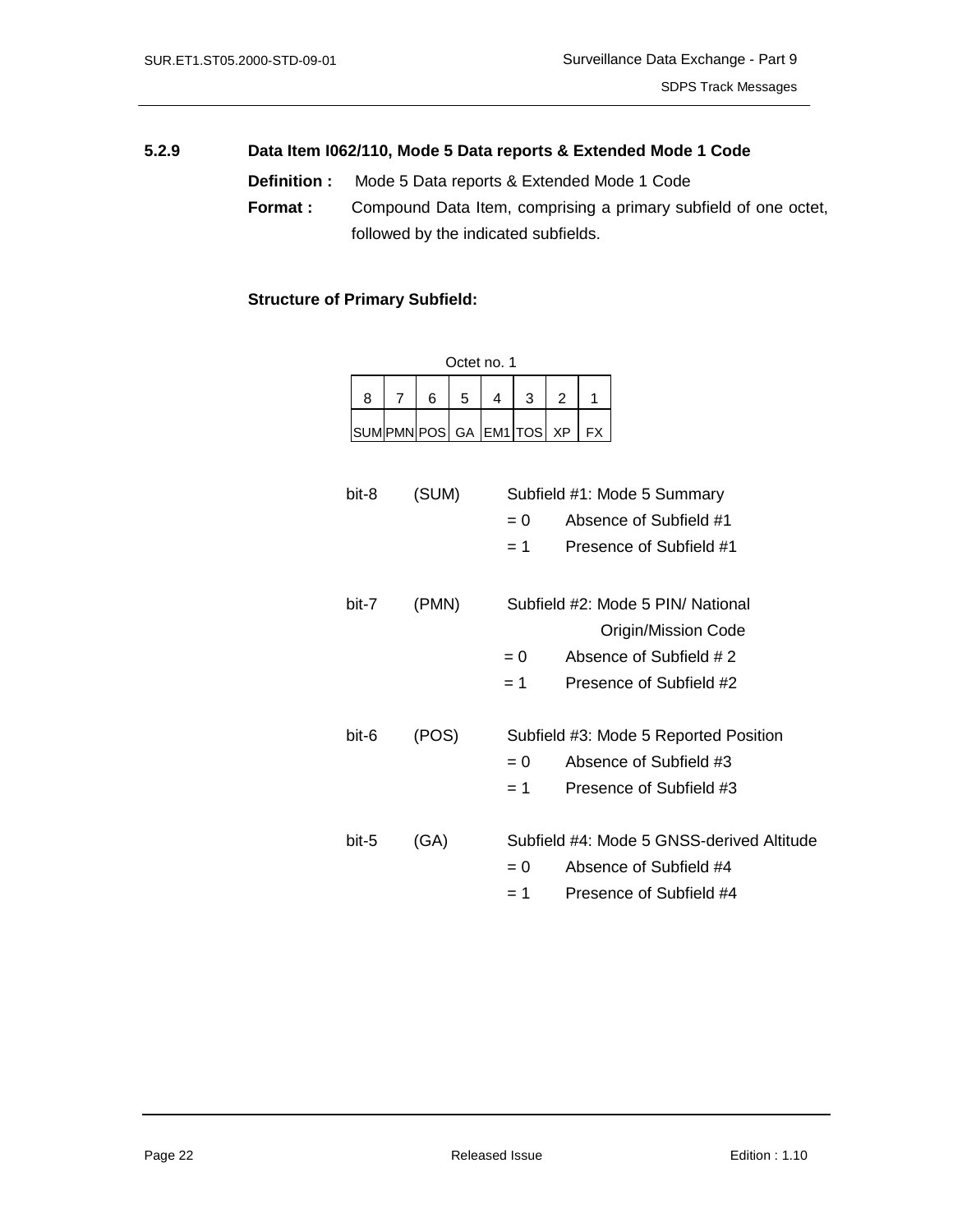## **5.2.9 Data Item I062/110, Mode 5 Data reports & Extended Mode 1 Code**

**Definition :** Mode 5 Data reports & Extended Mode 1 Code Format : Compound Data Item, comprising a primary subfield of one octet, followed by the indicated subfields.

#### **Structure of Primary Subfield:**

| Octet no. 1 |   |                          |   |   |                                   |                |           |                                           |  |  |  |  |  |
|-------------|---|--------------------------|---|---|-----------------------------------|----------------|-----------|-------------------------------------------|--|--|--|--|--|
| 8           | 7 | 6                        | 5 | 4 | 3                                 | $\overline{2}$ | 1         |                                           |  |  |  |  |  |
|             |   | SUMPMN POS GA EM1 TOS XP |   |   |                                   |                | <b>FX</b> |                                           |  |  |  |  |  |
|             |   |                          |   |   |                                   |                |           |                                           |  |  |  |  |  |
| bit-8       |   | (SUM)                    |   |   |                                   |                |           | Subfield #1: Mode 5 Summary               |  |  |  |  |  |
|             |   |                          |   |   | $= 0$                             |                |           | Absence of Subfield #1                    |  |  |  |  |  |
|             |   |                          |   |   | $= 1$                             |                |           | Presence of Subfield #1                   |  |  |  |  |  |
|             |   |                          |   |   |                                   |                |           |                                           |  |  |  |  |  |
| bit-7       |   | (PMN)                    |   |   | Subfield #2: Mode 5 PIN/ National |                |           |                                           |  |  |  |  |  |
|             |   |                          |   |   | <b>Origin/Mission Code</b>        |                |           |                                           |  |  |  |  |  |
|             |   |                          |   |   | Absence of Subfield #2<br>$= 0$   |                |           |                                           |  |  |  |  |  |
|             |   |                          |   |   | $=1$                              |                |           | Presence of Subfield #2                   |  |  |  |  |  |
|             |   |                          |   |   |                                   |                |           |                                           |  |  |  |  |  |
| bit-6       |   | (POS)                    |   |   |                                   |                |           | Subfield #3: Mode 5 Reported Position     |  |  |  |  |  |
|             |   |                          |   |   | $= 0$                             |                |           | Absence of Subfield #3                    |  |  |  |  |  |
|             |   |                          |   |   | $= 1$                             |                |           | Presence of Subfield #3                   |  |  |  |  |  |
|             |   |                          |   |   |                                   |                |           |                                           |  |  |  |  |  |
| bit-5       |   | (GA)                     |   |   |                                   |                |           | Subfield #4: Mode 5 GNSS-derived Altitude |  |  |  |  |  |
|             |   |                          |   |   | Absence of Subfield #4<br>$= 0$   |                |           |                                           |  |  |  |  |  |
|             |   |                          |   |   | = 1                               |                |           | Presence of Subfield #4                   |  |  |  |  |  |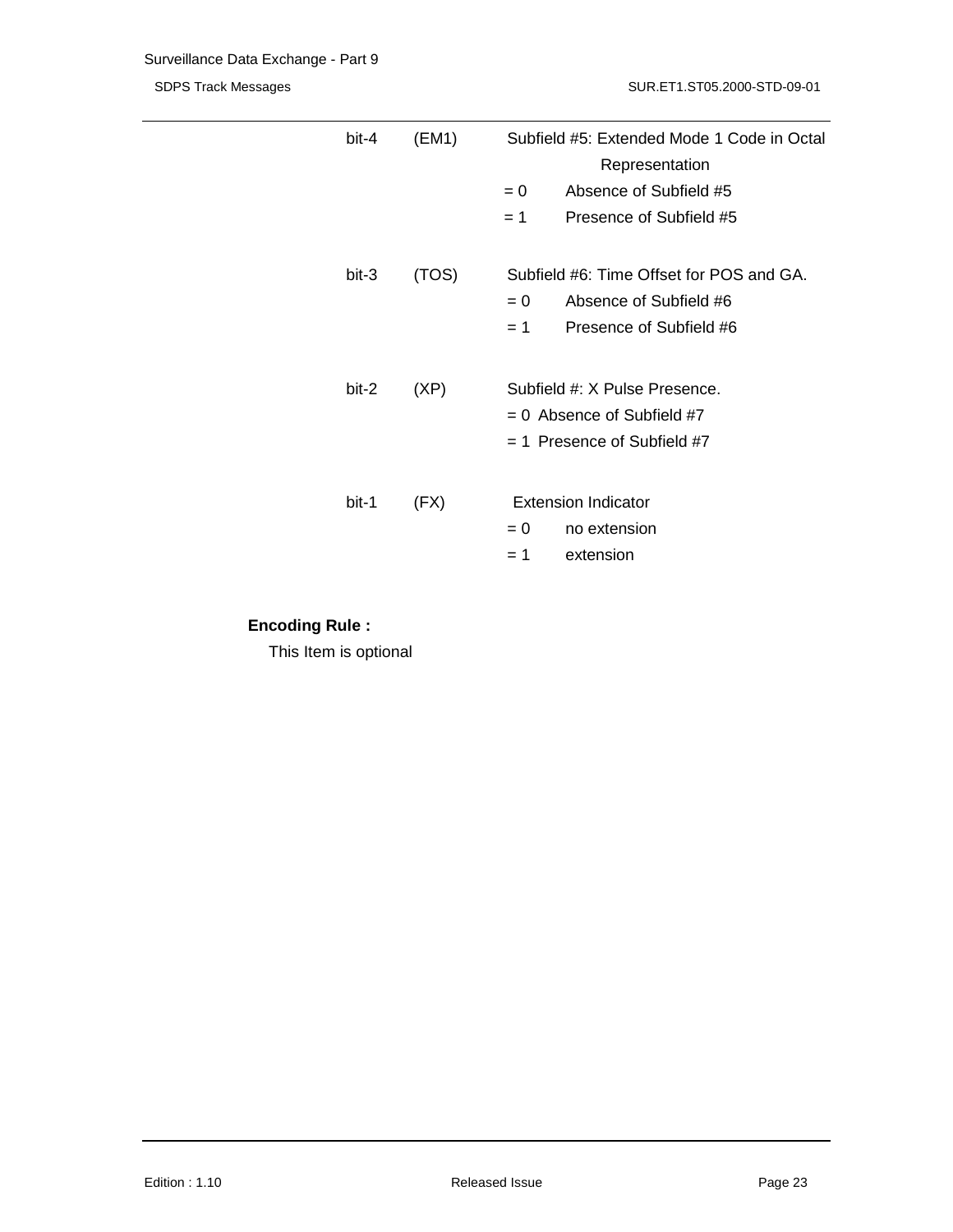#### Surveillance Data Exchange - Part 9

| bit-4 | (EM1) | $= 0$<br>$= 1$ | Subfield #5: Extended Mode 1 Code in Octal<br>Representation<br>Absence of Subfield #5<br>Presence of Subfield #5 |
|-------|-------|----------------|-------------------------------------------------------------------------------------------------------------------|
| bit-3 | (TOS) | $= 0$<br>$= 1$ | Subfield #6: Time Offset for POS and GA.<br>Absence of Subfield #6<br>Presence of Subfield #6                     |
| bit-2 | (XP)  |                | Subfield #: X Pulse Presence.<br>$= 0$ Absence of Subfield #7<br>$= 1$ Presence of Subfield #7                    |
| bit-1 | (FX)  | $= 0$<br>$= 1$ | <b>Extension Indicator</b><br>no extension<br>extension                                                           |

## **Encoding Rule :**

This Item is optional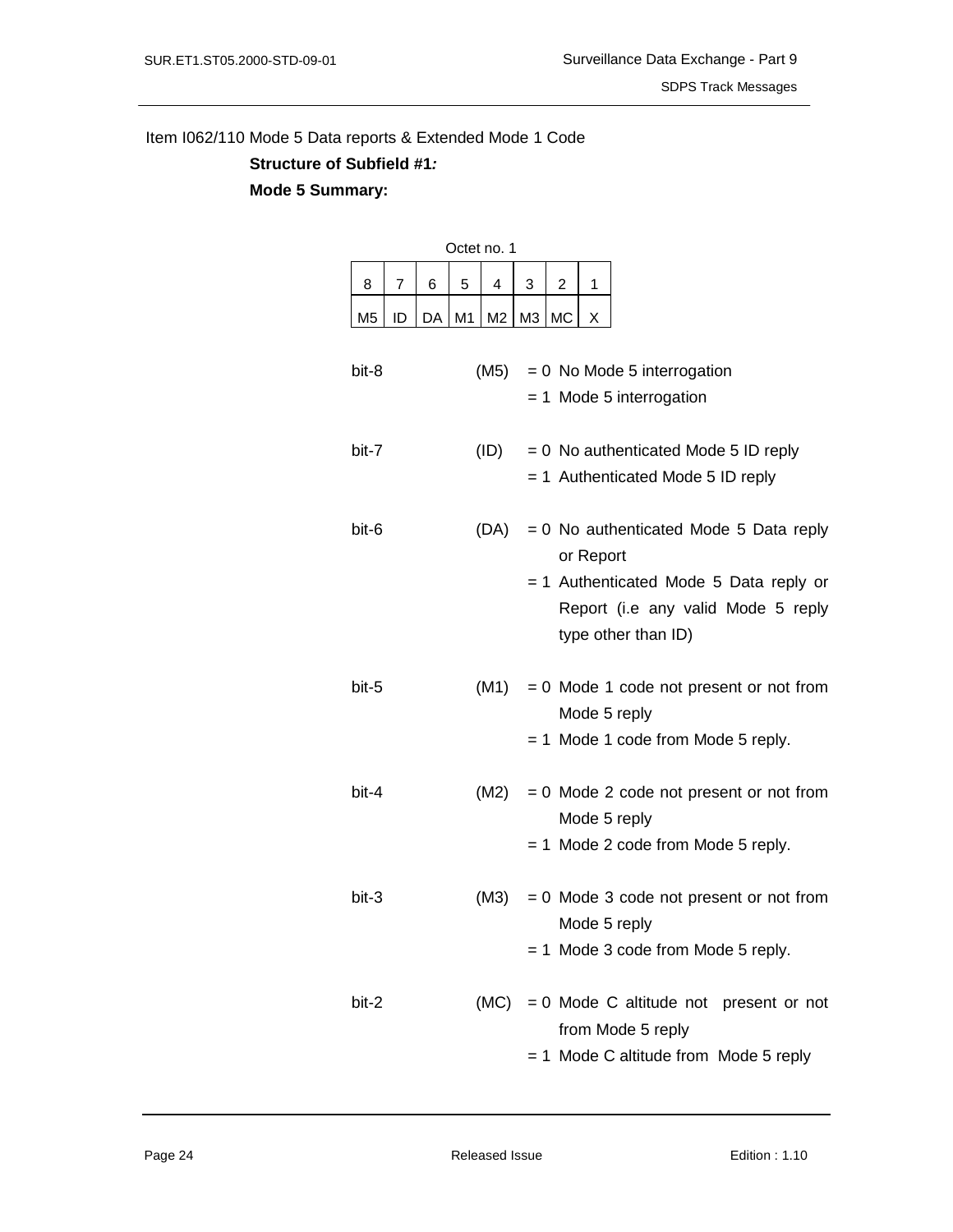Item I062/110 Mode 5 Data reports & Extended Mode 1 Code **Structure of Subfield #1: Mode 5 Summary:**

| Octet no. 1                                        |                                                                                                                                                                |  |  |  |  |  |  |  |
|----------------------------------------------------|----------------------------------------------------------------------------------------------------------------------------------------------------------------|--|--|--|--|--|--|--|
| $\overline{7}$<br>8<br>5<br>6<br>4                 | 3<br>2<br>1                                                                                                                                                    |  |  |  |  |  |  |  |
| M <sub>1</sub><br>M <sub>2</sub><br>M5<br>ID<br>DA | M <sub>3</sub><br>MC<br>х                                                                                                                                      |  |  |  |  |  |  |  |
| bit-8<br>(M5)                                      | $= 0$ No Mode 5 interrogation<br>$= 1$ Mode 5 interrogation                                                                                                    |  |  |  |  |  |  |  |
| bit-7<br>(ID)                                      | $= 0$ No authenticated Mode 5 ID reply<br>= 1 Authenticated Mode 5 ID reply                                                                                    |  |  |  |  |  |  |  |
| bit-6<br>(DA)                                      | $= 0$ No authenticated Mode 5 Data reply<br>or Report<br>$=$ 1 Authenticated Mode 5 Data reply or<br>Report (i.e any valid Mode 5 reply<br>type other than ID) |  |  |  |  |  |  |  |
| bit-5<br>(M1)                                      | $= 0$ Mode 1 code not present or not from<br>Mode 5 reply<br>= 1 Mode 1 code from Mode 5 reply.                                                                |  |  |  |  |  |  |  |
| bit-4                                              | $(M2) = 0$ Mode 2 code not present or not from<br>Mode 5 reply<br>$= 1$ Mode 2 code from Mode 5 reply.                                                         |  |  |  |  |  |  |  |
| bit-3<br>(M3)                                      | $= 0$ Mode 3 code not present or not from<br>Mode 5 reply<br>$= 1$ Mode 3 code from Mode 5 reply.                                                              |  |  |  |  |  |  |  |
| (MC)<br>bit-2                                      | $= 0$ Mode C altitude not present or not<br>from Mode 5 reply<br>$= 1$ Mode C altitude from Mode 5 reply                                                       |  |  |  |  |  |  |  |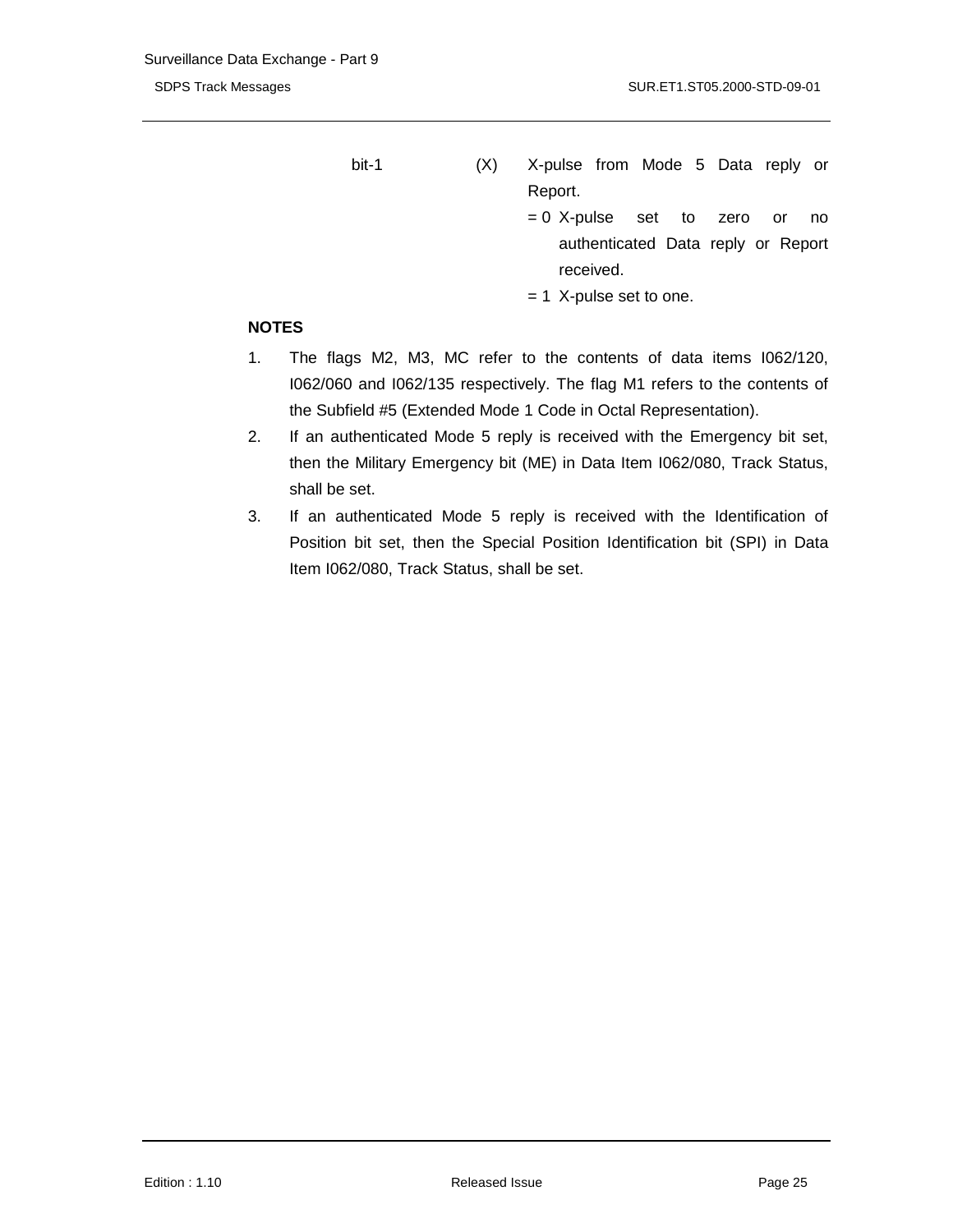bit-1 (X) X-pulse from Mode 5 Data reply or Report. = 0 X-pulse set to zero or no authenticated Data reply or Report received. = 1 X-pulse set to one.

#### **NOTES**

- 1. The flags M2, M3, MC refer to the contents of data items I062/120, I062/060 and I062/135 respectively. The flag M1 refers to the contents of the Subfield #5 (Extended Mode 1 Code in Octal Representation).
- 2. If an authenticated Mode 5 reply is received with the Emergency bit set, then the Military Emergency bit (ME) in Data Item I062/080, Track Status, shall be set.
- 3. If an authenticated Mode 5 reply is received with the Identification of Position bit set, then the Special Position Identification bit (SPI) in Data Item I062/080, Track Status, shall be set.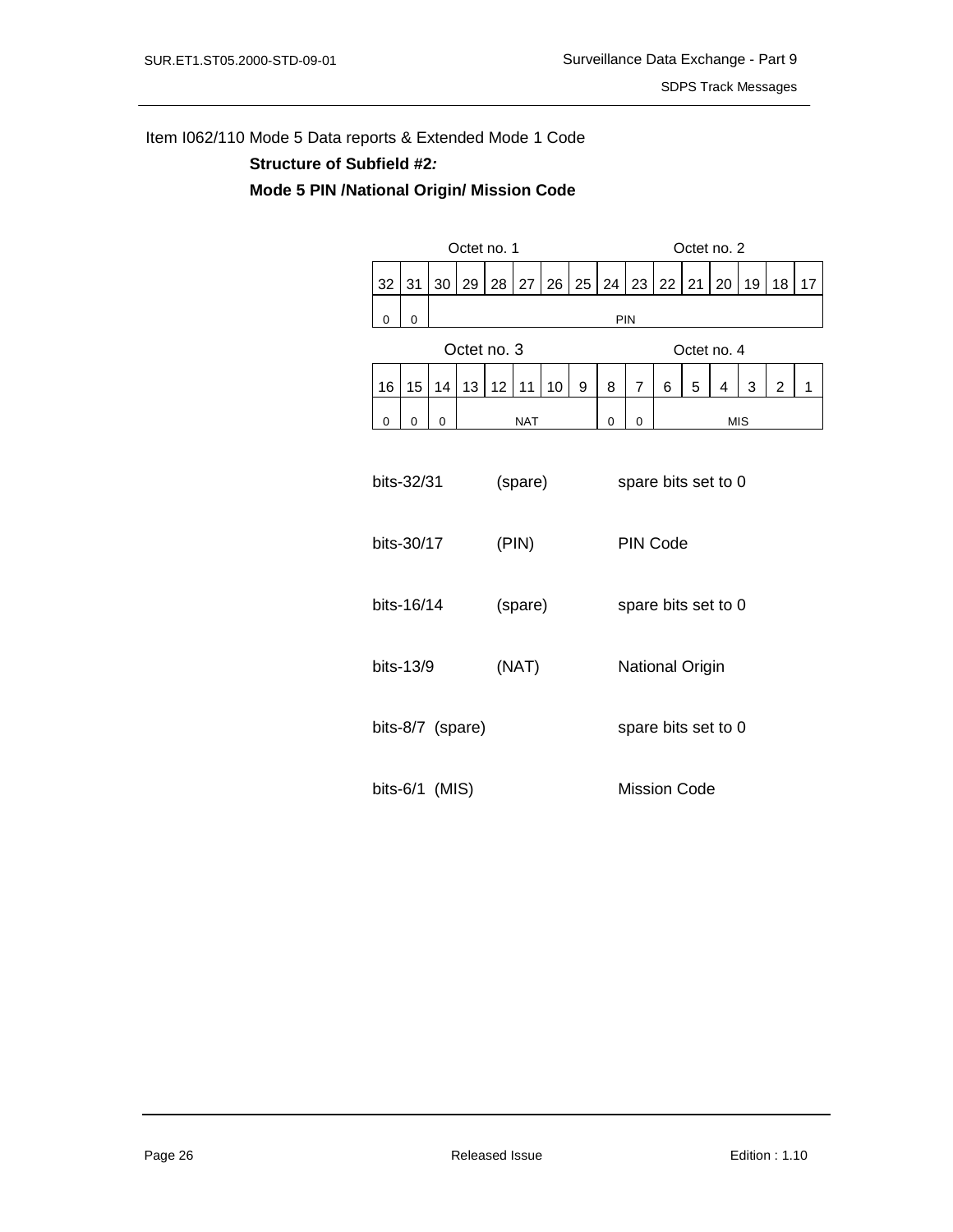Item I062/110 Mode 5 Data reports & Extended Mode 1 Code

**Structure of Subfield #2:**

## **Mode 5 PIN /National Origin/ Mission Code**

|                |                                              |             |    | Octet no. 1 |    |            |    | Octet no. 2         |                        |                                        |             |    |    |    |                |    |  |  |
|----------------|----------------------------------------------|-------------|----|-------------|----|------------|----|---------------------|------------------------|----------------------------------------|-------------|----|----|----|----------------|----|--|--|
|                | 32                                           | 31          | 30 | 29          | 28 | 27         | 26 | 25                  |                        | $24 \mid 23 \mid 22$                   |             | 21 | 20 | 19 | 18             | 17 |  |  |
|                | $\mathbf 0$                                  | 0           |    |             |    |            |    |                     |                        | PIN                                    |             |    |    |    |                |    |  |  |
|                | Octet no. 3                                  |             |    |             |    |            |    |                     |                        |                                        | Octet no. 4 |    |    |    |                |    |  |  |
|                | 16                                           | 15          | 14 | 13          | 12 | 11         | 10 | 9                   | 8                      | $\overline{7}$                         | 6           | 5  | 4  | 3  | $\overline{c}$ | 1  |  |  |
|                | 0                                            | $\mathbf 0$ | 0  |             |    | <b>NAT</b> |    |                     | 0                      | 0                                      | <b>MIS</b>  |    |    |    |                |    |  |  |
|                | bits-32/31<br>(spare)<br>bits-30/17<br>(PIN) |             |    |             |    |            |    |                     |                        | spare bits set to 0<br><b>PIN Code</b> |             |    |    |    |                |    |  |  |
|                | bits-16/14                                   |             |    |             |    | (spare)    |    |                     |                        | spare bits set to 0                    |             |    |    |    |                |    |  |  |
|                | bits-13/9                                    |             |    |             |    | (NAT)      |    |                     | <b>National Origin</b> |                                        |             |    |    |    |                |    |  |  |
|                | bits-8/7 (spare)                             |             |    |             |    |            |    |                     | spare bits set to 0    |                                        |             |    |    |    |                |    |  |  |
| bits-6/1 (MIS) |                                              |             |    |             |    |            |    | <b>Mission Code</b> |                        |                                        |             |    |    |    |                |    |  |  |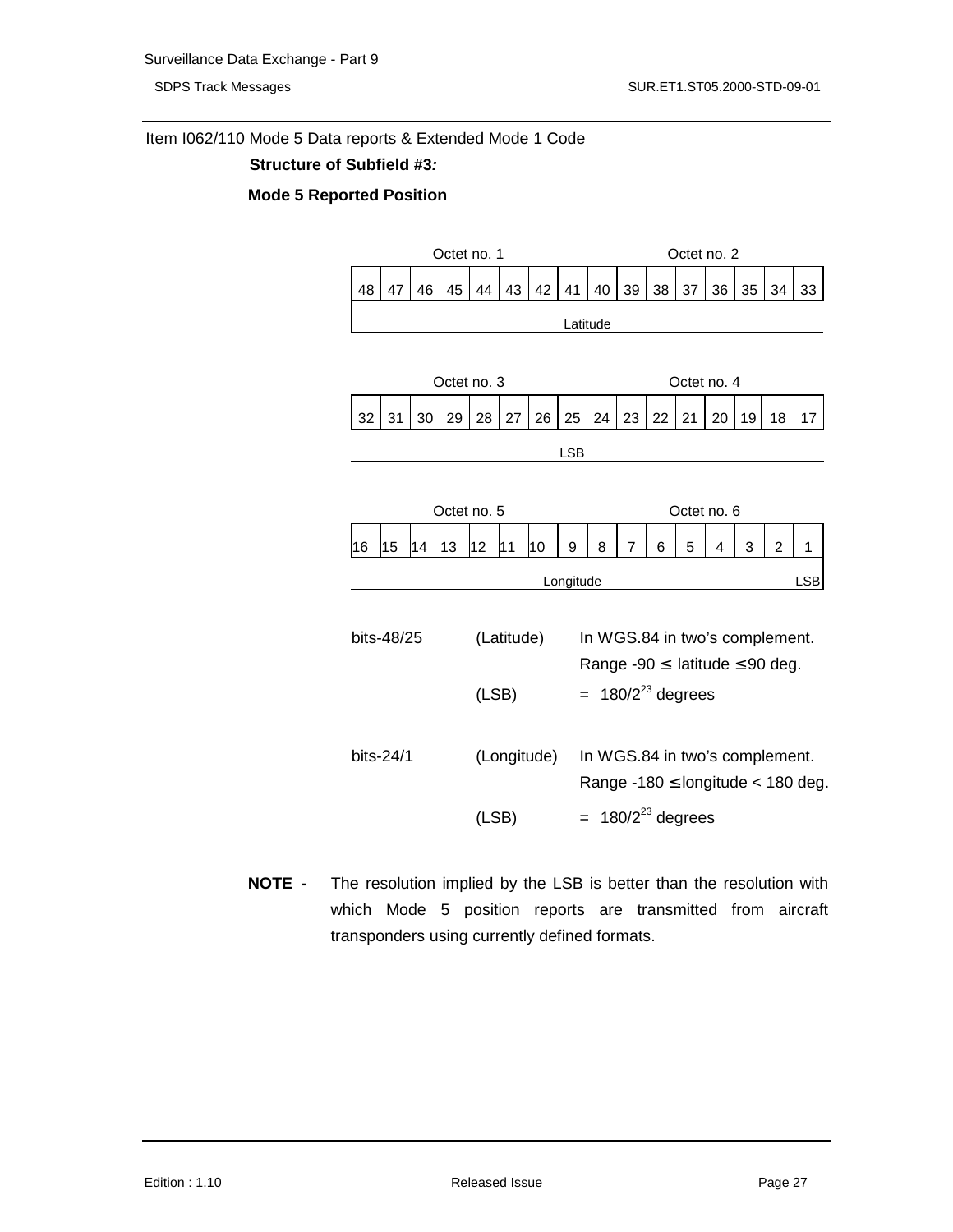#### **Structure of Subfield #3:**

#### **Mode 5 Reported Position**







| bits-48/25  | (Latitude)  | In WGS.84 in two's complement.                                             |
|-------------|-------------|----------------------------------------------------------------------------|
|             |             | Range -90 $\leq$ latitude $\leq$ 90 deg.                                   |
|             | (LSB)       | $= 180/2^{23}$ degrees                                                     |
| $bits-24/1$ | (Longitude) | In WGS.84 in two's complement.<br>Range -180 $\leq$ longitude $<$ 180 deg. |
|             | (LSB)       | = $180/2^{23}$ degrees                                                     |

**NOTE -** The resolution implied by the LSB is better than the resolution with which Mode 5 position reports are transmitted from aircraft transponders using currently defined formats.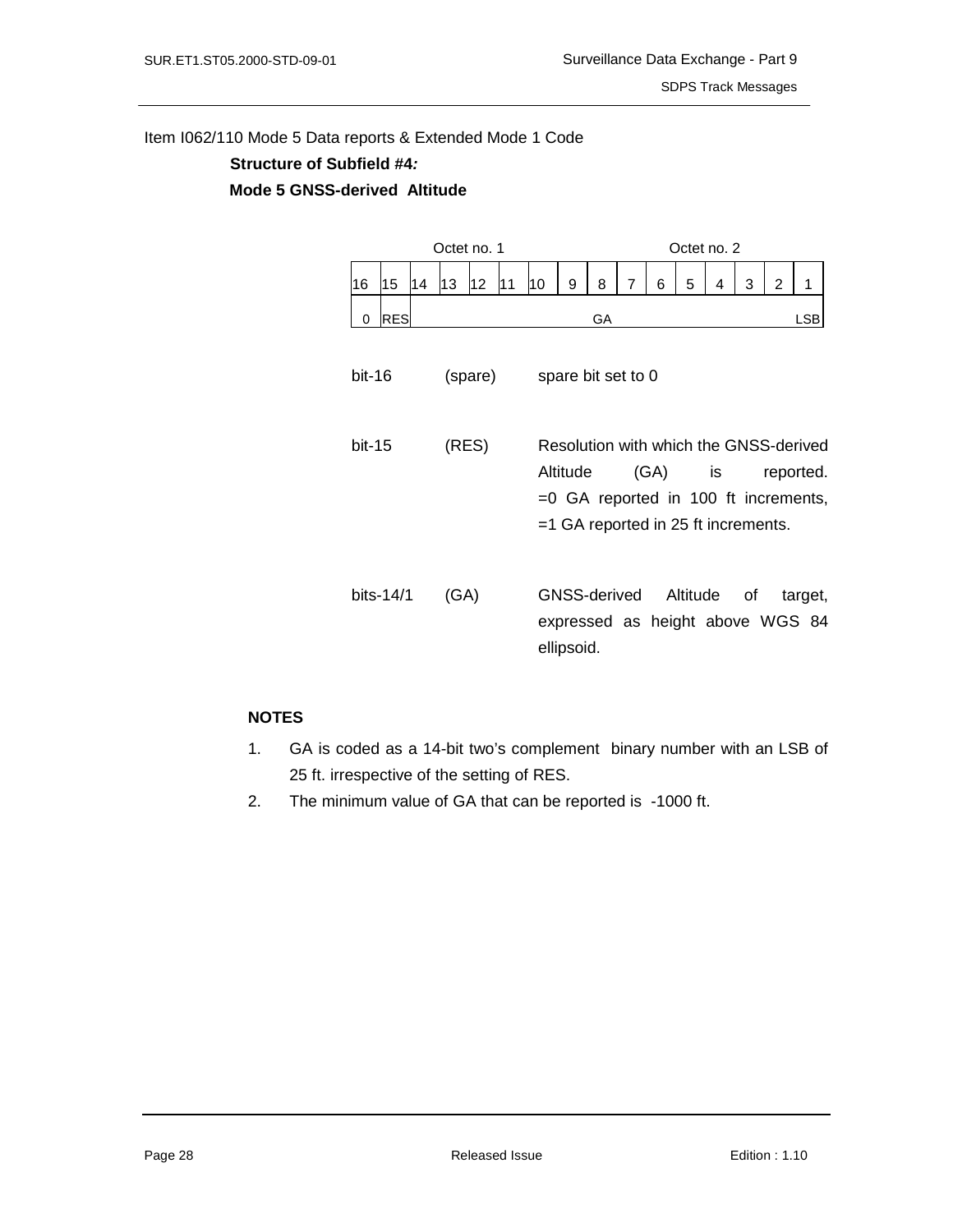**Structure of Subfield #4: Mode 5 GNSS-derived Altitude** 

|    |                                      |    | Octet no. 1 |    |           |    |                                                 |    |                |   | Octet no. 2 |   |    |               |                                                                                               |
|----|--------------------------------------|----|-------------|----|-----------|----|-------------------------------------------------|----|----------------|---|-------------|---|----|---------------|-----------------------------------------------------------------------------------------------|
| 16 | 15                                   | 14 | 13          | 12 | <b>11</b> | 10 | 9                                               | 8  | $\overline{7}$ | 6 | 5           | 4 | 3  | $\mathcal{P}$ | 1                                                                                             |
| 0  | <b>RES</b>                           |    |             |    |           |    |                                                 | GA |                |   |             |   |    |               | <b>LSB</b>                                                                                    |
|    | bit-16<br>(spare)<br>(RES)<br>bit-15 |    |             |    |           |    | spare bit set to 0                              |    |                |   |             |   |    |               |                                                                                               |
|    |                                      |    |             |    |           |    | Altitude<br>=1 GA reported in 25 ft increments. |    |                |   | (GA) is     |   |    |               | Resolution with which the GNSS-derived<br>reported.<br>$=0$ GA reported in 100 ft increments, |
|    | bits- $14/1$<br>(GA)                 |    |             |    |           |    | GNSS-derived<br>ellipsoid.                      |    |                |   | Altitude    |   | οf |               | target,<br>expressed as height above WGS 84                                                   |

## **NOTES**

- 1. GA is coded as a 14-bit two's complement binary number with an LSB of 25 ft. irrespective of the setting of RES.
- 2. The minimum value of GA that can be reported is -1000 ft.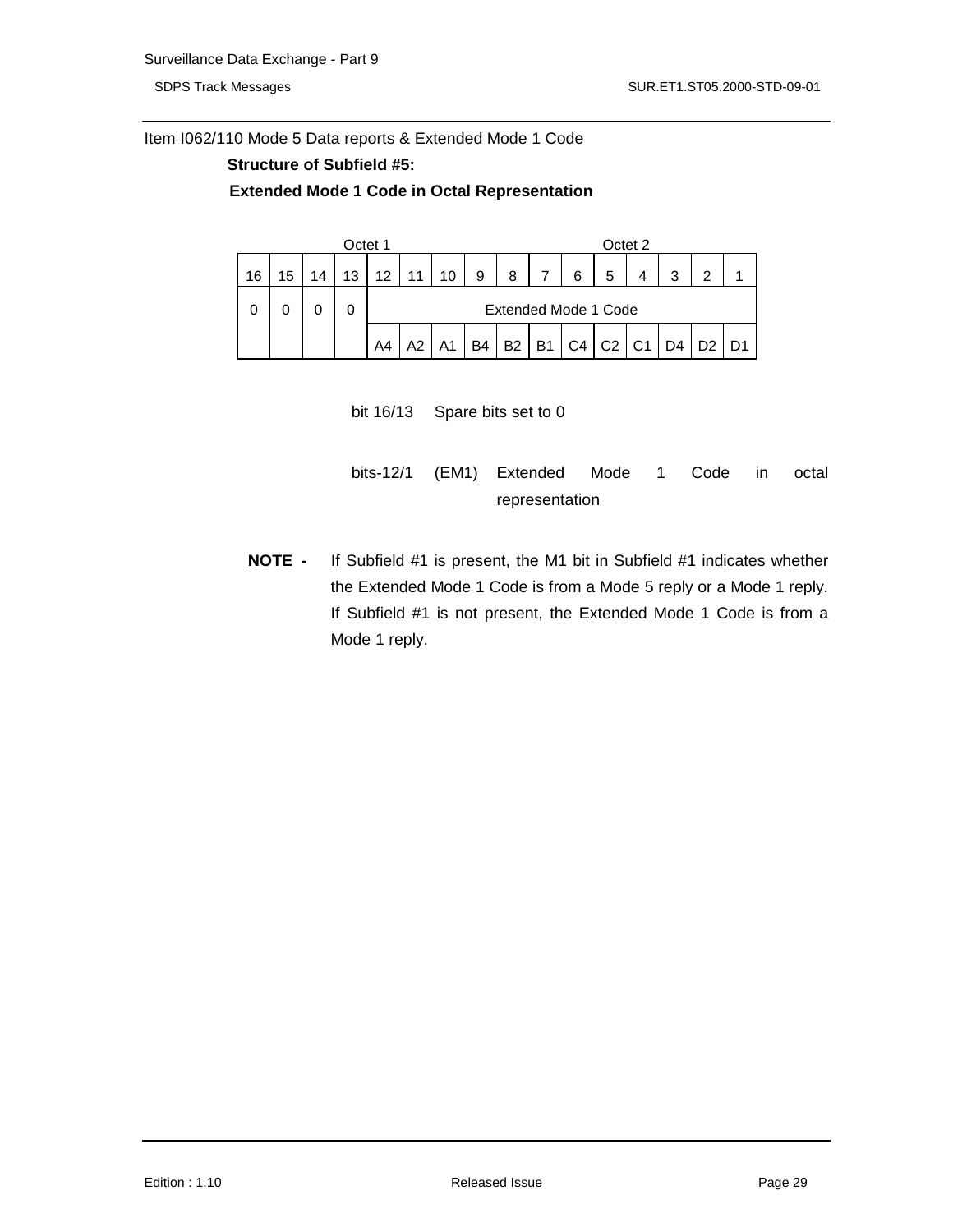#### **Structure of Subfield #5:**

## **Extended Mode 1 Code in Octal Representation**

|    |    |    | Octet 1 |    |                             |                |           |    |           |               | Octet <sub>2</sub> |    |    |                |  |
|----|----|----|---------|----|-----------------------------|----------------|-----------|----|-----------|---------------|--------------------|----|----|----------------|--|
| 16 | 15 | 14 | 13      | 12 | 11                          | 10             | 9         | 8  |           | 6             | 5                  |    | າ  | ◠              |  |
|    |    |    |         |    | <b>Extended Mode 1 Code</b> |                |           |    |           |               |                    |    |    |                |  |
|    |    |    |         | A4 | A2                          | A <sub>1</sub> | <b>B4</b> | B2 | <b>B1</b> | <sub>C4</sub> | $\overline{C2}$    | C1 | D4 | D <sub>2</sub> |  |

bit 16/13 Spare bits set to 0

**NOTE -** If Subfield #1 is present, the M1 bit in Subfield #1 indicates whether the Extended Mode 1 Code is from a Mode 5 reply or a Mode 1 reply. If Subfield #1 is not present, the Extended Mode 1 Code is from a Mode 1 reply.

bits-12/1 (EM1) Extended Mode 1 Code in octal representation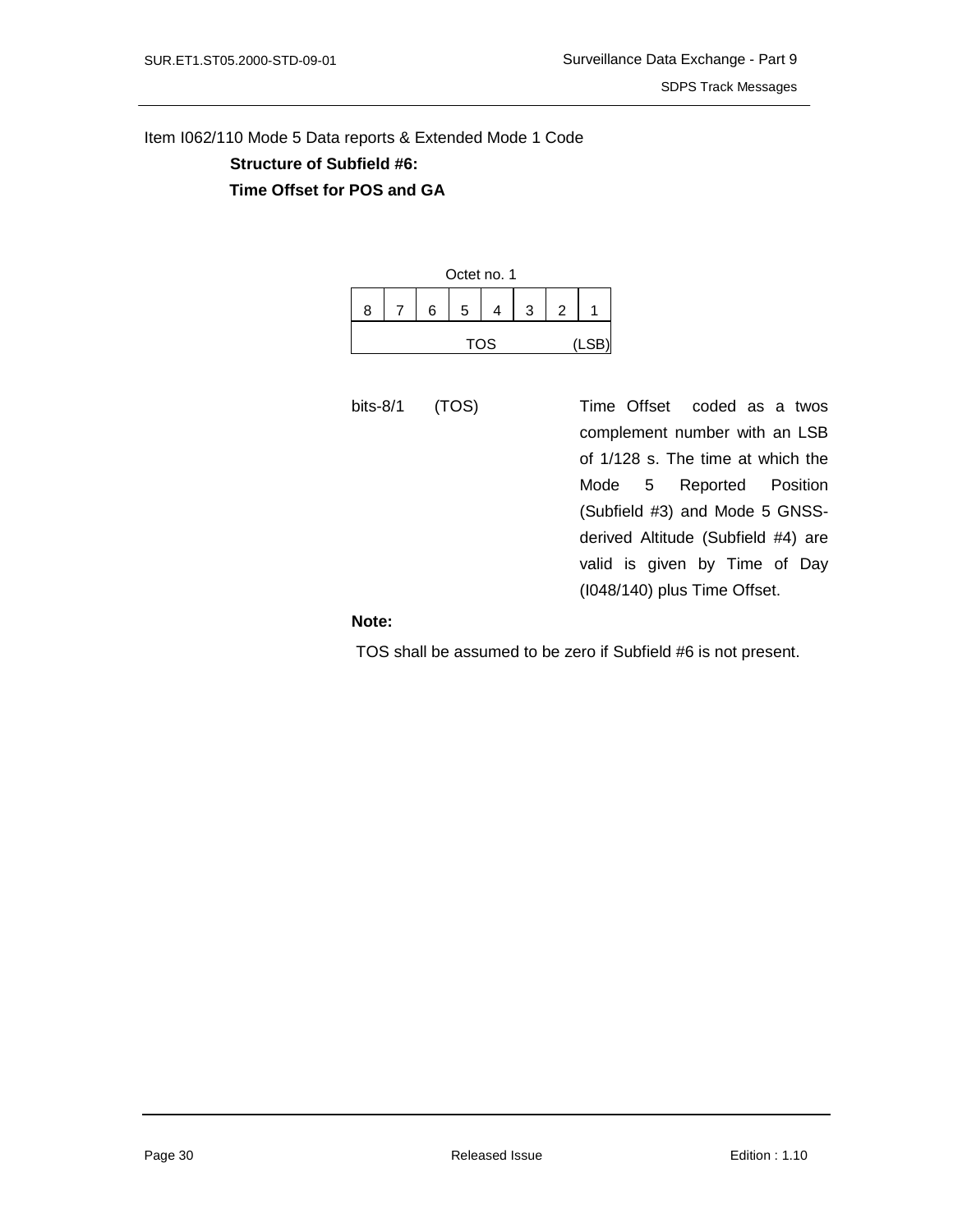Item I062/110 Mode 5 Data reports & Extended Mode 1 Code **Structure of Subfield #6: Time Offset for POS and GA** 



bits-8/1 (TOS) Time Offset coded as a twos complement number with an LSB of 1/128 s. The time at which the Mode 5 Reported Position (Subfield #3) and Mode 5 GNSSderived Altitude (Subfield #4) are valid is given by Time of Day (I048/140) plus Time Offset.

#### **Note:**

TOS shall be assumed to be zero if Subfield #6 is not present.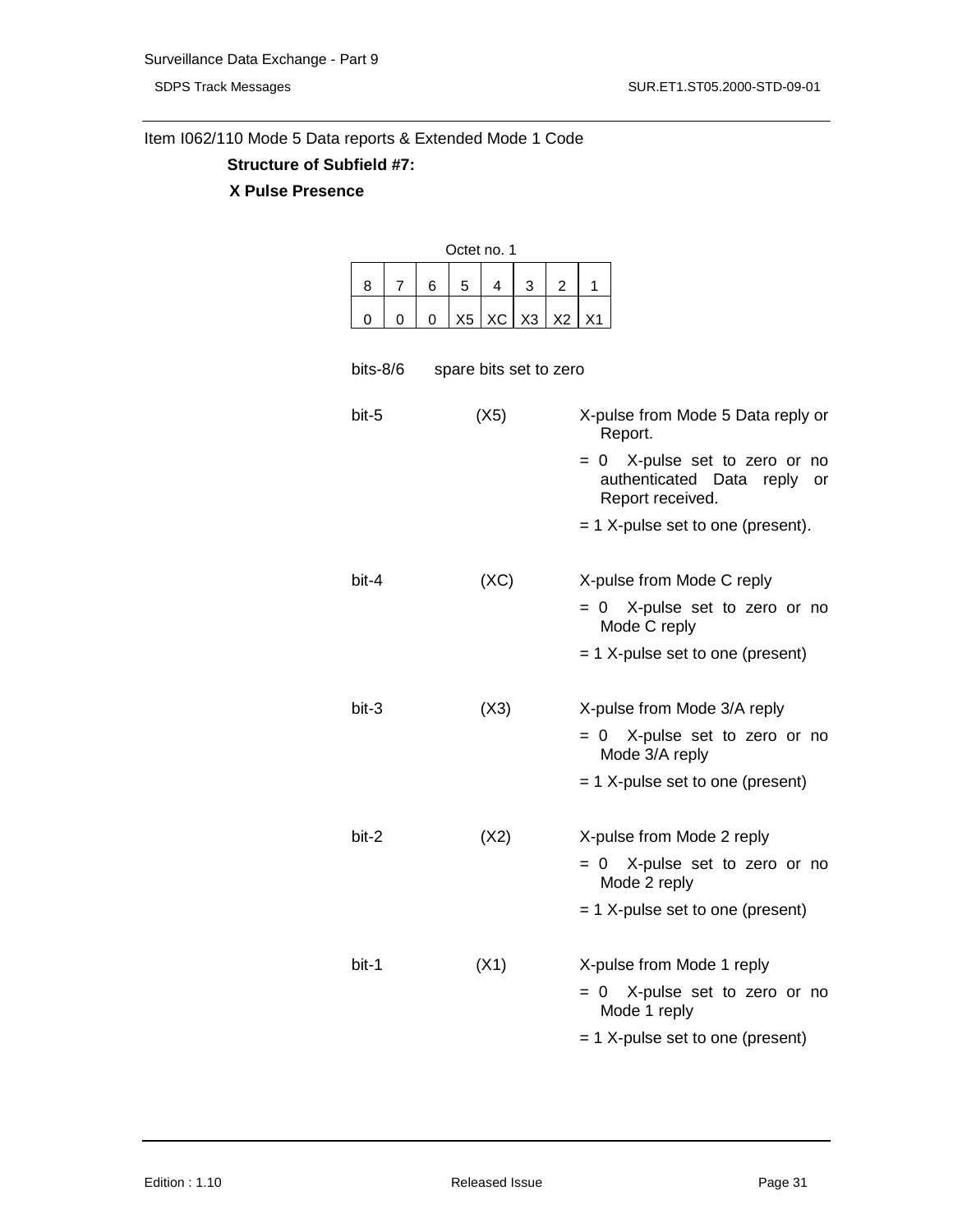# **Structure of Subfield #7:**

## **X Pulse Presence**

|                                     |                |   | Octet no. 1            |      |                |    |       |                                                                                    |  |
|-------------------------------------|----------------|---|------------------------|------|----------------|----|-------|------------------------------------------------------------------------------------|--|
| 8                                   | $\overline{7}$ | 6 | 5                      | 4    | 3              | 2  | 1     |                                                                                    |  |
| 0                                   | 0              | 0 | X <sub>5</sub>         | XC   | X <sub>3</sub> | X2 | X1    |                                                                                    |  |
| bits-8/6                            |                |   | spare bits set to zero |      |                |    |       |                                                                                    |  |
| bit-5                               |                |   |                        | (X5) |                |    |       | X-pulse from Mode 5 Data reply or<br>Report.                                       |  |
|                                     |                |   |                        |      |                |    | $= 0$ | X-pulse set to zero or no<br>authenticated Data<br>reply<br>or<br>Report received. |  |
| $= 1$ X-pulse set to one (present). |                |   |                        |      |                |    |       |                                                                                    |  |
| bit-4                               |                |   |                        | (XC) |                |    |       | X-pulse from Mode C reply                                                          |  |
|                                     |                |   |                        |      |                |    | $= 0$ | X-pulse set to zero or no<br>Mode C reply                                          |  |
|                                     |                |   |                        |      |                |    |       | $= 1$ X-pulse set to one (present)                                                 |  |
| bit-3                               |                |   |                        | (X3) |                |    |       | X-pulse from Mode 3/A reply                                                        |  |
|                                     |                |   |                        |      |                |    | $= 0$ | X-pulse set to zero or no<br>Mode 3/A reply                                        |  |
|                                     |                |   |                        |      |                |    |       | $= 1$ X-pulse set to one (present)                                                 |  |
| bit-2                               |                |   |                        | (X2) |                |    |       | X-pulse from Mode 2 reply                                                          |  |
|                                     |                |   |                        |      |                |    | $= 0$ | X-pulse set to zero or no<br>Mode 2 reply                                          |  |
|                                     |                |   |                        |      |                |    |       | $= 1$ X-pulse set to one (present)                                                 |  |
| bit-1                               |                |   |                        | (X1) |                |    |       | X-pulse from Mode 1 reply                                                          |  |
|                                     |                |   |                        |      |                |    | $= 0$ | X-pulse set to zero or no<br>Mode 1 reply                                          |  |
|                                     |                |   |                        |      |                |    |       | = 1 X-pulse set to one (present)                                                   |  |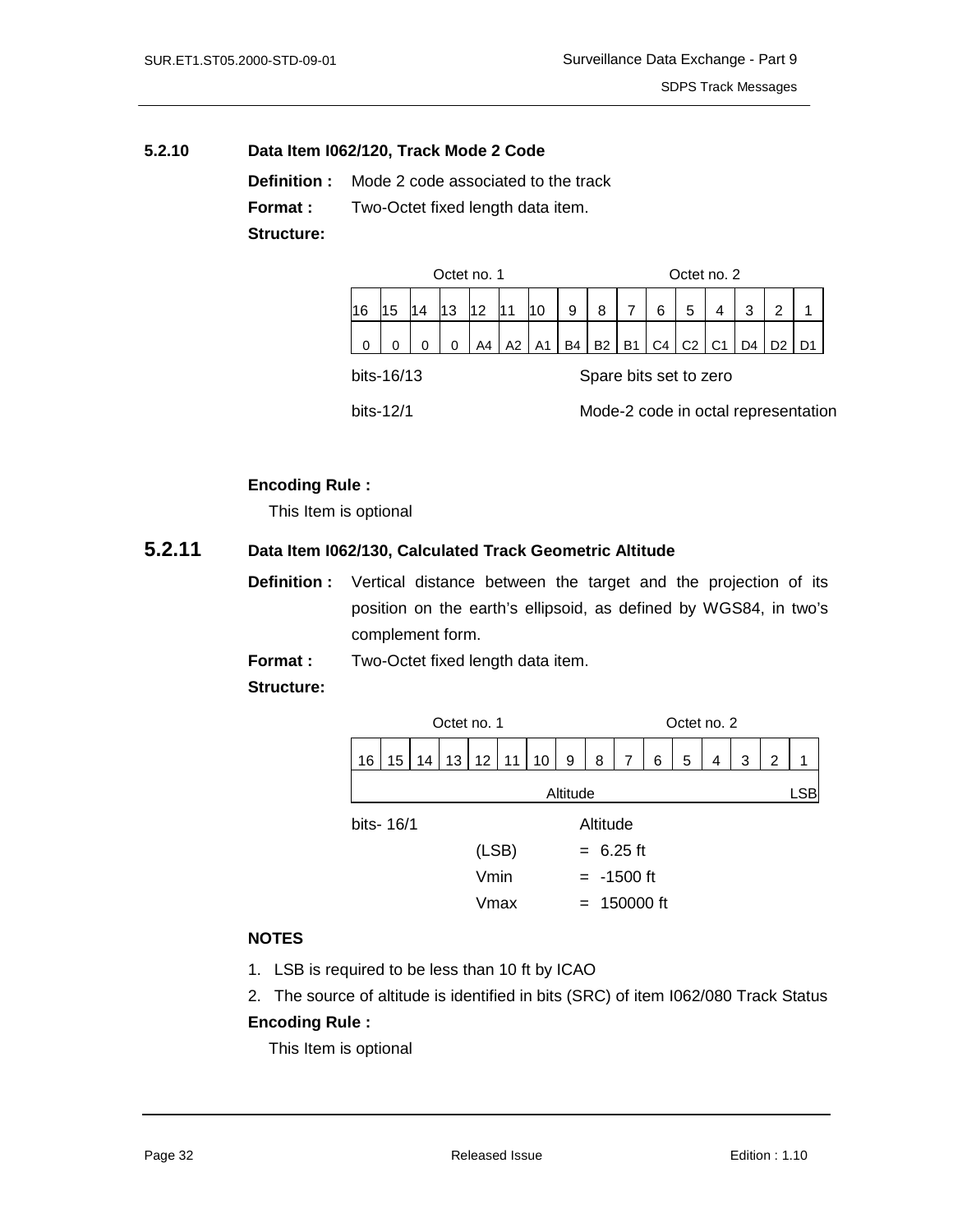## **5.2.10 Data Item I062/120, Track Mode 2 Code**

**Definition :** Mode 2 code associated to the track **Format :** Two-Octet fixed length data item. **Structure:** 



## **Encoding Rule :**

This Item is optional

## **5.2.11 Data Item I062/130, Calculated Track Geometric Altitude**

- **Definition :** Vertical distance between the target and the projection of its position on the earth's ellipsoid, as defined by WGS84, in two's complement form.
- **Format :** Two-Octet fixed length data item.

**Structure:** 



#### **NOTES**

- 1. LSB is required to be less than 10 ft by ICAO
- 2. The source of altitude is identified in bits (SRC) of item I062/080 Track Status

#### **Encoding Rule :**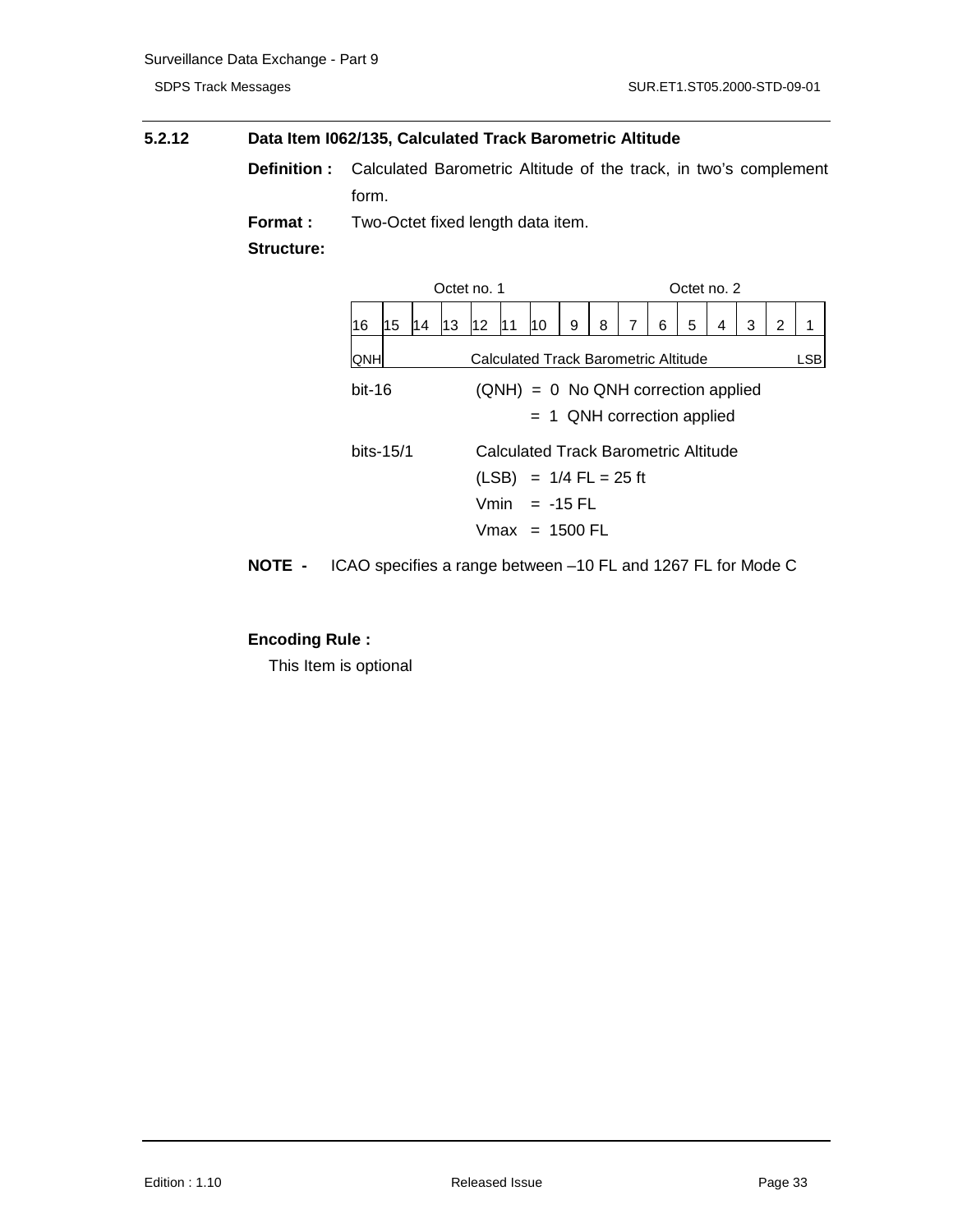## **5.2.12 Data Item I062/135, Calculated Track Barometric Altitude Definition :** Calculated Barometric Altitude of the track, in two's complement form. **Format :** Two-Octet fixed length data item.

**Structure:** 

|                                                   |    |    | Octet no. 1                          |            |  |                                      |   |   |                |   | Octet no. 2 |   |   |               |   |
|---------------------------------------------------|----|----|--------------------------------------|------------|--|--------------------------------------|---|---|----------------|---|-------------|---|---|---------------|---|
| 16                                                | 15 | 14 | 13                                   | $12 \; 11$ |  | 110                                  | 9 | 8 | $\overline{7}$ | 6 | 5           | 4 | 3 | $\mathcal{P}$ | 1 |
| QNH                                               |    |    | Calculated Track Barometric Altitude |            |  |                                      |   |   |                |   |             |   |   |               |   |
| $bit-16$<br>$(QNH) = 0$ No QNH correction applied |    |    |                                      |            |  |                                      |   |   |                |   |             |   |   |               |   |
|                                                   |    |    |                                      |            |  | $= 1$ QNH correction applied         |   |   |                |   |             |   |   |               |   |
| $bits-15/1$                                       |    |    |                                      |            |  | Calculated Track Barometric Altitude |   |   |                |   |             |   |   |               |   |
| $(LSB) = 1/4 FL = 25 ft$                          |    |    |                                      |            |  |                                      |   |   |                |   |             |   |   |               |   |
| $Vmin = -15 FL$                                   |    |    |                                      |            |  |                                      |   |   |                |   |             |   |   |               |   |
| $V$ max = 1500 FL                                 |    |    |                                      |            |  |                                      |   |   |                |   |             |   |   |               |   |

**NOTE -** ICAO specifies a range between –10 FL and 1267 FL for Mode C

#### **Encoding Rule :**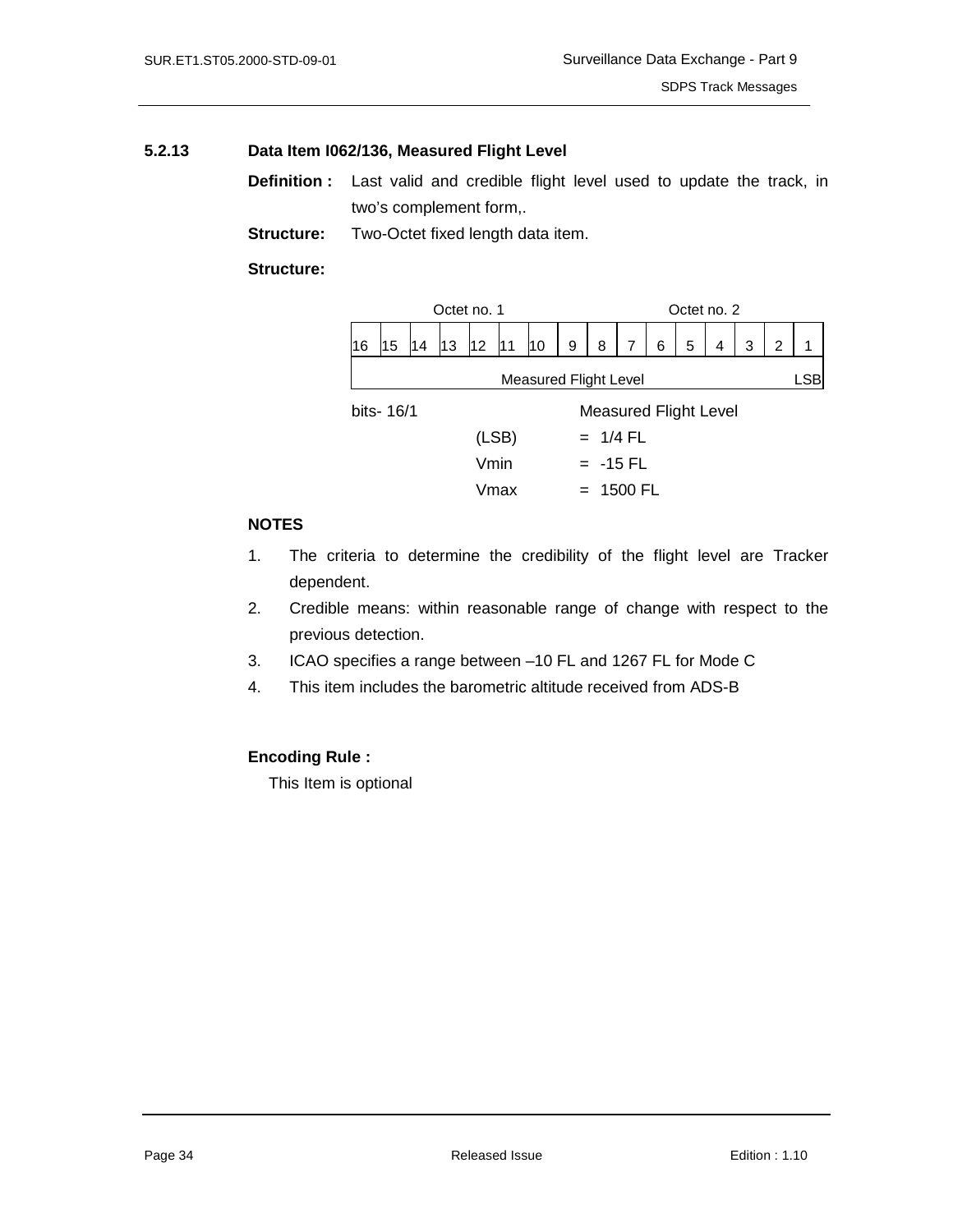## **5.2.13 Data Item I062/136, Measured Flight Level**

**Definition :** Last valid and credible flight level used to update the track, in two's complement form,.

**Structure:** Two-Octet fixed length data item.

#### **Structure:**



## **NOTES**

- 1. The criteria to determine the credibility of the flight level are Tracker dependent.
- 2. Credible means: within reasonable range of change with respect to the previous detection.
- 3. ICAO specifies a range between –10 FL and 1267 FL for Mode C
- 4. This item includes the barometric altitude received from ADS-B

#### **Encoding Rule :**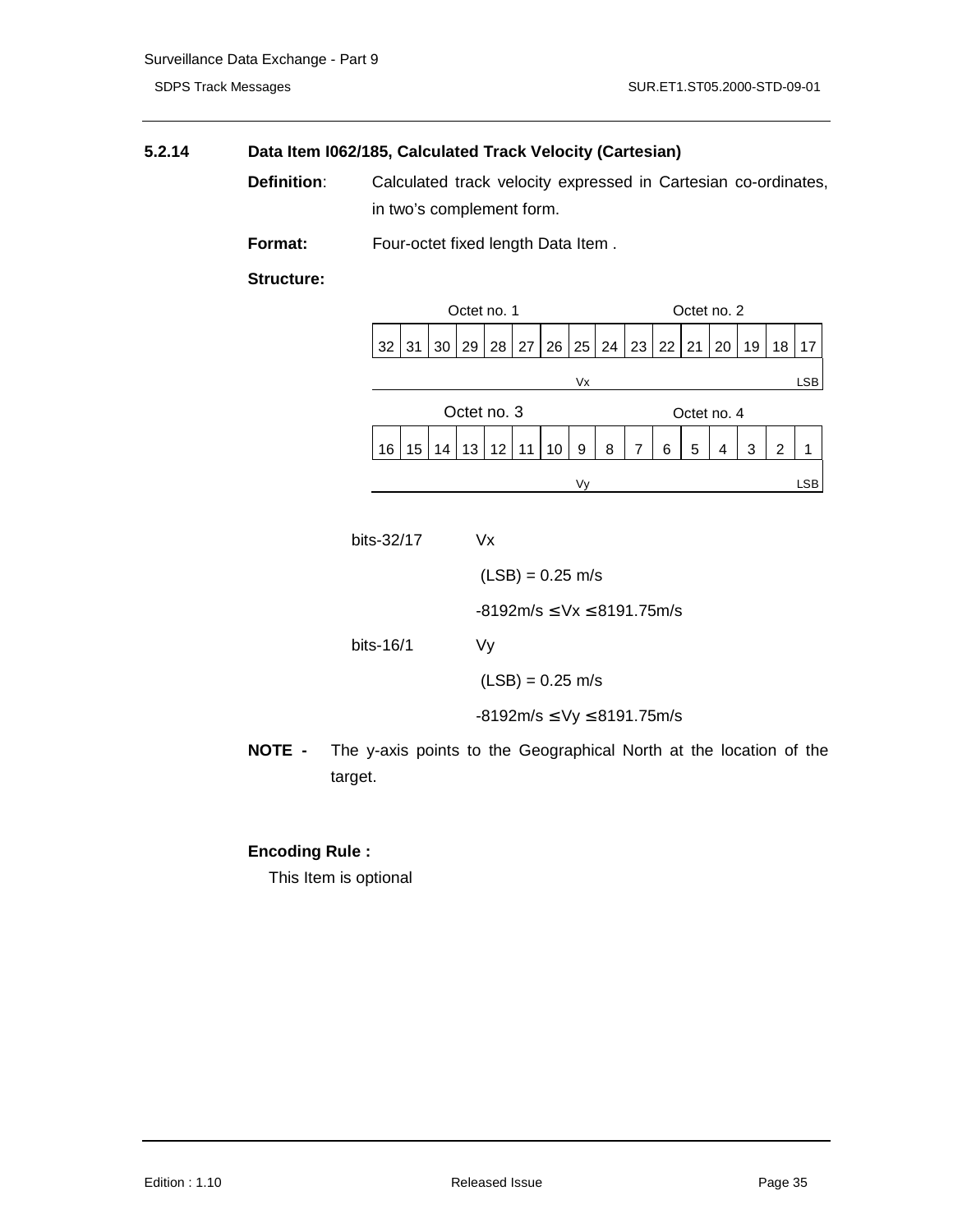#### **5.2.14 Data Item I062/185, Calculated Track Velocity (Cartesian)**

**Definition:** Calculated track velocity expressed in Cartesian co-ordinates, in two's complement form.

Format: Four-octet fixed length Data Item .

 **Structure:**



bits-32/17 Vx  $(LSB) = 0.25$  m/s -8192m/s ≤ Vx ≤ 8191.75m/s bits-16/1 Vy  $(LSB) = 0.25$  m/s -8192m/s ≤ Vy ≤ 8191.75m/s

**NOTE -** The y-axis points to the Geographical North at the location of the target.

#### **Encoding Rule :**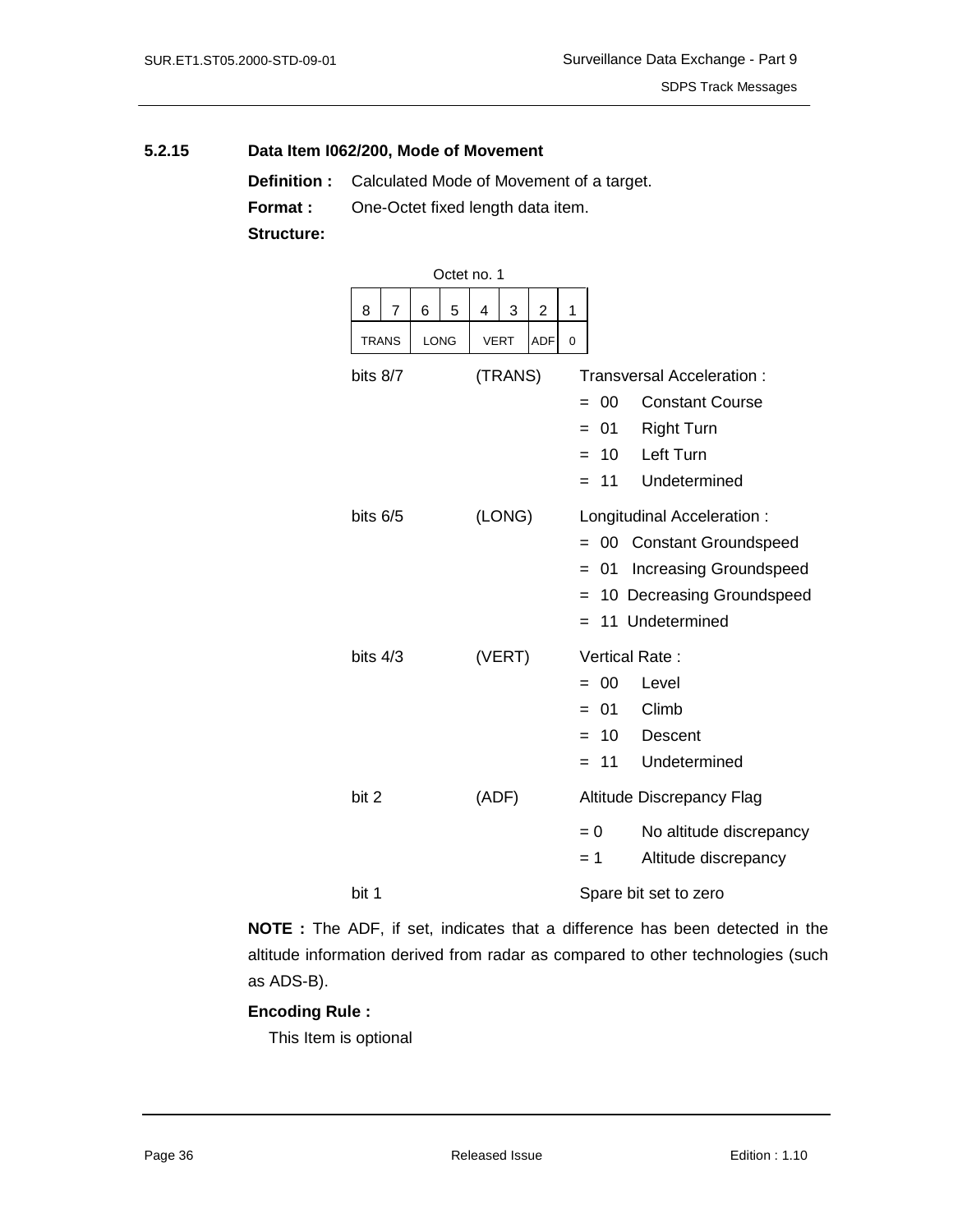## **5.2.15 Data Item I062/200, Mode of Movement**

**Definition :** Calculated Mode of Movement of a target. **Format :** One-Octet fixed length data item. **Structure:** 

|            |   |      |   | Octet no. 1 |         |            |     |       |                                  |
|------------|---|------|---|-------------|---------|------------|-----|-------|----------------------------------|
| 8          | 7 | 6    | 5 | 4           | 3       | 2          | 1   |       |                                  |
| TRANS      |   | LONG |   |             | VERT    | <b>ADF</b> | 0   |       |                                  |
| bits $8/7$ |   |      |   |             | (TRANS) |            |     |       | Transversal Acceleration:        |
|            |   |      |   |             |         |            |     | 00    | <b>Constant Course</b>           |
|            |   |      |   |             |         |            | $=$ | 01    | <b>Right Turn</b>                |
|            |   |      |   |             |         |            | $=$ | 10    | Left Turn                        |
|            |   |      |   |             |         |            | $=$ | 11    | Undetermined                     |
| bits $6/5$ |   |      |   |             | (LONG)  |            |     |       | Longitudinal Acceleration:       |
|            |   |      |   |             |         |            | $=$ | 00    | <b>Constant Groundspeed</b>      |
|            |   |      |   |             |         |            | $=$ | 01    | <b>Increasing Groundspeed</b>    |
|            |   |      |   |             |         |            | $=$ |       | 10 Decreasing Groundspeed        |
|            |   |      |   |             |         |            |     |       | 11 Undetermined                  |
| bits 4/3   |   |      |   |             | (VERT)  |            |     |       | Vertical Rate:                   |
|            |   |      |   |             |         |            | $=$ | 00    | Level                            |
|            |   |      |   |             |         |            | $=$ | 01    | Climb                            |
|            |   |      |   |             |         |            |     | 10    | Descent                          |
|            |   |      |   |             |         |            | $=$ | 11    | Undetermined                     |
| bit 2      |   |      |   | (ADF)       |         |            |     |       | <b>Altitude Discrepancy Flag</b> |
|            |   |      |   |             |         |            |     | $= 0$ | No altitude discrepancy          |
|            |   |      |   |             |         |            |     | $= 1$ | Altitude discrepancy             |
| bit 1      |   |      |   |             |         |            |     |       | Spare bit set to zero            |

**NOTE :** The ADF, if set, indicates that a difference has been detected in the altitude information derived from radar as compared to other technologies (such as ADS-B).

#### **Encoding Rule :**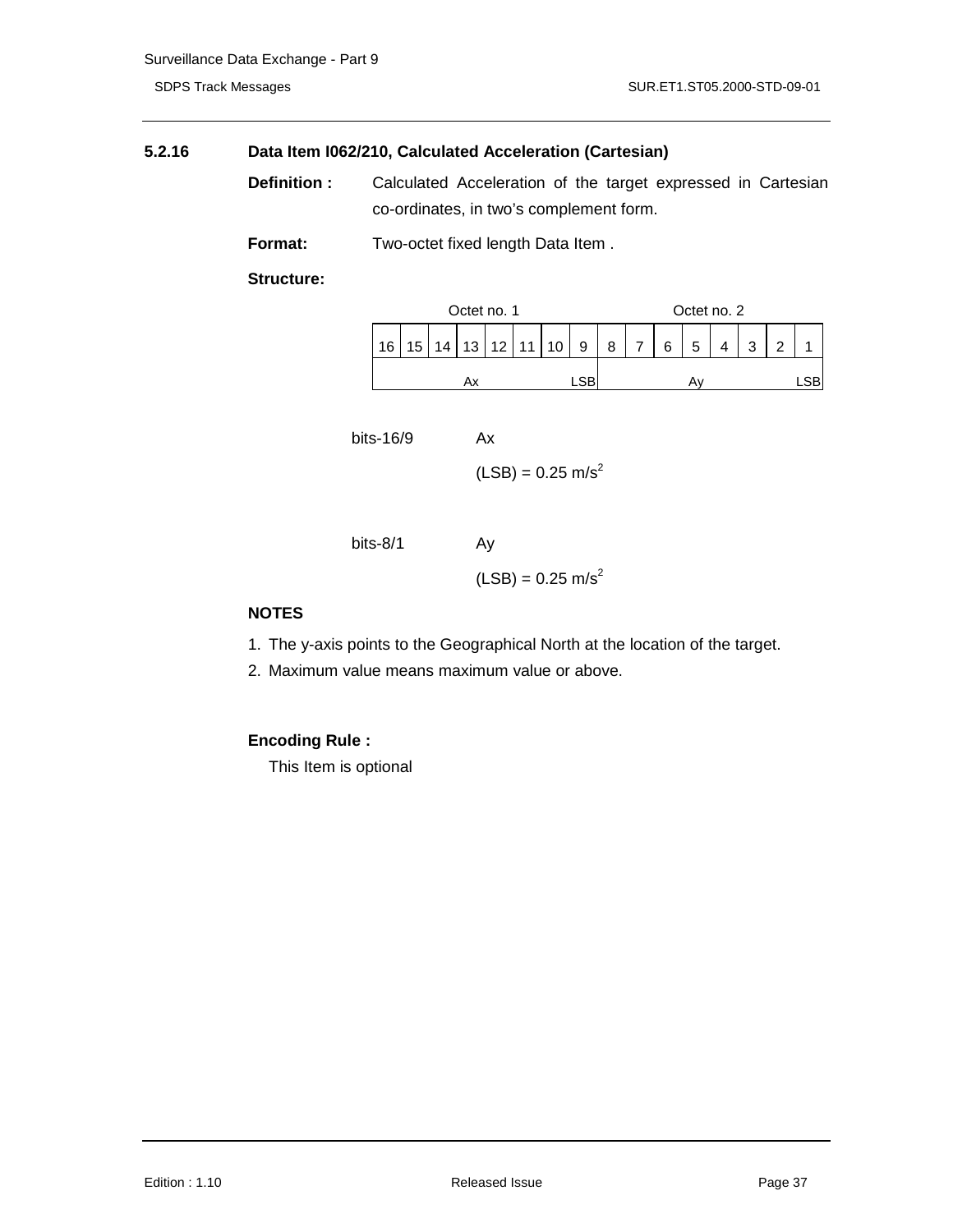#### **5.2.16 Data Item I062/210, Calculated Acceleration (Cartesian)**

**Definition :** Calculated Acceleration of the target expressed in Cartesian co-ordinates, in two's complement form.

**Format:** Two-octet fixed length Data Item .

 **Structure:**



bits-16/9 Ax

 $(LSB) = 0.25$  m/s<sup>2</sup>

bits-8/1 Ay  $(LSB) = 0.25$  m/s<sup>2</sup>

#### **NOTES**

- 1. The y-axis points to the Geographical North at the location of the target.
- 2. Maximum value means maximum value or above.

#### **Encoding Rule :**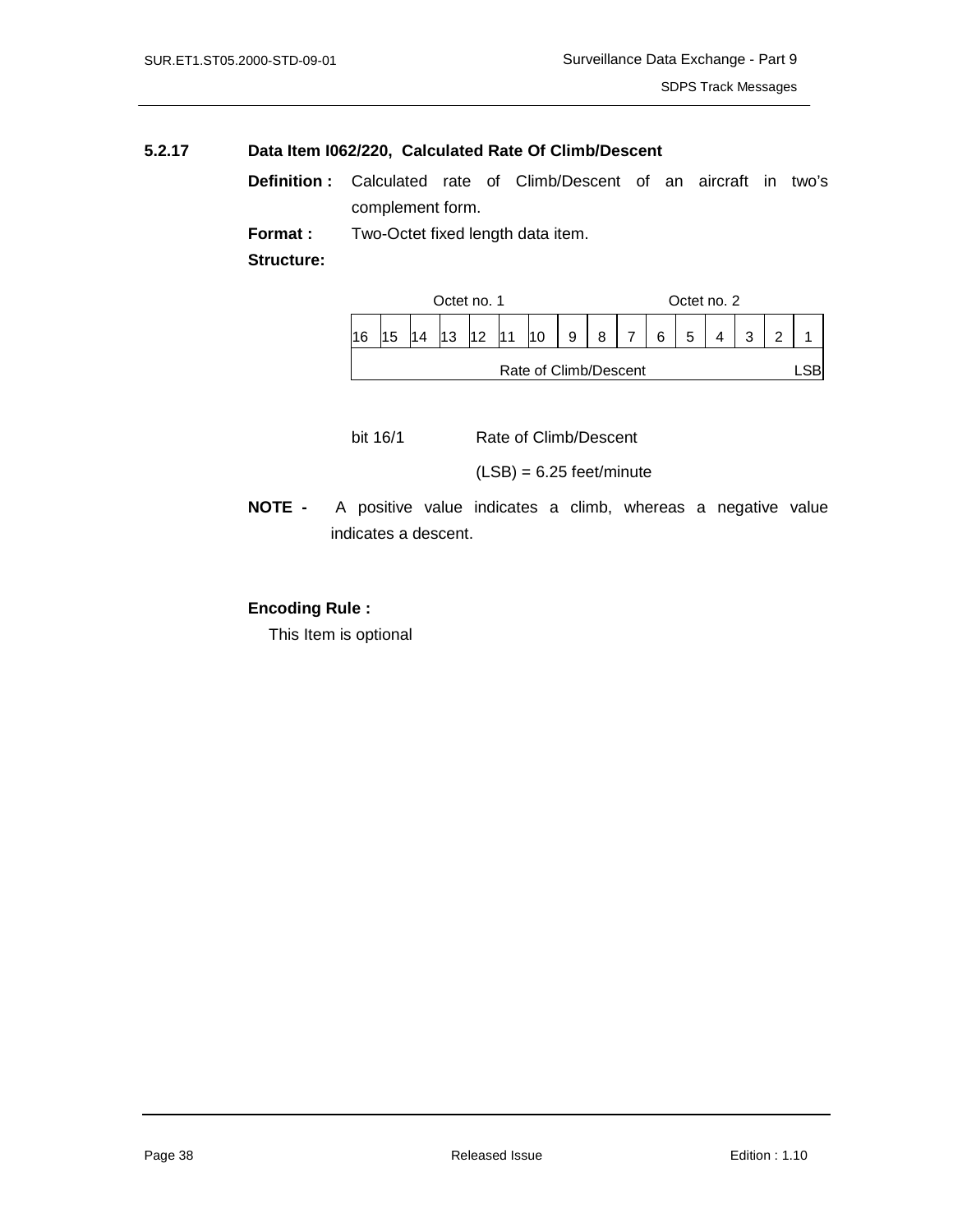#### **5.2.17 Data Item I062/220, Calculated Rate Of Climb/Descent**

**Definition :** Calculated rate of Climb/Descent of an aircraft in two's complement form.

**Format :** Two-Octet fixed length data item.

**Structure:** 



bit 16/1 Rate of Climb/Descent

 $(LSB) = 6.25$  feet/minute

**NOTE -** A positive value indicates a climb, whereas a negative value indicates a descent.

#### **Encoding Rule :**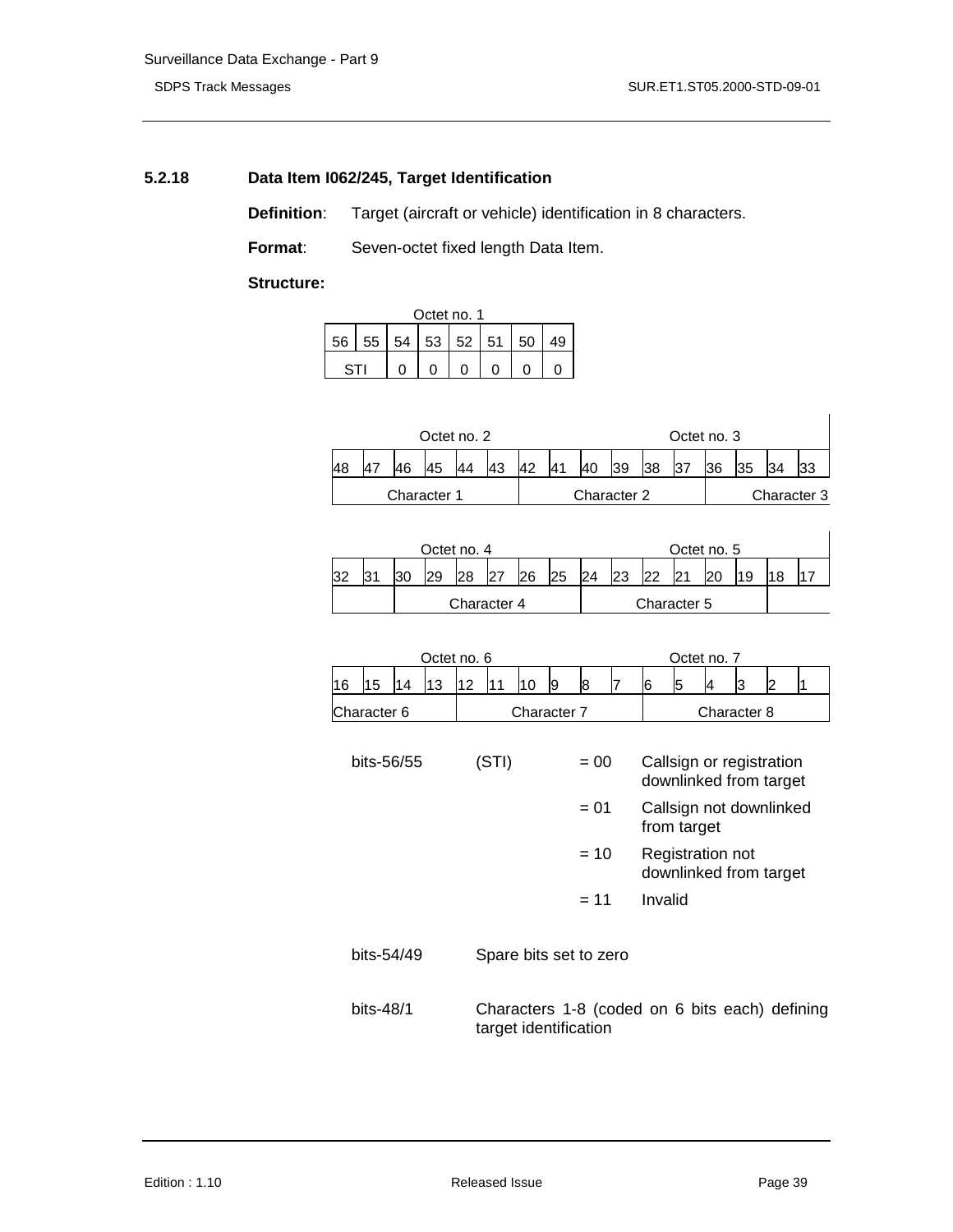#### **5.2.18 Data Item I062/245, Target Identification**

**Definition**: Target (aircraft or vehicle) identification in 8 characters.

**Format**: Seven-octet fixed length Data Item.

## **Structure:**

|   | Octet no. 1 |                |  |  |  |  |  |  |  |  |  |  |  |  |
|---|-------------|----------------|--|--|--|--|--|--|--|--|--|--|--|--|
| h |             | 53 52 51<br>54 |  |  |  |  |  |  |  |  |  |  |  |  |
|   |             |                |  |  |  |  |  |  |  |  |  |  |  |  |

|                    |  |    | Octet no. 2 |    |    |    |  |             | Octet no. 3 |  |  |  |             |
|--------------------|--|----|-------------|----|----|----|--|-------------|-------------|--|--|--|-------------|
|                    |  | 40 | 39          | 38 | 37 | 36 |  | 33          |             |  |  |  |             |
| <b>Character 1</b> |  |    |             |    |    |    |  | Character 2 |             |  |  |  | Character 3 |

|     |     | Octet no. 4 |    |    |  |             | Octet no. 5 |  |  |
|-----|-----|-------------|----|----|--|-------------|-------------|--|--|
| ו ט | IJι |             | 26 | 25 |  |             |             |  |  |
|     |     | Character 4 |    |    |  | Character 5 |             |  |  |

|                                                                                        |             |    | Octet no. 6 |    |       |             |   |                        |   | Octet no. 7      |   |   |             |                                                    |   |
|----------------------------------------------------------------------------------------|-------------|----|-------------|----|-------|-------------|---|------------------------|---|------------------|---|---|-------------|----------------------------------------------------|---|
| 16                                                                                     | 15          | 14 | 13          | 12 | 11    | 10          | 9 | 8                      | 7 | 6                | 5 | 4 | З           | 2                                                  | 1 |
|                                                                                        | Character 6 |    |             |    |       | Character 7 |   |                        |   |                  |   |   | Character 8 |                                                    |   |
|                                                                                        | bits-56/55  |    |             |    | (STI) |             |   | $= 00$                 |   |                  |   |   |             | Callsign or registration<br>downlinked from target |   |
|                                                                                        |             |    |             |    |       |             |   | $= 01$                 |   | from target      |   |   |             | Callsign not downlinked                            |   |
|                                                                                        |             |    |             |    |       |             |   | $= 10$                 |   | Registration not |   |   |             | downlinked from target                             |   |
|                                                                                        |             |    |             |    |       |             |   | $= 11$                 |   | Invalid          |   |   |             |                                                    |   |
|                                                                                        | bits-54/49  |    |             |    |       |             |   | Spare bits set to zero |   |                  |   |   |             |                                                    |   |
| $bits-48/1$<br>Characters 1-8 (coded on 6 bits each) defining<br>target identification |             |    |             |    |       |             |   |                        |   |                  |   |   |             |                                                    |   |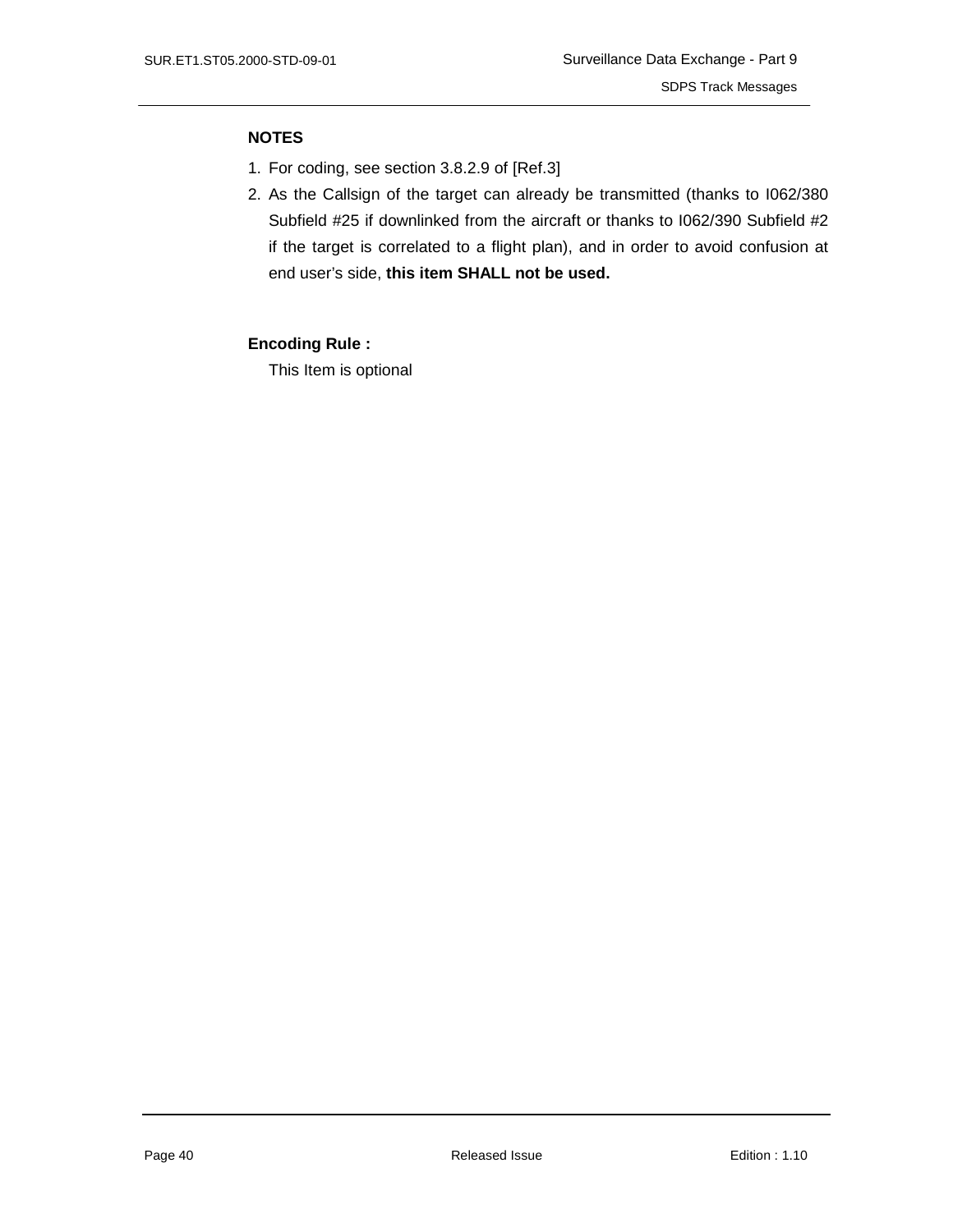## **NOTES**

- 1. For coding, see section 3.8.2.9 of [Ref.3]
- 2. As the Callsign of the target can already be transmitted (thanks to I062/380 Subfield #25 if downlinked from the aircraft or thanks to I062/390 Subfield #2 if the target is correlated to a flight plan), and in order to avoid confusion at end user's side, **this item SHALL not be used.**

#### **Encoding Rule :**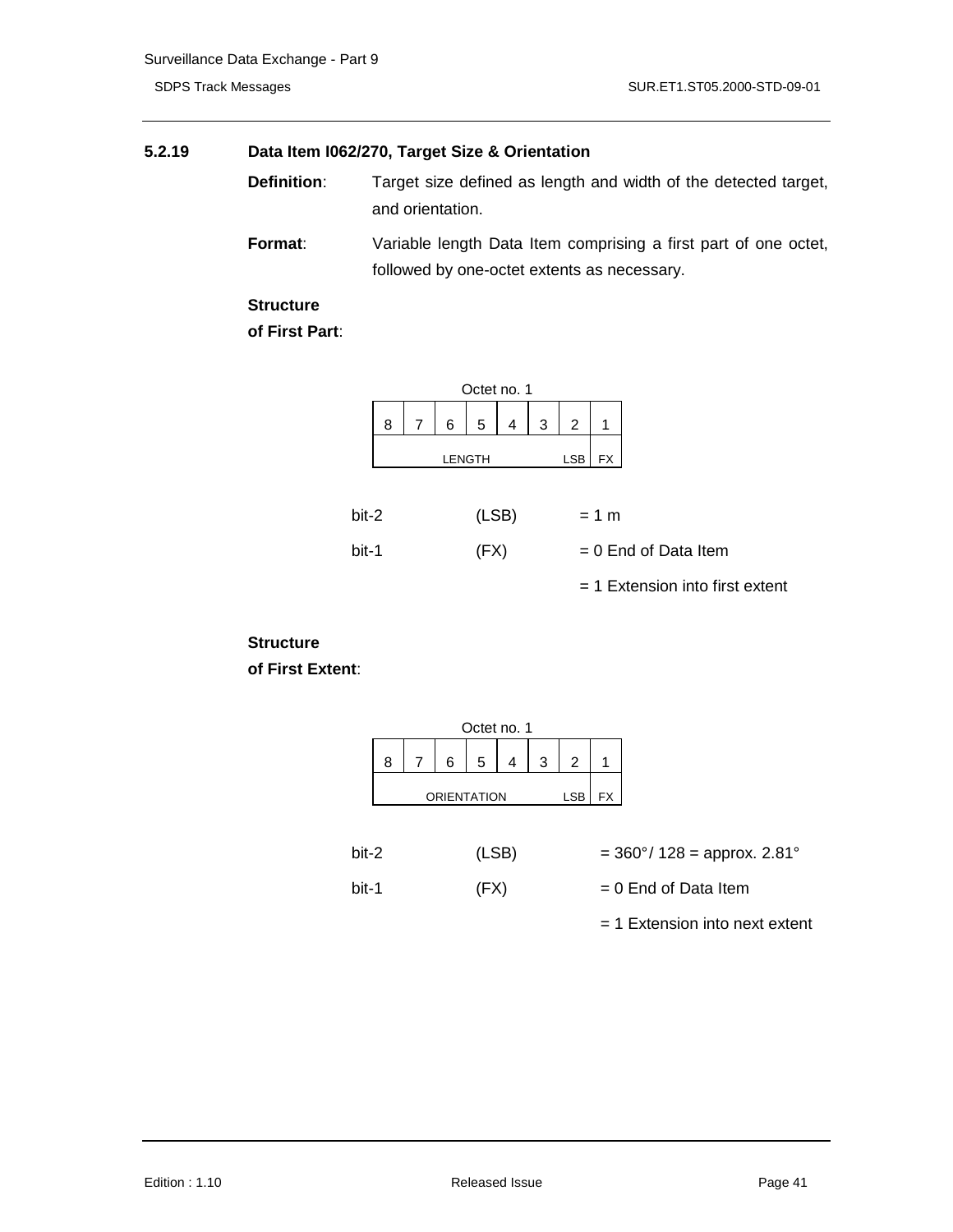#### **5.2.19 Data Item I062/270, Target Size & Orientation**

 **Definition**: Target size defined as length and width of the detected target, and orientation.

**Format:** Variable length Data Item comprising a first part of one octet, followed by one-octet extents as necessary.

#### **Structure**

 **of First Part**:

|  |       |   |   |   | Octet no. 1   |   |   |            |           |                                   |
|--|-------|---|---|---|---------------|---|---|------------|-----------|-----------------------------------|
|  |       | 8 | 7 | 6 | 5             | 4 | 3 | 2          | 1         |                                   |
|  |       |   |   |   | <b>LENGTH</b> |   |   | <b>LSB</b> | <b>FX</b> |                                   |
|  |       |   |   |   |               |   |   |            |           |                                   |
|  | bit-2 |   |   |   | (LSB)         |   |   |            | $= 1 m$   |                                   |
|  | bit-1 |   |   |   | (FX)          |   |   |            |           | $= 0$ End of Data Item            |
|  |       |   |   |   |               |   |   |            |           | $=$ 1 Extension into first extent |

**Structure of First Extent**:

|  |                |   |                    | Octet no. 1 |  |  |            |           |                                                  |
|--|----------------|---|--------------------|-------------|--|--|------------|-----------|--------------------------------------------------|
|  | 8              | 7 | 6                  | 5           |  |  |            |           |                                                  |
|  |                |   | <b>ORIENTATION</b> |             |  |  | <b>LSB</b> | <b>FX</b> |                                                  |
|  |                |   |                    |             |  |  |            |           |                                                  |
|  | bit-2<br>(LSB) |   |                    |             |  |  |            |           | $=$ 360 $\degree$ / 128 = approx. 2.81 $\degree$ |
|  | bit-1<br>(FX)  |   |                    |             |  |  |            |           | $= 0$ End of Data Item                           |
|  |                |   |                    |             |  |  |            |           | = 1 Extension into next extent                   |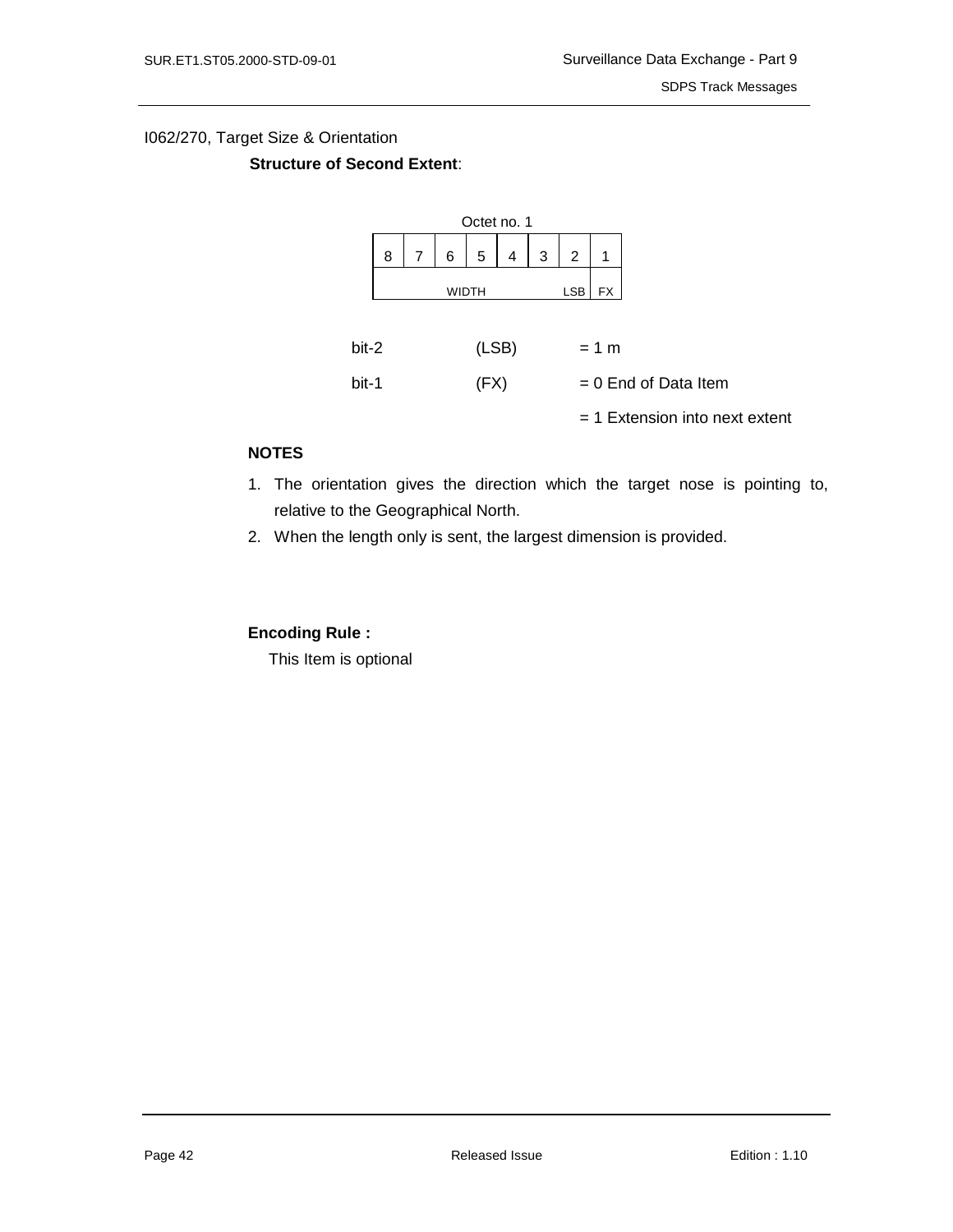## I062/270, Target Size & Orientation

## **Structure of Second Extent**:

| Octet no. 1 |                |   |      |              |   |   |                        |                                  |           |  |  |
|-------------|----------------|---|------|--------------|---|---|------------------------|----------------------------------|-----------|--|--|
|             |                | 8 | 7    | 6            | 5 | 4 | 3                      | $\overline{2}$                   | 1         |  |  |
|             |                |   |      | <b>WIDTH</b> |   |   |                        | <b>LSB</b>                       | <b>FX</b> |  |  |
|             |                |   |      |              |   |   |                        |                                  |           |  |  |
|             | bit-2<br>(LSB) |   |      |              |   |   | $= 1 m$                |                                  |           |  |  |
| bit-1       |                |   | (FX) |              |   |   | $= 0$ End of Data Item |                                  |           |  |  |
|             |                |   |      |              |   |   |                        | $=$ 1 Extension into next extent |           |  |  |

#### **NOTES**

- 1. The orientation gives the direction which the target nose is pointing to, relative to the Geographical North.
- 2. When the length only is sent, the largest dimension is provided.

## **Encoding Rule :**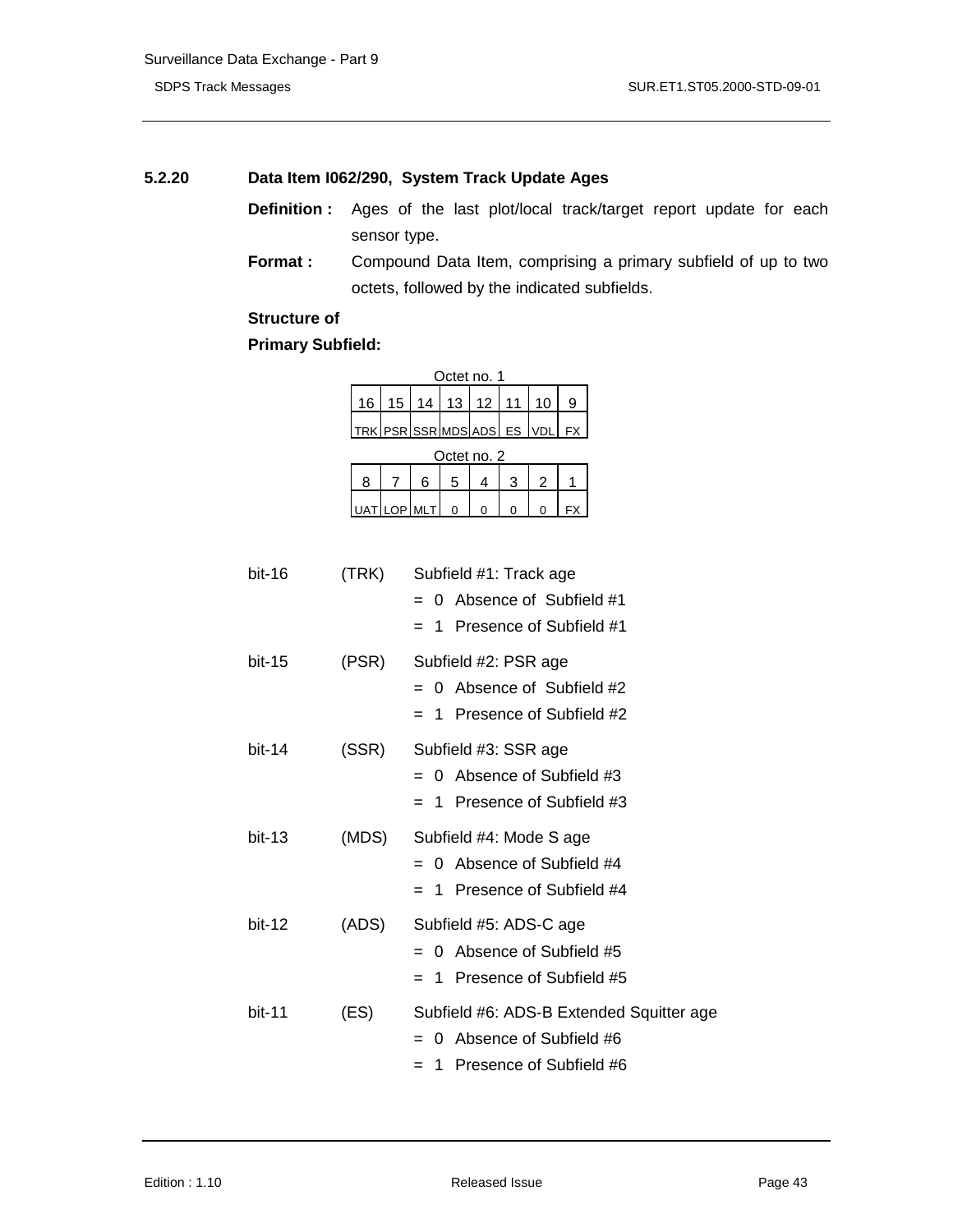#### **5.2.20 Data Item I062/290, System Track Update Ages**

- **Definition :** Ages of the last plot/local track/target report update for each sensor type.
- Format : Compound Data Item, comprising a primary subfield of up to two octets, followed by the indicated subfields.

## **Structure of**

#### **Primary Subfield:**

|             |                            |    | Octet no. 1 |              |   |    |      |  |  |  |
|-------------|----------------------------|----|-------------|--------------|---|----|------|--|--|--|
| 16          | 15 <sub>1</sub>            | 14 | $\vert$ 13  | $12 \mid 11$ |   | 10 | 9    |  |  |  |
|             | TRK PSR SSR MDS ADS ES VDL |    |             |              |   |    | FX I |  |  |  |
| Octet no. 2 |                            |    |             |              |   |    |      |  |  |  |
| 8           |                            | 6  | 5           | 4            | 3 | 2  |      |  |  |  |
|             | OP.                        |    | 0           | n            |   |    |      |  |  |  |

| $bit-16$ | (TRK) | Subfield #1: Track age<br>= 0 Absence of Subfield #1<br>$= 1$ Presence of Subfield #1                    |
|----------|-------|----------------------------------------------------------------------------------------------------------|
| bit-15   | (PSR) | Subfield #2: PSR age<br>$= 0$ Absence of Subfield #2<br>= 1 Presence of Subfield #2                      |
| $bit-14$ | (SSR) | Subfield #3: SSR age<br>$= 0$ Absence of Subfield #3<br>$= 1$ Presence of Subfield #3                    |
| $bit-13$ |       | (MDS) Subfield #4: Mode S age<br>$= 0$ Absence of Subfield #4<br>= 1 Presence of Subfield #4             |
| bit-12   | (ADS) | Subfield #5: ADS-C age<br>$= 0$ Absence of Subfield #5<br>= 1 Presence of Subfield #5                    |
| bit-11   | (ES)  | Subfield #6: ADS-B Extended Squitter age<br>0 Absence of Subfield #6<br>$=$<br>1 Presence of Subfield #6 |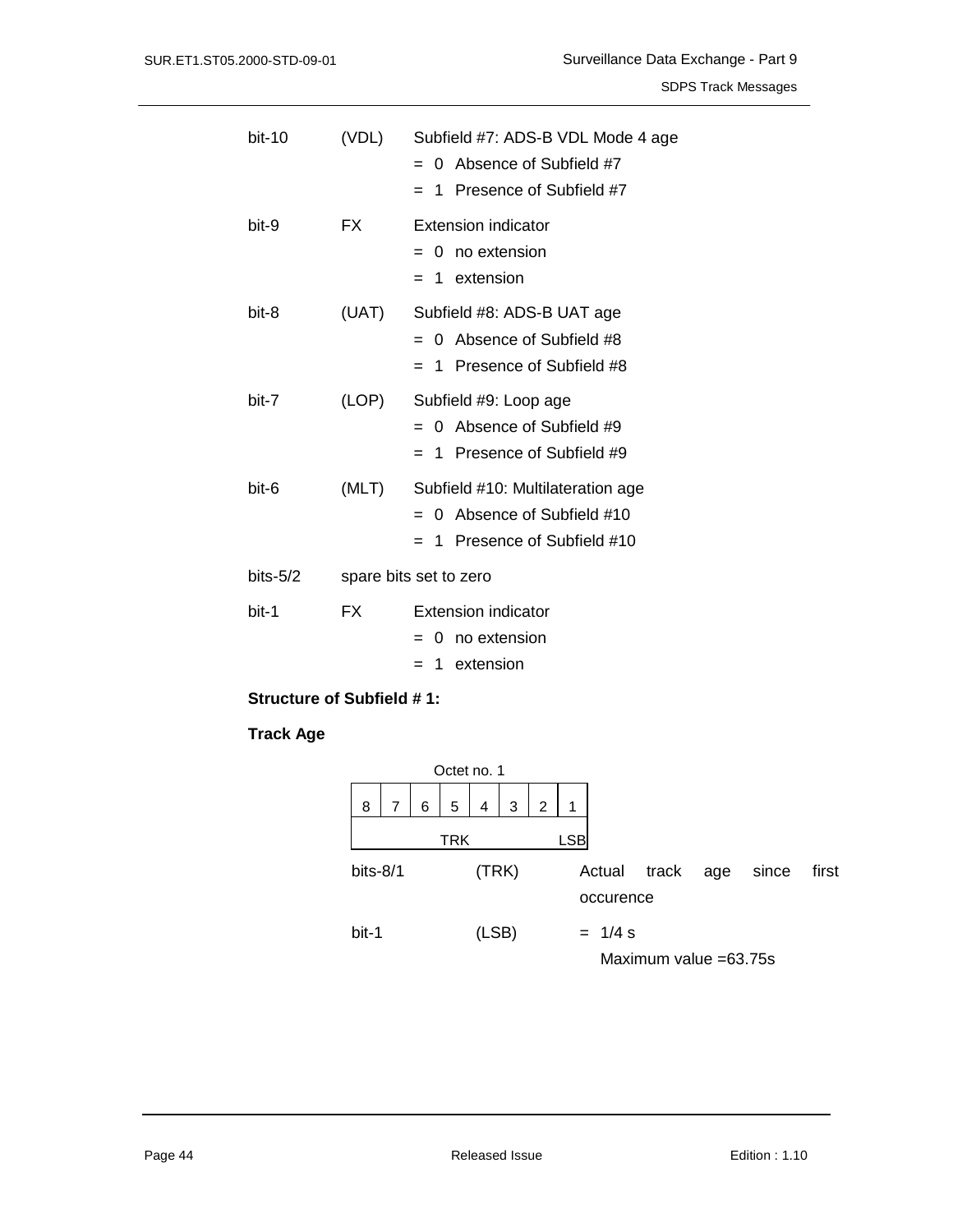| $bit-10$    | (VDL) | Subfield #7: ADS-B VDL Mode 4 age<br>0 Absence of Subfield #7<br>Presence of Subfield #7<br>1   |
|-------------|-------|-------------------------------------------------------------------------------------------------|
| bit-9       | FX.   | <b>Extension indicator</b><br>0<br>no extension<br>1 extension                                  |
| bit-8       | (UAT) | Subfield #8: ADS-B UAT age<br>0 Absence of Subfield #8<br>Presence of Subfield #8<br>1          |
| bit-7       | (LOP) | Subfield #9: Loop age<br>0 Absence of Subfield #9<br>Presence of Subfield #9<br>1               |
| bit-6       | (MLT) | Subfield #10: Multilateration age<br>0 Absence of Subfield #10<br>Presence of Subfield #10<br>1 |
| bits- $5/2$ |       | spare bits set to zero                                                                          |
| bit-1       | FX.   | <b>Extension indicator</b><br>no extension<br>0<br>1 extension<br>$=$                           |

**Structure of Subfield # 1:** 

**Track Age**

|                |                     |   | Octet no. 1 |           |   |                |            |                        |       |       |  |  |  |  |
|----------------|---------------------|---|-------------|-----------|---|----------------|------------|------------------------|-------|-------|--|--|--|--|
| 8              | 7                   | 6 | 5           | 4         | 3 | $\overline{2}$ | 1          |                        |       |       |  |  |  |  |
| <b>TRK</b>     |                     |   |             |           |   |                | <b>LSB</b> |                        |       |       |  |  |  |  |
|                | $bits-8/1$<br>(TRK) |   |             |           |   | Actual         | track      | age                    | since | first |  |  |  |  |
| occurence      |                     |   |             |           |   |                |            |                        |       |       |  |  |  |  |
| (LSB)<br>bit-1 |                     |   |             | $= 1/4$ s |   |                |            |                        |       |       |  |  |  |  |
|                |                     |   |             |           |   |                |            | Maximum value = 63.75s |       |       |  |  |  |  |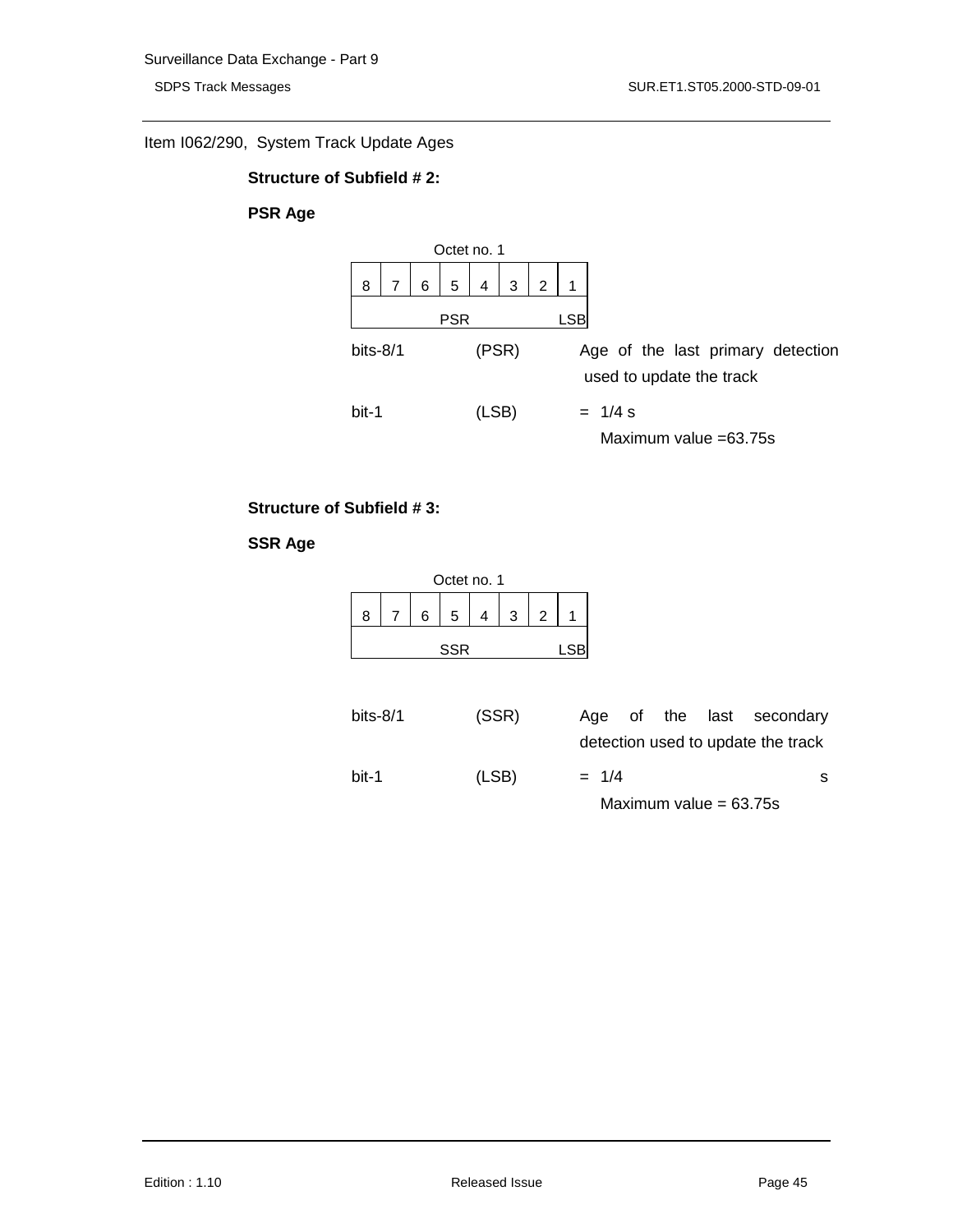#### **Structure of Subfield # 2:**

#### **PSR Age**



## **Structure of Subfield # 3:**

## **SSR Age**

| $bits-8/1$ | (SSR) | Age of the last secondary          |  |
|------------|-------|------------------------------------|--|
|            |       | detection used to update the track |  |
| bit-1      | (LSB) | $= 1/4$                            |  |
|            |       | Maximum value = $63.75s$           |  |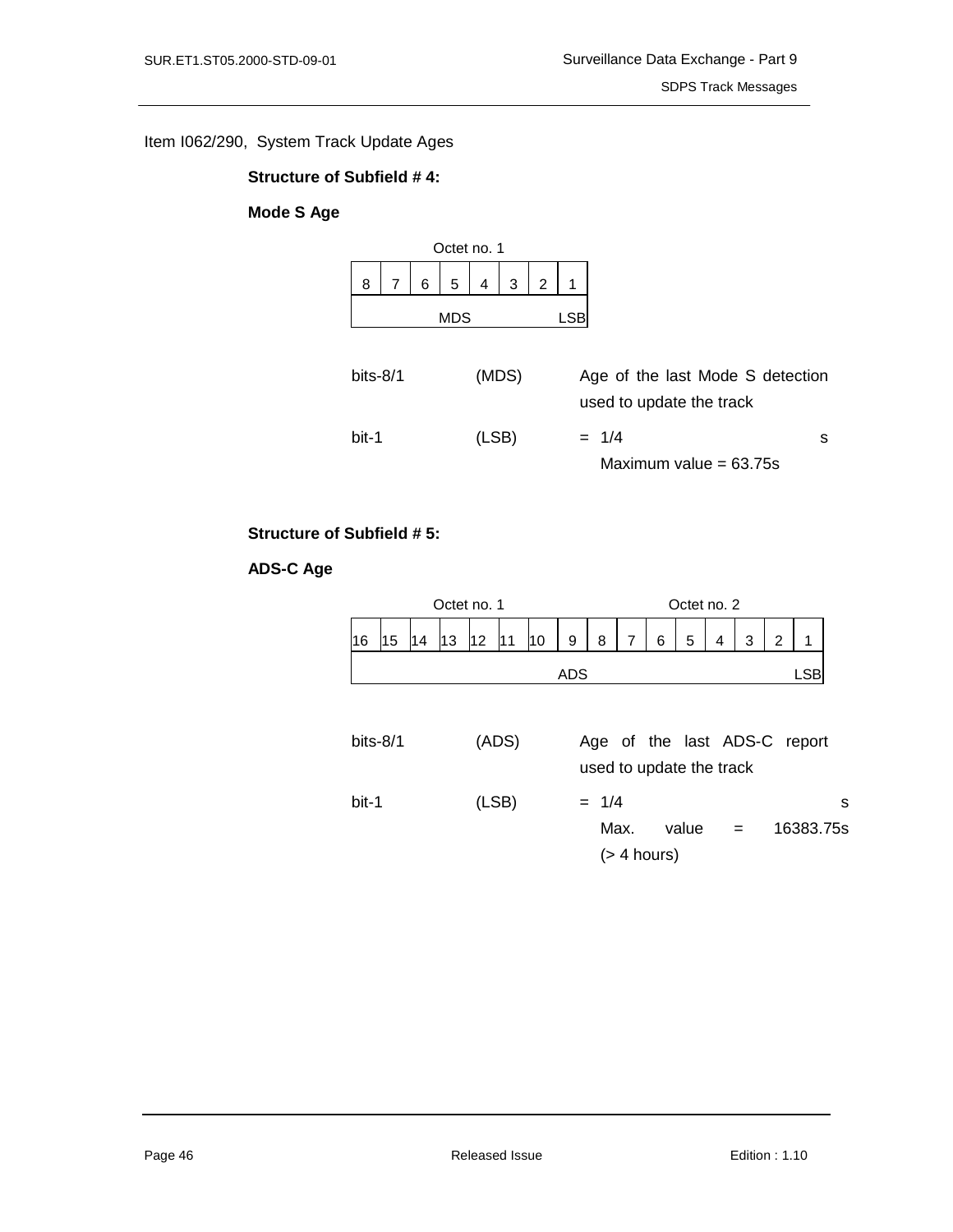#### **Structure of Subfield # 4:**

#### **Mode S Age**



## **Structure of Subfield # 5:**

#### **ADS-C Age**

|                   |          | Octet no. 1     | Octet no. 2 |            |         |      |                          |       |   |     |                |                              |   |
|-------------------|----------|-----------------|-------------|------------|---------|------|--------------------------|-------|---|-----|----------------|------------------------------|---|
| 15<br>16          | 13<br>14 | 12<br><b>11</b> | 10          | 9          | 8       | 7    | 6                        | 5     | 4 | 3   | $\overline{2}$ | 1                            |   |
|                   |          |                 |             | <b>ADS</b> |         |      |                          |       |   |     |                | <b>LSB</b>                   |   |
|                   |          |                 |             |            |         |      |                          |       |   |     |                |                              |   |
| bits-8/1<br>(ADS) |          |                 |             |            |         |      | used to update the track |       |   |     |                | Age of the last ADS-C report |   |
| bit-1<br>(LSB)    |          |                 |             |            | $= 1/4$ | Max. | $($ 4 hours)             | value |   | $=$ |                | 16383.75s                    | s |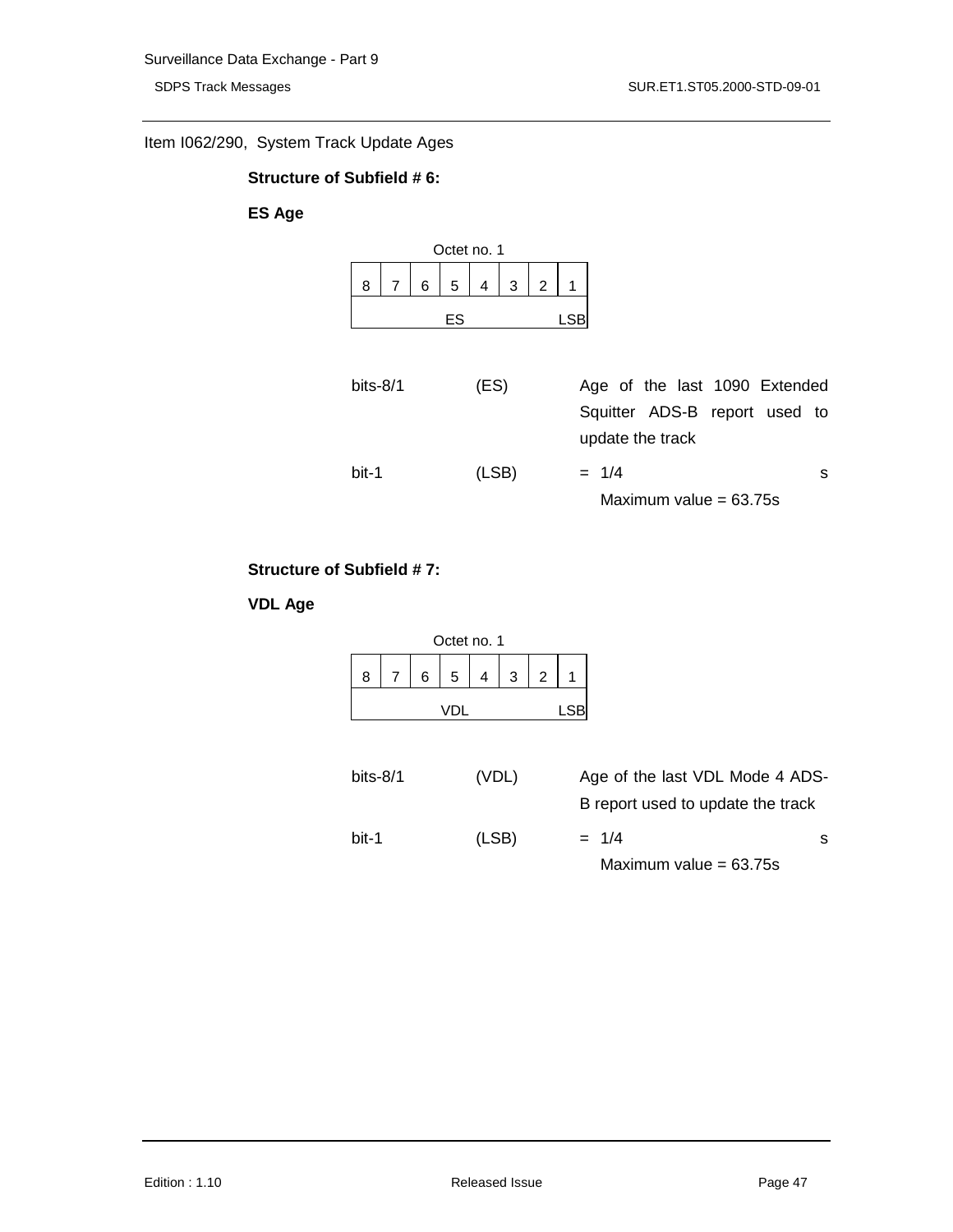#### **Structure of Subfield # 6:**

## **ES Age**



| $bits-8/1$ | (ES)  | Age of the last 1090 Extended |
|------------|-------|-------------------------------|
|            |       | Squitter ADS-B report used to |
|            |       | update the track              |
| bit-1      | (LSB) | $= 1/4$<br>s                  |
|            |       | Maximum value = $63.75s$      |

## **Structure of Subfield # 7:**

## **VDL Age**

| Octet no. 1 |  |   |   |           |   |   |  |  |  |  |
|-------------|--|---|---|-----------|---|---|--|--|--|--|
| ႙           |  | 6 | 5 |           | 3 | 2 |  |  |  |  |
|             |  |   |   | <b>QD</b> |   |   |  |  |  |  |

| bits-8/1 | (VDL) | Age of the last VDL Mode 4 ADS-   |    |  |  |  |  |  |
|----------|-------|-----------------------------------|----|--|--|--|--|--|
|          |       | B report used to update the track |    |  |  |  |  |  |
| bit-1    | (LSB) | $= 1/4$                           | S. |  |  |  |  |  |
|          |       | Maximum value = $63.75s$          |    |  |  |  |  |  |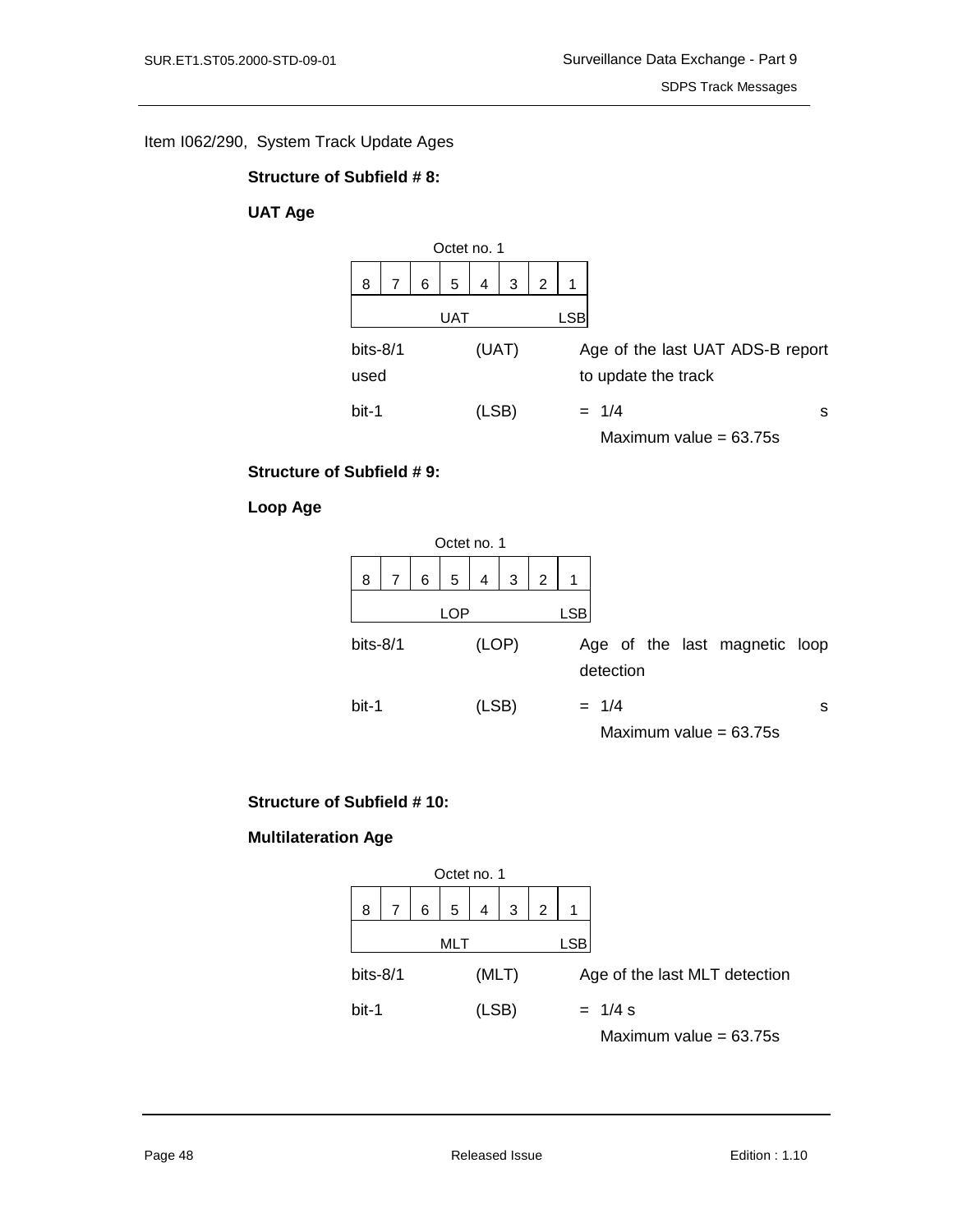#### **Structure of Subfield # 8:**

#### **UAT Age**



## **Structure of Subfield # 9:**

#### **Loop Age**



#### **Structure of Subfield # 10:**

#### **Multilateration Age**

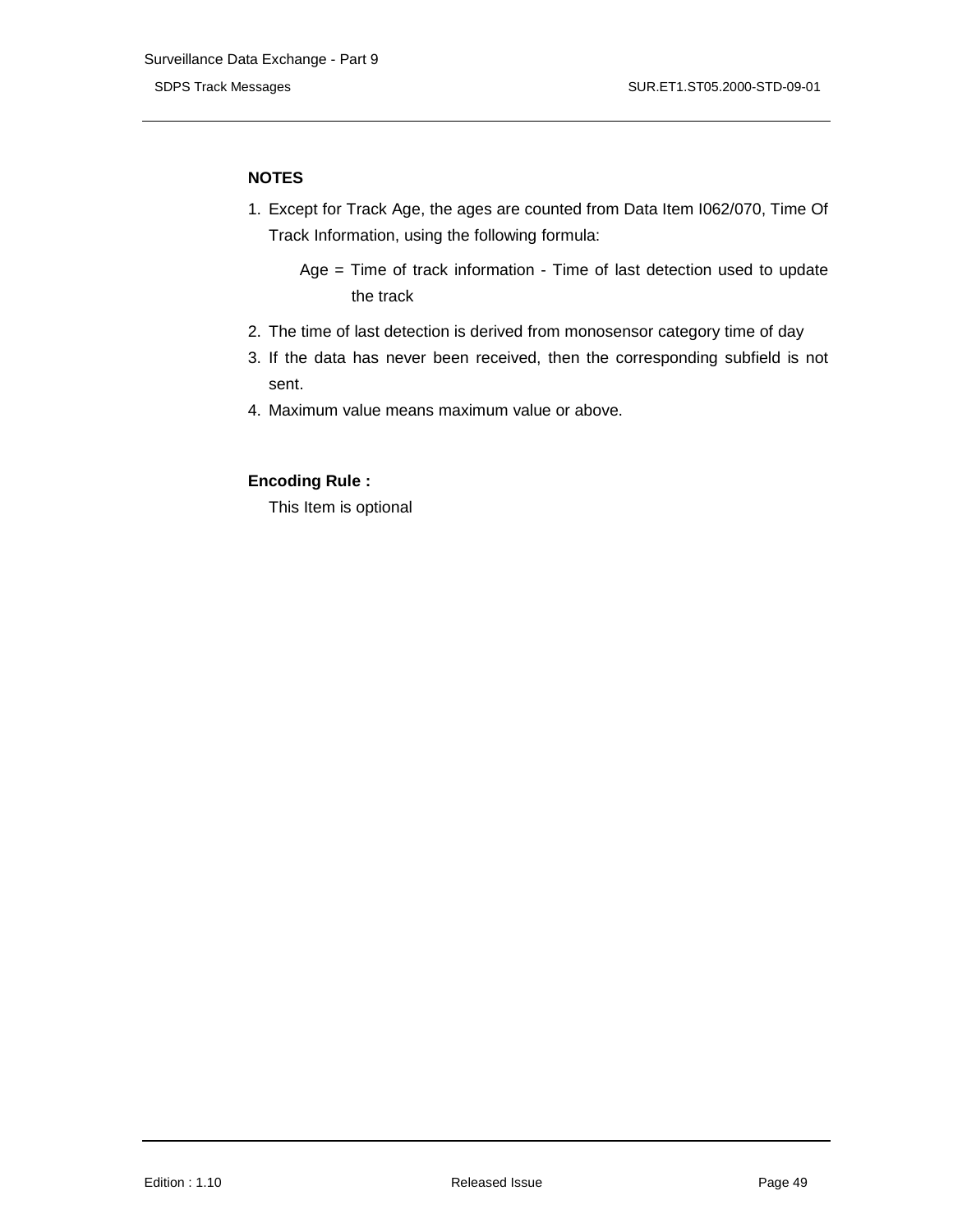#### **NOTES**

- 1. Except for Track Age, the ages are counted from Data Item I062/070, Time Of Track Information, using the following formula:
	- Age = Time of track information Time of last detection used to update the track
- 2. The time of last detection is derived from monosensor category time of day
- 3. If the data has never been received, then the corresponding subfield is not sent.
- 4. Maximum value means maximum value or above.

#### **Encoding Rule :**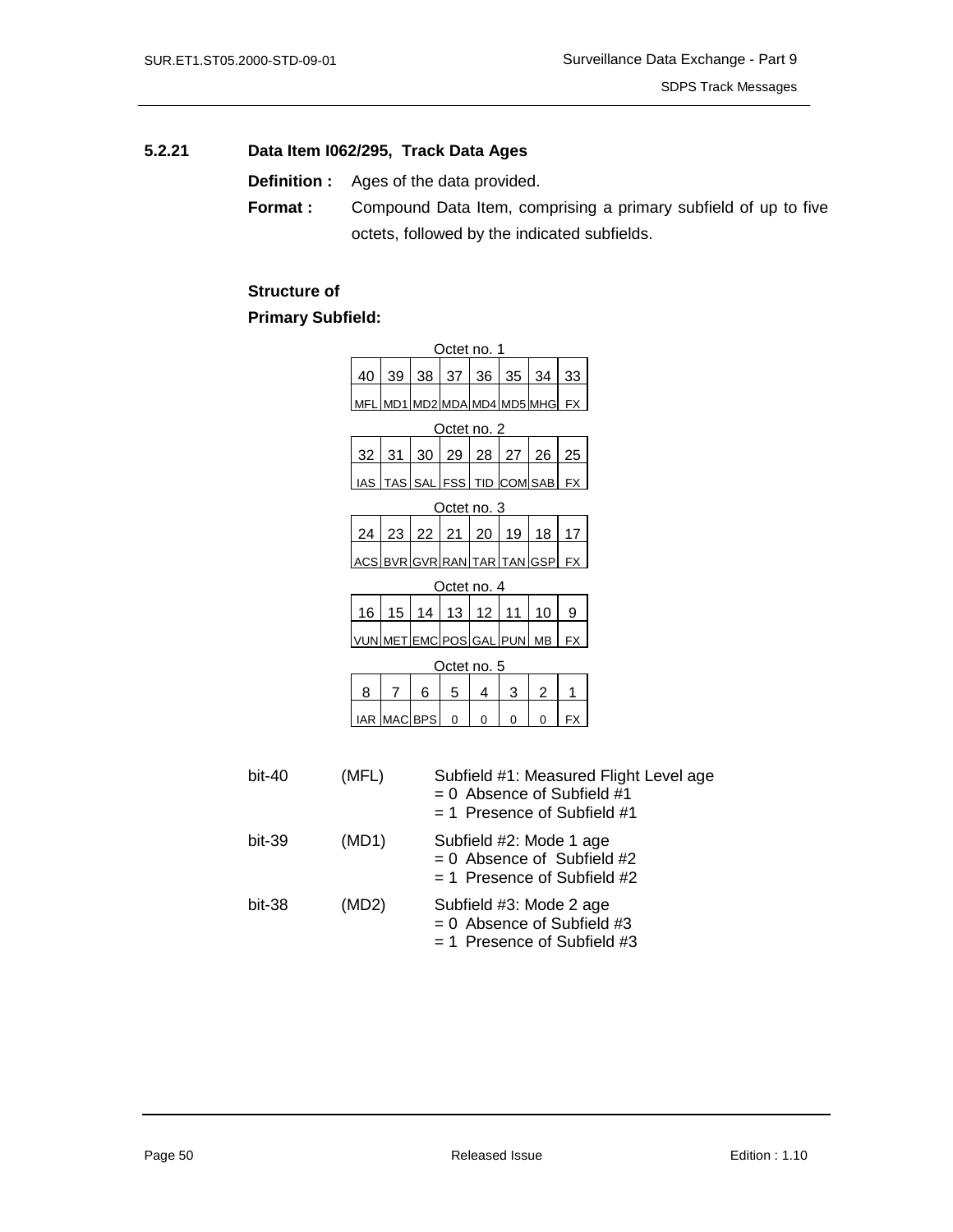## **5.2.21 Data Item I062/295, Track Data Ages**

**Definition :** Ages of the data provided.

Format : Compound Data Item, comprising a primary subfield of up to five octets, followed by the indicated subfields.

#### **Structure of**

#### **Primary Subfield:**

|        |            |             |                | Octet no. 1                                                                                           |    |                    |           |           |                                                           |  |  |
|--------|------------|-------------|----------------|-------------------------------------------------------------------------------------------------------|----|--------------------|-----------|-----------|-----------------------------------------------------------|--|--|
|        | 40         | 39          | 38             | 37                                                                                                    | 36 | 35                 | 34        | 33        |                                                           |  |  |
|        | MFL        |             |                | MD1 MD2 MDA MD4 MD5 MHG FX                                                                            |    |                    |           |           |                                                           |  |  |
|        |            |             |                | Octet no. 2                                                                                           |    |                    |           |           |                                                           |  |  |
|        | 32         | 31          | 30             | 29                                                                                                    | 28 | 27                 | 26        | 25        |                                                           |  |  |
|        | <b>IAS</b> |             | <b>TAS SAL</b> | <b>FSS</b>                                                                                            |    | <b>TID COM SAB</b> |           | FX        |                                                           |  |  |
|        |            |             |                | <u>Octet no. 3</u>                                                                                    |    |                    |           |           |                                                           |  |  |
|        | 24         | 23          | 22             | 21                                                                                                    | 20 | 19                 | 18        | 17        |                                                           |  |  |
|        |            |             |                | ACS BVR GVR RAN TAR TAN GSP                                                                           |    |                    |           | <b>FX</b> |                                                           |  |  |
|        |            |             |                | <u>Octet no. 4</u>                                                                                    |    |                    |           |           |                                                           |  |  |
|        | 16         | 15          | 14             | 13                                                                                                    | 12 | 11                 | 10        | 9         |                                                           |  |  |
|        |            |             |                | VUN MET EMC POS GAL PUN                                                                               |    |                    | <b>MB</b> | <b>FX</b> |                                                           |  |  |
|        |            |             |                | Octet no. 5                                                                                           |    |                    |           |           |                                                           |  |  |
|        | 8          | 7           | 6              | 5                                                                                                     | 4  | 3                  | 2         | 1         |                                                           |  |  |
|        |            | IAR MAC BPS |                | $\mathbf 0$                                                                                           | 0  | 0                  | 0         | <b>FX</b> |                                                           |  |  |
|        |            |             |                |                                                                                                       |    |                    |           |           |                                                           |  |  |
| bit-40 | (MFL)      |             |                | Subfield #1: Measured Flight Level age<br>= 0 Absence of Subfield #1<br>$= 1$ Presence of Subfield #1 |    |                    |           |           |                                                           |  |  |
| bit-39 | (MD1)      |             |                | Subfield #2: Mode 1 age<br>$= 0$ Absence of Subfield #2<br>= 1 Presence of Subfield #2                |    |                    |           |           |                                                           |  |  |
| bit-38 | (MD2)      |             |                | Subfield #3: Mode 2 age                                                                               |    |                    |           |           | = 0 Absence of Subfield #3<br>= 1 Presence of Subfield #3 |  |  |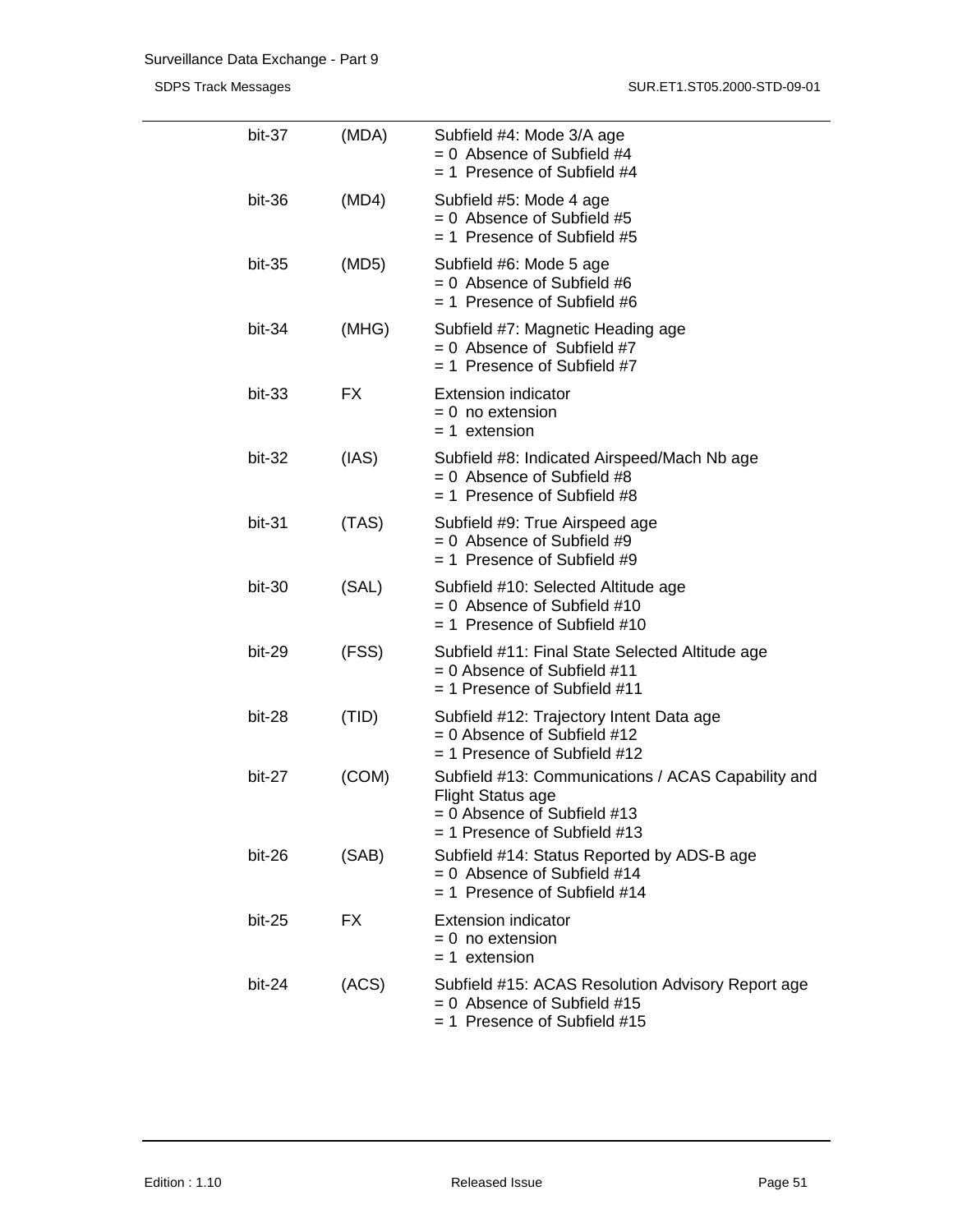| bit-37   | (MDA) | Subfield #4: Mode 3/A age<br>$= 0$ Absence of Subfield #4<br>$= 1$ Presence of Subfield #4                                                      |
|----------|-------|-------------------------------------------------------------------------------------------------------------------------------------------------|
| bit-36   | (MD4) | Subfield #5: Mode 4 age<br>$= 0$ Absence of Subfield #5<br>$= 1$ Presence of Subfield #5                                                        |
| bit-35   | (MD5) | Subfield #6: Mode 5 age<br>$= 0$ Absence of Subfield #6<br>$= 1$ Presence of Subfield #6                                                        |
| bit-34   | (MHG) | Subfield #7: Magnetic Heading age<br>$= 0$ Absence of Subfield #7<br>$= 1$ Presence of Subfield #7                                              |
| bit-33   | FX.   | <b>Extension indicator</b><br>$= 0$ no extension<br>$= 1$ extension                                                                             |
| bit-32   | (IAS) | Subfield #8: Indicated Airspeed/Mach Nb age<br>$= 0$ Absence of Subfield #8<br>$= 1$ Presence of Subfield #8                                    |
| bit-31   | (TAS) | Subfield #9: True Airspeed age<br>$= 0$ Absence of Subfield #9<br>$= 1$ Presence of Subfield #9                                                 |
| bit-30   | (SAL) | Subfield #10: Selected Altitude age<br>$= 0$ Absence of Subfield #10<br>$= 1$ Presence of Subfield #10                                          |
| bit-29   | (FSS) | Subfield #11: Final State Selected Altitude age<br>$= 0$ Absence of Subfield #11<br>$=$ 1 Presence of Subfield #11                              |
| bit-28   | (TID) | Subfield #12: Trajectory Intent Data age<br>$= 0$ Absence of Subfield #12<br>$=$ 1 Presence of Subfield #12                                     |
| bit-27   | (COM) | Subfield #13: Communications / ACAS Capability and<br><b>Flight Status age</b><br>$= 0$ Absence of Subfield #13<br>= 1 Presence of Subfield #13 |
| bit-26   | (SAB) | Subfield #14: Status Reported by ADS-B age<br>$= 0$ Absence of Subfield #14<br>$= 1$ Presence of Subfield #14                                   |
| $bit-25$ | FX    | <b>Extension indicator</b><br>$= 0$ no extension<br>$= 1$ extension                                                                             |
| bit-24   | (ACS) | Subfield #15: ACAS Resolution Advisory Report age<br>$= 0$ Absence of Subfield #15<br>$= 1$ Presence of Subfield #15                            |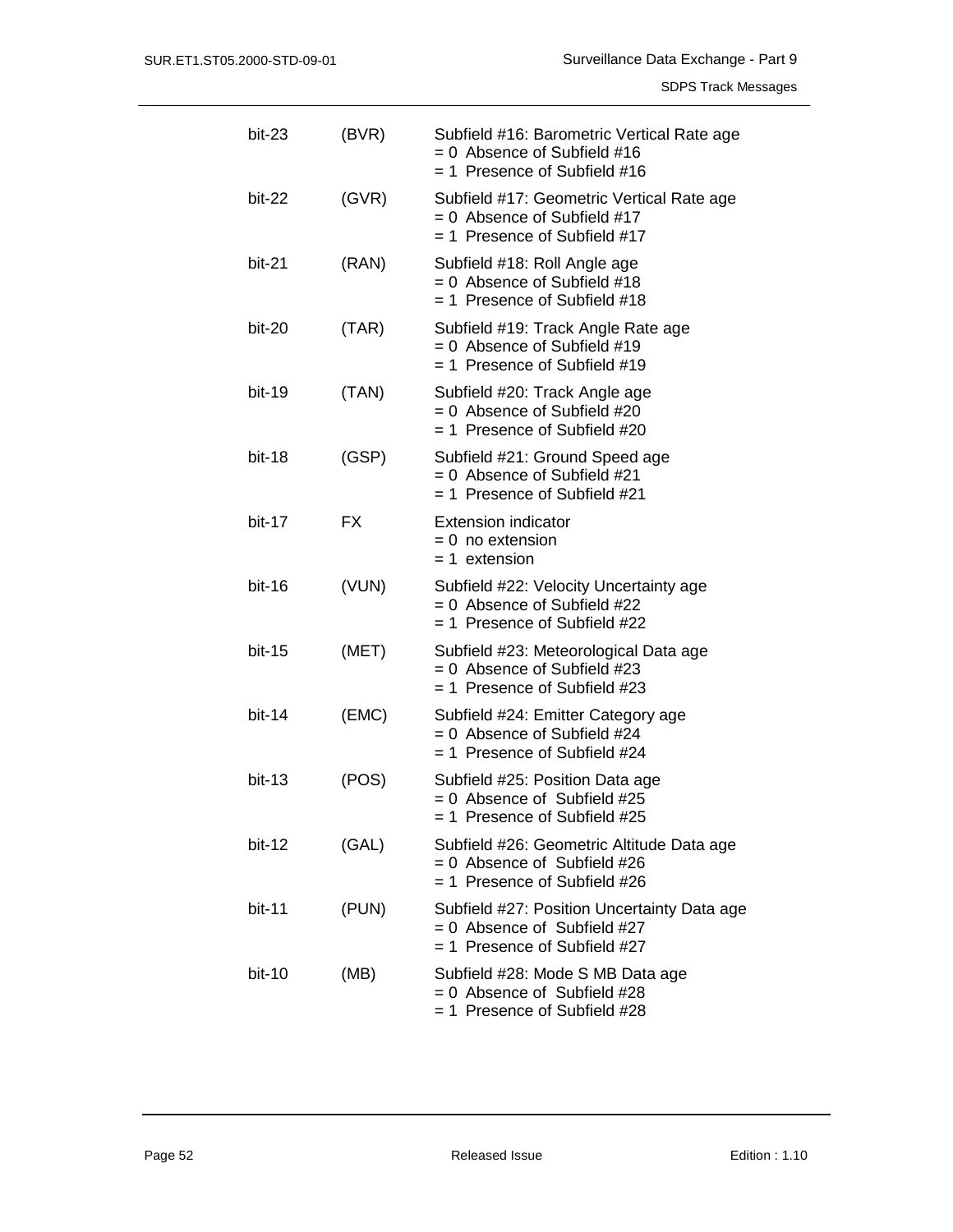| $bit-23$ | (BVR)     | Subfield #16: Barometric Vertical Rate age<br>$= 0$ Absence of Subfield #16<br>= 1 Presence of Subfield #16  |
|----------|-----------|--------------------------------------------------------------------------------------------------------------|
| $bit-22$ | (GVR)     | Subfield #17: Geometric Vertical Rate age<br>= 0 Absence of Subfield #17<br>= 1 Presence of Subfield #17     |
| $bit-21$ | (RAN)     | Subfield #18: Roll Angle age<br>$= 0$ Absence of Subfield #18<br>$= 1$ Presence of Subfield #18              |
| bit-20   | (TAR)     | Subfield #19: Track Angle Rate age<br>= 0 Absence of Subfield #19<br>= 1 Presence of Subfield #19            |
| $bit-19$ | (TAN)     | Subfield #20: Track Angle age<br>= 0 Absence of Subfield #20<br>= 1 Presence of Subfield #20                 |
| bit-18   | (GSP)     | Subfield #21: Ground Speed age<br>$= 0$ Absence of Subfield #21<br>$= 1$ Presence of Subfield #21            |
| bit-17   | <b>FX</b> | <b>Extension indicator</b><br>$= 0$ no extension<br>$= 1$ extension                                          |
| $bit-16$ | (VUN)     | Subfield #22: Velocity Uncertainty age<br>$= 0$ Absence of Subfield #22<br>= 1 Presence of Subfield #22      |
| bit-15   | (MET)     | Subfield #23: Meteorological Data age<br>$= 0$ Absence of Subfield #23<br>$= 1$ Presence of Subfield #23     |
| $bit-14$ | (EMC)     | Subfield #24: Emitter Category age<br>$= 0$ Absence of Subfield #24<br>$= 1$ Presence of Subfield #24        |
| $bit-13$ | (POS)     | Subfield #25: Position Data age<br>= 0 Absence of Subfield #25<br>= 1  Presence of Subfield #25              |
| $bit-12$ | (GAL)     | Subfield #26: Geometric Altitude Data age<br>$= 0$ Absence of Subfield #26<br>= 1 Presence of Subfield #26   |
| bit-11   | (PUN)     | Subfield #27: Position Uncertainty Data age<br>= 0 Absence of Subfield #27<br>$= 1$ Presence of Subfield #27 |
| $bit-10$ | (MB)      | Subfield #28: Mode S MB Data age<br>= 0 Absence of Subfield #28<br>= 1 Presence of Subfield #28              |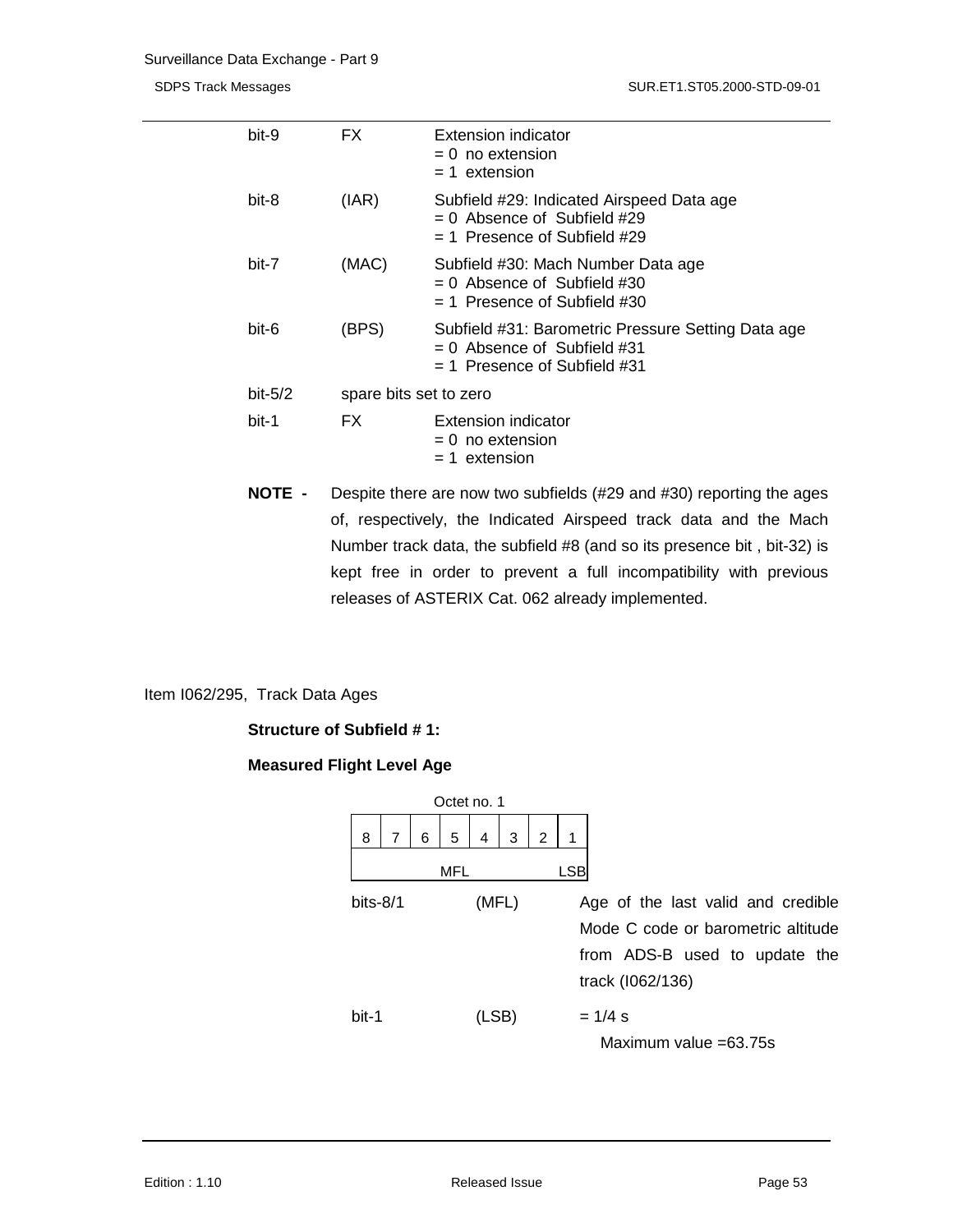| bit-9     | FX.                    | Extension indicator<br>$= 0$ no extension<br>$= 1$ extension                                                          |
|-----------|------------------------|-----------------------------------------------------------------------------------------------------------------------|
| bit-8     | (IAR)                  | Subfield #29: Indicated Airspeed Data age<br>$= 0$ Absence of Subfield #29<br>$=$ 1 Presence of Subfield #29          |
| bit-7     | (MAC)                  | Subfield #30: Mach Number Data age<br>$= 0$ Absence of Subfield #30<br>$= 1$ Presence of Subfield #30                 |
| bit-6     | (BPS)                  | Subfield #31: Barometric Pressure Setting Data age<br>$= 0$ Absence of Subfield #31<br>$= 1$ Presence of Subfield #31 |
| $bit-5/2$ | spare bits set to zero |                                                                                                                       |
| bit-1     | FX.                    | Extension indicator<br>$= 0$ no extension<br>$= 1$ extension                                                          |
|           |                        | Despite there are now two qubtiolds $(400 \text{ and } 490)$ reporting the one                                        |

**NOTE -** Despite there are now two subfields (#29 and #30) reporting the ages of, respectively, the Indicated Airspeed track data and the Mach Number track data, the subfield #8 (and so its presence bit , bit-32) is kept free in order to prevent a full incompatibility with previous releases of ASTERIX Cat. 062 already implemented.

## Item I062/295, Track Data Ages

## **Structure of Subfield # 1:**

## **Measured Flight Level Age**

|            |        | Octet no. 1 |   |   |            |                                                                                                                               |
|------------|--------|-------------|---|---|------------|-------------------------------------------------------------------------------------------------------------------------------|
| 8<br>7     | 6<br>5 | 4           | 3 | 2 | 1          |                                                                                                                               |
|            | MFL    |             |   |   | <b>LSB</b> |                                                                                                                               |
| $bits-8/1$ |        | (MFL)       |   |   |            | Age of the last valid and credible<br>Mode C code or barometric altitude<br>from ADS-B used to update the<br>track (1062/136) |
| bit-1      |        | (LSB)       |   |   |            | $= 1/4$ s<br>Maximum value $=63.75s$                                                                                          |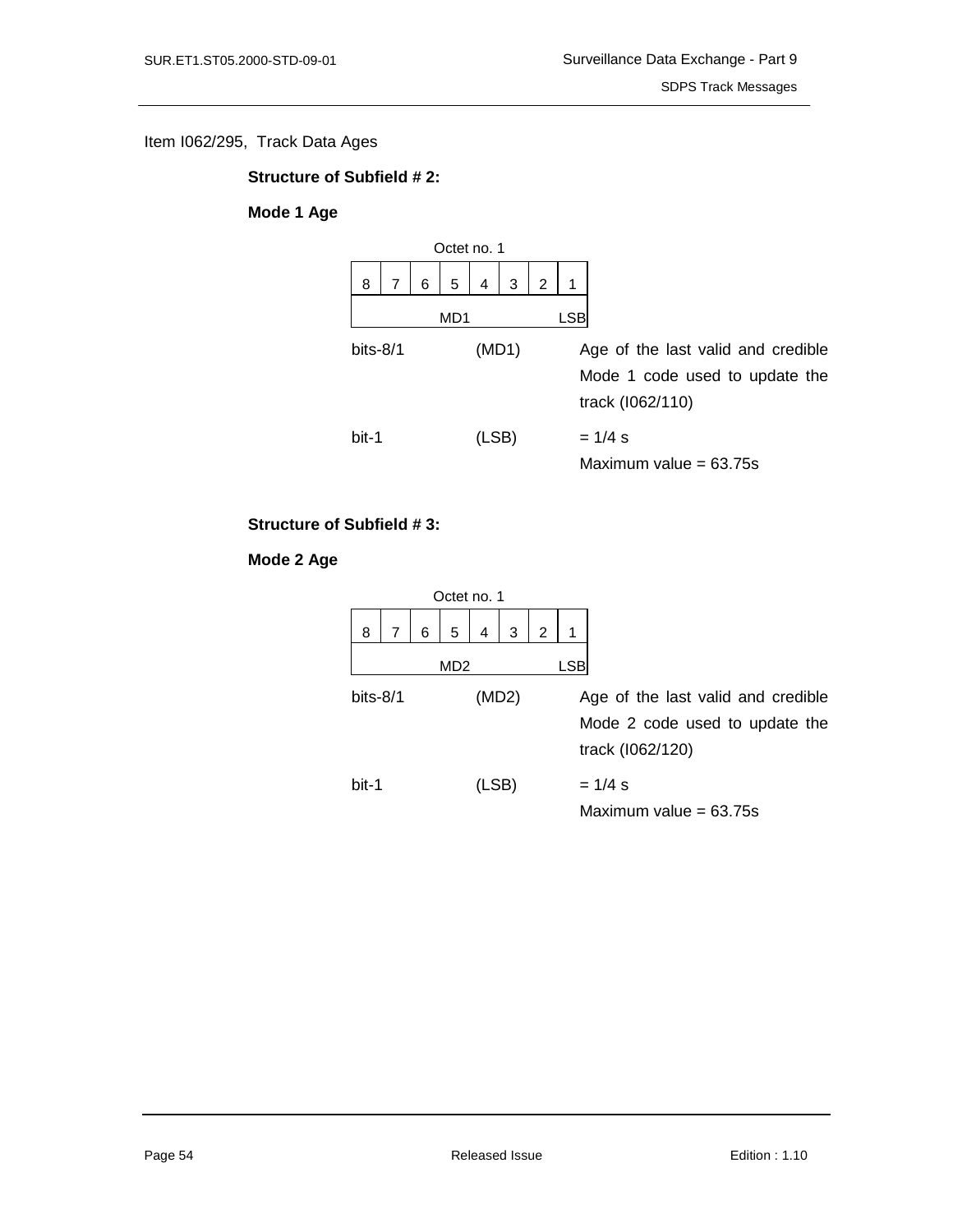#### **Structure of Subfield # 2:**

#### **Mode 1 Age**



#### **Structure of Subfield # 3:**

#### **Mode 2 Age**

|            |   | Octet no. 1                 |       |   |                |            |                                                                                          |
|------------|---|-----------------------------|-------|---|----------------|------------|------------------------------------------------------------------------------------------|
| 8          | 6 | 5                           | 4     | 3 | $\overline{2}$ | 1          |                                                                                          |
|            |   | M <sub>D</sub> <sub>2</sub> |       |   |                | <b>LSB</b> |                                                                                          |
| $bits-8/1$ |   |                             | (MD2) |   |                |            | Age of the last valid and credible<br>Mode 2 code used to update the<br>track (I062/120) |
| bit-1      |   |                             | (LSB) |   |                |            | $= 1/4$ s<br>Maximum value = $63.75s$                                                    |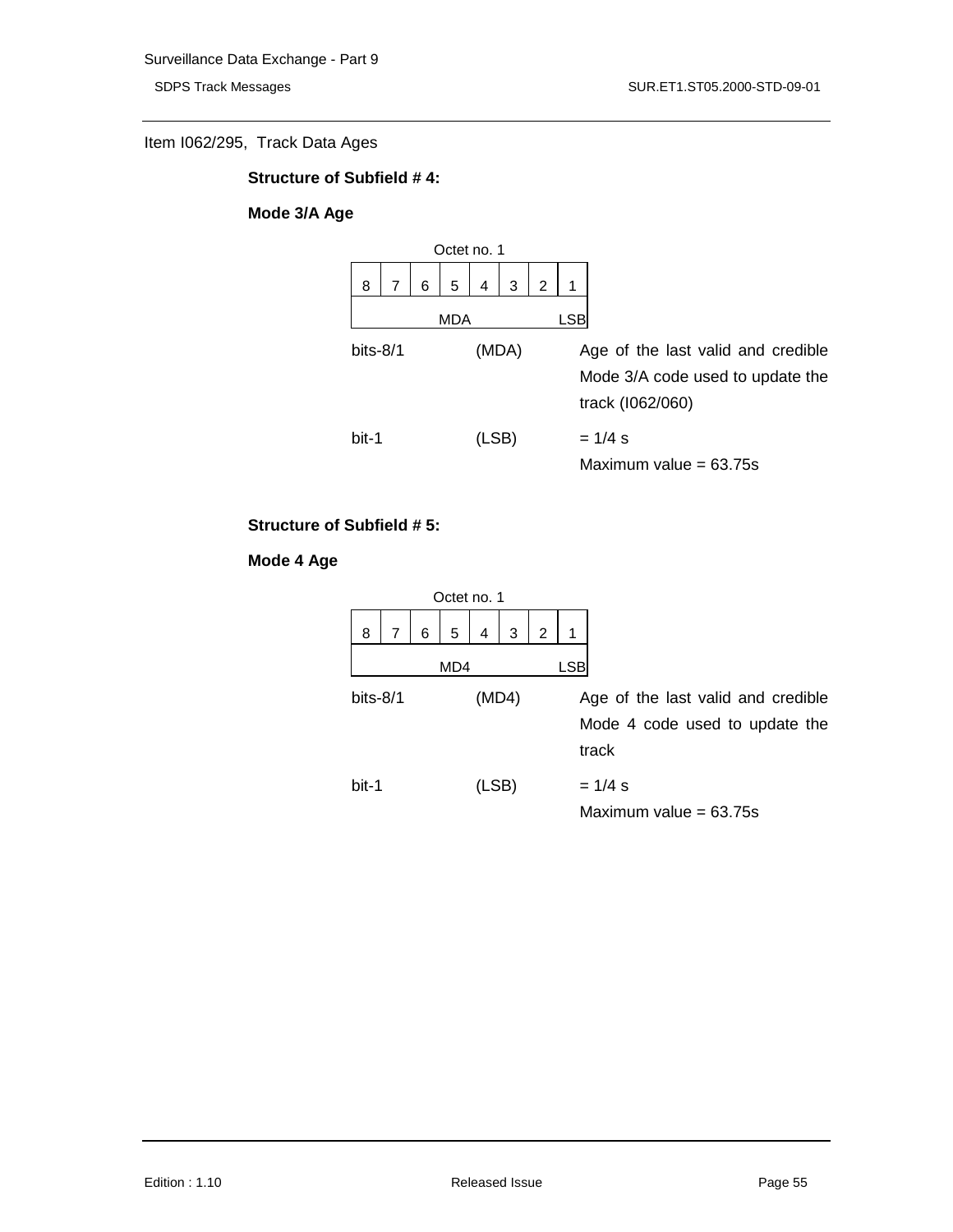#### **Structure of Subfield # 4:**

## **Mode 3/A Age**



#### **Structure of Subfield # 5:**

#### **Mode 4 Age**

|            |   |   | Octet no. 1 |       |   |                |            |                                                                               |
|------------|---|---|-------------|-------|---|----------------|------------|-------------------------------------------------------------------------------|
| 8          | 7 | 6 | 5           | 4     | 3 | $\overline{2}$ | 1          |                                                                               |
|            |   |   | MD4         |       |   |                | <b>LSB</b> |                                                                               |
| $bits-8/1$ |   |   |             | (MD4) |   |                |            | Age of the last valid and credible<br>Mode 4 code used to update the<br>track |
| bit-1      |   |   |             | (LSB) |   |                |            | $= 1/4$ s<br>Maximum value = $63.75s$                                         |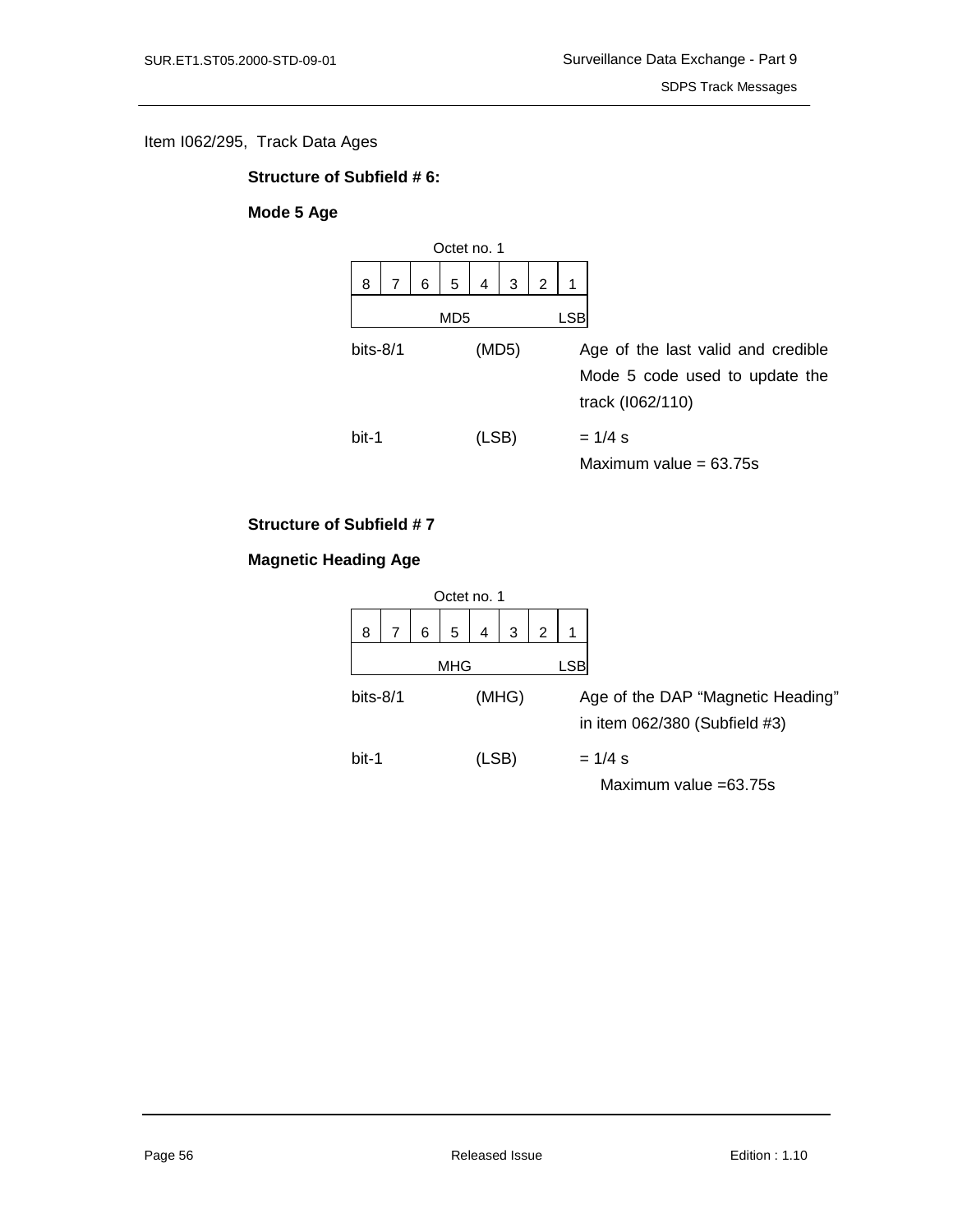#### **Structure of Subfield # 6:**

#### **Mode 5 Age**



#### **Structure of Subfield # 7**

## **Magnetic Heading Age**

|            |   |       | Octet no. 1 |       |   |                |            |                                                                    |
|------------|---|-------|-------------|-------|---|----------------|------------|--------------------------------------------------------------------|
| 8          | 7 | 6     | 5           | 4     | 3 | $\overline{2}$ | 1          |                                                                    |
|            |   |       | MHG         |       |   |                | <b>LSB</b> |                                                                    |
| $bits-8/1$ |   | (MHG) |             |       |   |                |            | Age of the DAP "Magnetic Heading"<br>in item 062/380 (Subfield #3) |
| bit-1      |   |       |             | (LSB) |   |                |            | $= 1/4$ s<br>Maximum value = 63.75s                                |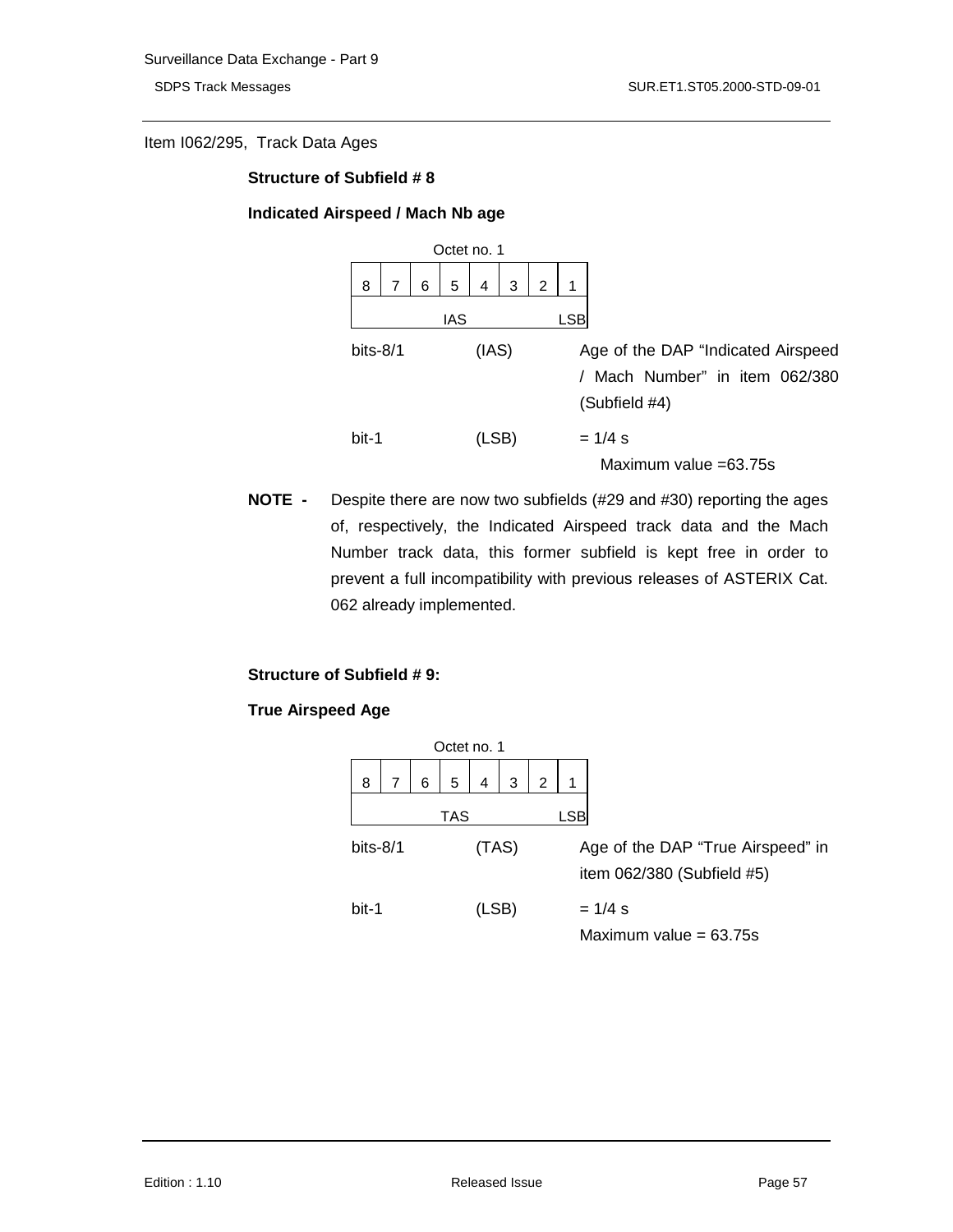#### **Structure of Subfield # 8**

#### **Indicated Airspeed / Mach Nb age**



**NOTE -** Despite there are now two subfields (#29 and #30) reporting the ages of, respectively, the Indicated Airspeed track data and the Mach Number track data, this former subfield is kept free in order to prevent a full incompatibility with previous releases of ASTERIX Cat. 062 already implemented.

#### **Structure of Subfield # 9:**

#### **True Airspeed Age**

|          |   | Octet no. 1 |       |   |   |            |                                                                 |
|----------|---|-------------|-------|---|---|------------|-----------------------------------------------------------------|
| 8        | 6 | 5           | 4     | 3 | 2 | 1          |                                                                 |
|          |   | TAS         |       |   |   | <b>LSB</b> |                                                                 |
| bits-8/1 |   |             | (TAS) |   |   |            | Age of the DAP "True Airspeed" in<br>item 062/380 (Subfield #5) |
| bit-1    |   |             | (LSB) |   |   |            | $= 1/4$ s<br>Maximum value = $63.75s$                           |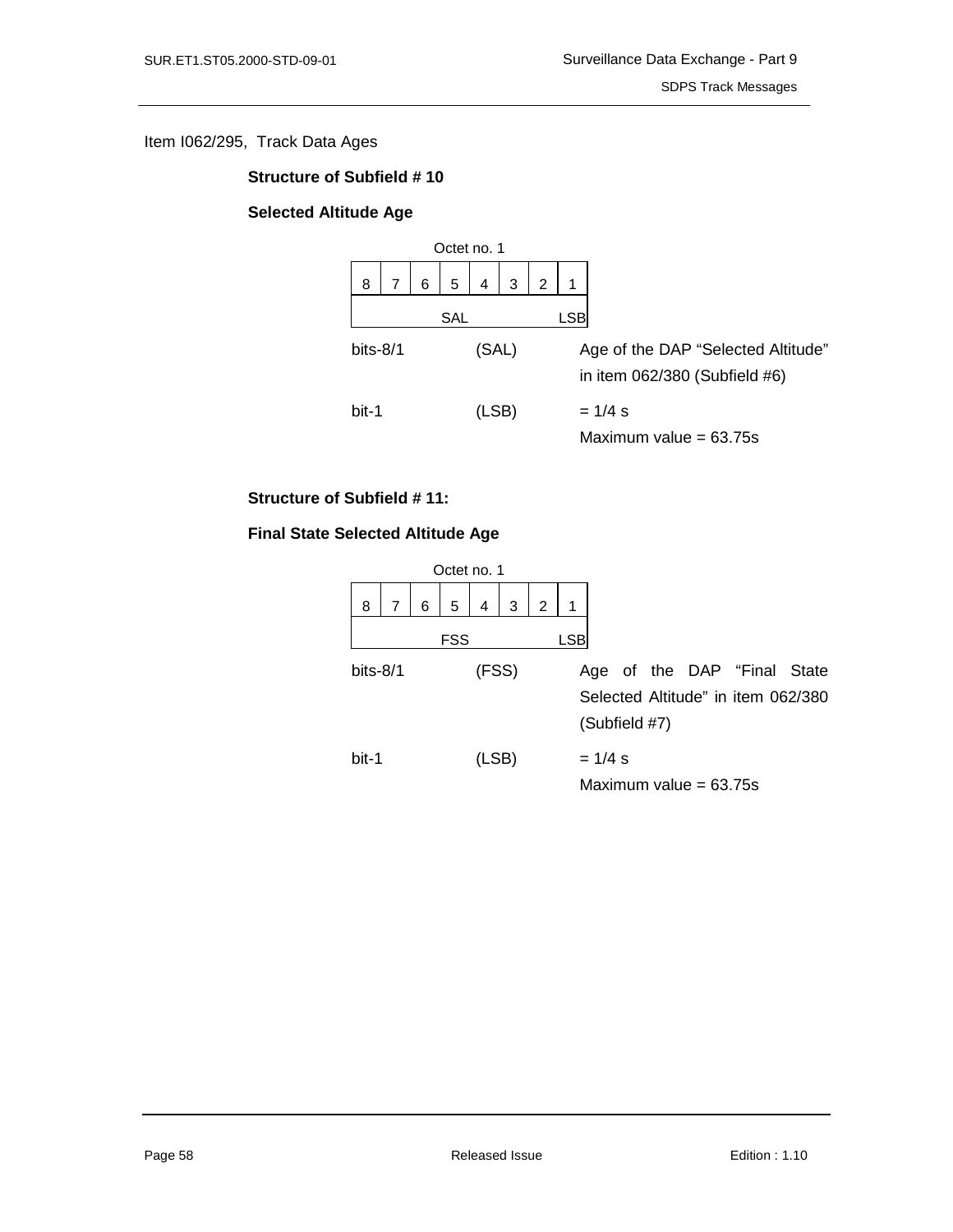## **Structure of Subfield # 10**

#### **Selected Altitude Age**



#### **Structure of Subfield # 11:**

#### **Final State Selected Altitude Age**

|            |   |   |            | Octet no. 1 |   |                |            |           |               |                          |                                    |  |
|------------|---|---|------------|-------------|---|----------------|------------|-----------|---------------|--------------------------|------------------------------------|--|
| 8          | 7 | 6 | 5          | 4           | 3 | $\overline{2}$ | 1          |           |               |                          |                                    |  |
|            |   |   | <b>FSS</b> |             |   |                | <b>LSB</b> |           |               |                          |                                    |  |
| $bits-8/1$ |   |   |            | (FSS)       |   |                |            |           |               |                          | Age of the DAP "Final State        |  |
|            |   |   |            |             |   |                |            |           |               |                          | Selected Altitude" in item 062/380 |  |
|            |   |   |            |             |   |                |            |           | (Subfield #7) |                          |                                    |  |
| bit-1      |   |   |            | (LSB)       |   |                |            | $= 1/4$ s |               |                          |                                    |  |
|            |   |   |            |             |   |                |            |           |               | Maximum value = $63.75s$ |                                    |  |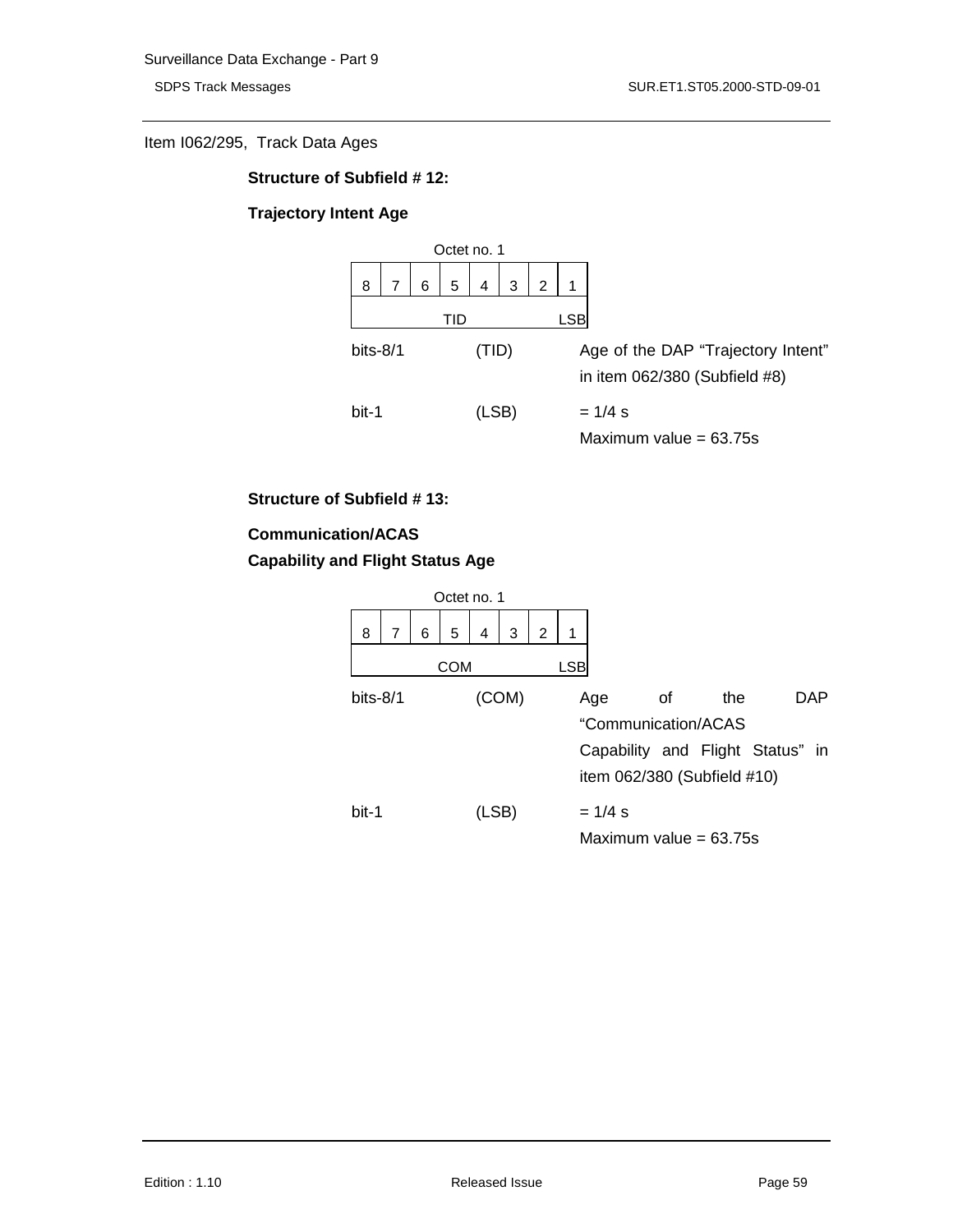#### **Structure of Subfield # 12:**

## **Trajectory Intent Age**

|            |   | Octet no. 1 |       |   |   |            |                                                                     |
|------------|---|-------------|-------|---|---|------------|---------------------------------------------------------------------|
| 8          | 6 | 5           | 4     | 3 | 2 | 1          |                                                                     |
|            |   | TID         |       |   |   | <b>LSB</b> |                                                                     |
| $bits-8/1$ |   |             | (TID) |   |   |            | Age of the DAP "Trajectory Intent"<br>in item 062/380 (Subfield #8) |
| bit-1      |   |             | (LSB) |   |   |            | $= 1/4$ s<br>Maximum value = $63.75s$                               |

**Structure of Subfield # 13:** 

## **Communication/ACAS Capability and Flight Status Age**

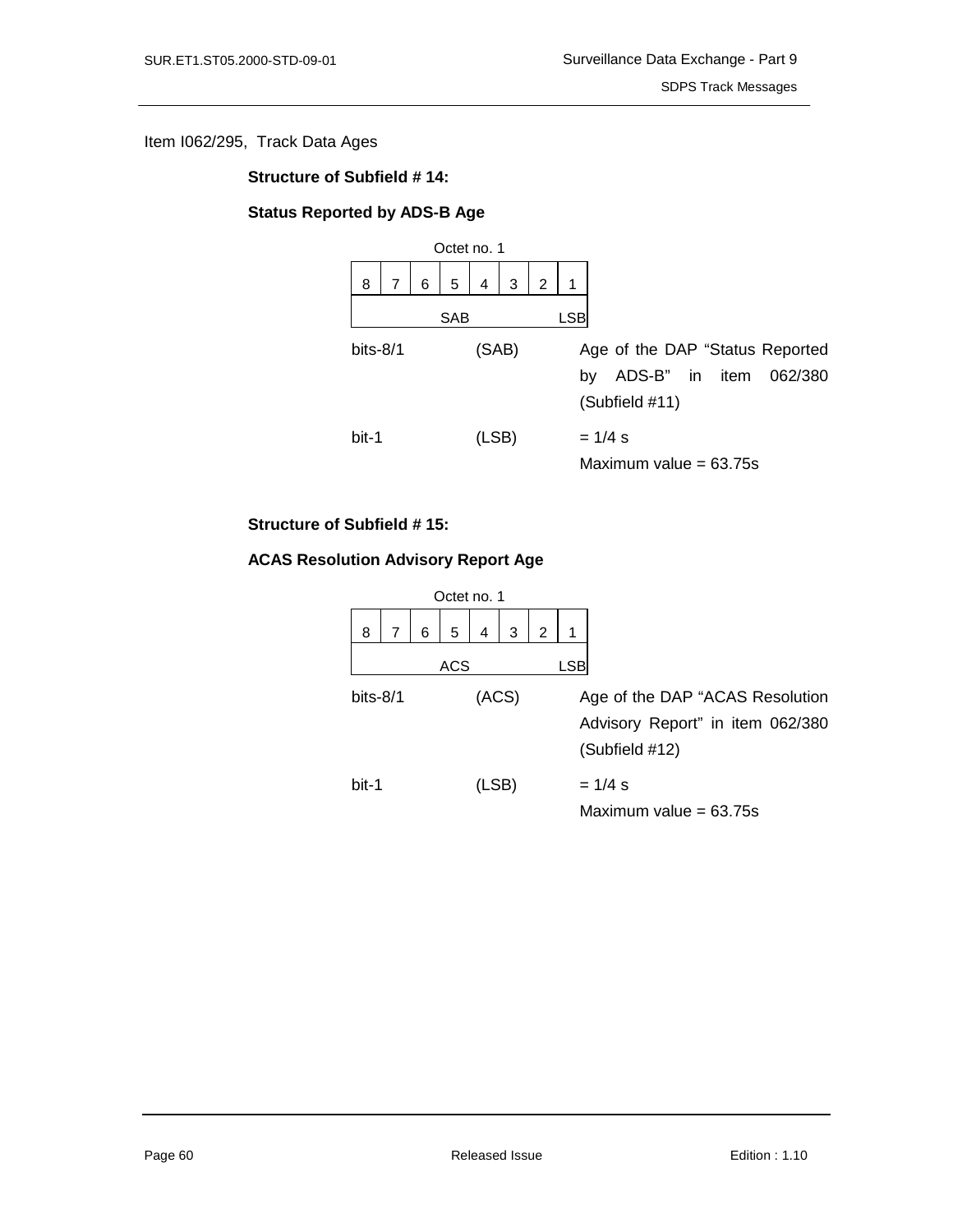#### **Structure of Subfield # 14:**

## **Status Reported by ADS-B Age**

|            |   |   | Octet no. 1 |       |   |   |            |                                                                                |
|------------|---|---|-------------|-------|---|---|------------|--------------------------------------------------------------------------------|
| 8          | 7 | 6 | 5           | 4     | 3 | 2 | 1          |                                                                                |
|            |   |   | <b>SAB</b>  |       |   |   | <b>LSB</b> |                                                                                |
| $bits-8/1$ |   |   |             | (SAB) |   |   | by         | Age of the DAP "Status Reported<br>ADS-B" in item<br>062/380<br>(Subfield #11) |
| bit-1      |   |   |             | (LSB) |   |   |            | $= 1/4$ s<br>Maximum value = $63.75s$                                          |

### **Structure of Subfield # 15:**

#### **ACAS Resolution Advisory Report Age**

|            |   |   | Octet no. 1 |       |   |   |            |                                                                                       |
|------------|---|---|-------------|-------|---|---|------------|---------------------------------------------------------------------------------------|
| 8          | 7 | 6 | 5           | 4     | 3 | 2 | 1          |                                                                                       |
|            |   |   | ACS         |       |   |   | <b>LSB</b> |                                                                                       |
| $bits-8/1$ |   |   |             | (ACS) |   |   |            | Age of the DAP "ACAS Resolution<br>Advisory Report" in item 062/380<br>(Subfield #12) |
| bit-1      |   |   |             | (LSB) |   |   |            | $= 1/4$ s<br>Maximum value = $63.75s$                                                 |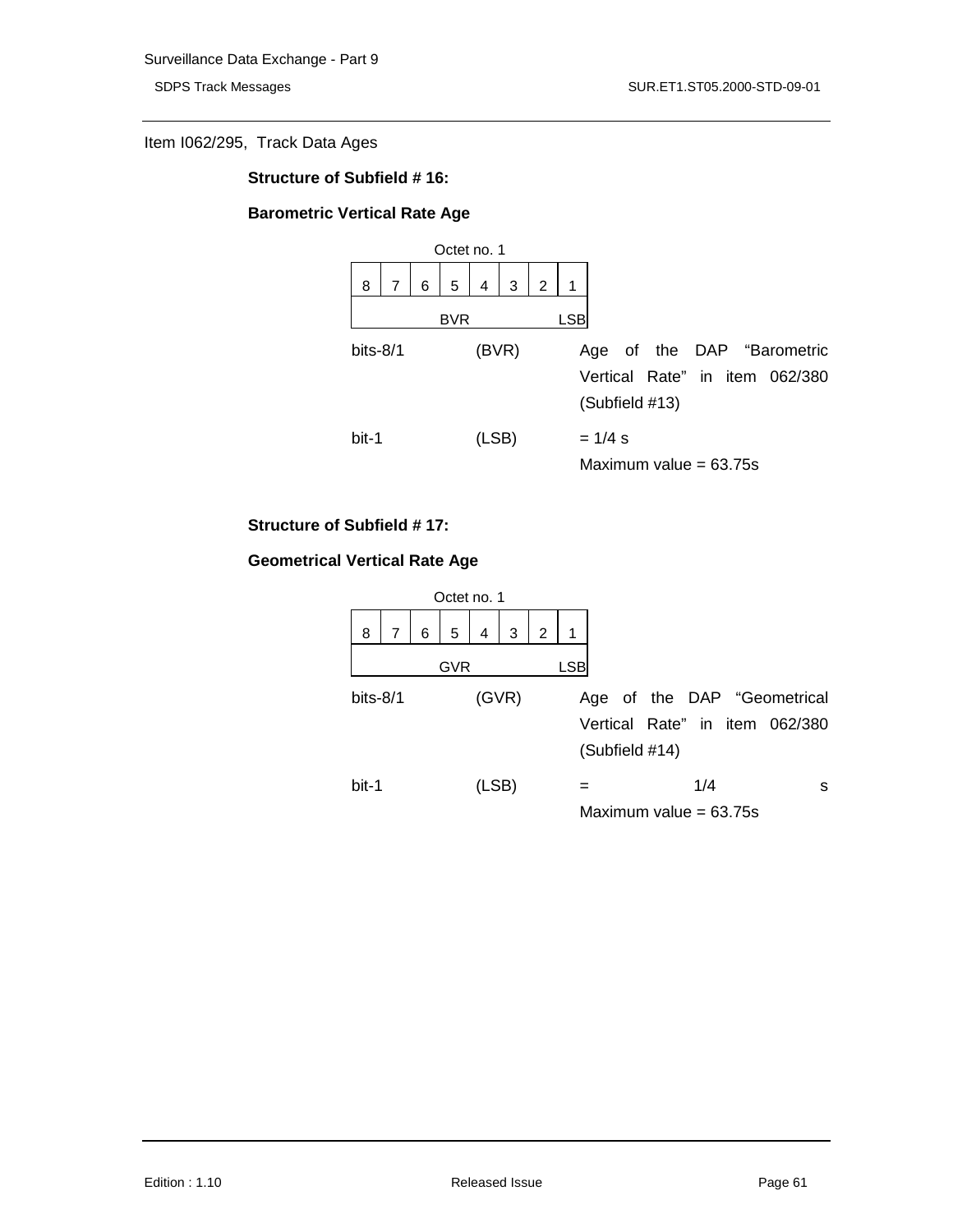#### **Structure of Subfield # 16:**

#### **Barometric Vertical Rate Age**



#### **Structure of Subfield # 17:**

#### **Geometrical Vertical Rate Age**

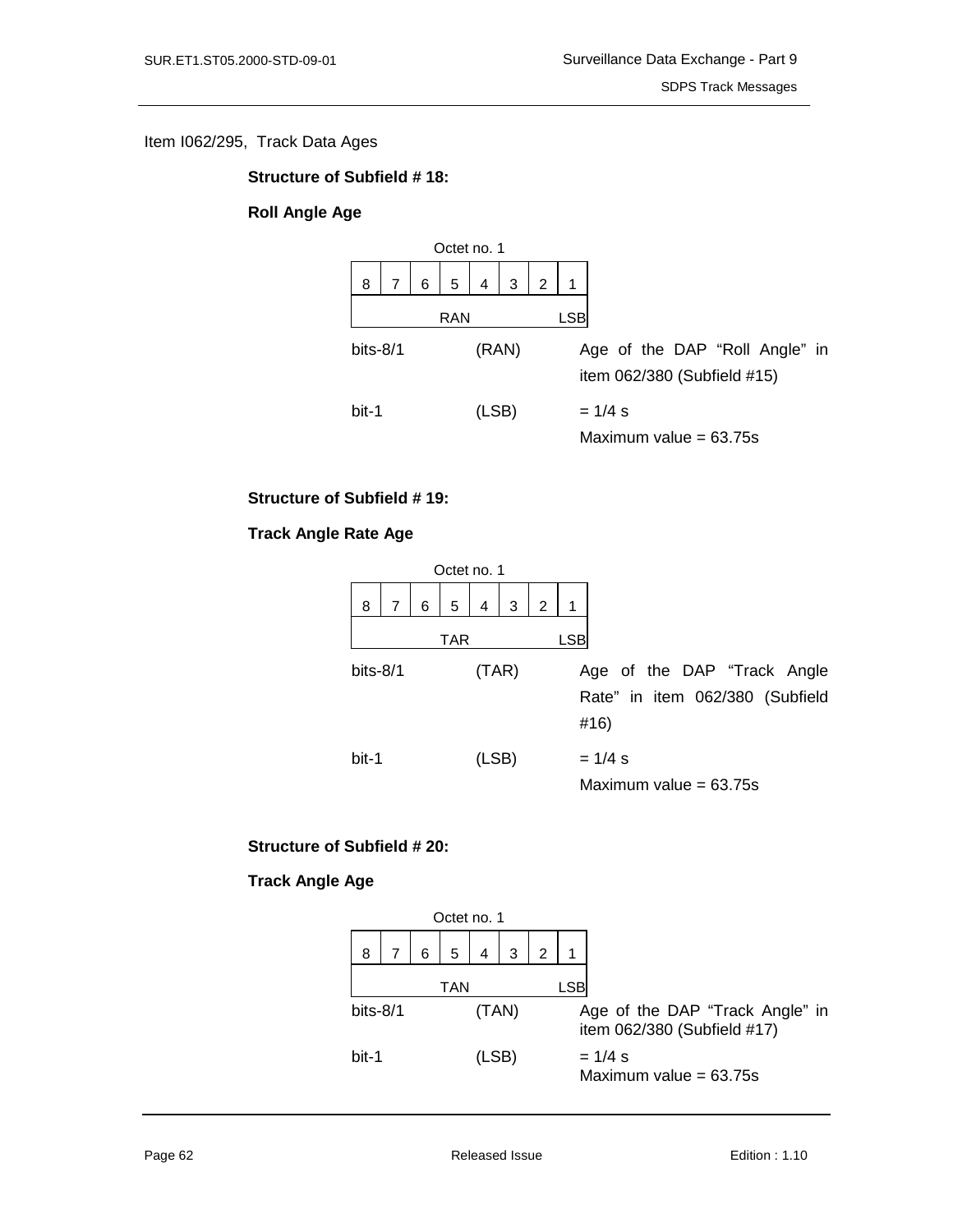#### **Structure of Subfield # 18:**

#### **Roll Angle Age**



#### **Structure of Subfield # 19:**

#### **Track Angle Rate Age**

|       |          |   |            |   | Octet no. 1 |   |                |            |                                                                        |
|-------|----------|---|------------|---|-------------|---|----------------|------------|------------------------------------------------------------------------|
|       | 8        | 7 | 6          | 5 | 4           | 3 | $\overline{2}$ | 1          |                                                                        |
|       |          |   | <b>TAR</b> |   |             |   |                | <b>LSB</b> |                                                                        |
|       | bits-8/1 |   | (TAR)      |   |             |   |                |            | Age of the DAP "Track Angle<br>Rate" in item 062/380 (Subfield<br>#16) |
| bit-1 |          |   | (LSB)      |   |             |   |                |            | $= 1/4$ s<br>Maximum value = $63.75s$                                  |

#### **Structure of Subfield # 20:**

### **Track Angle Age**

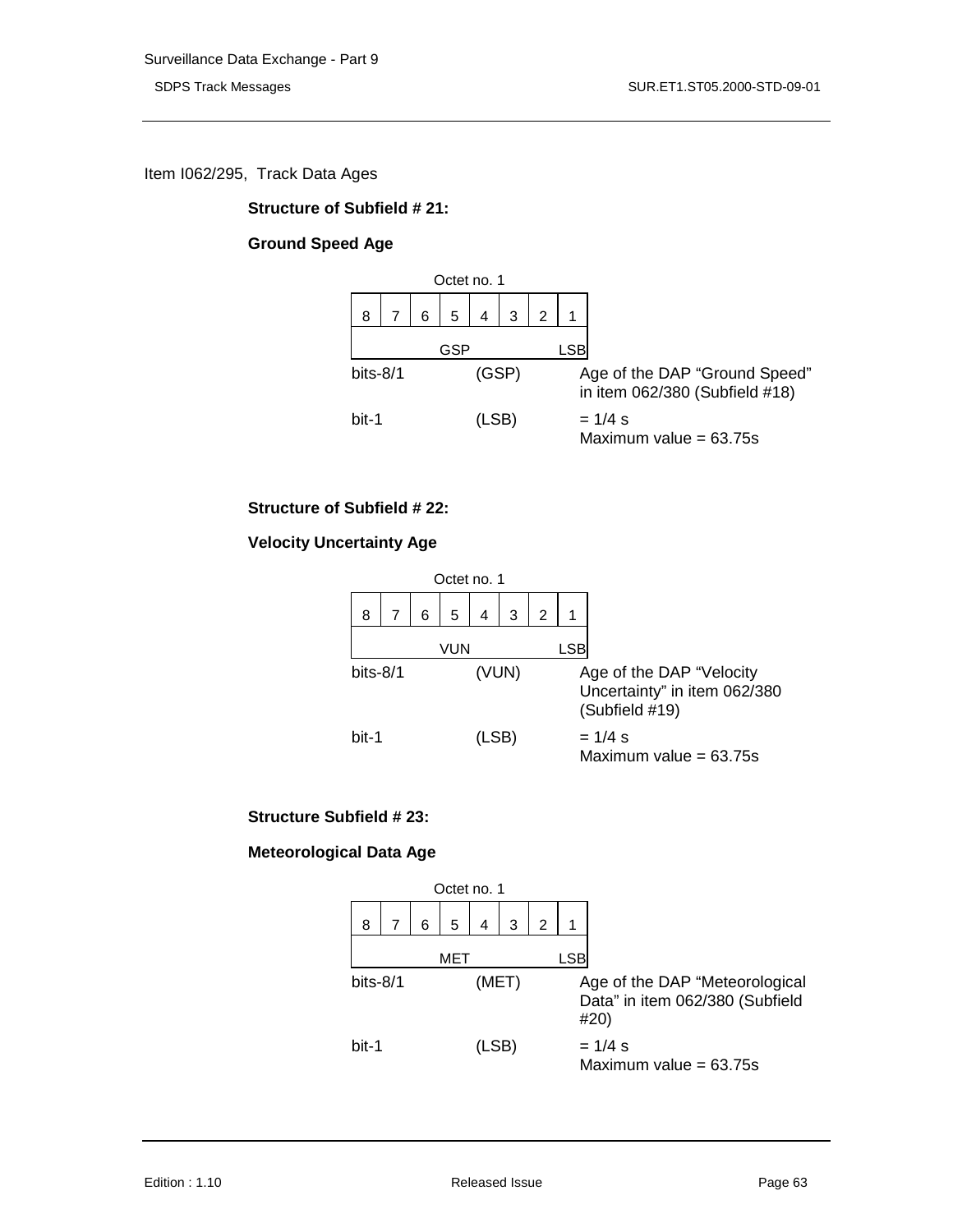# **Structure of Subfield # 21:**

# **Ground Speed Age**



# **Structure of Subfield # 22:**

# **Velocity Uncertainty Age**

|            |   | Octet no. 1 |       |   |   |            |                                                                            |
|------------|---|-------------|-------|---|---|------------|----------------------------------------------------------------------------|
| 8          | 6 | 5           | 4     | 3 | 2 |            |                                                                            |
|            |   | VUN         |       |   |   | <b>LSB</b> |                                                                            |
| $bits-8/1$ |   |             | (VUN) |   |   |            | Age of the DAP "Velocity<br>Uncertainty" in item 062/380<br>(Subfield #19) |
| bit-1      |   |             | (LSB) |   |   |            | $= 1/4$ s<br>Maximum value = $63.75s$                                      |

# **Structure Subfield # 23:**

# **Meteorological Data Age**

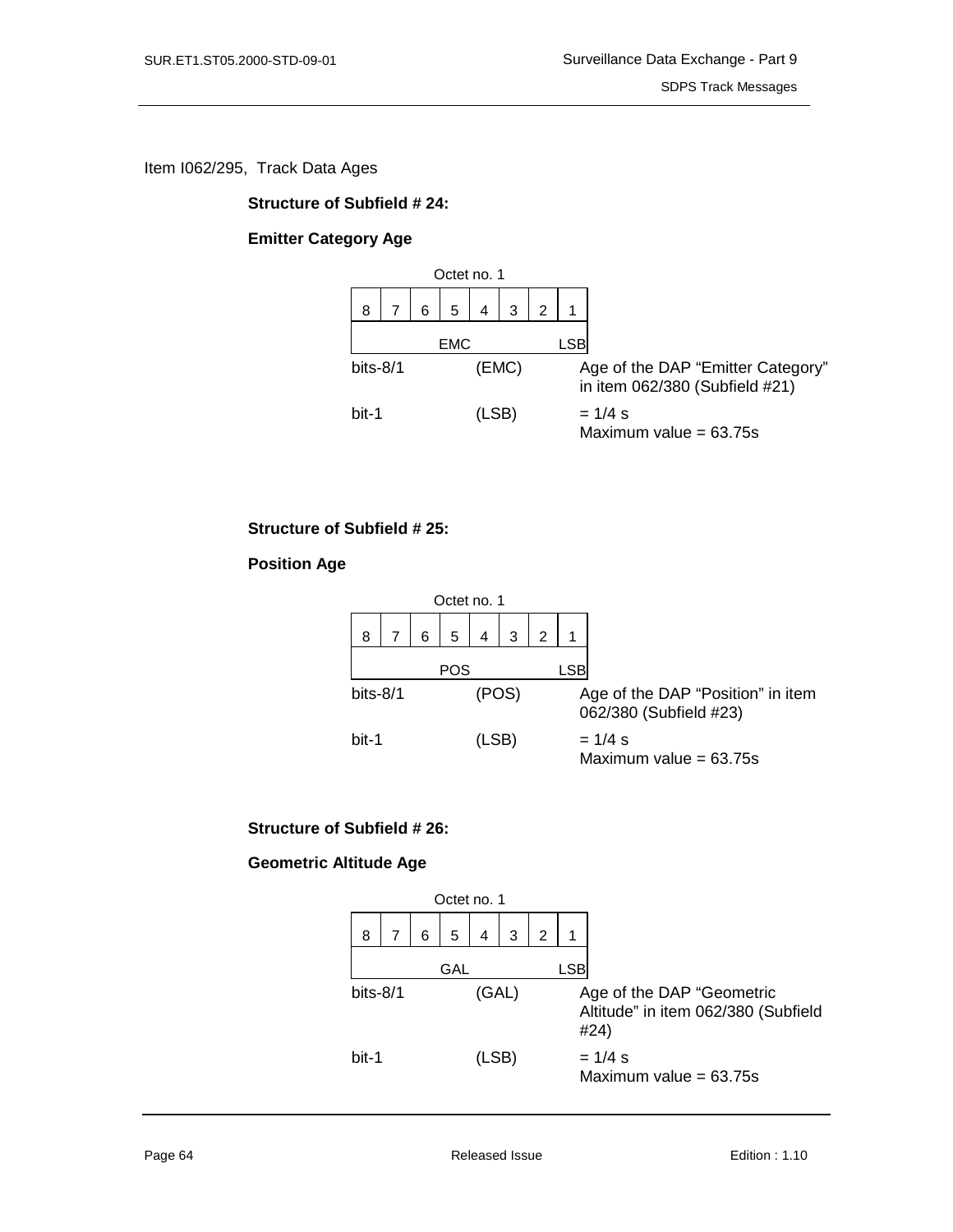#### **Structure of Subfield # 24:**

#### **Emitter Category Age**



#### **Structure of Subfield # 25:**

# **Position Age**



#### **Structure of Subfield # 26:**

#### **Geometric Altitude Age**

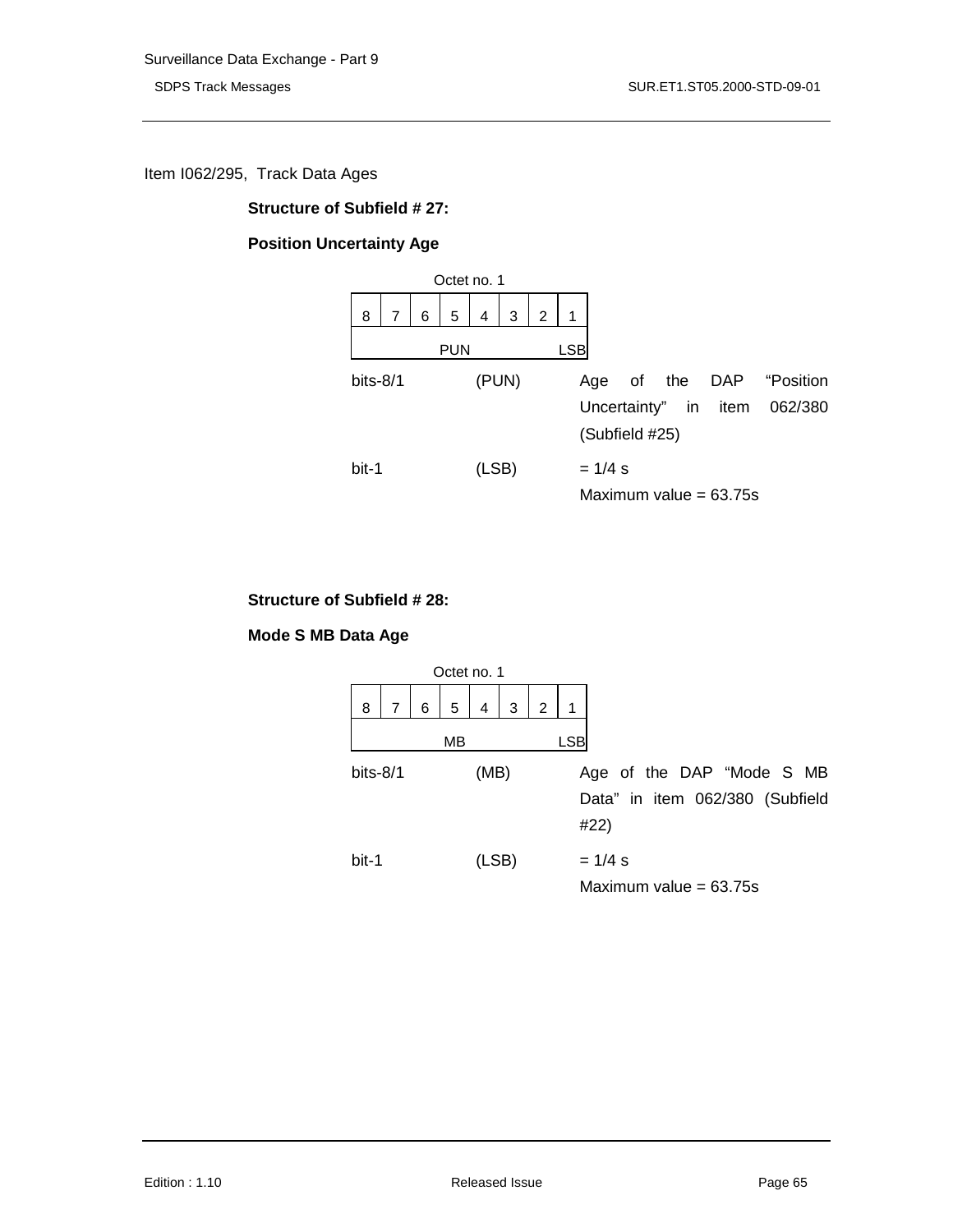# **Structure of Subfield # 27:**

# **Position Uncertainty Age**



# **Structure of Subfield # 28:**

# **Mode S MB Data Age**

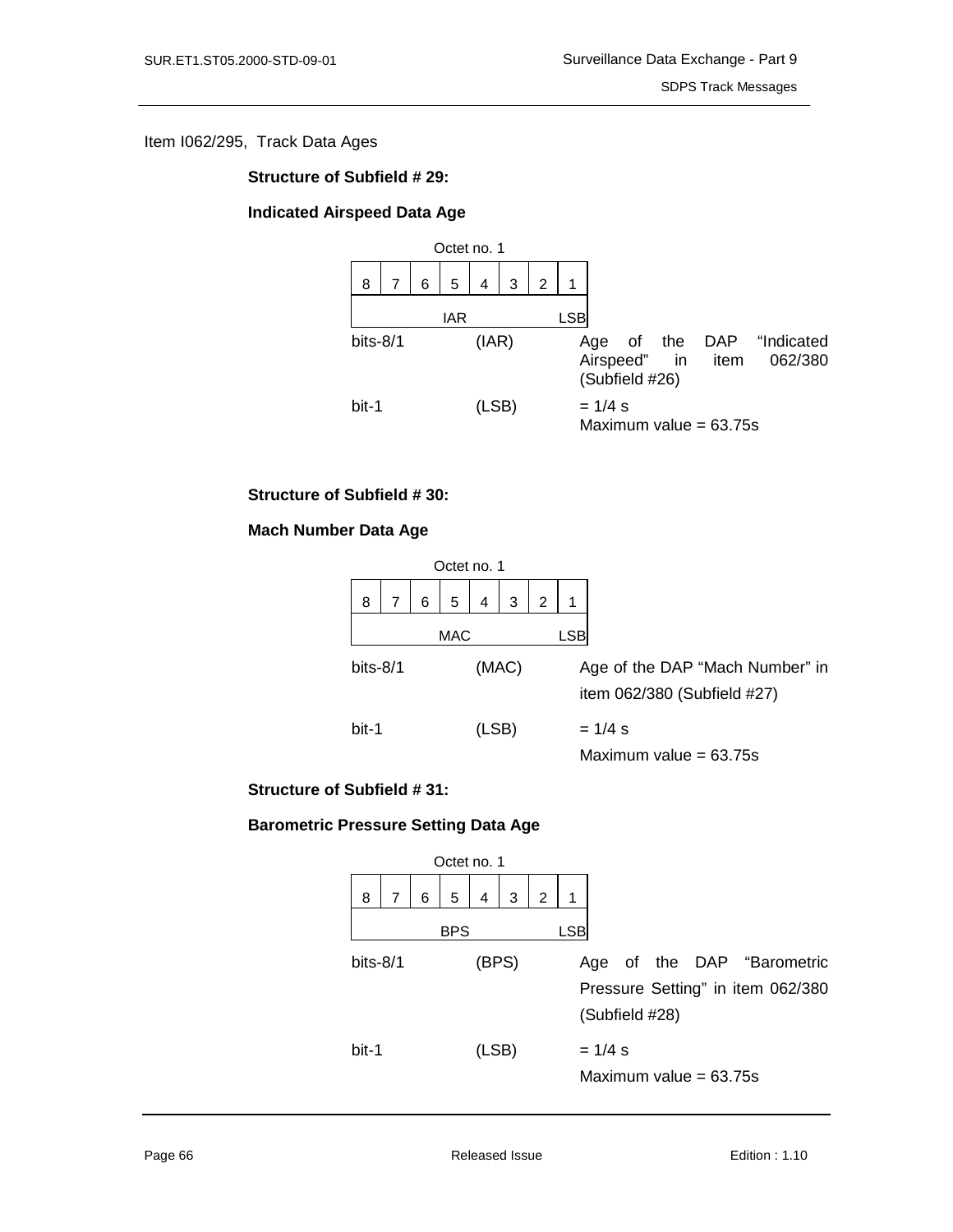#### **Structure of Subfield # 29:**

#### **Indicated Airspeed Data Age**



# **Structure of Subfield # 30:**

#### **Mach Number Data Age**



#### **Structure of Subfield # 31:**

#### **Barometric Pressure Setting Data Age**

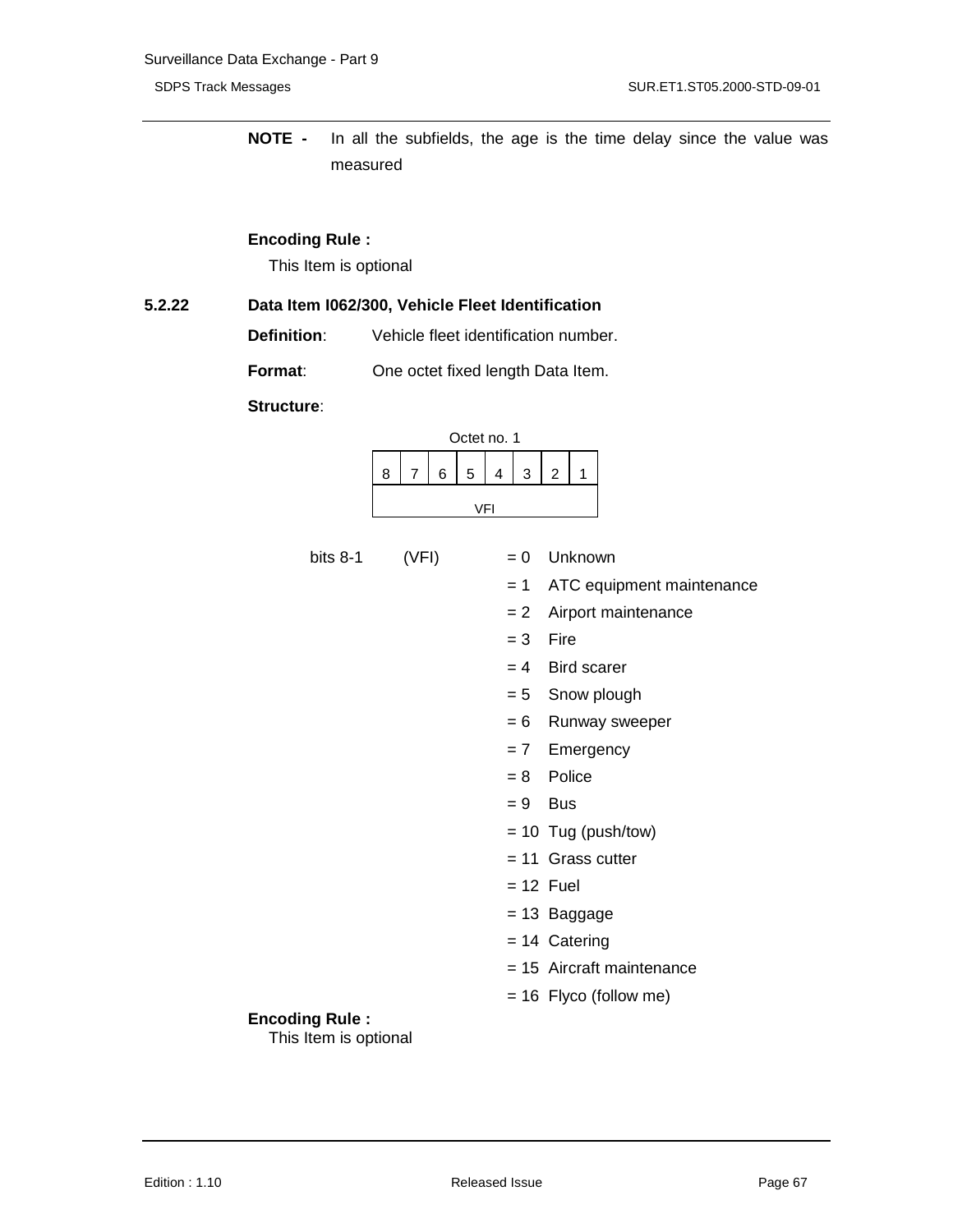**NOTE -** In all the subfields, the age is the time delay since the value was measured

# **Encoding Rule :**

This Item is optional

## **5.2.22 Data Item I062/300, Vehicle Fleet Identification**

 **Definition**: Vehicle fleet identification number.

**Format:** One octet fixed length Data Item.

 **Structure**:



# **Encoding Rule :**

This Item is optional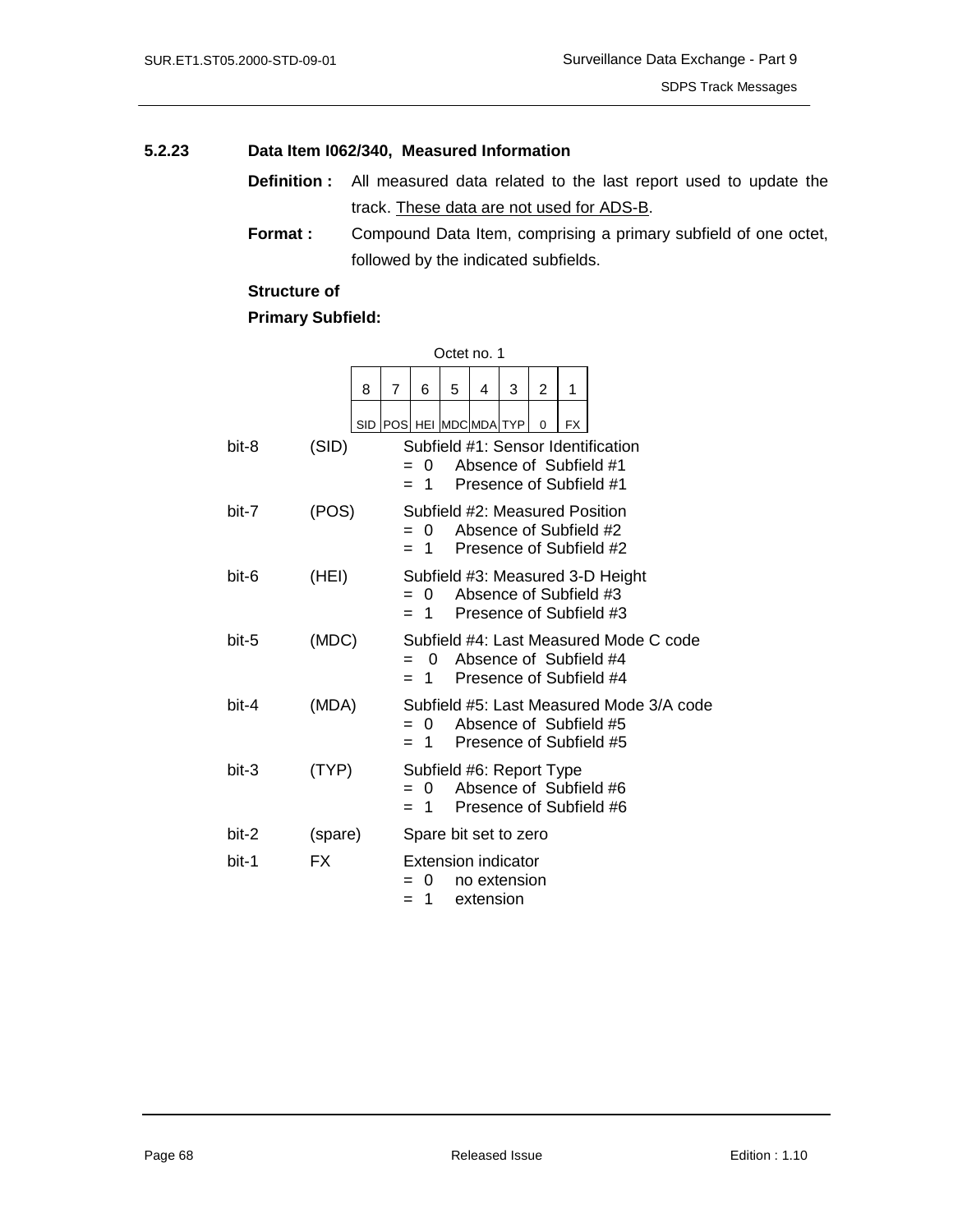- **Definition :** All measured data related to the last report used to update the track. These data are not used for ADS-B.
- Format : Compound Data Item, comprising a primary subfield of one octet, followed by the indicated subfields.

# **Structure of**

# **Primary Subfield:**

|       |         |            |            |                   | Octet no. 1         |           |                                            |   |           |                                                                                               |
|-------|---------|------------|------------|-------------------|---------------------|-----------|--------------------------------------------|---|-----------|-----------------------------------------------------------------------------------------------|
|       |         | 8          | 7          | 6                 | 5                   | 4         | 3                                          | 2 | 1         |                                                                                               |
|       |         | <b>SID</b> |            |                   | POS HEI MDC MDA TYP |           |                                            | 0 | <b>FX</b> |                                                                                               |
| bit-8 | (SID)   |            | $=$<br>$=$ | 0<br>1            |                     |           |                                            |   |           | Subfield #1: Sensor Identification<br>Absence of Subfield #1<br>Presence of Subfield #1       |
| bit-7 | (POS)   |            | $=$<br>$=$ | 0<br>$\mathbf{1}$ |                     |           |                                            |   |           | Subfield #2: Measured Position<br>Absence of Subfield #2<br>Presence of Subfield #2           |
| bit-6 | (HEI)   |            |            | 1<br>$=$          |                     |           |                                            |   |           | Subfield #3: Measured 3-D Height<br>0 Absence of Subfield #3<br>Presence of Subfield #3       |
| bit-5 | (MDC)   |            | $=$        | 1                 |                     |           |                                            |   |           | Subfield #4: Last Measured Mode C code<br>0 Absence of Subfield #4<br>Presence of Subfield #4 |
| bit-4 | (MDA)   |            | $=$        | 0<br>1            |                     |           |                                            |   |           | Subfield #5: Last Measured Mode 3/A code<br>Absence of Subfield #5<br>Presence of Subfield #5 |
| bit-3 | (TYP)   |            |            | $= 0$<br>1<br>$=$ |                     |           | Subfield #6: Report Type                   |   |           | Absence of Subfield #6<br>Presence of Subfield #6                                             |
| bit-2 | (spare) |            |            |                   |                     |           | Spare bit set to zero                      |   |           |                                                                                               |
| bit-1 | FX      |            | $=$        | O<br>1            |                     | extension | <b>Extension indicator</b><br>no extension |   |           |                                                                                               |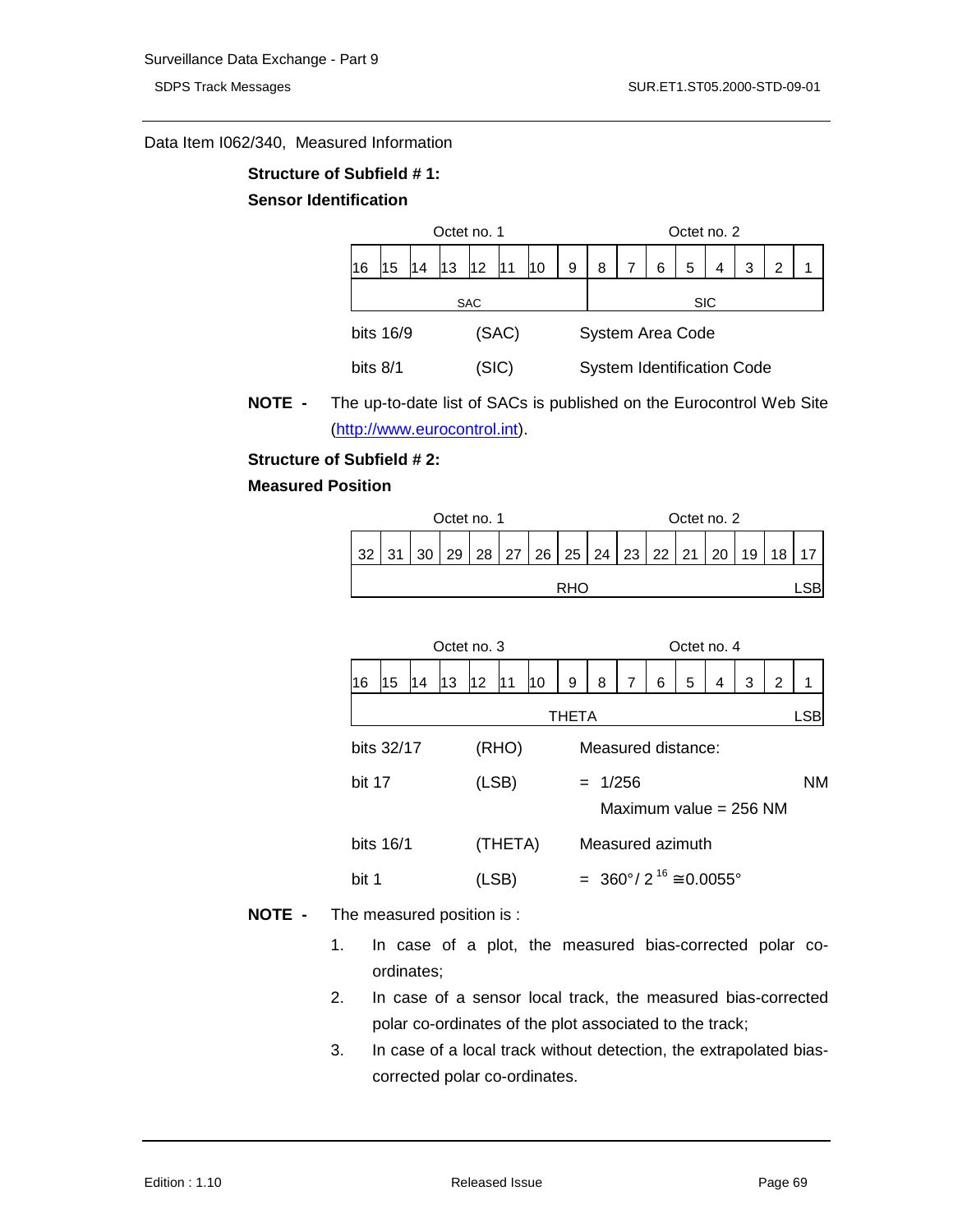# **Structure of Subfield # 1: Sensor Identification**

|    |                     |    | Octet no. 1 |  |       |    |   |   |                                   |   | Octet no. 2 |            |   |   |  |
|----|---------------------|----|-------------|--|-------|----|---|---|-----------------------------------|---|-------------|------------|---|---|--|
| 16 | 15                  | 14 | 13          |  | 111   | 10 | 9 | 8 |                                   | 6 | 5           | 4          | 3 | 2 |  |
|    | 12<br><b>SAC</b>    |    |             |  |       |    |   |   |                                   |   |             | <b>SIC</b> |   |   |  |
|    | bits 16/9           |    |             |  | (SAC) |    |   |   | System Area Code                  |   |             |            |   |   |  |
|    | bits $8/1$<br>(SIC) |    |             |  |       |    |   |   | <b>System Identification Code</b> |   |             |            |   |   |  |

**NOTE -** The up-to-date list of SACs is published on the Eurocontrol Web Site (http://www.eurocontrol.int).

#### **Structure of Subfield # 2:**

# **Measured Position**

|    |                                                        |    | Octet no. 1 |  |  |  |  |  |  |  |  | Octet no. 2 |    |  |  |
|----|--------------------------------------------------------|----|-------------|--|--|--|--|--|--|--|--|-------------|----|--|--|
| 32 |                                                        | 3U |             |  |  |  |  |  |  |  |  |             | 19 |  |  |
|    | 29   28   27   26   25   24   23   22   21   20<br>RHO |    |             |  |  |  |  |  |  |  |  |             |    |  |  |

|        |            |    | Octet no. 3 |       |         |    |       |                                                 |       |   |   | Octet no. 4 |                          |   |            |
|--------|------------|----|-------------|-------|---------|----|-------|-------------------------------------------------|-------|---|---|-------------|--------------------------|---|------------|
| 16     | 15         | 14 | 13          | 12    | 111     | 10 | 9     | 8                                               | 7     | 6 | 5 | 4           | 3                        | 2 | 1          |
|        |            |    |             |       |         |    | THETA |                                                 |       |   |   |             |                          |   | <b>LSB</b> |
|        | bits 32/17 |    |             |       | (RHO)   |    |       | Measured distance:                              |       |   |   |             |                          |   |            |
| bit 17 |            |    |             | (LSB) |         |    | $=$   |                                                 | 1/256 |   |   |             |                          |   | ΝM         |
|        |            |    |             |       |         |    |       |                                                 |       |   |   |             | Maximum value = $256$ NM |   |            |
|        | bits 16/1  |    |             |       | (THETA) |    |       | Measured azimuth                                |       |   |   |             |                          |   |            |
| bit 1  |            |    |             | (LSB) |         |    |       | = $360^{\circ}/2^{16}$ $\approx 0.0055^{\circ}$ |       |   |   |             |                          |   |            |

- **NOTE** The measured position is :
	- 1. In case of a plot, the measured bias-corrected polar coordinates;
	- 2. In case of a sensor local track, the measured bias-corrected polar co-ordinates of the plot associated to the track;
	- 3. In case of a local track without detection, the extrapolated biascorrected polar co-ordinates.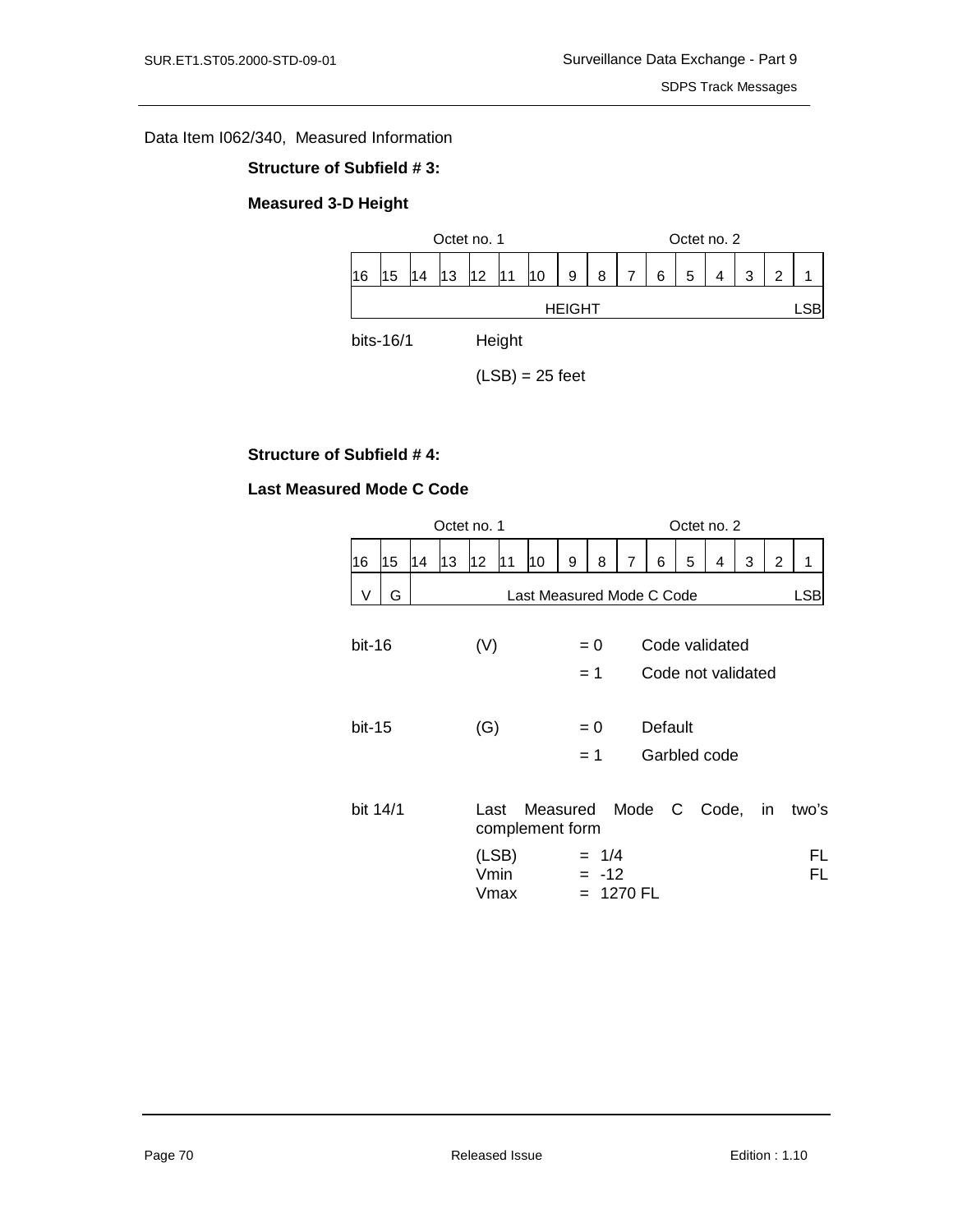# **Structure of Subfield # 3:**

## **Measured 3-D Height**





# **Structure of Subfield # 4:**

# **Last Measured Mode C Code**

|          |    |    |    | Octet no. 1   |      |                                             |   |                    |           |         | Octet no. 2        |   |   |   |            |
|----------|----|----|----|---------------|------|---------------------------------------------|---|--------------------|-----------|---------|--------------------|---|---|---|------------|
| 16       | 15 | 14 | 13 | 12            | l11  | 10                                          | 9 | 8                  | 7         | 6       | 5                  | 4 | 3 | 2 | 1          |
| V        | G  |    |    |               |      | Last Measured Mode C Code                   |   |                    |           |         |                    |   |   |   | <b>LSB</b> |
| $bit-16$ |    |    |    | (V)           |      |                                             |   | $= 0$              |           |         | Code validated     |   |   |   |            |
|          |    |    |    |               |      |                                             |   | $= 1$              |           |         | Code not validated |   |   |   |            |
| bit-15   |    |    |    | (G)           |      |                                             |   | $= 0$              |           | Default |                    |   |   |   |            |
|          |    |    |    |               |      |                                             |   | $= 1$              |           |         | Garbled code       |   |   |   |            |
| bit 14/1 |    |    |    | Last          |      | Measured Mode C Code, in<br>complement form |   |                    |           |         |                    |   |   |   | two's      |
|          |    |    |    | (LSB)<br>Vmin | Vmax |                                             |   | $= 1/4$<br>$= -12$ | = 1270 FL |         |                    |   |   |   | FL.<br>FL  |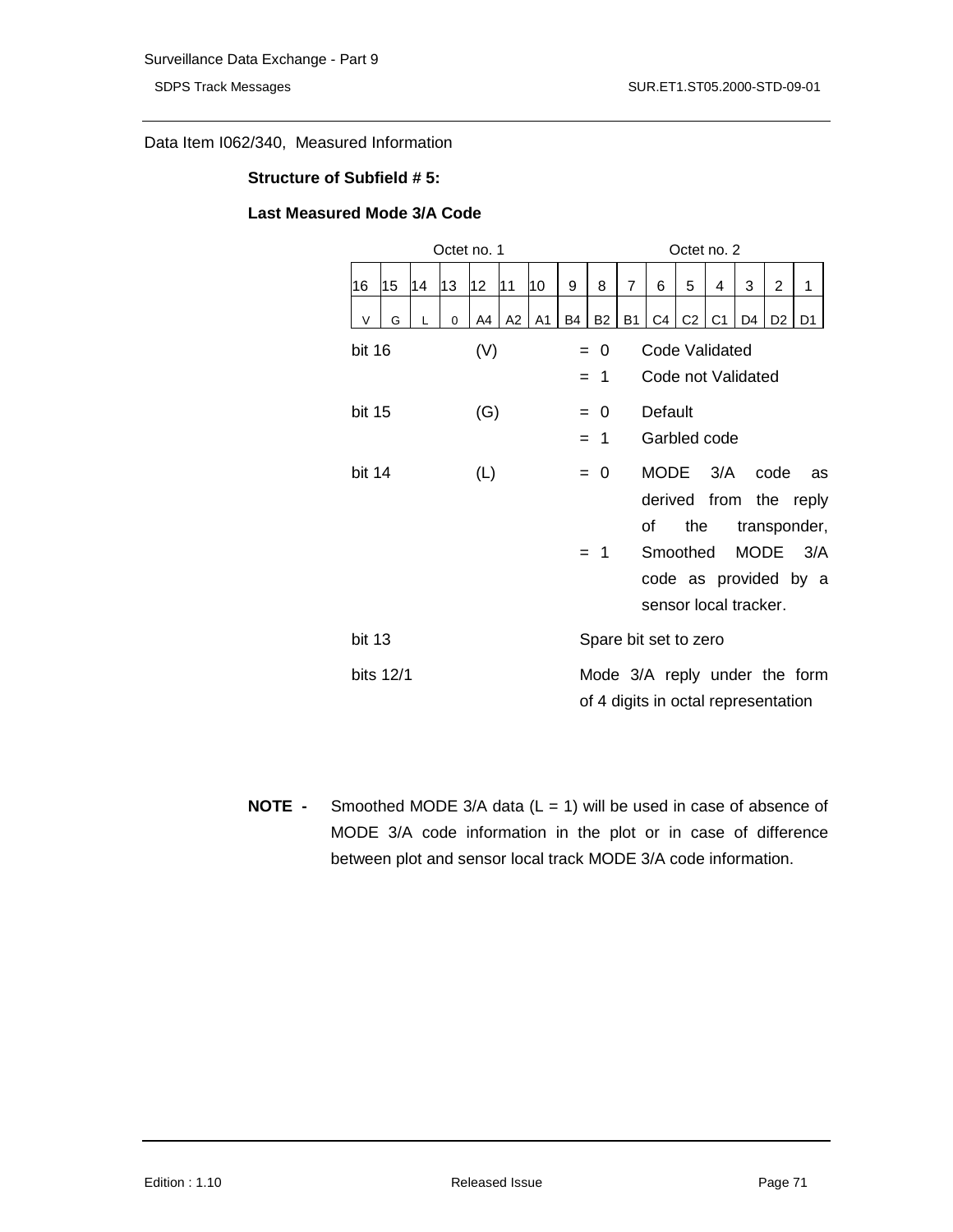## **Structure of Subfield # 5:**

#### **Last Measured Mode 3/A Code**

|                                                                   |               |                                           | Octet no. 1 |     |    |                |            |           |           |                                      |                | Octet no. 2      |                |                |                               |  |  |
|-------------------------------------------------------------------|---------------|-------------------------------------------|-------------|-----|----|----------------|------------|-----------|-----------|--------------------------------------|----------------|------------------|----------------|----------------|-------------------------------|--|--|
| 16                                                                | 15            | 14                                        | 13          | 12  | 11 | 10             | 9          | 8         | 7         | 6                                    | 5              | 3<br>2<br>4<br>1 |                |                |                               |  |  |
| $\vee$                                                            | G             | L                                         | 0           | A4  | A2 | A <sub>1</sub> | <b>B4</b>  | <b>B2</b> | <b>B1</b> | C4                                   | C <sub>2</sub> | C <sub>1</sub>   | D <sub>4</sub> | D <sub>2</sub> | D <sub>1</sub>                |  |  |
| bit 16                                                            |               |                                           |             | (V) |    |                | $=$<br>$=$ | - 0<br>-1 |           | Code Validated<br>Code not Validated |                |                  |                |                |                               |  |  |
| <b>bit 15</b><br>(G)<br>Default<br>$= 0$<br>Garbled code<br>$=$ 1 |               |                                           |             |     |    |                |            |           |           |                                      |                |                  |                |                |                               |  |  |
|                                                                   |               | 3/A<br><b>MODE</b><br>code<br>$= 0$<br>as |             |     |    |                |            |           |           |                                      |                |                  |                |                |                               |  |  |
|                                                                   | bit 14<br>(L) |                                           |             |     |    |                |            |           |           |                                      |                |                  |                |                |                               |  |  |
|                                                                   |               |                                           |             |     |    |                |            |           |           |                                      |                |                  |                |                | derived from the reply        |  |  |
|                                                                   |               |                                           |             |     |    |                |            |           |           | οf                                   | the            |                  |                |                | transponder,                  |  |  |
|                                                                   |               |                                           |             |     |    |                | $=$        | - 1       |           | Smoothed                             |                |                  | <b>MODE</b>    |                | 3/A                           |  |  |
|                                                                   |               |                                           |             |     |    |                |            |           |           |                                      |                |                  |                |                | code as provided by a         |  |  |
|                                                                   |               |                                           |             |     |    |                |            |           |           | sensor local tracker.                |                |                  |                |                |                               |  |  |
| bit 13                                                            |               |                                           |             |     |    |                |            |           |           | Spare bit set to zero                |                |                  |                |                |                               |  |  |
|                                                                   | bits 12/1     |                                           |             |     |    |                |            |           |           |                                      |                |                  |                |                | Mode 3/A reply under the form |  |  |
|                                                                   |               |                                           |             |     |    |                |            |           |           | of 4 digits in octal representation  |                |                  |                |                |                               |  |  |

**NOTE -** Smoothed MODE 3/A data (L = 1) will be used in case of absence of MODE 3/A code information in the plot or in case of difference between plot and sensor local track MODE 3/A code information.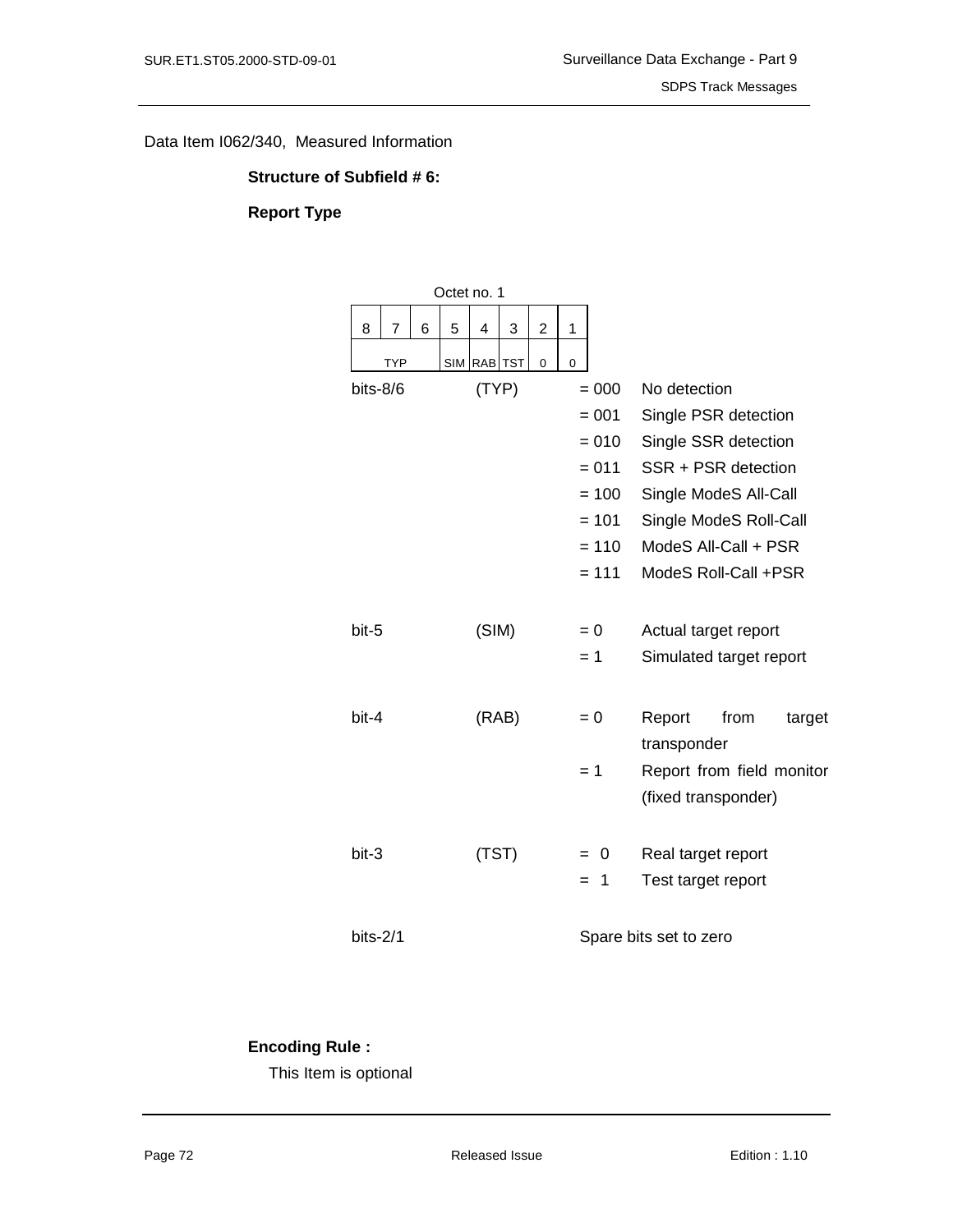## **Structure of Subfield # 6:**

# **Report Type**

|            |            |   | Octet no. 1 |                |   |                |     |         |                        |                         |                           |
|------------|------------|---|-------------|----------------|---|----------------|-----|---------|------------------------|-------------------------|---------------------------|
| 8          | 7          | 6 | 5           | $\overline{4}$ | 3 | $\overline{2}$ | 1   |         |                        |                         |                           |
|            | <b>TYP</b> |   |             | SIM RAB TST    |   | 0              | 0   |         |                        |                         |                           |
| bits-8/6   |            |   |             | (TYP)          |   |                |     | $= 000$ | No detection           |                         |                           |
|            |            |   |             |                |   |                |     | $= 001$ |                        | Single PSR detection    |                           |
|            |            |   |             |                |   |                |     | $= 010$ |                        | Single SSR detection    |                           |
|            |            |   |             |                |   |                |     | $= 011$ |                        | SSR + PSR detection     |                           |
|            |            |   |             |                |   |                |     | $= 100$ |                        | Single ModeS All-Call   |                           |
|            |            |   |             |                |   |                |     | $= 101$ |                        | Single ModeS Roll-Call  |                           |
|            |            |   |             |                |   |                |     | $= 110$ |                        | ModeS All-Call + PSR    |                           |
|            |            |   |             |                |   |                |     | $= 111$ |                        | ModeS Roll-Call +PSR    |                           |
|            |            |   |             |                |   |                |     |         |                        |                         |                           |
| bit-5      |            |   |             | (SIM)          |   |                |     | $= 0$   |                        | Actual target report    |                           |
|            |            |   |             |                |   |                |     | $= 1$   |                        | Simulated target report |                           |
|            |            |   |             |                |   |                |     |         |                        |                         |                           |
| bit-4      |            |   |             | (RAB)          |   |                |     | $= 0$   | Report                 | from                    | target                    |
|            |            |   |             |                |   |                |     |         | transponder            |                         |                           |
|            |            |   |             |                |   |                |     | $= 1$   |                        |                         | Report from field monitor |
|            |            |   |             |                |   |                |     |         |                        | (fixed transponder)     |                           |
|            |            |   |             |                |   |                |     |         |                        |                         |                           |
| bit-3      |            |   |             | (TST)          |   |                | $=$ | - 0     |                        | Real target report      |                           |
|            |            |   |             |                |   |                | $=$ | 1       |                        | Test target report      |                           |
|            |            |   |             |                |   |                |     |         |                        |                         |                           |
| $bits-2/1$ |            |   |             |                |   |                |     |         | Spare bits set to zero |                         |                           |

# **Encoding Rule :**

This Item is optional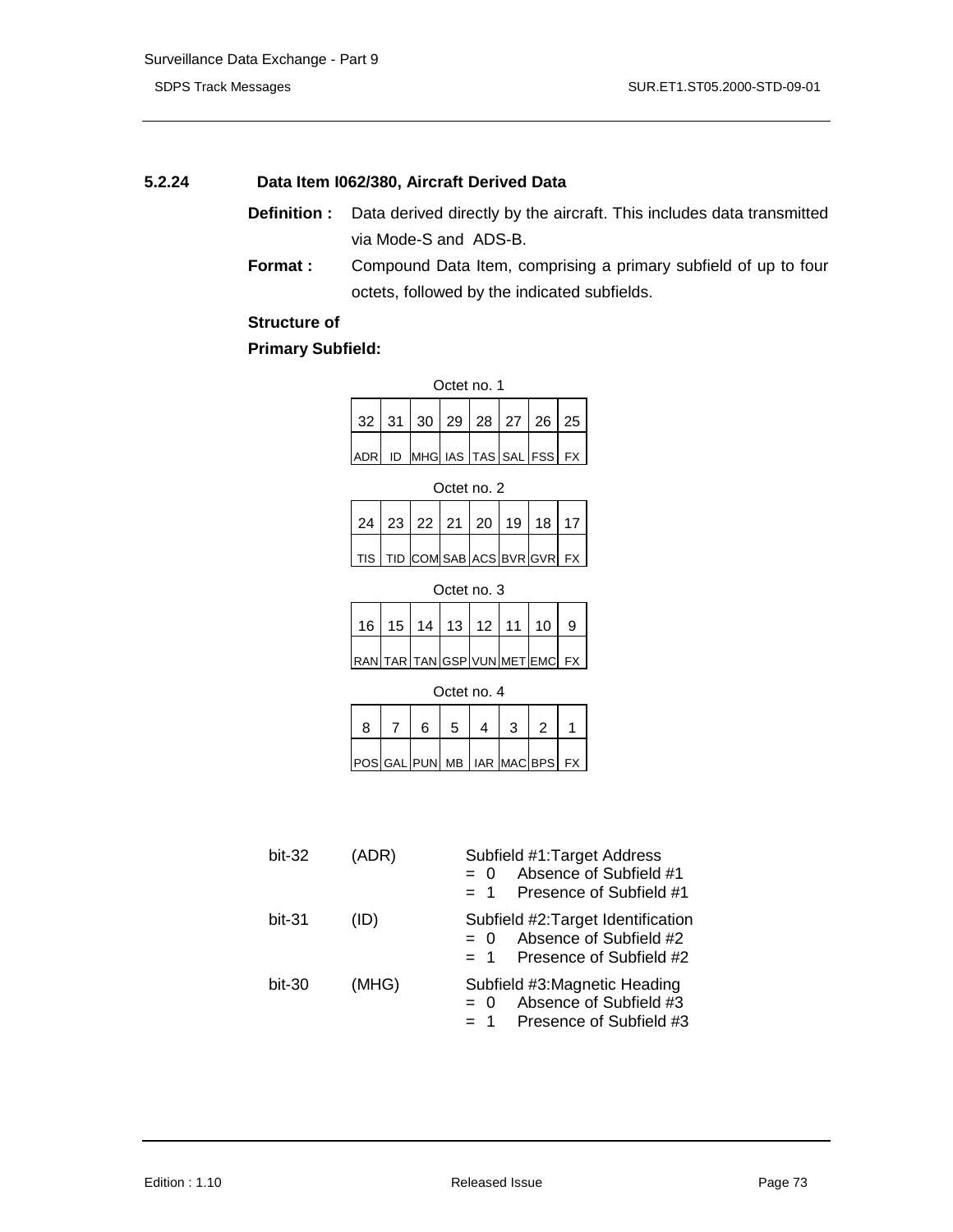- **Definition :** Data derived directly by the aircraft. This includes data transmitted via Mode-S and ADS-B.
- Format : Compound Data Item, comprising a primary subfield of up to four octets, followed by the indicated subfields.

#### **Structure of**

# **Primary Subfield:**

|  |                                         | Octet no. 1 |  |  |
|--|-----------------------------------------|-------------|--|--|
|  | $32$   31   30   29   28   27   26   25 |             |  |  |
|  | ADR   ID MHG IAS TAS SAL FSS FX         |             |  |  |

|  |                                       | Octet no. 2 |  |  |
|--|---------------------------------------|-------------|--|--|
|  | 24   23   22   21   20   19   18   17 |             |  |  |
|  | TIS   TID COM SAB ACS BVR GVR FX      |             |  |  |

Octet no. 3

|                          | 16   15   14   13   12   11   10 |  |  |  |
|--------------------------|----------------------------------|--|--|--|
| RANTARTANGSPVUNMETEMC FX |                                  |  |  |  |

Octet no. 4

|                                | 6 | 5 |  |  |
|--------------------------------|---|---|--|--|
| POSGALPUN MB   IAR MACBPS   FX |   |   |  |  |

| $bit-32$ | (ADR) | Subfield #1: Target Address<br>Absence of Subfield #1<br>$= 0$<br>Presence of Subfield #1<br>$=$ 1        |
|----------|-------|-----------------------------------------------------------------------------------------------------------|
| $bit-31$ | (ID)  | Subfield #2: Target Identification<br>Absence of Subfield #2<br>$= 0$<br>Presence of Subfield #2<br>$= 1$ |
| $bit-30$ | (MHG) | Subfield #3: Magnetic Heading<br>Absence of Subfield #3<br>$= 0$<br>$= 1$ Presence of Subfield #3         |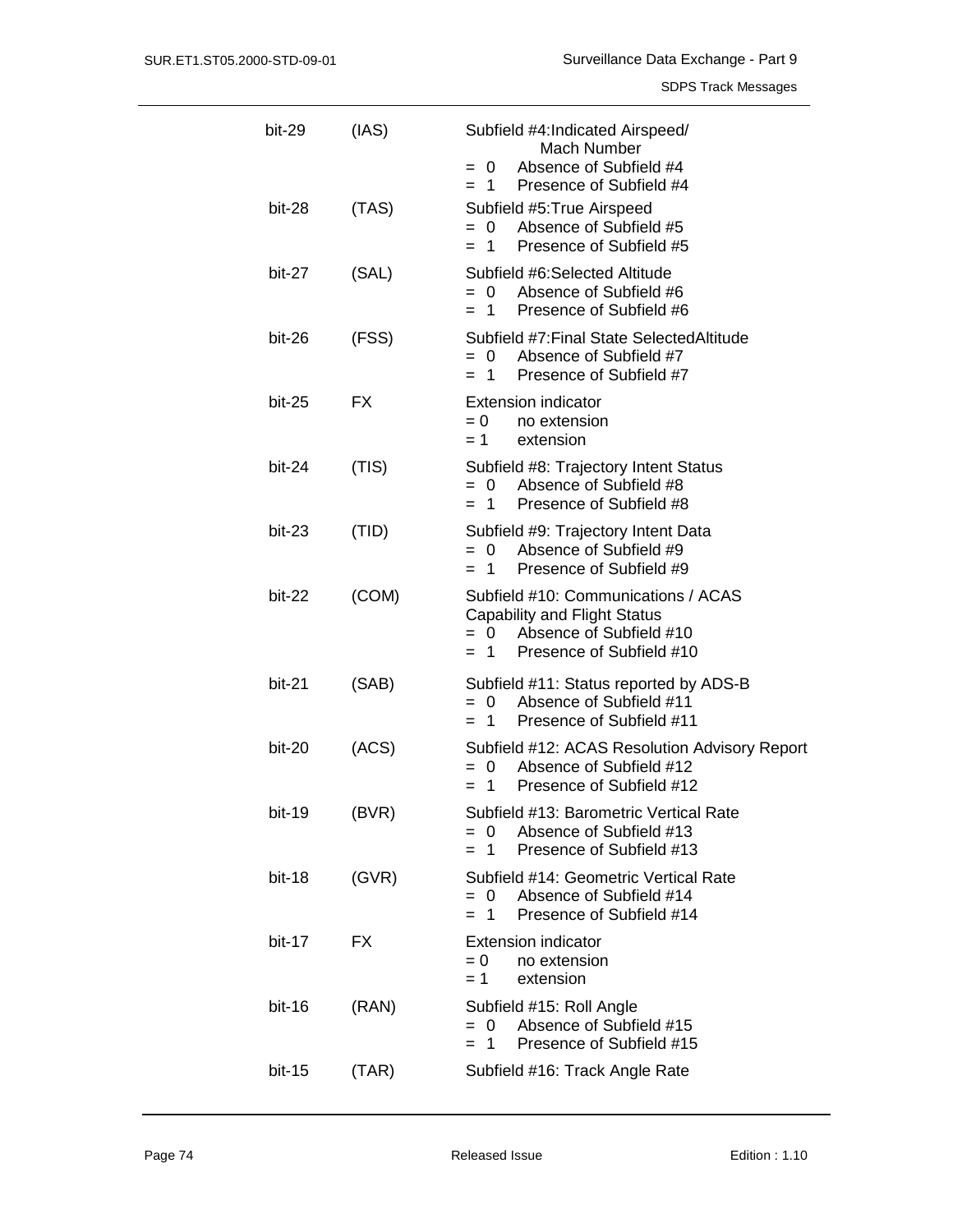| bit-29   | (IAS)     | Subfield #4: Indicated Airspeed/<br>Mach Number                                                                                                           |
|----------|-----------|-----------------------------------------------------------------------------------------------------------------------------------------------------------|
|          |           | Absence of Subfield #4<br>$= 0$<br>Presence of Subfield #4<br>$= 1$                                                                                       |
| bit-28   | (TAS)     | Subfield #5: True Airspeed<br>Absence of Subfield #5<br>$= 0$<br>Presence of Subfield #5<br>$= 1$                                                         |
| bit-27   | (SAL)     | Subfield #6:Selected Altitude<br>Absence of Subfield #6<br>$= 0$<br>Presence of Subfield #6<br>$= 1$                                                      |
| bit-26   | (FSS)     | Subfield #7: Final State Selected Altitude<br>Absence of Subfield #7<br>$= 0$<br>Presence of Subfield #7<br>$= 1$                                         |
| $bit-25$ | <b>FX</b> | <b>Extension indicator</b><br>no extension<br>$= 0$<br>$= 1$<br>extension                                                                                 |
| bit-24   | (TIS)     | Subfield #8: Trajectory Intent Status<br>Absence of Subfield #8<br>$= 0$<br>Presence of Subfield #8<br>$\mathbf{1}$<br>$=$                                |
| $bit-23$ | (TID)     | Subfield #9: Trajectory Intent Data<br>$= 0$<br>Absence of Subfield #9<br>Presence of Subfield #9<br>= 1                                                  |
| $bit-22$ | (COM)     | Subfield #10: Communications / ACAS<br>Capability and Flight Status<br>$= 0$ Absence of Subfield #10<br>Presence of Subfield #10<br>$\overline{1}$<br>$=$ |
| $bit-21$ | (SAB)     | Subfield #11: Status reported by ADS-B<br>Absence of Subfield #11<br>$= 0$<br>Presence of Subfield #11<br>$= 1$                                           |
| bit-20   | (ACS)     | Subfield #12: ACAS Resolution Advisory Report<br>Absence of Subfield #12<br>0<br>$=$<br>Presence of Subfield #12<br>$= 1$                                 |
| bit-19   | (BVR)     | Subfield #13: Barometric Vertical Rate<br>Absence of Subfield #13<br>0<br>Presence of Subfield #13<br>1<br>$=$ $\overline{ }$                             |
| bit-18   | (GVR)     | Subfield #14: Geometric Vertical Rate<br>Absence of Subfield #14<br>$= 0$<br>Presence of Subfield #14<br>$\overline{1}$                                   |
| bit-17   | <b>FX</b> | <b>Extension indicator</b><br>no extension<br>$= 0$<br>$= 1$<br>extension                                                                                 |
| $bit-16$ | (RAN)     | Subfield #15: Roll Angle<br>Absence of Subfield #15<br>$= 0$<br>Presence of Subfield #15<br>$\overline{1}$<br>$=$                                         |
| $bit-15$ | (TAR)     | Subfield #16: Track Angle Rate                                                                                                                            |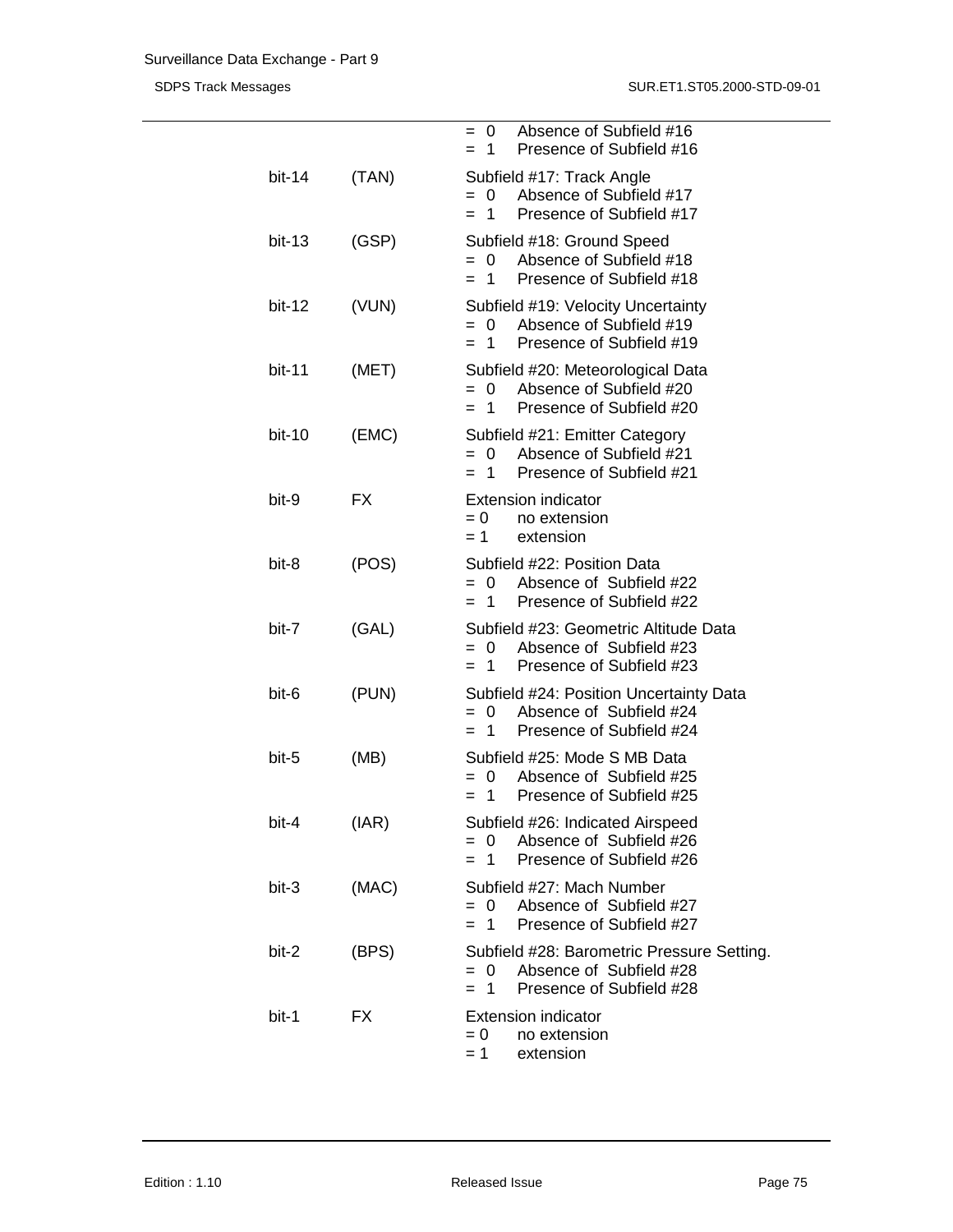|          |           | $= 0$<br>1<br>$=$              | Absence of Subfield #16<br>Presence of Subfield #16                                               |
|----------|-----------|--------------------------------|---------------------------------------------------------------------------------------------------|
| $bit-14$ | (TAN)     | $\overline{0}$<br>1<br>$=$     | Subfield #17: Track Angle<br>Absence of Subfield #17<br>Presence of Subfield #17                  |
| $bit-13$ | (GSP)     | $= 0$<br>$\overline{1}$<br>$=$ | Subfield #18: Ground Speed<br>Absence of Subfield #18<br>Presence of Subfield #18                 |
| $bit-12$ | (VUN)     | $= 0$<br>1<br>$=$              | Subfield #19: Velocity Uncertainty<br>Absence of Subfield #19<br>Presence of Subfield #19         |
| bit-11   | (MET)     | $= 0$<br>$= 1$                 | Subfield #20: Meteorological Data<br>Absence of Subfield #20<br>Presence of Subfield #20          |
| $bit-10$ | (EMC)     | $=$ 1                          | Subfield #21: Emitter Category<br>$= 0$ Absence of Subfield #21<br>Presence of Subfield #21       |
| bit-9    | <b>FX</b> | $= 0$<br>$= 1$                 | <b>Extension indicator</b><br>no extension<br>extension                                           |
| bit-8    | (POS)     | $= 0$<br>$= 1$                 | Subfield #22: Position Data<br>Absence of Subfield #22<br>Presence of Subfield #22                |
| bit-7    | (GAL)     | $= 0$<br>$= 1$                 | Subfield #23: Geometric Altitude Data<br>Absence of Subfield #23<br>Presence of Subfield #23      |
| bit-6    | (PUN)     | $= 0$<br>$= 1$                 | Subfield #24: Position Uncertainty Data<br>Absence of Subfield #24<br>Presence of Subfield #24    |
| bit-5    | (MB)      | - 0<br>$=$<br>= 1              | Subfield #25: Mode S MB Data<br>Absence of Subfield #25<br>Presence of Subfield #25               |
| bit-4    | (IAR)     | $= 0$<br>= 1                   | Subfield #26: Indicated Airspeed<br>Absence of Subfield #26<br>Presence of Subfield #26           |
| bit-3    | (MAC)     | $= 0$<br>= 1                   | Subfield #27: Mach Number<br>Absence of Subfield #27<br>Presence of Subfield #27                  |
| bit-2    | (BPS)     | $\overline{0}$<br>1<br>$=$     | Subfield #28: Barometric Pressure Setting.<br>Absence of Subfield #28<br>Presence of Subfield #28 |
| bit-1    | FX        | $= 0$<br>$= 1$                 | <b>Extension indicator</b><br>no extension<br>extension                                           |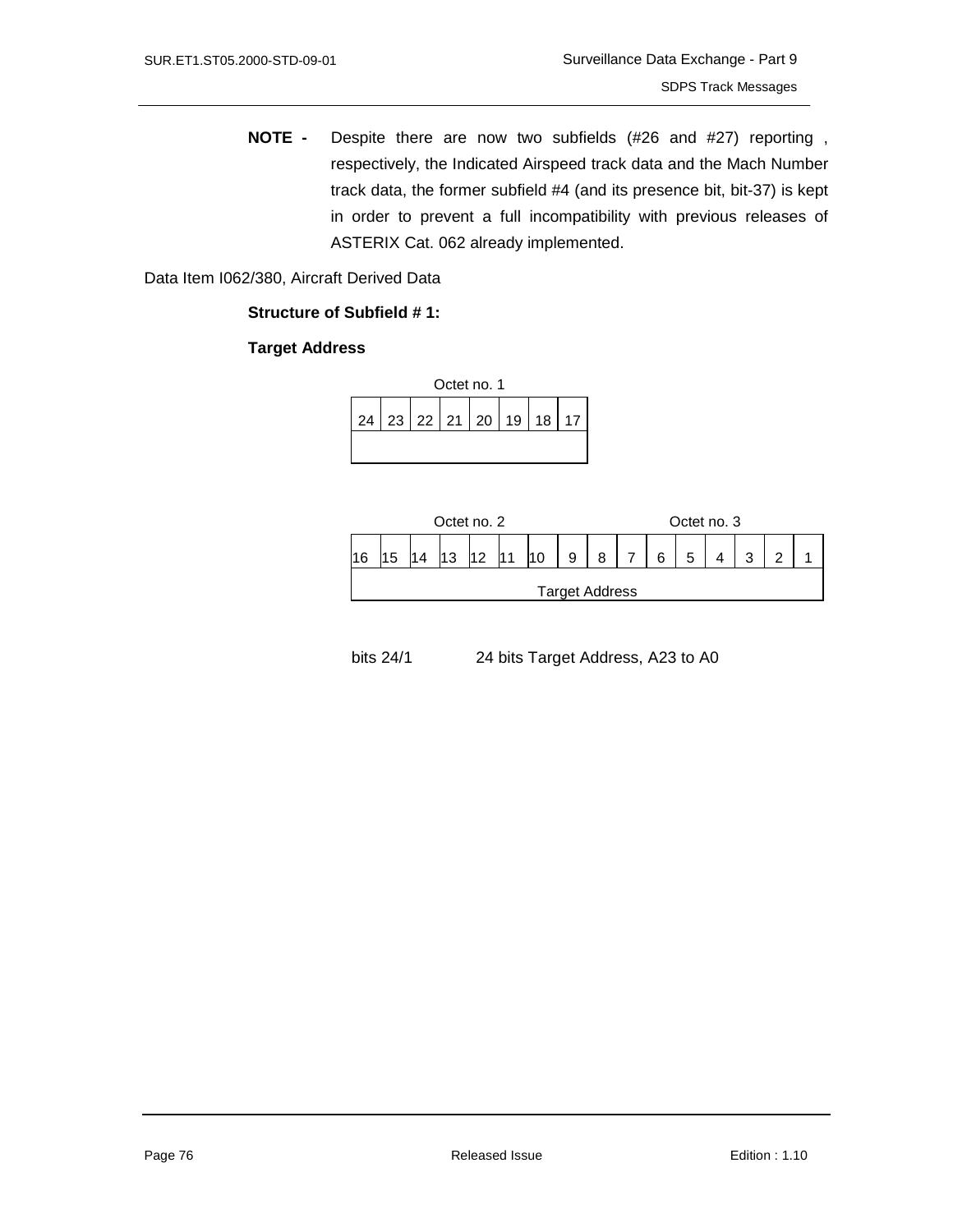**NOTE -** Despite there are now two subfields (#26 and #27) reporting , respectively, the Indicated Airspeed track data and the Mach Number track data, the former subfield #4 (and its presence bit, bit-37) is kept in order to prevent a full incompatibility with previous releases of ASTERIX Cat. 062 already implemented.

Data Item I062/380, Aircraft Derived Data

#### **Structure of Subfield # 1:**

#### **Target Address**





bits 24/1 24 bits Target Address, A23 to A0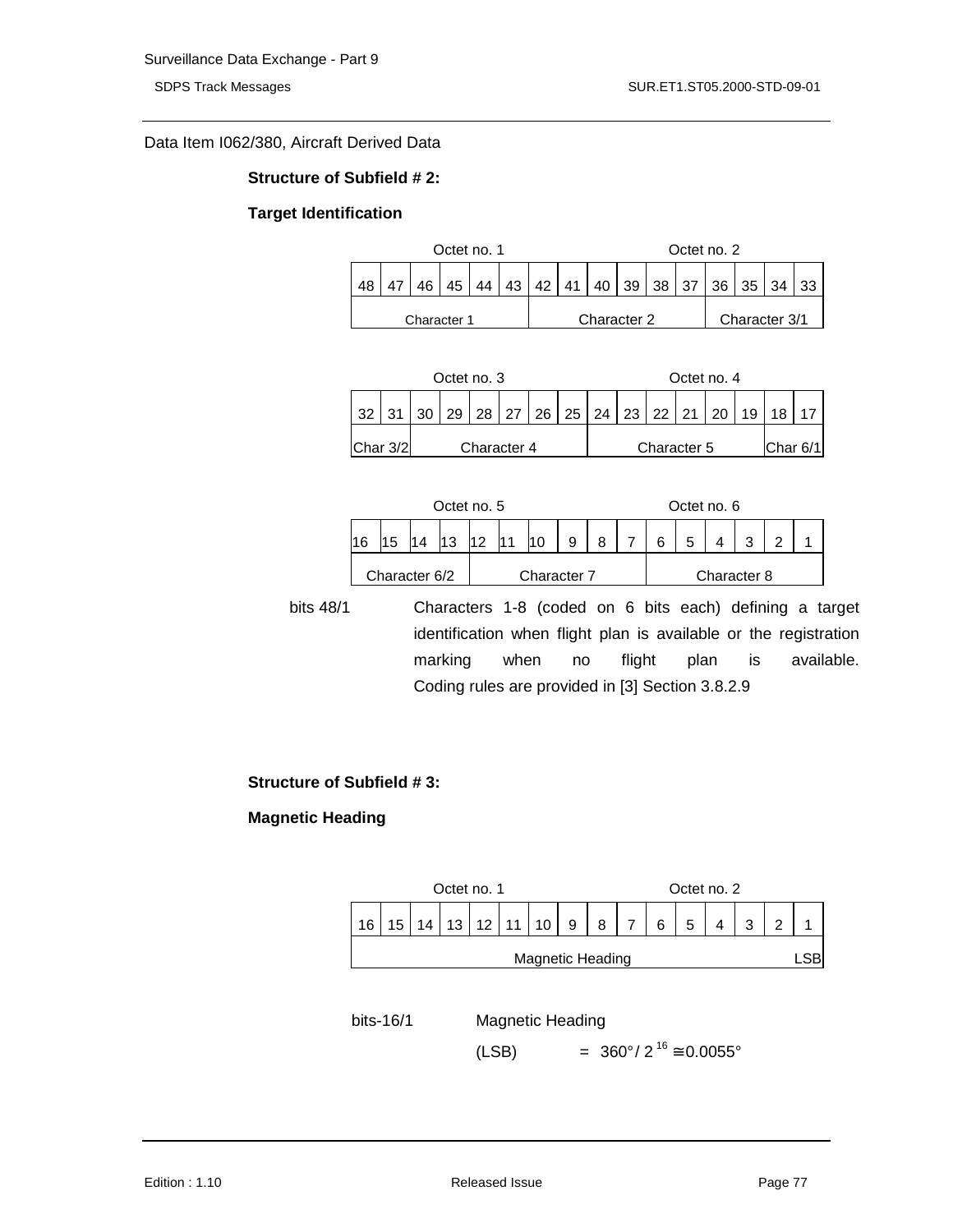## **Structure of Subfield # 2:**

# **Target Identification**



| Octet no. 3             |  |                                                     |  |  |  |  |  |  | Octet no. 4 |             |  |  |    |                     |  |  |  |
|-------------------------|--|-----------------------------------------------------|--|--|--|--|--|--|-------------|-------------|--|--|----|---------------------|--|--|--|
| 32                      |  | 28 27 26 25 24 23 22 21 20<br>30<br>29 <sub>1</sub> |  |  |  |  |  |  |             |             |  |  | 19 |                     |  |  |  |
| Char 3/2<br>Character 4 |  |                                                     |  |  |  |  |  |  |             | Character 5 |  |  |    | Char <sub>6/1</sub> |  |  |  |

|                              |  | Octet no. 5 |  |  |  |  | Octet no. 6 |  |   |   |  |             |  |  |  |  |
|------------------------------|--|-------------|--|--|--|--|-------------|--|---|---|--|-------------|--|--|--|--|
|                              |  |             |  |  |  |  |             |  | 6 | 5 |  | ົ           |  |  |  |  |
| Character 6/2<br>Character 7 |  |             |  |  |  |  |             |  |   |   |  | Character 8 |  |  |  |  |

bits 48/1 Characters 1-8 (coded on 6 bits each) defining a target identification when flight plan is available or the registration marking when no flight plan is available. Coding rules are provided in [3] Section 3.8.2.9

# **Structure of Subfield # 3:**

# **Magnetic Heading**





(LSB)  $= 360^{\circ}/ 2^{16} \approx 0.0055^{\circ}$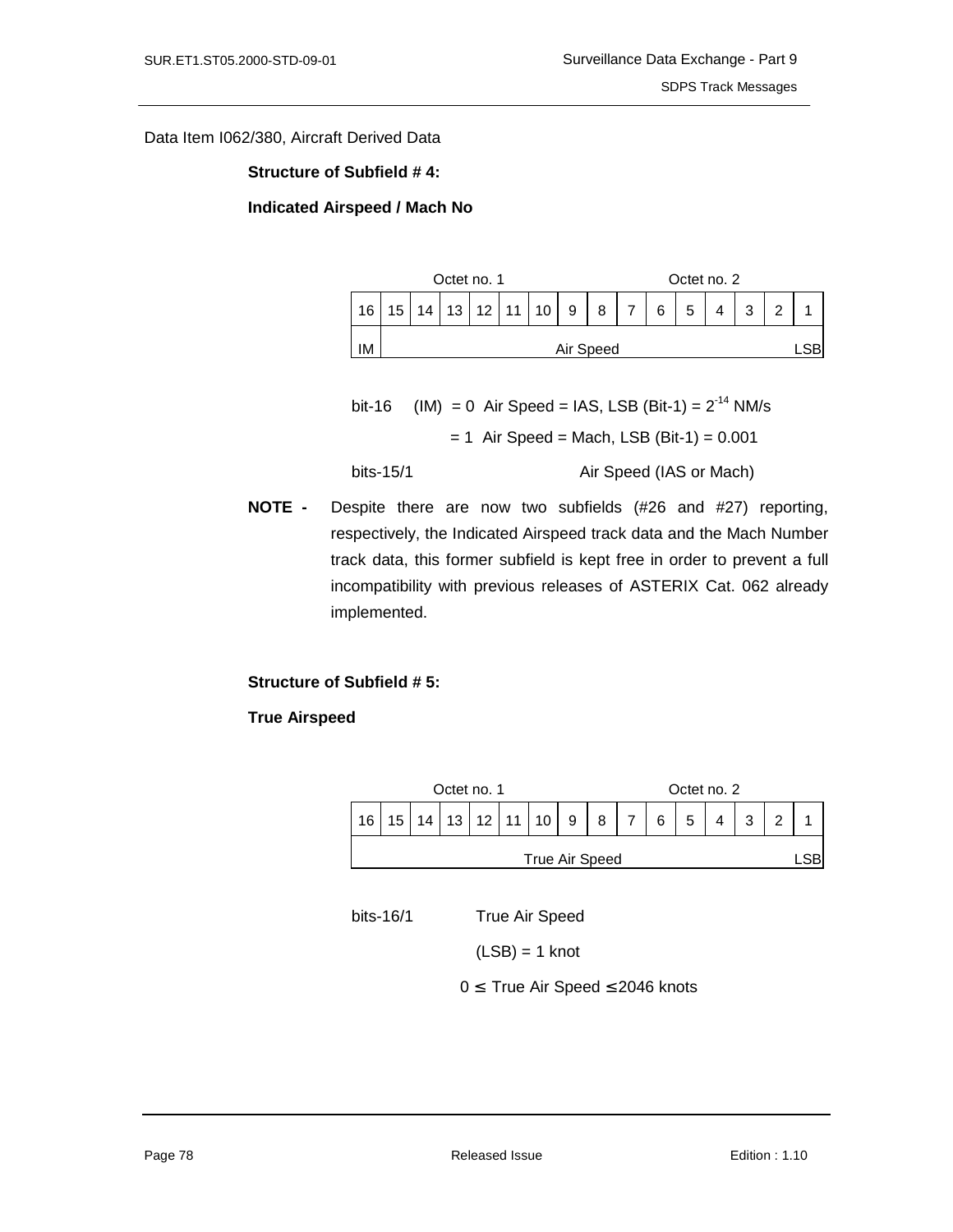## **Structure of Subfield # 4:**

#### **Indicated Airspeed / Mach No**



bit-16 (IM) = 0 Air Speed = IAS, LSB (Bit-1) =  $2^{-14}$  NM/s  $= 1$  Air Speed = Mach, LSB (Bit-1) = 0.001

bits-15/1 Air Speed (IAS or Mach)

**NOTE -** Despite there are now two subfields (#26 and #27) reporting, respectively, the Indicated Airspeed track data and the Mach Number track data, this former subfield is kept free in order to prevent a full incompatibility with previous releases of ASTERIX Cat. 062 already implemented.

# **Structure of Subfield # 5:**

**True Airspeed**



0 ≤ True Air Speed ≤ 2046 knots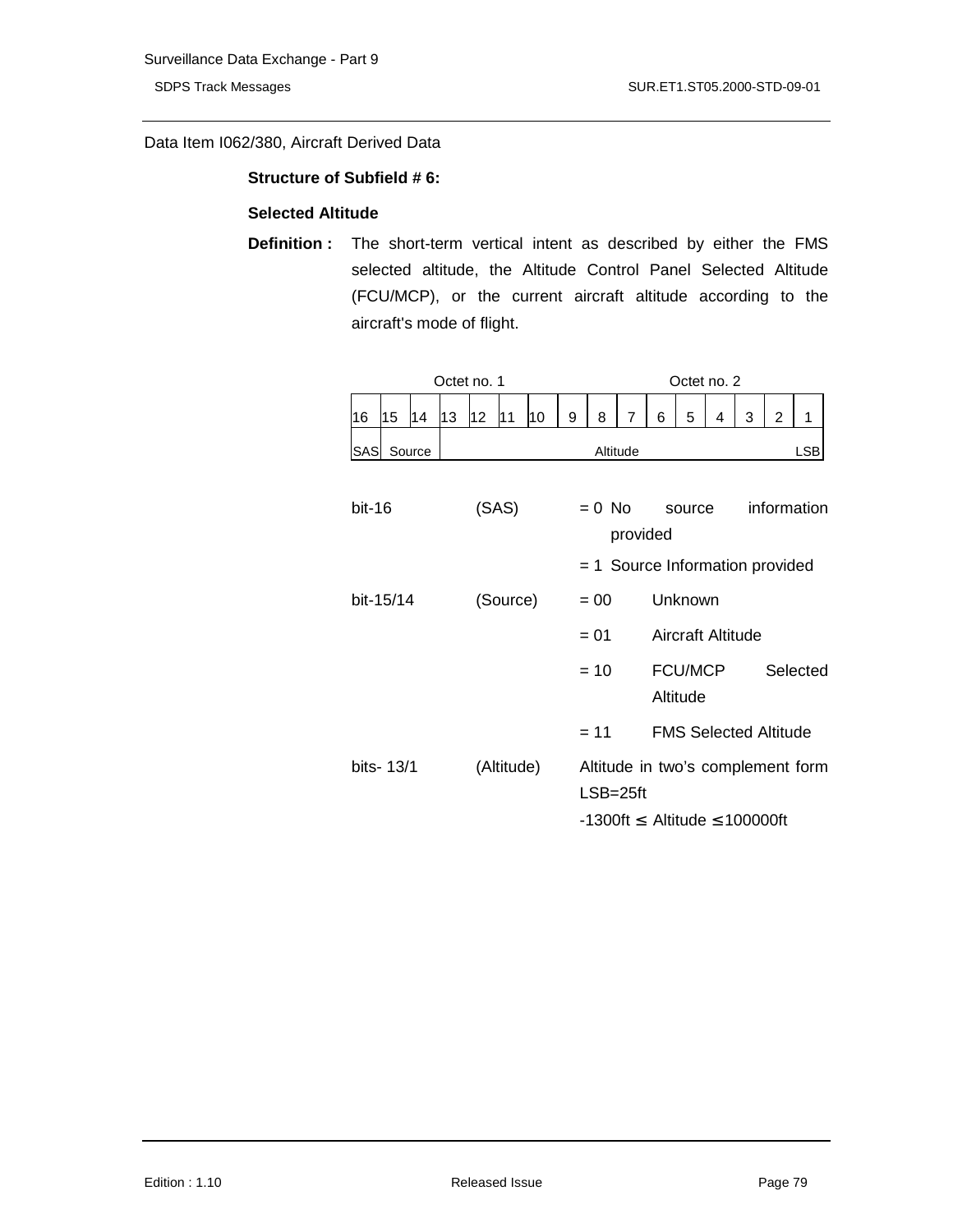#### **Structure of Subfield # 6:**

#### **Selected Altitude**

**Definition :** The short-term vertical intent as described by either the FMS selected altitude, the Altitude Control Panel Selected Altitude (FCU/MCP), or the current aircraft altitude according to the aircraft's mode of flight.

|                | Octet no. 1    |                                                                                             | Octet no. 2       |          |          |                                        |                   |   |                                   |   |             |  |
|----------------|----------------|---------------------------------------------------------------------------------------------|-------------------|----------|----------|----------------------------------------|-------------------|---|-----------------------------------|---|-------------|--|
| 16<br>15<br>14 | 13<br>12<br>11 | 10                                                                                          | 9                 | 8        | 7        | 6                                      | 5                 | 4 | 3                                 | 2 | 1           |  |
| Source<br>SAS  |                |                                                                                             |                   | Altitude |          |                                        |                   |   |                                   |   | <b>LSB</b>  |  |
| $bit-16$       | (SAS)          |                                                                                             |                   | $= 0$ No | provided |                                        | source            |   |                                   |   | information |  |
|                |                |                                                                                             |                   |          |          |                                        |                   |   | $= 1$ Source Information provided |   |             |  |
| bit-15/14      | (Source)       |                                                                                             | Unknown<br>$= 00$ |          |          |                                        |                   |   |                                   |   |             |  |
|                |                |                                                                                             |                   | $= 01$   |          |                                        | Aircraft Altitude |   |                                   |   |             |  |
|                |                |                                                                                             |                   | $= 10$   |          | <b>FCU/MCP</b><br>Selected<br>Altitude |                   |   |                                   |   |             |  |
|                |                |                                                                                             |                   | $= 11$   |          |                                        |                   |   | <b>FMS Selected Altitude</b>      |   |             |  |
| bits- 13/1     | (Altitude)     | Altitude in two's complement form<br>LSB=25ft<br>$-1300$ ft $\leq$ Altitude $\leq$ 100000ft |                   |          |          |                                        |                   |   |                                   |   |             |  |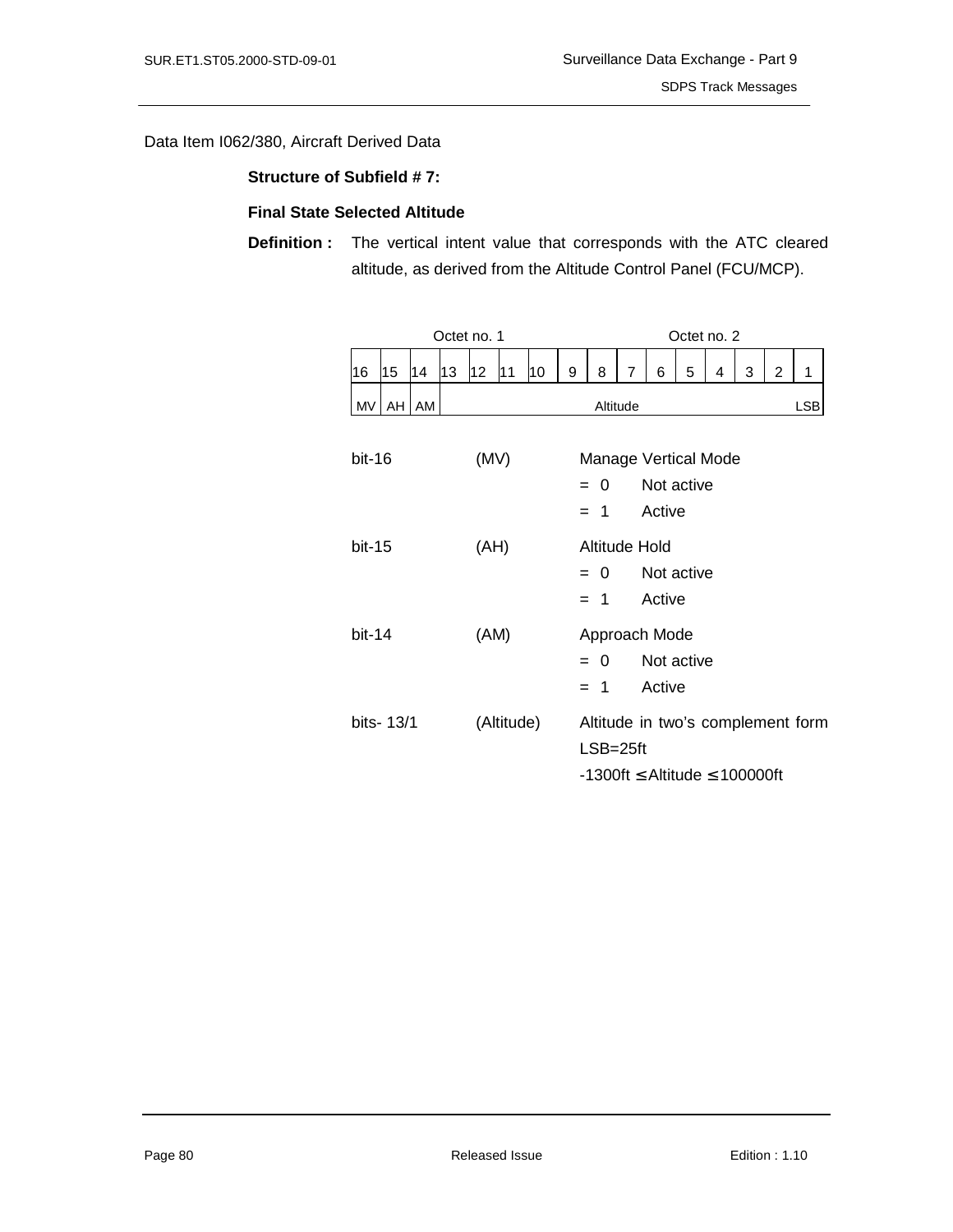#### **Structure of Subfield # 7:**

#### **Final State Selected Altitude**

**Definition :** The vertical intent value that corresponds with the ATC cleared altitude, as derived from the Altitude Control Panel (FCU/MCP).

|          |            |    |                                                                                | Octet no. 1 |            |  | Octet no. 2                                                 |                                            |  |        |            |  |  |  |                                   |  |
|----------|------------|----|--------------------------------------------------------------------------------|-------------|------------|--|-------------------------------------------------------------|--------------------------------------------|--|--------|------------|--|--|--|-----------------------------------|--|
| 16       | 15         | 14 | 3<br>$\overline{2}$<br>13<br>12<br>11<br>10<br>9<br>8<br>7<br>5<br>6<br>4<br>1 |             |            |  |                                                             |                                            |  |        |            |  |  |  |                                   |  |
| MV       | AH         | AM |                                                                                |             |            |  | Altitude<br>LSB                                             |                                            |  |        |            |  |  |  |                                   |  |
| $bit-16$ |            |    |                                                                                | (MV)        |            |  | $=$                                                         | Manage Vertical Mode<br>- 0                |  |        | Not active |  |  |  |                                   |  |
| bit-15   |            |    |                                                                                | (AH)        |            |  | $=$                                                         | $\overline{1}$<br><b>Altitude Hold</b>     |  | Active |            |  |  |  |                                   |  |
|          |            |    |                                                                                |             |            |  | Not active<br>- 0<br>$=$<br>Active<br>$\overline{1}$<br>$=$ |                                            |  |        |            |  |  |  |                                   |  |
| $bit-14$ |            |    |                                                                                | (AM)        |            |  |                                                             | Approach Mode                              |  |        |            |  |  |  |                                   |  |
|          |            |    |                                                                                |             |            |  | Not active<br>0<br>$=$<br>Active<br>$\overline{1}$<br>$=$   |                                            |  |        |            |  |  |  |                                   |  |
|          | bits- 13/1 |    |                                                                                |             | (Altitude) |  |                                                             | $LSB = 25ft$                               |  |        |            |  |  |  | Altitude in two's complement form |  |
|          |            |    |                                                                                |             |            |  |                                                             | $-1300$ ft $\leq$ Altitude $\leq$ 100000ft |  |        |            |  |  |  |                                   |  |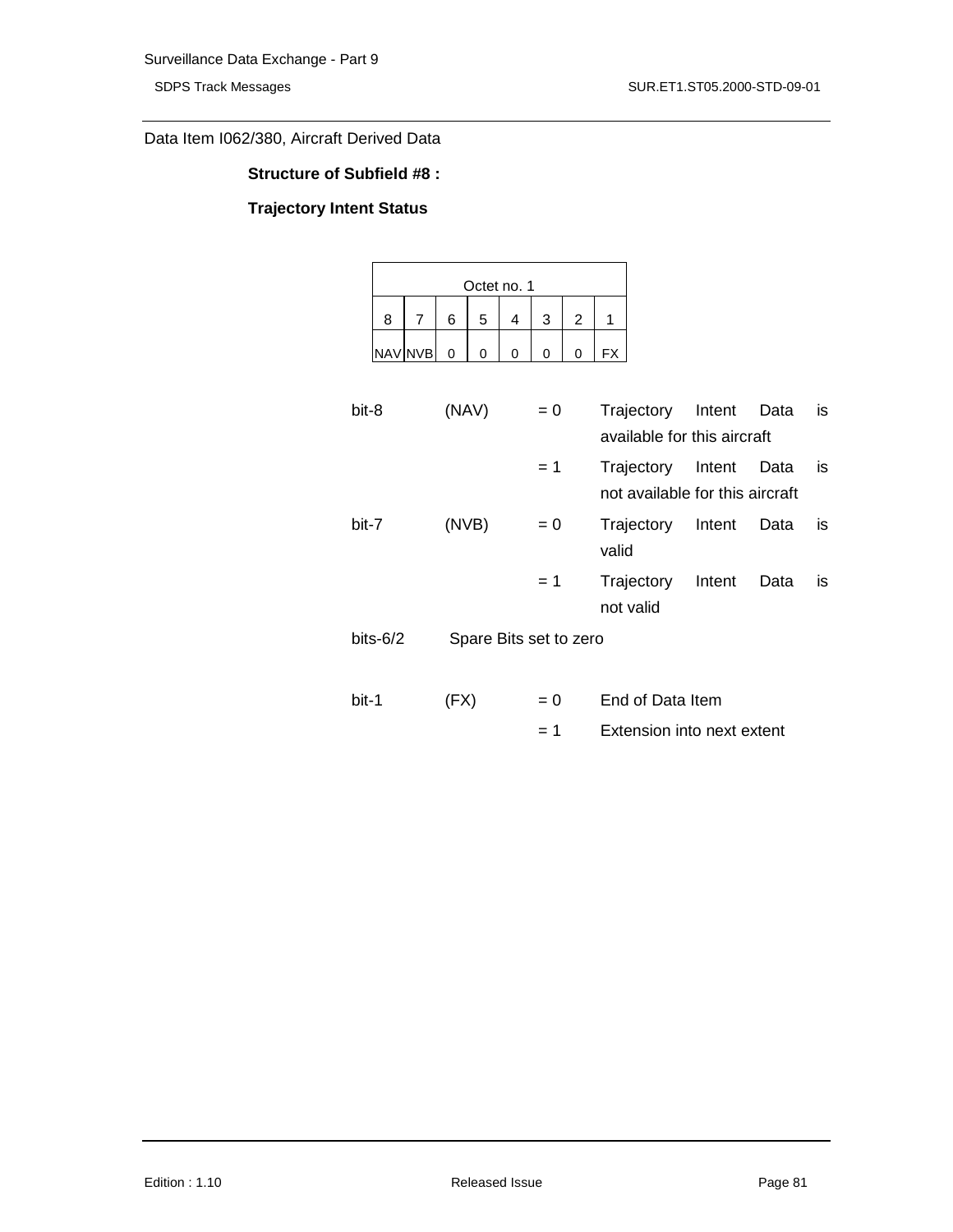# **Structure of Subfield #8 :**

# **Trajectory Intent Status**

|               |          |                |       | Octet no. 1            |   |       |                |                                                 |                   |                                 |      |    |  |  |
|---------------|----------|----------------|-------|------------------------|---|-------|----------------|-------------------------------------------------|-------------------|---------------------------------|------|----|--|--|
|               | 8        | $\overline{7}$ | 6     | 5                      | 4 | 3     | $\overline{2}$ | 1                                               |                   |                                 |      |    |  |  |
|               |          | NAV NVB        | 0     | 0                      | 0 | 0     | 0              | FX                                              |                   |                                 |      |    |  |  |
| bit-8         |          |                | (NAV) |                        |   | $= 0$ |                |                                                 | Trajectory Intent | available for this aircraft     | Data | is |  |  |
|               |          |                |       |                        |   | $= 1$ |                |                                                 | Trajectory Intent | not available for this aircraft | Data | is |  |  |
| bit-7         |          |                | (NVB) |                        |   | $= 0$ |                | valid                                           | Trajectory Intent |                                 | Data | is |  |  |
|               |          |                |       |                        |   | $= 1$ |                | Trajectory<br>Intent<br>Data<br>is<br>not valid |                   |                                 |      |    |  |  |
|               | bits-6/2 |                |       | Spare Bits set to zero |   |       |                |                                                 |                   |                                 |      |    |  |  |
| bit-1<br>(FX) |          |                |       |                        |   | $= 0$ |                |                                                 | End of Data Item  |                                 |      |    |  |  |
|               |          |                |       |                        |   | $= 1$ |                |                                                 |                   | Extension into next extent      |      |    |  |  |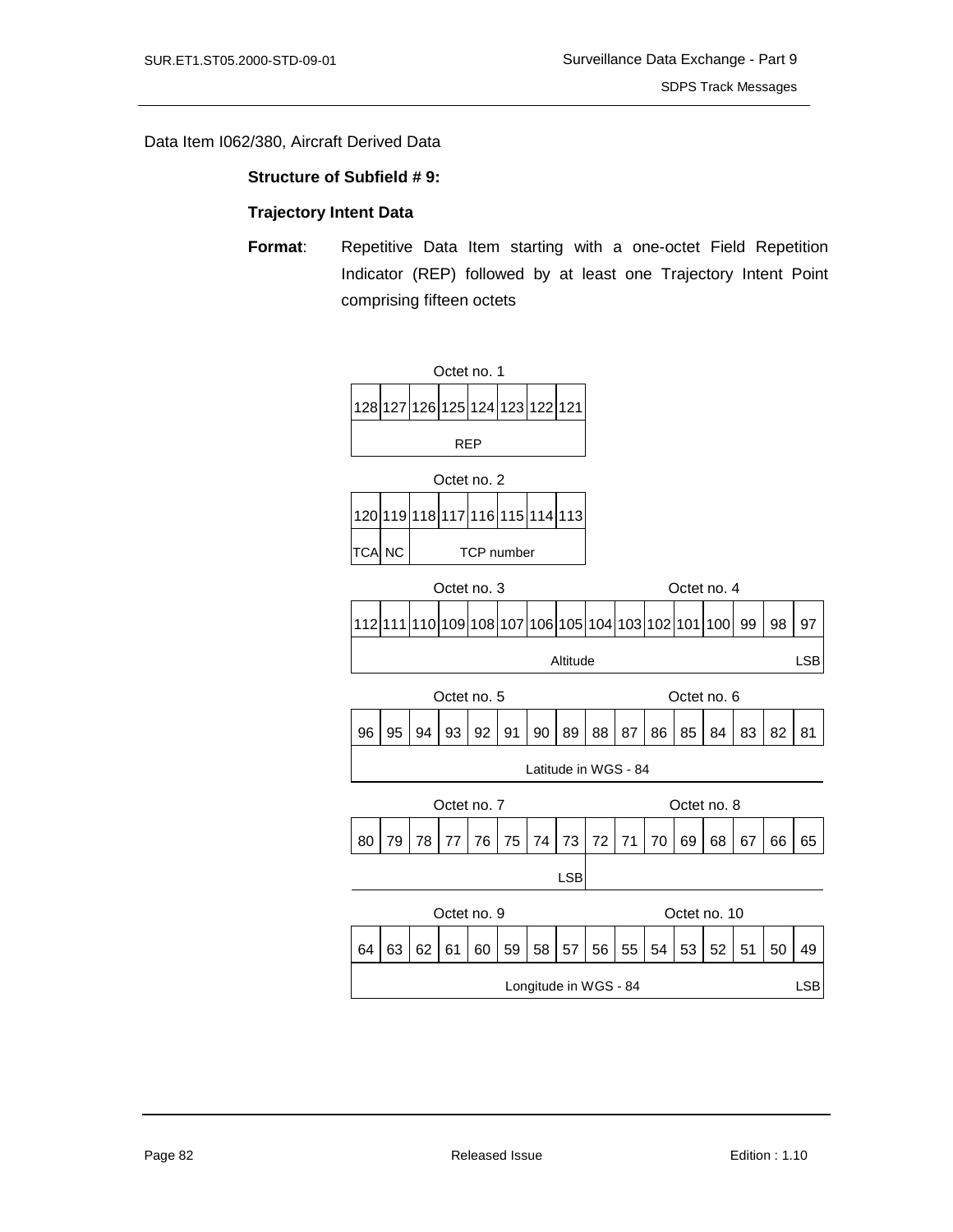#### **Structure of Subfield # 9:**

#### **Trajectory Intent Data**

**Format**: Repetitive Data Item starting with a one-octet Field Repetition Indicator (REP) followed by at least one Trajectory Intent Point comprising fifteen octets

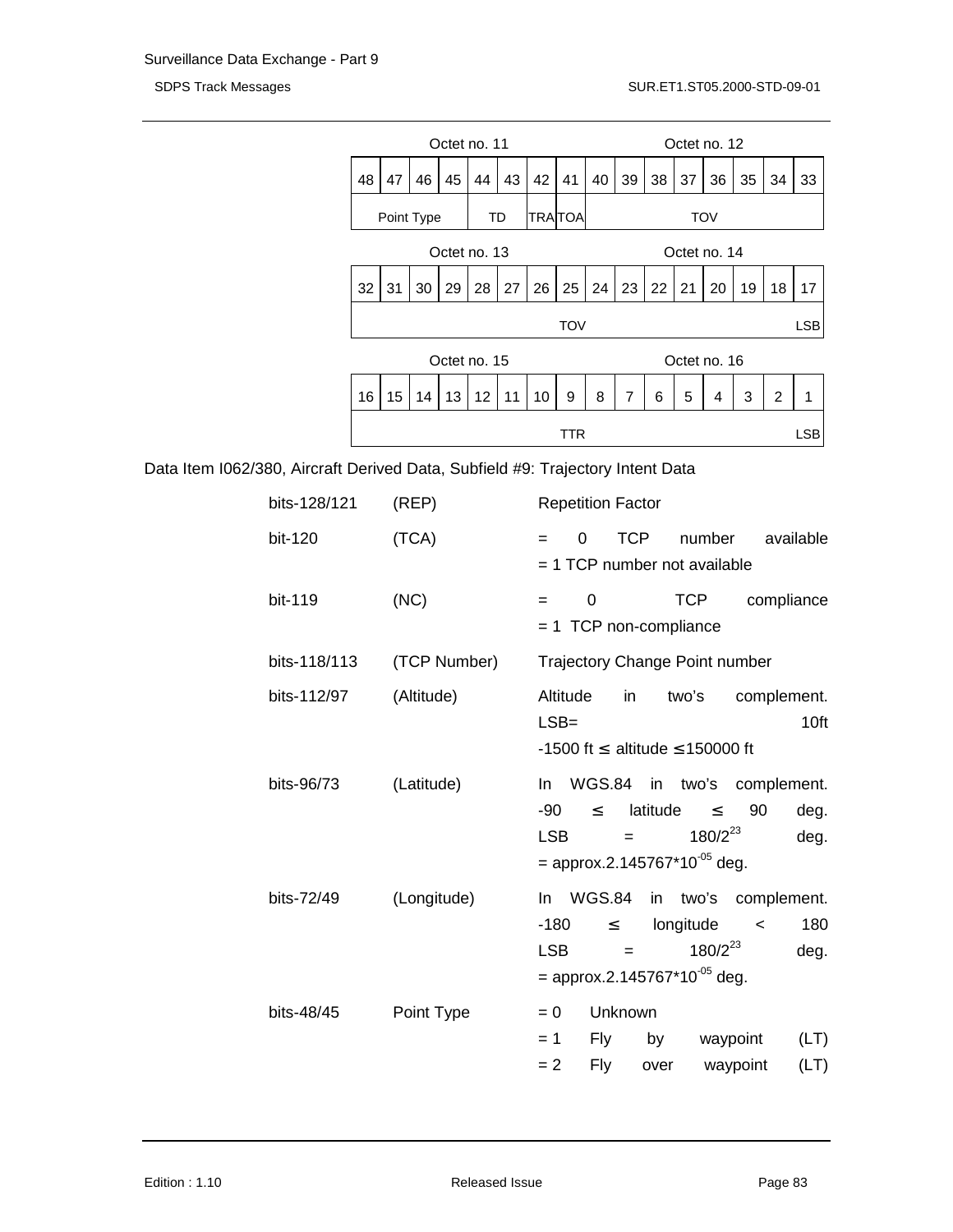|                                                                                |                                                                                        |            |    | Octet no. 11 |    |    |               | Octet no. 12 |    |    |    |              |    |    |            |
|--------------------------------------------------------------------------------|----------------------------------------------------------------------------------------|------------|----|--------------|----|----|---------------|--------------|----|----|----|--------------|----|----|------------|
| 48                                                                             | 47                                                                                     | 46         | 45 | 44           | 43 | 42 | 41            | 40           | 39 | 38 | 37 | 36           | 35 | 34 | 33         |
|                                                                                |                                                                                        | Point Type |    | TD           |    |    | <b>TRATOA</b> | <b>TOV</b>   |    |    |    |              |    |    |            |
|                                                                                |                                                                                        |            |    | Octet no. 13 |    |    |               | Octet no. 14 |    |    |    |              |    |    |            |
| 32                                                                             | 24<br>25<br>23<br>22<br>27<br>26<br>29<br>28<br>21<br>19<br>17<br>31<br>30<br>20<br>18 |            |    |              |    |    |               |              |    |    |    |              |    |    |            |
|                                                                                |                                                                                        |            |    |              |    |    |               | <b>TOV</b>   |    |    |    |              |    |    | <b>LSB</b> |
|                                                                                |                                                                                        |            |    | Octet no. 15 |    |    |               |              |    |    |    | Octet no. 16 |    |    |            |
| 7<br>6<br>15<br>13<br>12<br>11<br>9<br>8<br>3<br>2<br>16<br>14<br>10<br>5<br>4 |                                                                                        |            |    |              |    |    |               |              |    |    | 1  |              |    |    |            |
|                                                                                |                                                                                        |            |    |              |    |    | TTR           |              |    |    |    |              |    |    | <b>LSB</b> |

Data Item I062/380, Aircraft Derived Data, Subfield #9: Trajectory Intent Data

| bits-128/121 | (REP)        | <b>Repetition Factor</b>                                                                                                                                                  |
|--------------|--------------|---------------------------------------------------------------------------------------------------------------------------------------------------------------------------|
| bit-120      | (TCA)        | <b>TCP</b><br>number<br>available<br>0<br>$=$<br>= 1 TCP number not available                                                                                             |
| bit-119      | (NC)         | <b>TCP</b><br>0<br>compliance<br>$=$<br>$= 1$ TCP non-compliance                                                                                                          |
| bits-118/113 | (TCP Number) | Trajectory Change Point number                                                                                                                                            |
| bits-112/97  | (Altitude)   | Altitude<br>two's<br>complement.<br>in<br>$LSB =$<br>10ft<br>-1500 ft $\leq$ altitude $\leq$ 150000 ft                                                                    |
| bits-96/73   | (Latitude)   | In WGS.84 in two's complement.<br>latitude $\leq$<br>-90<br>$\leq$<br>90<br>deg.<br>$180/2^{23}$<br><b>LSB</b><br>deg.<br>$=$<br>= approx.2.145767*10 <sup>-05</sup> deg. |
| bits-72/49   | (Longitude)  | In WGS.84 in two's complement.<br>$-180$<br>$\leq$ longitude<br>180<br>$\prec$<br>$180/2^{23}$<br><b>LSB</b><br>deg.<br>$=$<br>= approx.2.145767*10 <sup>-05</sup> deg.   |
| bits-48/45   | Point Type   | Unknown<br>$= 0$<br>$= 1$ Fly by<br>waypoint<br>(LT)<br>$= 2$<br><b>Fly</b><br>over<br>waypoint<br>(LT)                                                                   |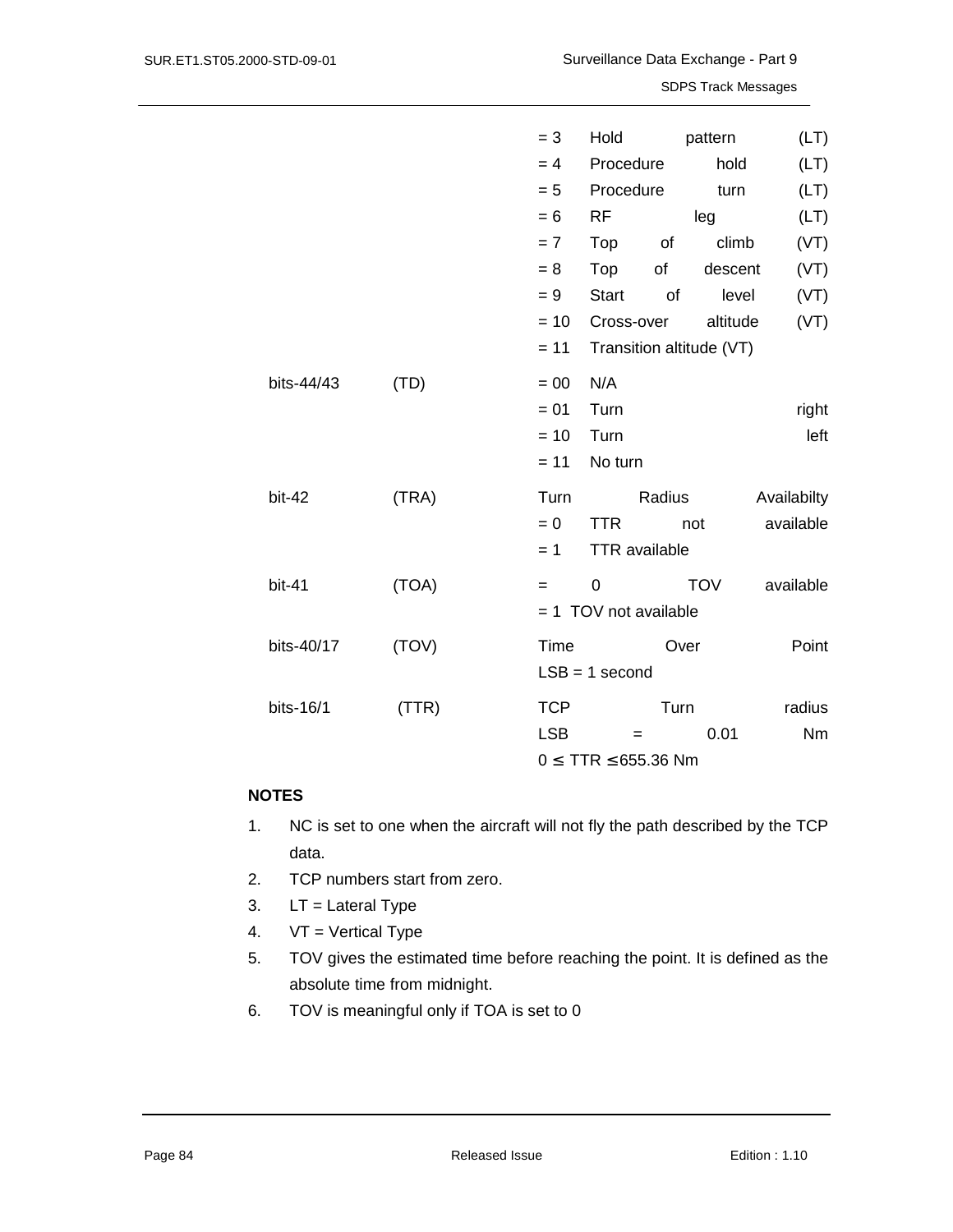|            |       | $= 3$      | <b>Hold</b>      |                               | pattern    | (LT)        |
|------------|-------|------------|------------------|-------------------------------|------------|-------------|
|            |       | $= 4$      | Procedure        |                               | hold       | (LT)        |
|            |       | $= 5$      | Procedure        |                               | turn       | (LT)        |
|            |       | $= 6$      | <b>RF</b>        |                               | leg        | (LT)        |
|            |       | $= 7$      | Top              | of                            | climb      | (VT)        |
|            |       | $= 8$      | Top              | of                            | descent    | (VT)        |
|            |       | $= 9$      | <b>Start</b>     | of                            | level      | (VT)        |
|            |       | $= 10$     | Cross-over       |                               | altitude   | (VT)        |
|            |       | $= 11$     |                  | Transition altitude (VT)      |            |             |
| bits-44/43 | (TD)  | $= 00$     | N/A              |                               |            |             |
|            |       | $= 01$     | Turn             |                               |            | right       |
|            |       | $= 10$     | Turn             |                               |            | left        |
|            |       | $= 11$     | No turn          |                               |            |             |
| bit-42     | (TRA) | Turn       |                  | Radius                        |            | Availabilty |
|            |       | $= 0$      | <b>TTR</b>       | not                           |            | available   |
|            |       | $= 1$      |                  | <b>TTR</b> available          |            |             |
| $bit-41$   | (TOA) | $=$        | 0                |                               | <b>TOV</b> | available   |
|            |       |            |                  | $= 1$ TOV not available       |            |             |
| bits-40/17 | (TOV) | Time       |                  | Over                          |            | Point       |
|            |       |            | $LSB = 1$ second |                               |            |             |
|            |       |            |                  |                               |            |             |
| bits-16/1  | (TTR) | <b>TCP</b> |                  | Turn                          |            | radius      |
|            |       | <b>LSB</b> |                  | $=$                           | 0.01       | <b>Nm</b>   |
|            |       |            |                  | $0 \leq$ TTR $\leq$ 655.36 Nm |            |             |

# **NOTES**

- 1. NC is set to one when the aircraft will not fly the path described by the TCP data.
- 2. TCP numbers start from zero.
- 3. LT = Lateral Type
- 4. VT = Vertical Type
- 5. TOV gives the estimated time before reaching the point. It is defined as the absolute time from midnight.
- 6. TOV is meaningful only if TOA is set to 0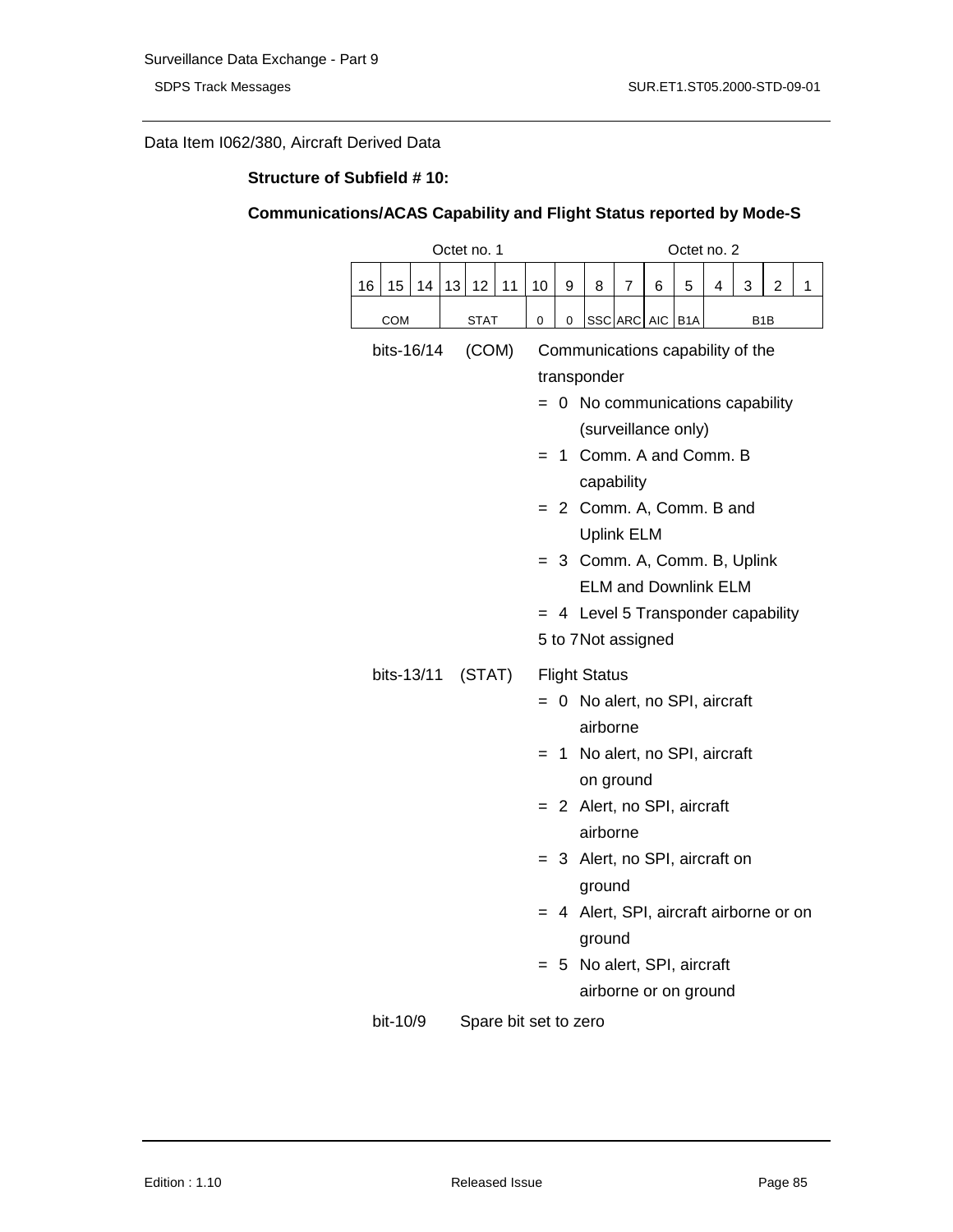### **Structure of Subfield # 10:**

# **Communications/ACAS Capability and Flight Status reported by Mode-S**

|                                                            |            |    |    | Octet no. 1 |    |    |                                       |                                                   |                 |   | Octet no. 2 |   |   |                  |   |  |  |
|------------------------------------------------------------|------------|----|----|-------------|----|----|---------------------------------------|---------------------------------------------------|-----------------|---|-------------|---|---|------------------|---|--|--|
| 16                                                         | 15         | 14 | 13 | 12          | 11 | 10 | 9                                     | 8                                                 | 7               | 6 | 5           | 4 | 3 | 2                | 1 |  |  |
|                                                            | COM        |    |    | <b>STAT</b> |    | 0  | 0                                     |                                                   | SSC ARC AIC B1A |   |             |   |   | B <sub>1</sub> B |   |  |  |
|                                                            | bits-16/14 |    |    | (COM)       |    |    |                                       | Communications capability of the                  |                 |   |             |   |   |                  |   |  |  |
|                                                            |            |    |    |             |    |    | transponder                           |                                                   |                 |   |             |   |   |                  |   |  |  |
|                                                            |            |    |    |             |    |    | 0 No communications capability<br>$=$ |                                                   |                 |   |             |   |   |                  |   |  |  |
|                                                            |            |    |    |             |    |    |                                       | (surveillance only)                               |                 |   |             |   |   |                  |   |  |  |
|                                                            |            |    |    |             |    |    | $= 1$                                 | Comm. A and Comm. B                               |                 |   |             |   |   |                  |   |  |  |
|                                                            |            |    |    |             |    |    |                                       | capability                                        |                 |   |             |   |   |                  |   |  |  |
|                                                            |            |    |    |             |    |    | $= 2$                                 | Comm. A, Comm. B and                              |                 |   |             |   |   |                  |   |  |  |
|                                                            |            |    |    |             |    |    |                                       | <b>Uplink ELM</b>                                 |                 |   |             |   |   |                  |   |  |  |
|                                                            |            |    |    |             |    |    |                                       | = 3 Comm. A, Comm. B, Uplink                      |                 |   |             |   |   |                  |   |  |  |
|                                                            |            |    |    |             |    |    |                                       | <b>ELM and Downlink ELM</b>                       |                 |   |             |   |   |                  |   |  |  |
|                                                            |            |    |    |             |    |    | = 4 Level 5 Transponder capability    |                                                   |                 |   |             |   |   |                  |   |  |  |
|                                                            |            |    |    |             |    |    | 5 to 7Not assigned                    |                                                   |                 |   |             |   |   |                  |   |  |  |
|                                                            | bits-13/11 |    |    | (STAT)      |    |    | <b>Flight Status</b>                  |                                                   |                 |   |             |   |   |                  |   |  |  |
|                                                            |            |    |    |             |    |    |                                       | = 0 No alert, no SPI, aircraft                    |                 |   |             |   |   |                  |   |  |  |
|                                                            |            |    |    |             |    |    |                                       | airborne                                          |                 |   |             |   |   |                  |   |  |  |
|                                                            |            |    |    |             |    |    | $= 1$                                 | No alert, no SPI, aircraft                        |                 |   |             |   |   |                  |   |  |  |
|                                                            |            |    |    |             |    |    |                                       | on ground                                         |                 |   |             |   |   |                  |   |  |  |
|                                                            |            |    |    |             |    |    |                                       | = 2 Alert, no SPI, aircraft                       |                 |   |             |   |   |                  |   |  |  |
|                                                            |            |    |    |             |    |    |                                       | airborne<br>= 3 Alert, no SPI, aircraft on        |                 |   |             |   |   |                  |   |  |  |
|                                                            |            |    |    |             |    |    |                                       | ground                                            |                 |   |             |   |   |                  |   |  |  |
|                                                            |            |    |    |             |    |    |                                       |                                                   |                 |   |             |   |   |                  |   |  |  |
|                                                            |            |    |    |             |    |    |                                       | = 4 Alert, SPI, aircraft airborne or on<br>ground |                 |   |             |   |   |                  |   |  |  |
|                                                            |            |    |    |             |    |    |                                       | 5 No alert, SPI, aircraft                         |                 |   |             |   |   |                  |   |  |  |
|                                                            |            |    |    |             |    |    |                                       |                                                   |                 |   |             |   |   |                  |   |  |  |
| airborne or on ground<br>bit-10/9<br>Spare bit set to zero |            |    |    |             |    |    |                                       |                                                   |                 |   |             |   |   |                  |   |  |  |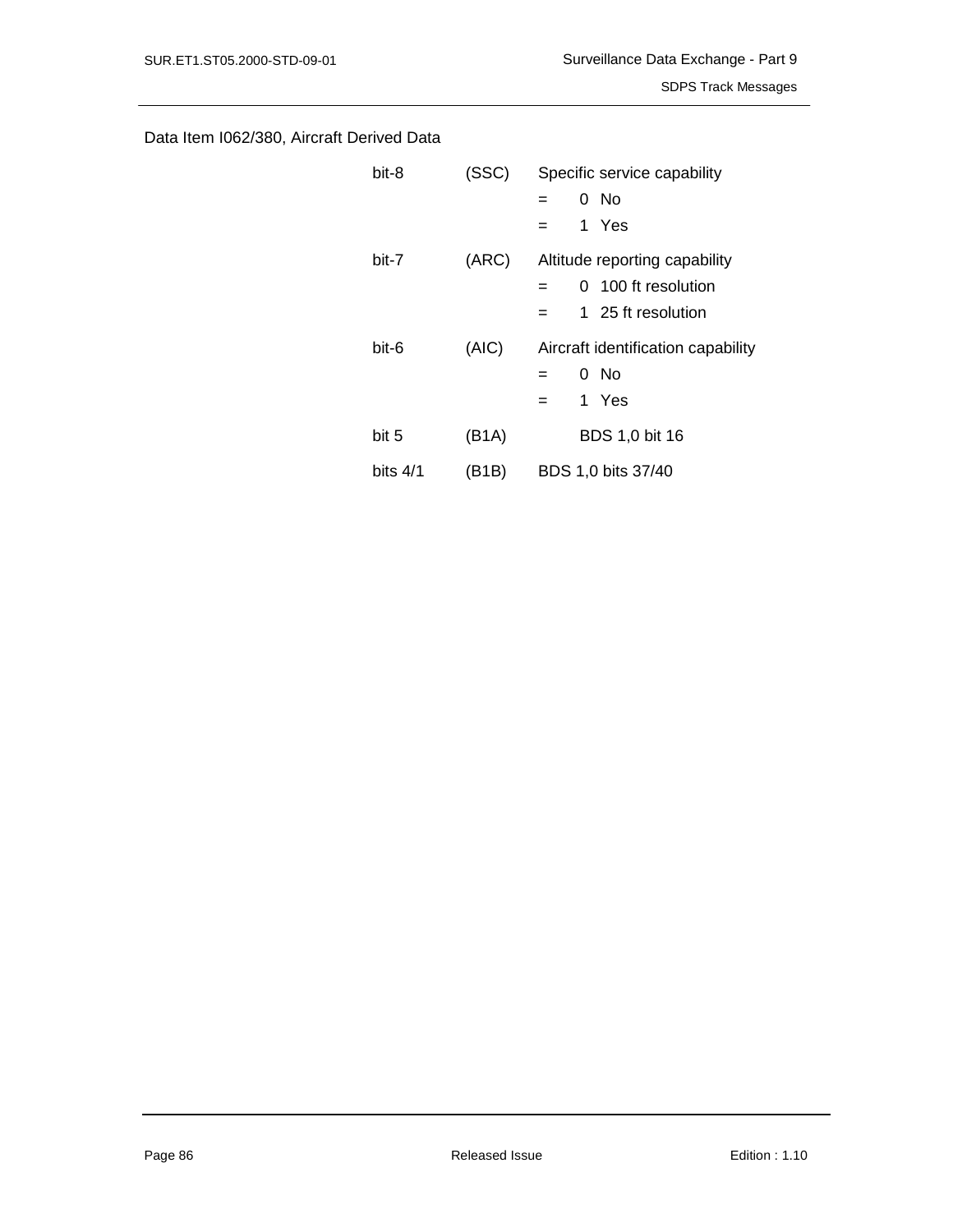| bit-8    | (SSC) | Specific service capability<br>0 No |
|----------|-------|-------------------------------------|
|          |       |                                     |
|          |       | 1 Yes                               |
| bit-7    | (ARC) | Altitude reporting capability       |
|          |       | 0 100 ft resolution                 |
|          |       | 1 25 ft resolution                  |
| bit-6    | (AIC) | Aircraft identification capability  |
|          |       | 0 No                                |
|          |       | 1 Yes                               |
| bit 5    | (B1A) | <b>BDS 1,0 bit 16</b>               |
| bits 4/1 | (B1B) | BDS 1,0 bits 37/40                  |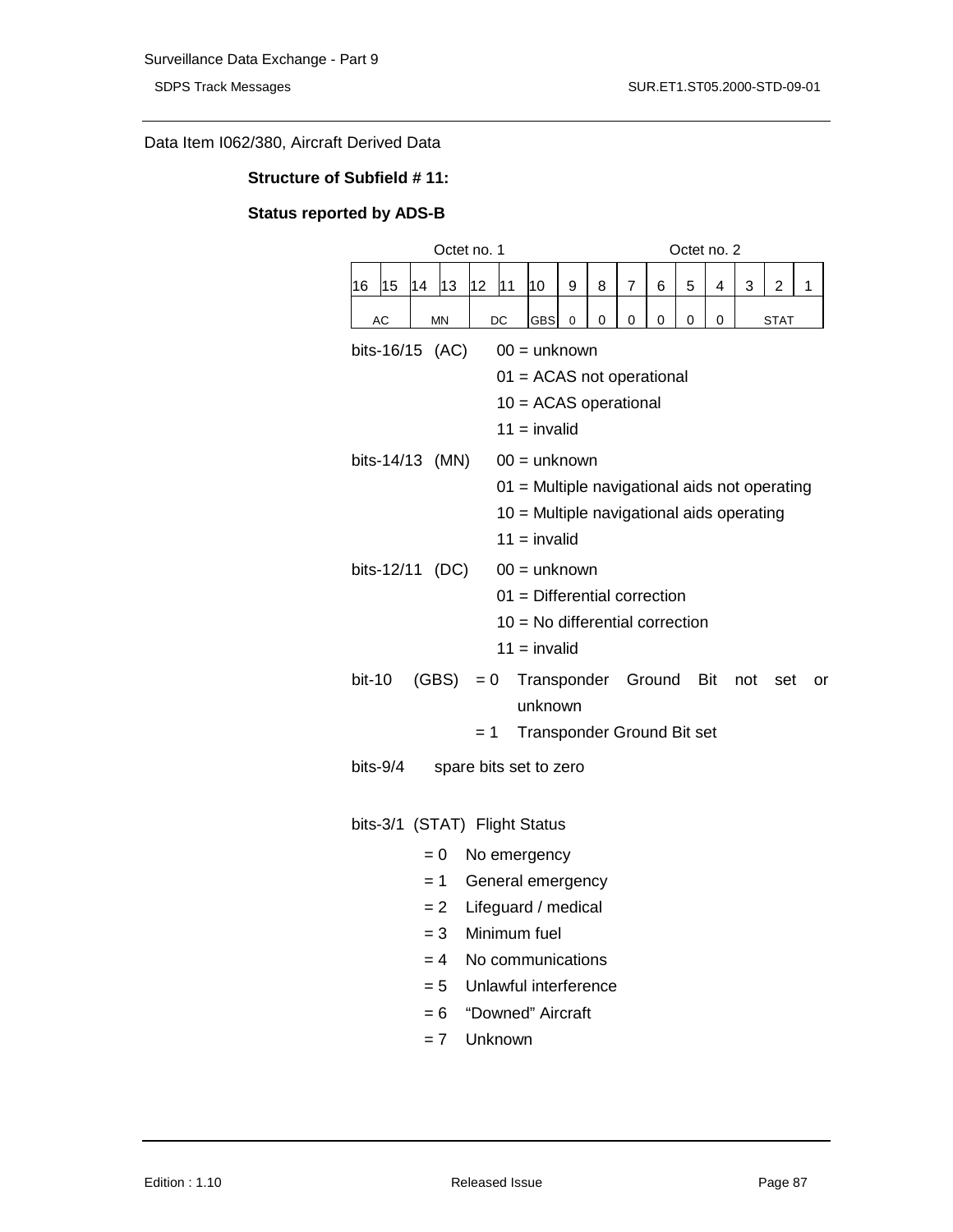#### **Structure of Subfield # 11:**

# **Status reported by ADS-B**

|                                                   | Octet no. 1           |       |                 |     |    |                                               |   | Octet no. 2 |   |   |   |            |     |                |    |
|---------------------------------------------------|-----------------------|-------|-----------------|-----|----|-----------------------------------------------|---|-------------|---|---|---|------------|-----|----------------|----|
| 16                                                | 15                    | 14    | 13              | 12  | 11 | 10                                            | 9 | 8           | 7 | 6 | 5 | 4          | 3   | $\overline{c}$ | 1  |
|                                                   | AC                    |       | <b>MN</b>       |     | DC | <b>GBS</b>                                    | 0 | 0           | 0 | 0 | 0 | 0          |     | <b>STAT</b>    |    |
|                                                   |                       |       | bits-16/15 (AC) |     |    | $00 = u$ nknown                               |   |             |   |   |   |            |     |                |    |
|                                                   |                       |       |                 |     |    | 01 = ACAS not operational                     |   |             |   |   |   |            |     |                |    |
|                                                   |                       |       |                 |     |    | $10 = ACAS$ operational                       |   |             |   |   |   |            |     |                |    |
|                                                   |                       |       |                 |     |    | $11 =$ invalid                                |   |             |   |   |   |            |     |                |    |
|                                                   |                       |       | bits-14/13 (MN) |     |    | $00 = u$ nknown                               |   |             |   |   |   |            |     |                |    |
|                                                   |                       |       |                 |     |    | 01 = Multiple navigational aids not operating |   |             |   |   |   |            |     |                |    |
|                                                   |                       |       |                 |     |    | 10 = Multiple navigational aids operating     |   |             |   |   |   |            |     |                |    |
|                                                   |                       |       |                 |     |    | $11 = invalid$                                |   |             |   |   |   |            |     |                |    |
|                                                   |                       |       | bits-12/11 (DC) |     |    | $00 =$ unknown                                |   |             |   |   |   |            |     |                |    |
|                                                   |                       |       |                 |     |    | 01 = Differential correction                  |   |             |   |   |   |            |     |                |    |
|                                                   |                       |       |                 |     |    | $10 = No$ differential correction             |   |             |   |   |   |            |     |                |    |
|                                                   |                       |       |                 |     |    | $11 =$ invalid                                |   |             |   |   |   |            |     |                |    |
| bit-10                                            |                       |       | $(GBS) = 0$     |     |    | Transponder Ground                            |   |             |   |   |   | <b>Bit</b> | not | set            | or |
|                                                   |                       |       |                 |     |    | unknown                                       |   |             |   |   |   |            |     |                |    |
|                                                   |                       |       |                 | = 1 |    | <b>Transponder Ground Bit set</b>             |   |             |   |   |   |            |     |                |    |
|                                                   | bits-9/4              |       |                 |     |    | spare bits set to zero                        |   |             |   |   |   |            |     |                |    |
|                                                   |                       |       |                 |     |    |                                               |   |             |   |   |   |            |     |                |    |
|                                                   |                       |       |                 |     |    | bits-3/1 (STAT) Flight Status                 |   |             |   |   |   |            |     |                |    |
|                                                   |                       | $= 0$ |                 |     |    | No emergency                                  |   |             |   |   |   |            |     |                |    |
|                                                   |                       | = 1   |                 |     |    |                                               |   |             |   |   |   |            |     |                |    |
| General emergency<br>Lifeguard / medical<br>$= 2$ |                       |       |                 |     |    |                                               |   |             |   |   |   |            |     |                |    |
|                                                   | Minimum fuel<br>$=$ 3 |       |                 |     |    |                                               |   |             |   |   |   |            |     |                |    |
|                                                   |                       |       | $=4$            |     |    | No communications                             |   |             |   |   |   |            |     |                |    |
|                                                   |                       |       | = 5             |     |    |                                               |   |             |   |   |   |            |     |                |    |
| Unlawful interference<br>"Downed" Aircraft<br>= 6 |                       |       |                 |     |    |                                               |   |             |   |   |   |            |     |                |    |

= 7 Unknown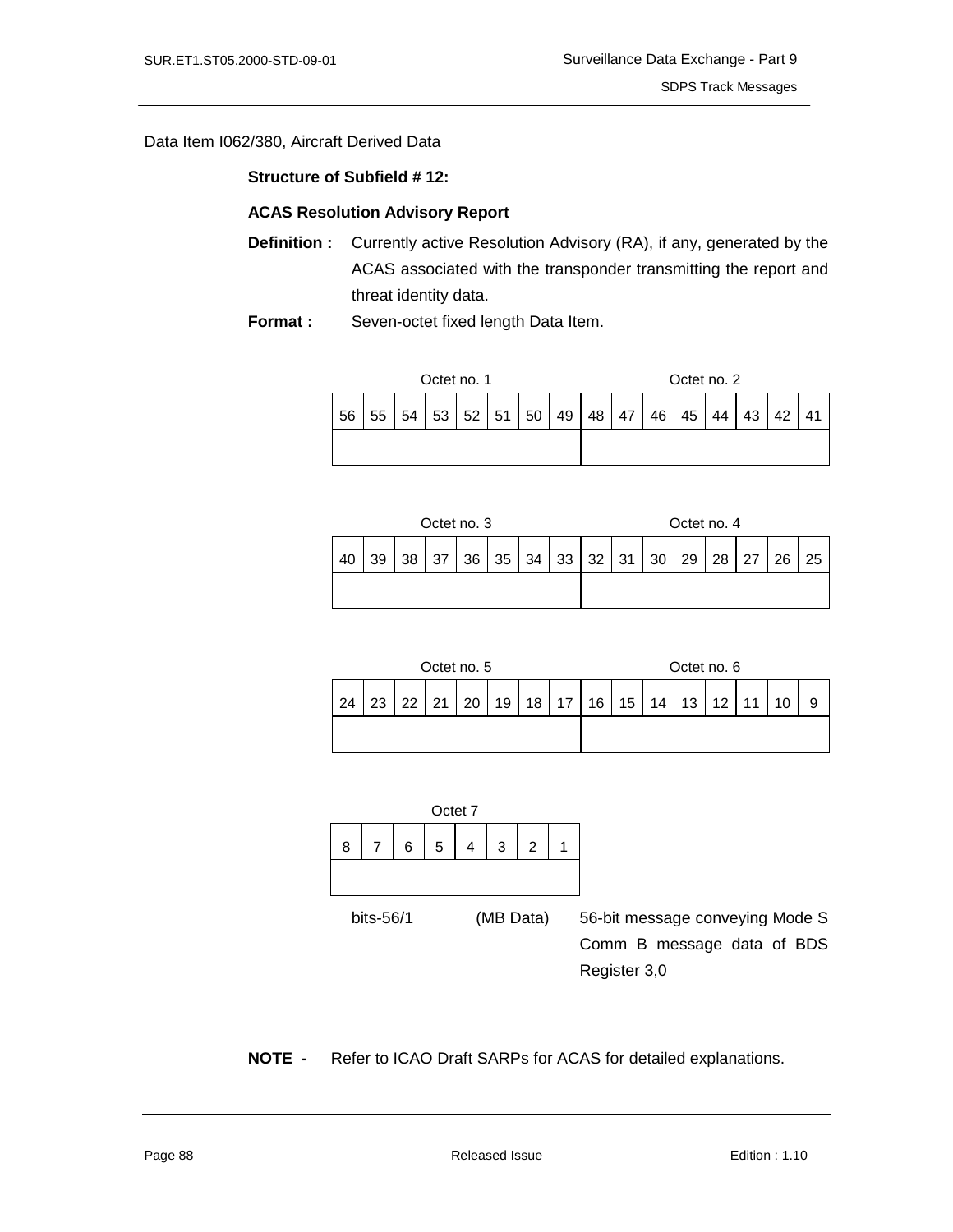#### **Structure of Subfield # 12:**

#### **ACAS Resolution Advisory Report**

- **Definition :** Currently active Resolution Advisory (RA), if any, generated by the ACAS associated with the transponder transmitting the report and threat identity data.
- **Format :** Seven-octet fixed length Data Item.

| Octet no. 1 |    |    |  |                   |  |  | Octet no. 2 |    |    |    |    |    |    |           |  |
|-------------|----|----|--|-------------------|--|--|-------------|----|----|----|----|----|----|-----------|--|
| 56          | 55 | 54 |  | 53   52   51   50 |  |  | 49          | 48 | 47 | 46 | 45 | 44 | 43 | $\Lambda$ |  |
|             |    |    |  |                   |  |  |             |    |    |    |    |    |    |           |  |

|    | Octet no. 3 |  |              |  |  |  | Octet no. 4 |                            |  |  |  |  |                 |    |    |
|----|-------------|--|--------------|--|--|--|-------------|----------------------------|--|--|--|--|-----------------|----|----|
| 40 | 39          |  | $38 \mid 37$ |  |  |  |             | 36 35 34 33 32 31 30 29 28 |  |  |  |  | $\overline{27}$ | 26 | 25 |
|    |             |  |              |  |  |  |             |                            |  |  |  |  |                 |    |    |

|    | Octet no. 5 |  |  |                                                                |  |  |  |  |  | Octet no. 6 |    |  |
|----|-------------|--|--|----------------------------------------------------------------|--|--|--|--|--|-------------|----|--|
| 24 |             |  |  | 23   22   21   20   19   18   17   16   15   14   13   12   11 |  |  |  |  |  |             | 10 |  |
|    |             |  |  |                                                                |  |  |  |  |  |             |    |  |



bits-56/1 (MB Data) 56-bit message conveying Mode S Comm B message data of BDS Register 3,0

**NOTE -** Refer to ICAO Draft SARPs for ACAS for detailed explanations.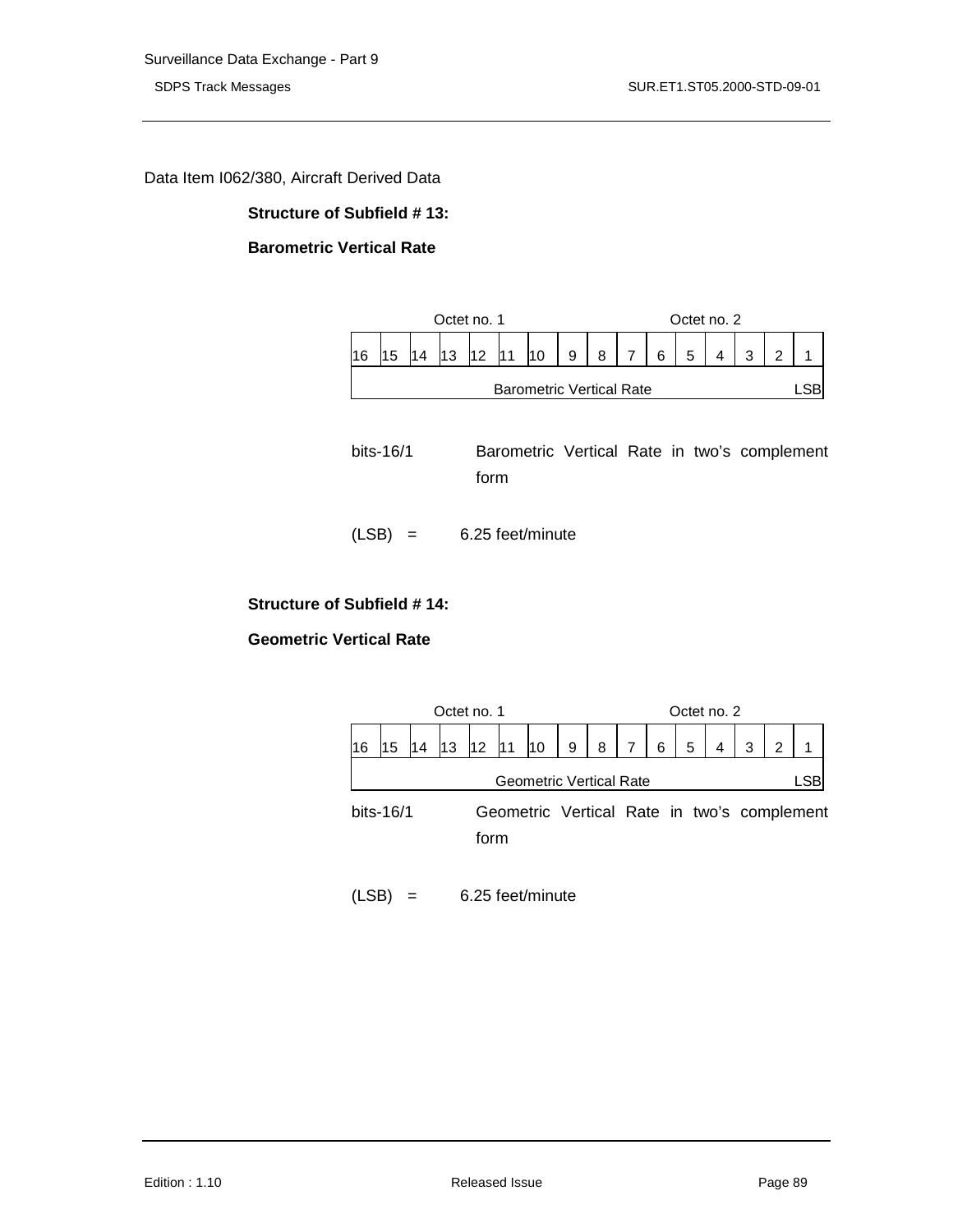#### **Structure of Subfield # 13:**

## **Barometric Vertical Rate**



| bits-16/1 |      |  |  | Barometric Vertical Rate in two's complement |
|-----------|------|--|--|----------------------------------------------|
|           | form |  |  |                                              |

$$
(LSB) = 6.25 feet/minute
$$

#### **Structure of Subfield # 14:**

#### **Geometric Vertical Rate**



# $(LSB) = 6.25$  feet/minute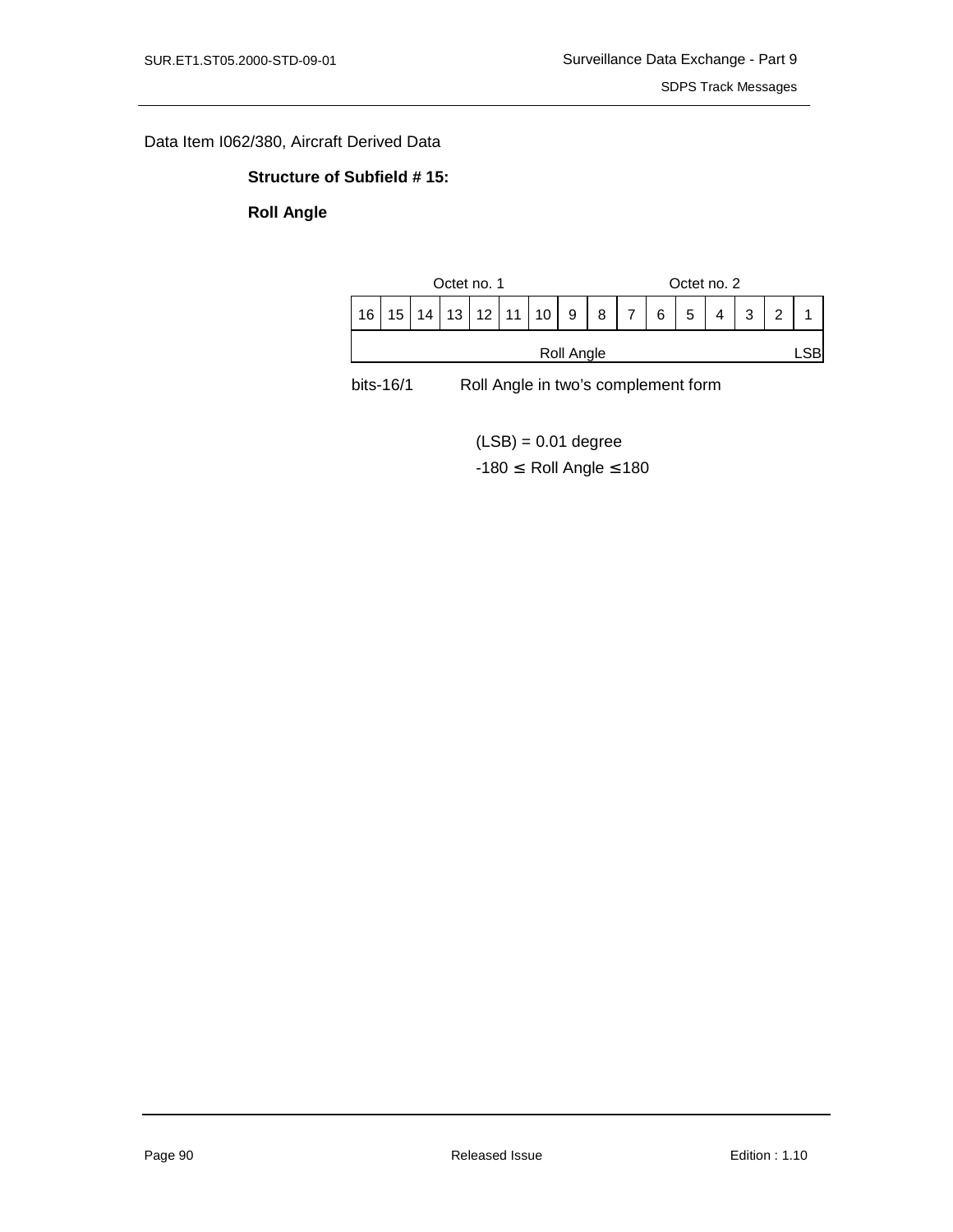#### **Structure of Subfield # 15:**

# **Roll Angle**



bits-16/1 Roll Angle in two's complement form

 $(LSB) = 0.01$  degree  $-180 \leq$  Roll Angle  $\leq 180$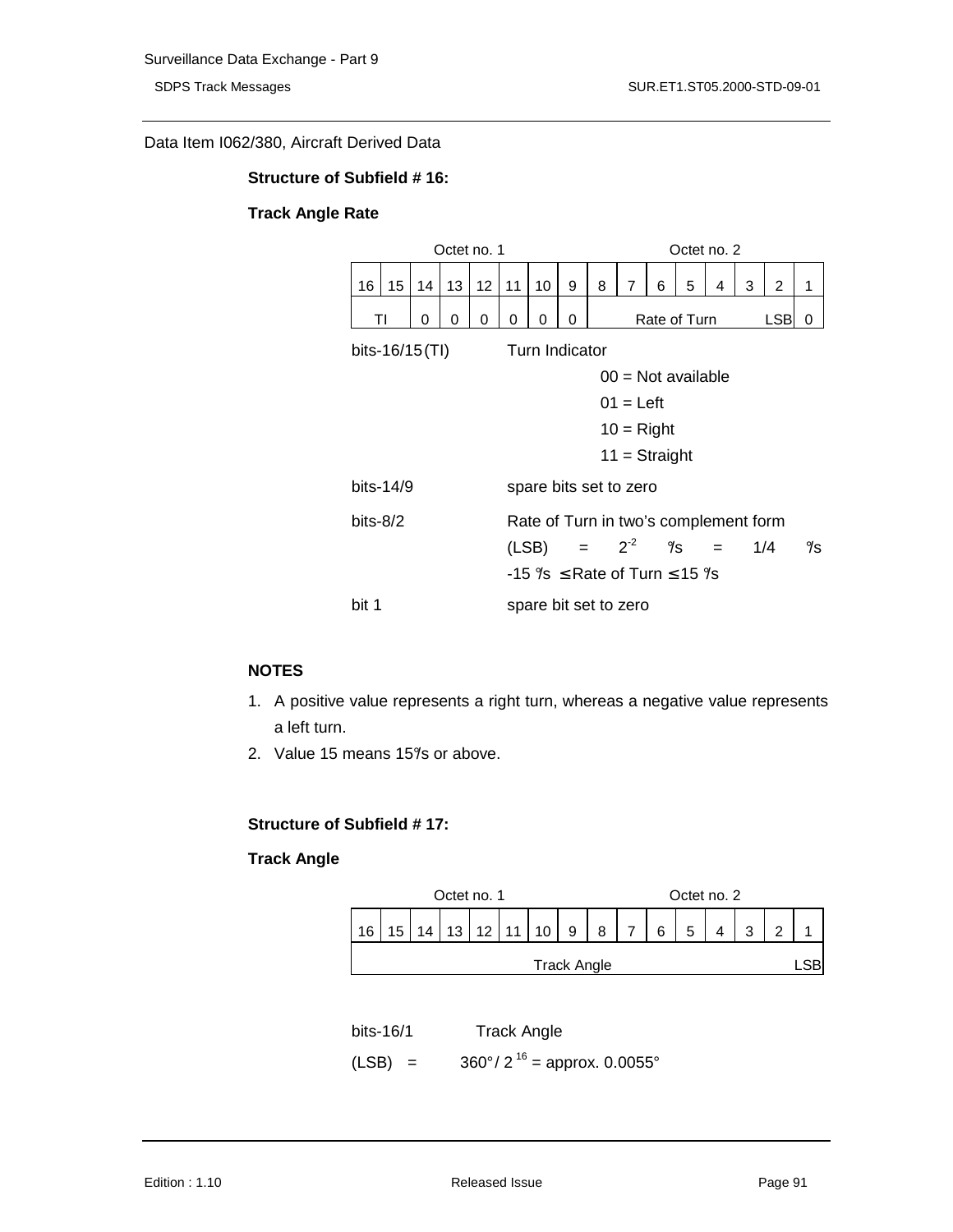#### **Structure of Subfield # 16:**

# **Track Angle Rate**



# **NOTES**

- 1. A positive value represents a right turn, whereas a negative value represents a left turn.
- 2. Value 15 means 15% or above.

# **Structure of Subfield # 17:**

# **Track Angle**



bits-16/1 Track Angle (LSB) =  $360^{\circ}/2^{16}$  = approx. 0.0055°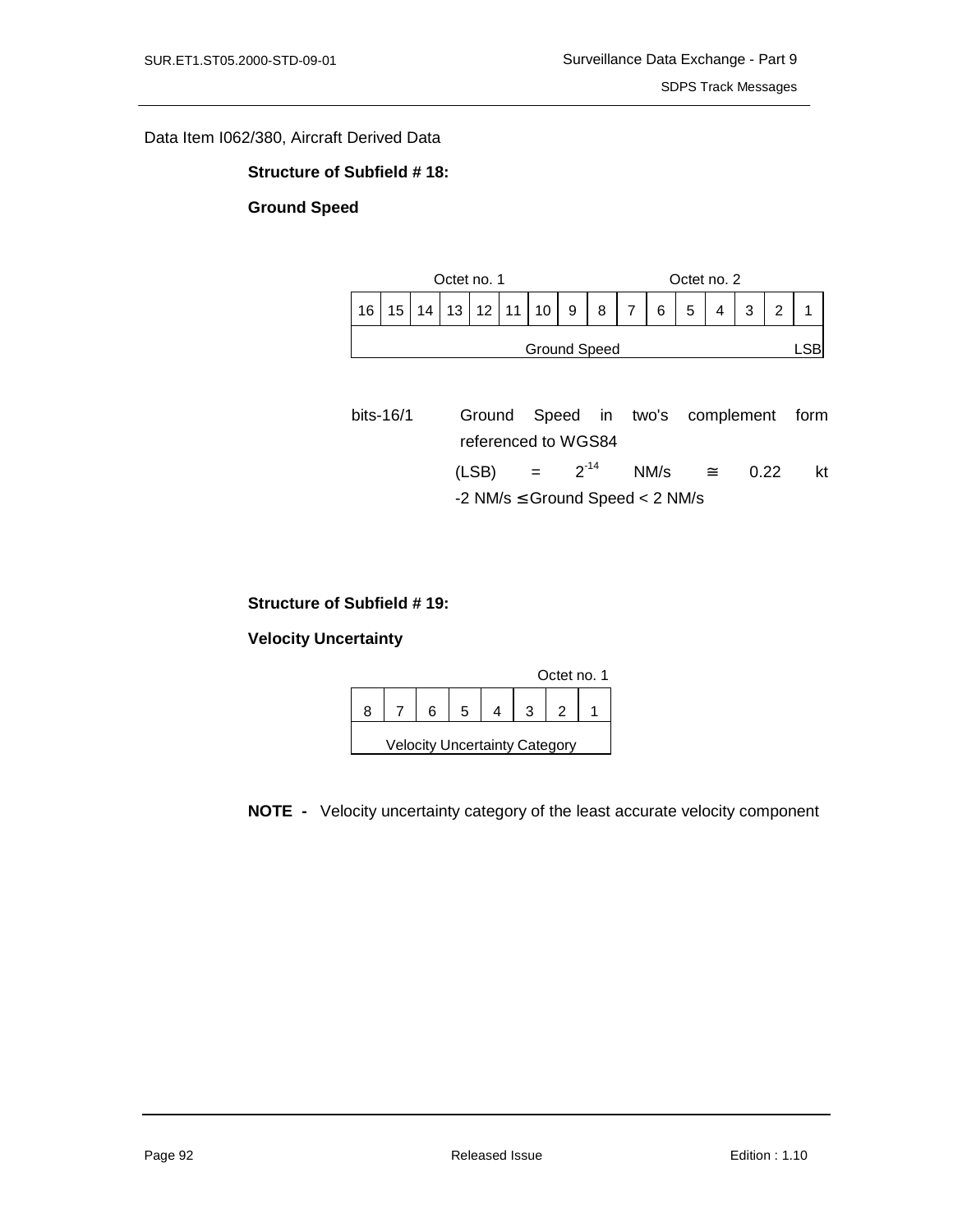#### **Structure of Subfield # 18:**

# **Ground Speed**



| bits-16/1 | Ground Speed in two's complement form   |  |  |      |    |
|-----------|-----------------------------------------|--|--|------|----|
|           | referenced to WGS84                     |  |  |      |    |
|           | $(LSB) = 2^{-14}$ NM/s $\cong$          |  |  | 0.22 | kt |
|           | $-2$ NM/s $\le$ Ground Speed $<$ 2 NM/s |  |  |      |    |

# **Structure of Subfield # 19:**

## **Velocity Uncertainty**



**NOTE -** Velocity uncertainty category of the least accurate velocity component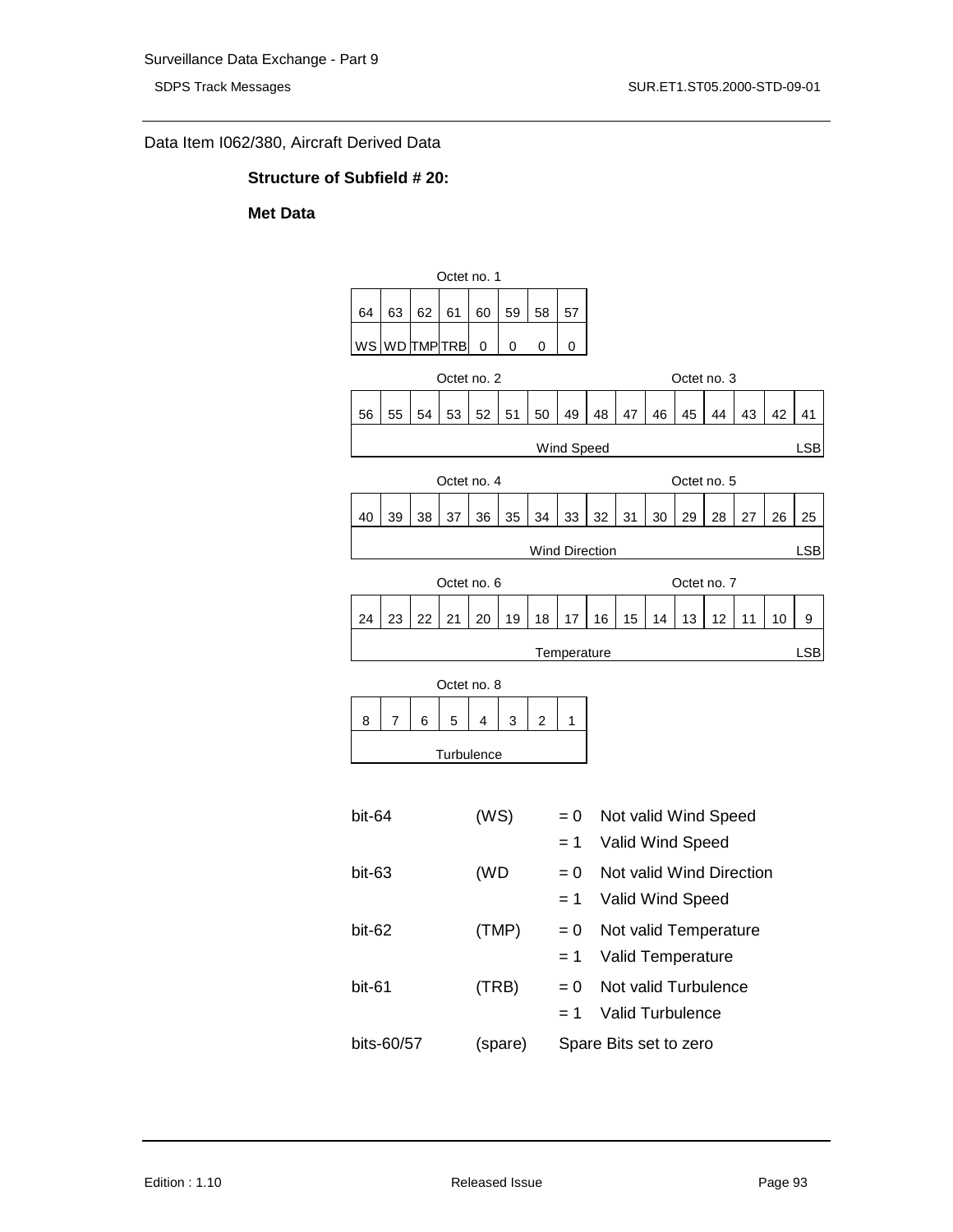#### **Structure of Subfield # 20:**

### **Met Data**

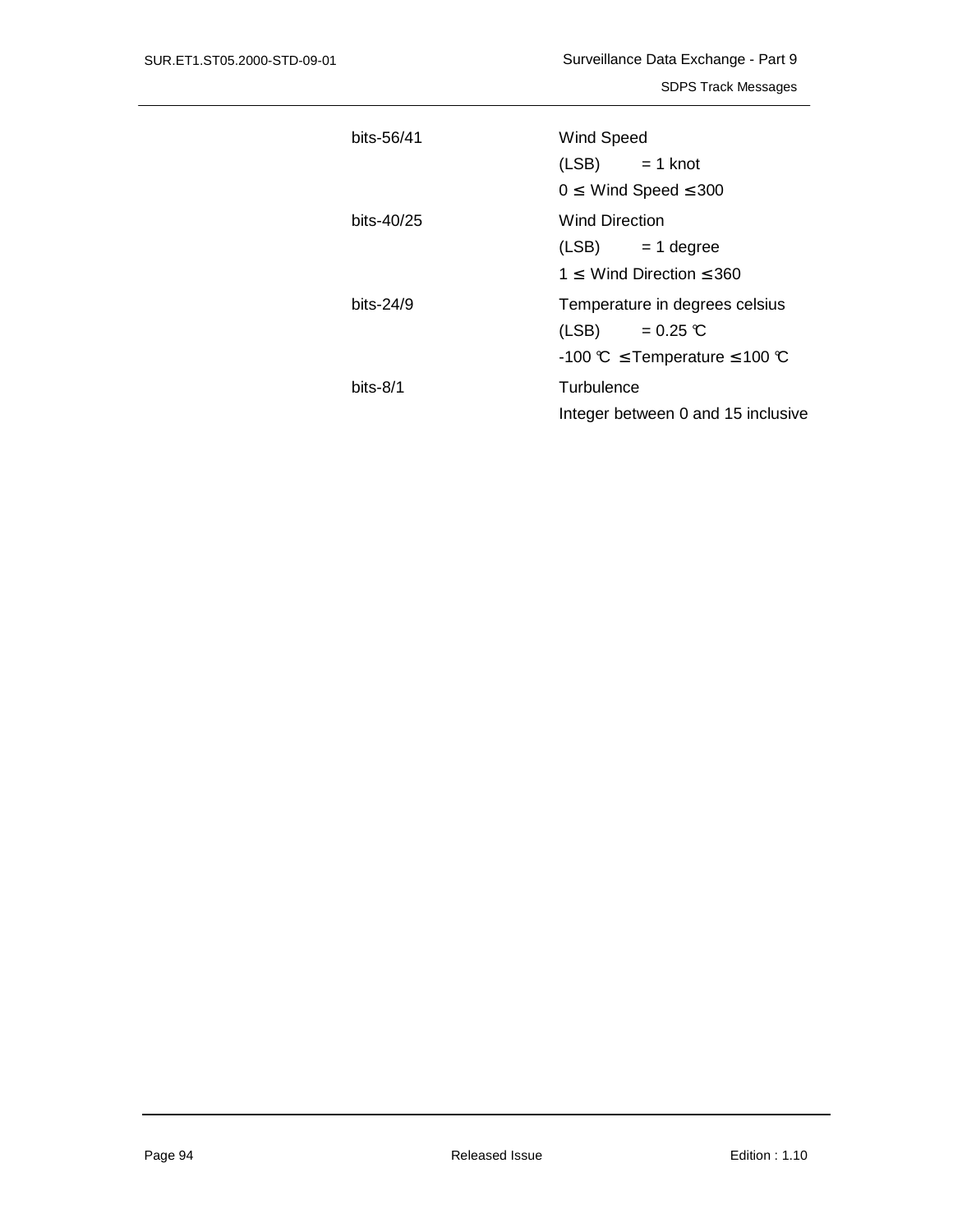| bits-56/41  | <b>Wind Speed</b>                       |                                                              |
|-------------|-----------------------------------------|--------------------------------------------------------------|
|             | $(LSB)$ = 1 knot                        |                                                              |
|             |                                         | $0 \leq$ Wind Speed $\leq$ 300                               |
| bits-40/25  | <b>Wind Direction</b>                   |                                                              |
|             |                                         | $(LSB) = 1$ degree                                           |
|             |                                         | $1 \leq$ Wind Direction $\leq$ 360                           |
| $bits-24/9$ |                                         | Temperature in degrees celsius                               |
|             | $(LSB) = 0.25 \text{ }^{\circ}\text{C}$ |                                                              |
|             |                                         | -100 $\mathcal{C} \leq$ Temperature $\leq$ 100 $\mathcal{C}$ |
| $bits-8/1$  | Turbulence                              |                                                              |
|             |                                         | Integer between 0 and 15 inclusive                           |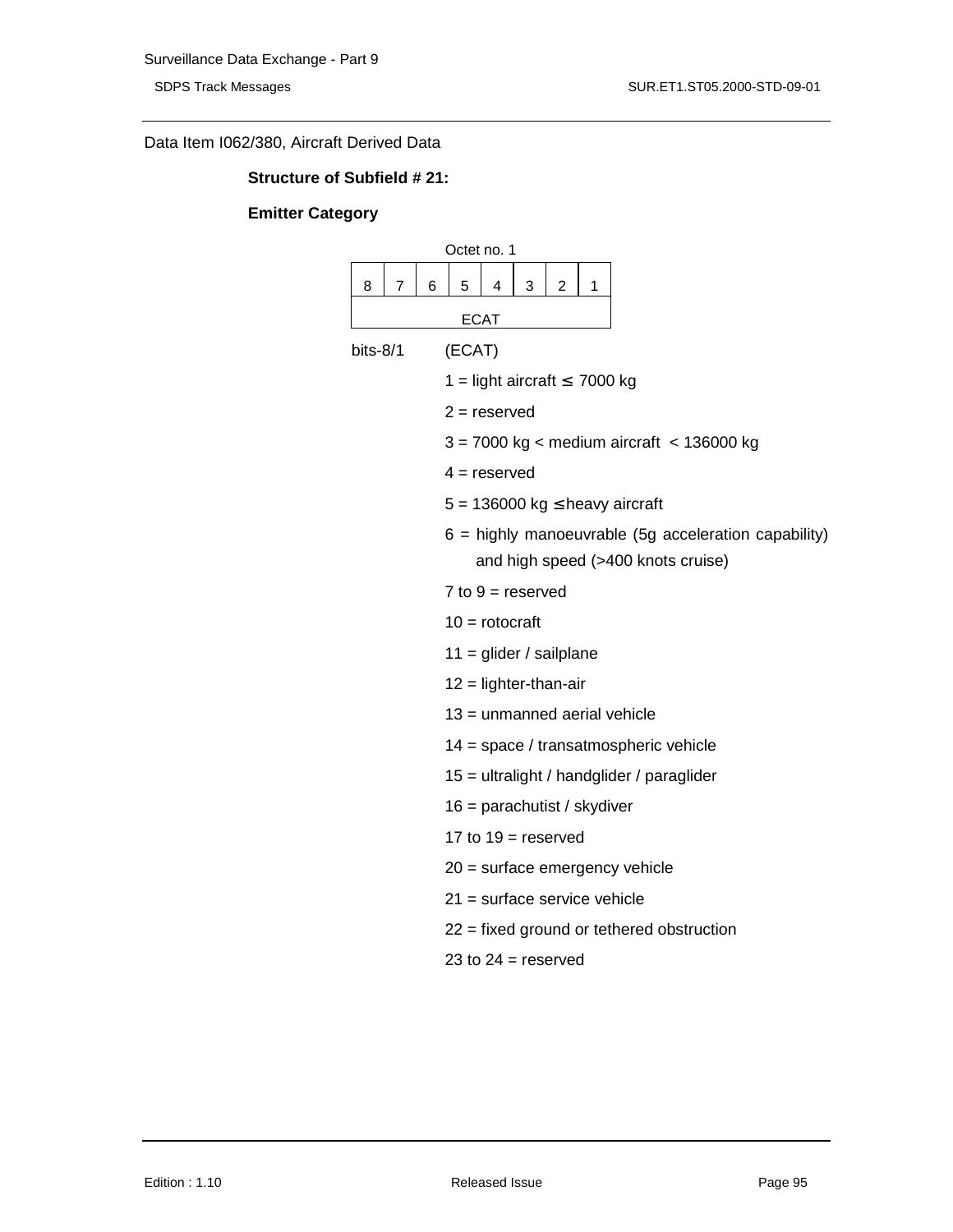#### **Structure of Subfield # 21:**

# **Emitter Category**

|          | Octet no. 1      |                                      |   |                                                        |  |
|----------|------------------|--------------------------------------|---|--------------------------------------------------------|--|
| 7<br>8   | 6<br>5<br>4      | 3<br>$\overline{2}$                  | 1 |                                                        |  |
|          | <b>ECAT</b>      |                                      |   |                                                        |  |
| bits-8/1 | (ECAT)           |                                      |   |                                                        |  |
|          |                  | 1 = light aircraft $\leq 7000$ kg    |   |                                                        |  |
|          | $2 =$ reserved   |                                      |   |                                                        |  |
|          |                  |                                      |   | $3 = 7000$ kg < medium aircraft < 136000 kg            |  |
|          | $4 =$ reserved   |                                      |   |                                                        |  |
|          |                  | $5 = 136000$ kg $\le$ heavy aircraft |   |                                                        |  |
|          |                  |                                      |   | $6$ = highly manoeuvrable (5g acceleration capability) |  |
|          |                  |                                      |   | and high speed (>400 knots cruise)                     |  |
|          |                  | $7$ to $9$ = reserved                |   |                                                        |  |
|          | $10 =$ rotocraft |                                      |   |                                                        |  |
|          |                  | $11 =$ glider / sailplane            |   |                                                        |  |
|          |                  | $12 =$ lighter-than-air              |   |                                                        |  |
|          |                  | $13 =$ unmanned aerial vehicle       |   |                                                        |  |
|          |                  |                                      |   | $14 = space / transatmospheric vehicle$                |  |
|          |                  |                                      |   | 15 = ultralight / handglider / paraglider              |  |
|          |                  | $16 =$ parachutist / skydiver        |   |                                                        |  |
|          |                  | 17 to $19 =$ reserved                |   |                                                        |  |
|          |                  |                                      |   | $20 =$ surface emergency vehicle                       |  |
|          |                  | $21$ = surface service vehicle       |   |                                                        |  |
|          |                  |                                      |   | 22 = fixed ground or tethered obstruction              |  |
|          |                  | 23 to $24 =$ reserved                |   |                                                        |  |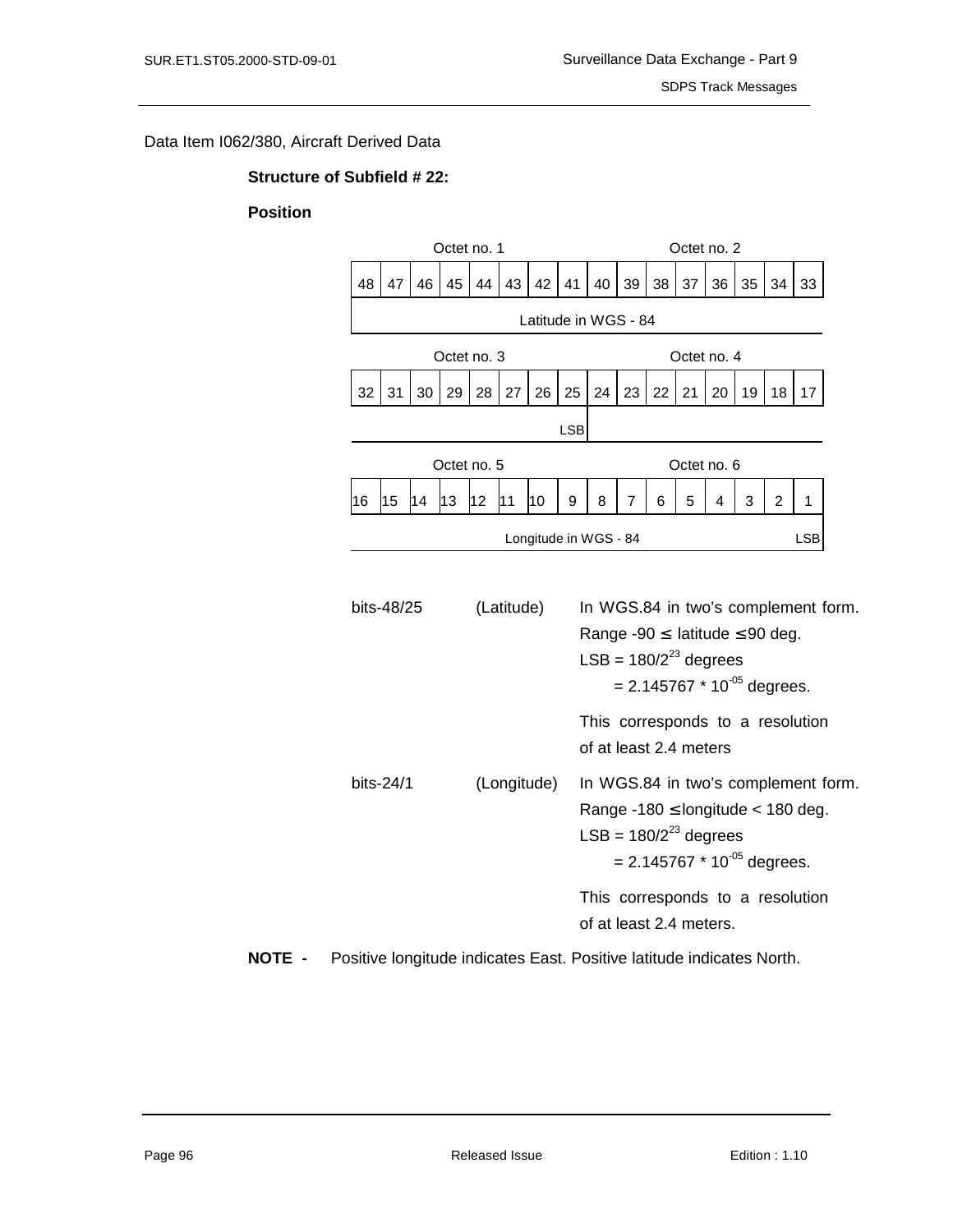#### **Structure of Subfield # 22:**

#### **Position**



| (Latitude)  | In WGS.84 in two's complement form.<br>Range -90 $\leq$ latitude $\leq$ 90 deg.<br>LSB = $180/2^{23}$ degrees<br>$= 2.145767 * 10^{-05}$ degrees. |
|-------------|---------------------------------------------------------------------------------------------------------------------------------------------------|
|             | This corresponds to a resolution<br>of at least 2.4 meters                                                                                        |
| (Longitude) | In WGS.84 in two's complement form.<br>Range -180 $\leq$ longitude $<$ 180 deg.<br>LSB = $180/2^{23}$ degrees<br>$= 2.145767 * 10^{-05}$ degrees. |
|             | This corresponds to a resolution<br>of at least 2.4 meters.                                                                                       |
|             |                                                                                                                                                   |

**NOTE -** Positive longitude indicates East. Positive latitude indicates North.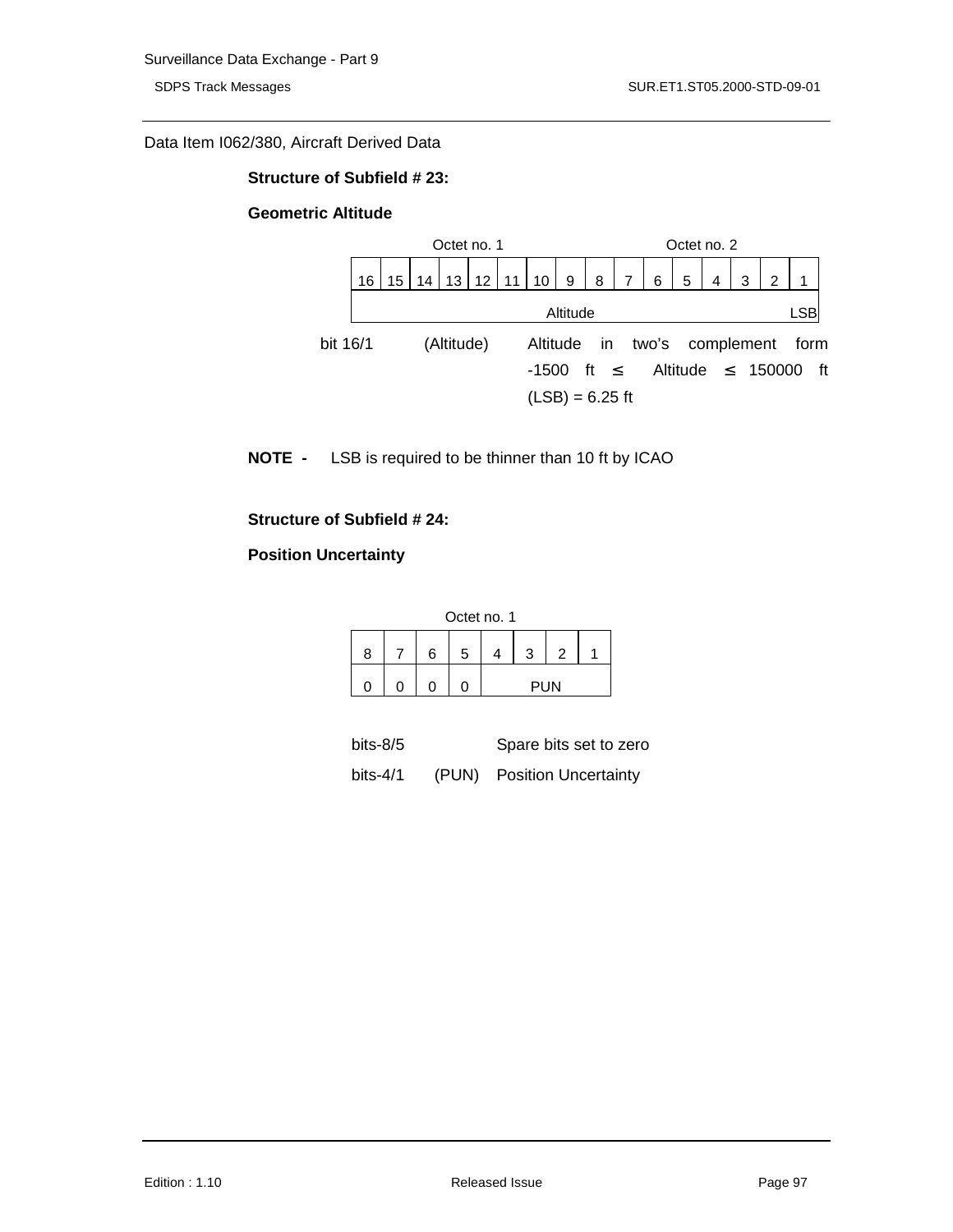# **Structure of Subfield # 23:**

#### **Geometric Altitude**



**NOTE -** LSB is required to be thinner than 10 ft by ICAO

#### **Structure of Subfield # 24:**

#### **Position Uncertainty**

|   | Octet no. 1 |   |   |  |       |   |  |  |
|---|-------------|---|---|--|-------|---|--|--|
| 8 |             | 6 | 5 |  | າ     | າ |  |  |
|   |             |   |   |  | PI IN |   |  |  |

| $bits-8/5$ | Spare bits set to zero     |
|------------|----------------------------|
| $bits-4/1$ | (PUN) Position Uncertainty |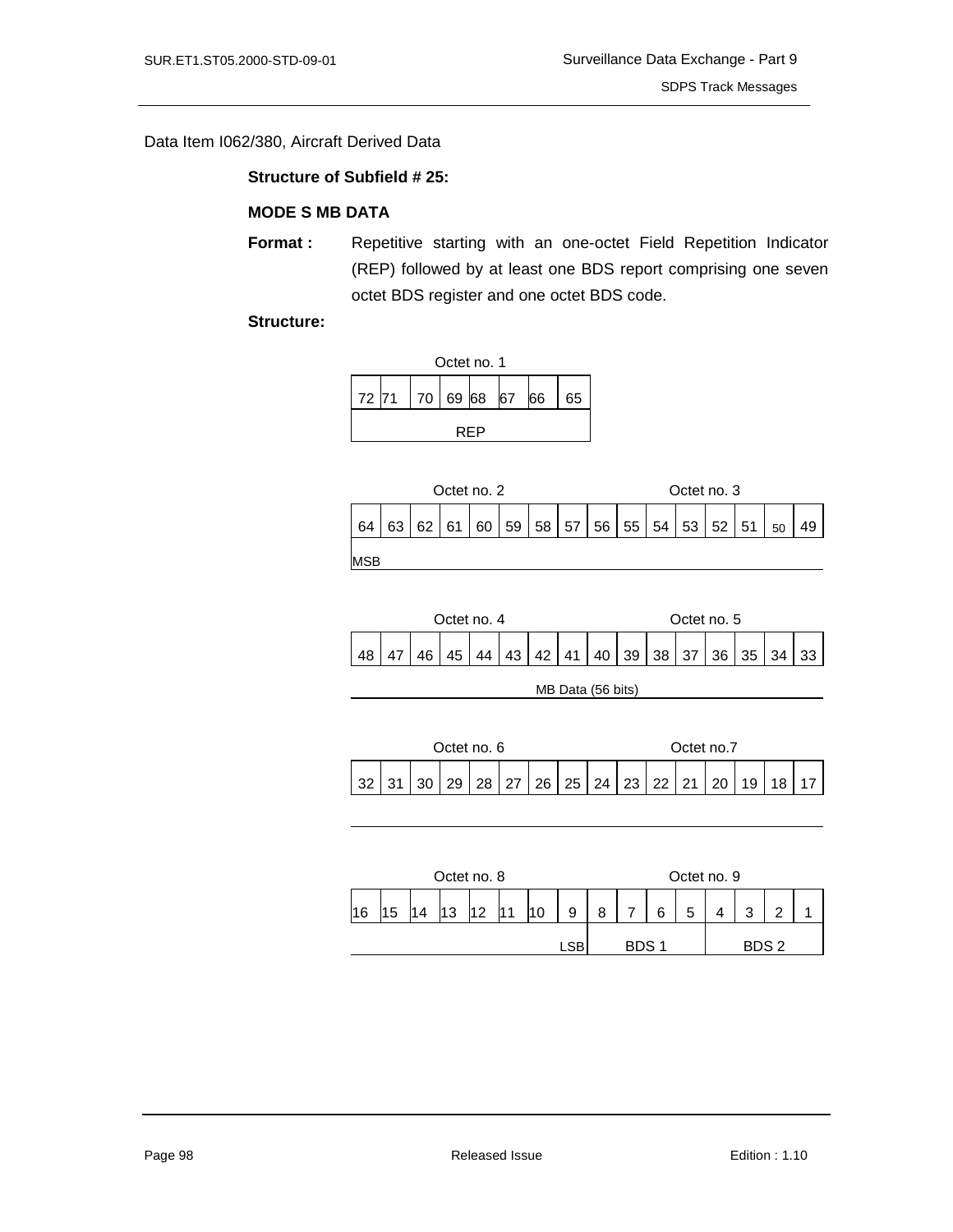## **Structure of Subfield # 25:**

#### **MODE S MB DATA**

Format : Repetitive starting with an one-octet Field Repetition Indicator (REP) followed by at least one BDS report comprising one seven octet BDS register and one octet BDS code.

#### **Structure:**





| Octet no. 4 |  |  |  |  |  |  |  | Octet no. 5 |  |  |                                              |  |  |  |  |  |
|-------------|--|--|--|--|--|--|--|-------------|--|--|----------------------------------------------|--|--|--|--|--|
|             |  |  |  |  |  |  |  |             |  |  | $46 45 44 43 42 41 40 39 38 37 36 35 34 33 $ |  |  |  |  |  |

MB Data (56 bits)

| Octet no. 6 |  |    |                                                     |  |  |  |  | Octet no.7 |  |  |  |  |    |  |  |  |
|-------------|--|----|-----------------------------------------------------|--|--|--|--|------------|--|--|--|--|----|--|--|--|
| 32          |  | 30 | )   29   28   27   26   25   24   23   22   21   20 |  |  |  |  |            |  |  |  |  | 19 |  |  |  |

| Octet no. 8 |    |     |    |      |      |    |     |   | Octet no. 9 |   |   |       |             |  |  |  |
|-------------|----|-----|----|------|------|----|-----|---|-------------|---|---|-------|-------------|--|--|--|
| 16          | 15 | 14A | 13 | 11.2 | l1 1 | 10 | 9   | 8 |             | 6 | 5 |       | $\sim$<br>J |  |  |  |
|             |    |     |    |      |      |    | ∟SB |   | BDS 1       |   |   | RNS 2 |             |  |  |  |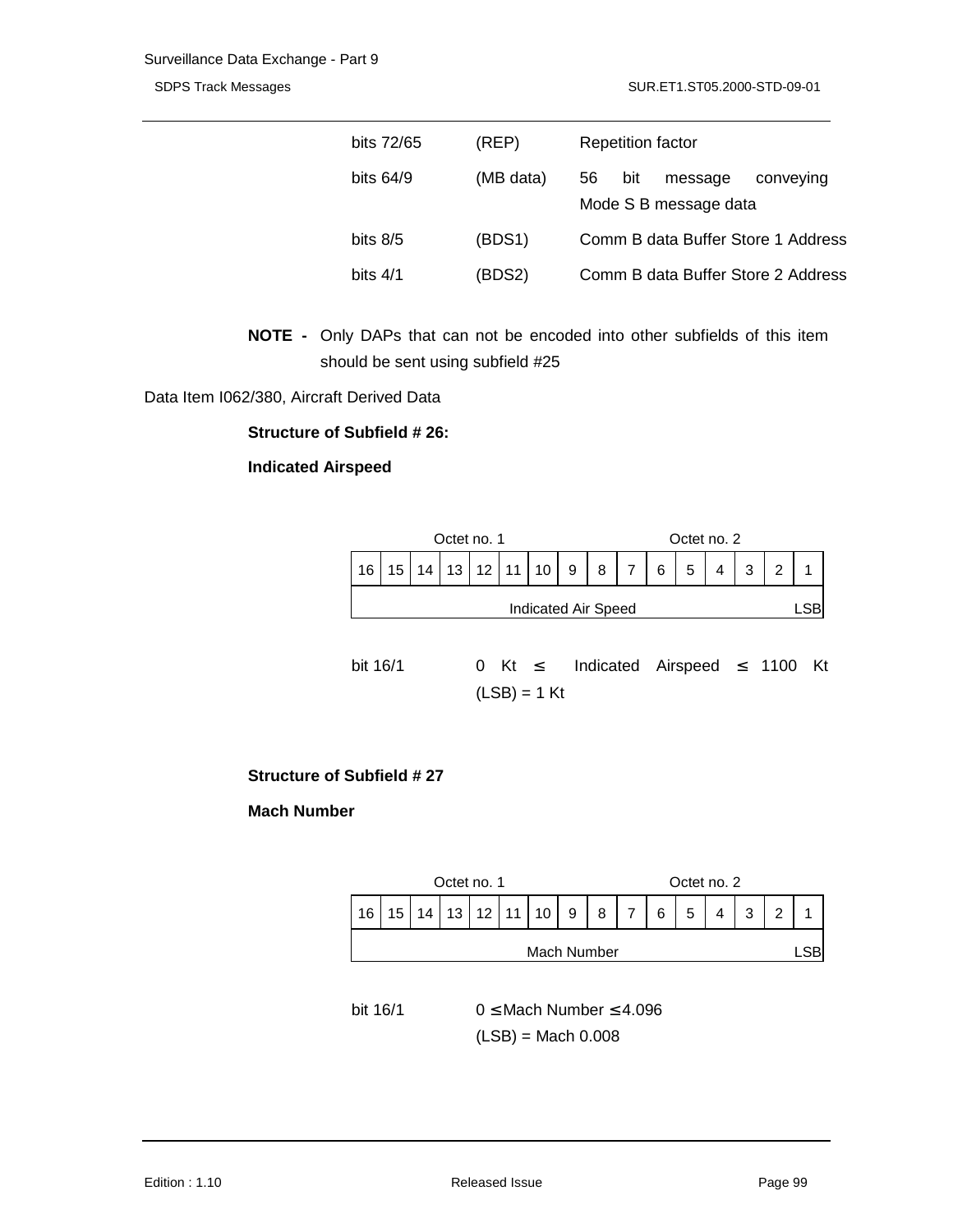| bits 72/65  | (REP)     | <b>Repetition factor</b>                                   |
|-------------|-----------|------------------------------------------------------------|
| bits $64/9$ | (MB data) | bit<br>56<br>message<br>conveying<br>Mode S B message data |
| bits $8/5$  | (BDS1)    | Comm B data Buffer Store 1 Address                         |
| bits $4/1$  | (BDS2)    | Comm B data Buffer Store 2 Address                         |

**NOTE -** Only DAPs that can not be encoded into other subfields of this item should be sent using subfield #25

Data Item I062/380, Aircraft Derived Data

### **Structure of Subfield # 26:**

# **Indicated Airspeed**

|    | Octet no. 1                |                 |  |  |  |                     |   |   | Octet no. 2 |   |  |  |   |            |  |  |
|----|----------------------------|-----------------|--|--|--|---------------------|---|---|-------------|---|--|--|---|------------|--|--|
| 16 | 15 <sub>1</sub>            | 14 <sub>1</sub> |  |  |  | $13$   12   11   10 | 9 | 8 |             | 6 |  |  | ົ | $\sqrt{2}$ |  |  |
|    | <b>Indicated Air Speed</b> |                 |  |  |  |                     |   |   |             |   |  |  |   |            |  |  |

| bit 16/1 |  |                | 0 Kt $\leq$ Indicated Airspeed $\leq$ 1100 Kt |  |  |
|----------|--|----------------|-----------------------------------------------|--|--|
|          |  | $(LSB) = 1$ Kt |                                               |  |  |

#### **Structure of Subfield # 27**

#### **Mach Number**



bit 16/1  $0 \leq$  Mach Number  $\leq 4.096$ (LSB) = Mach 0.008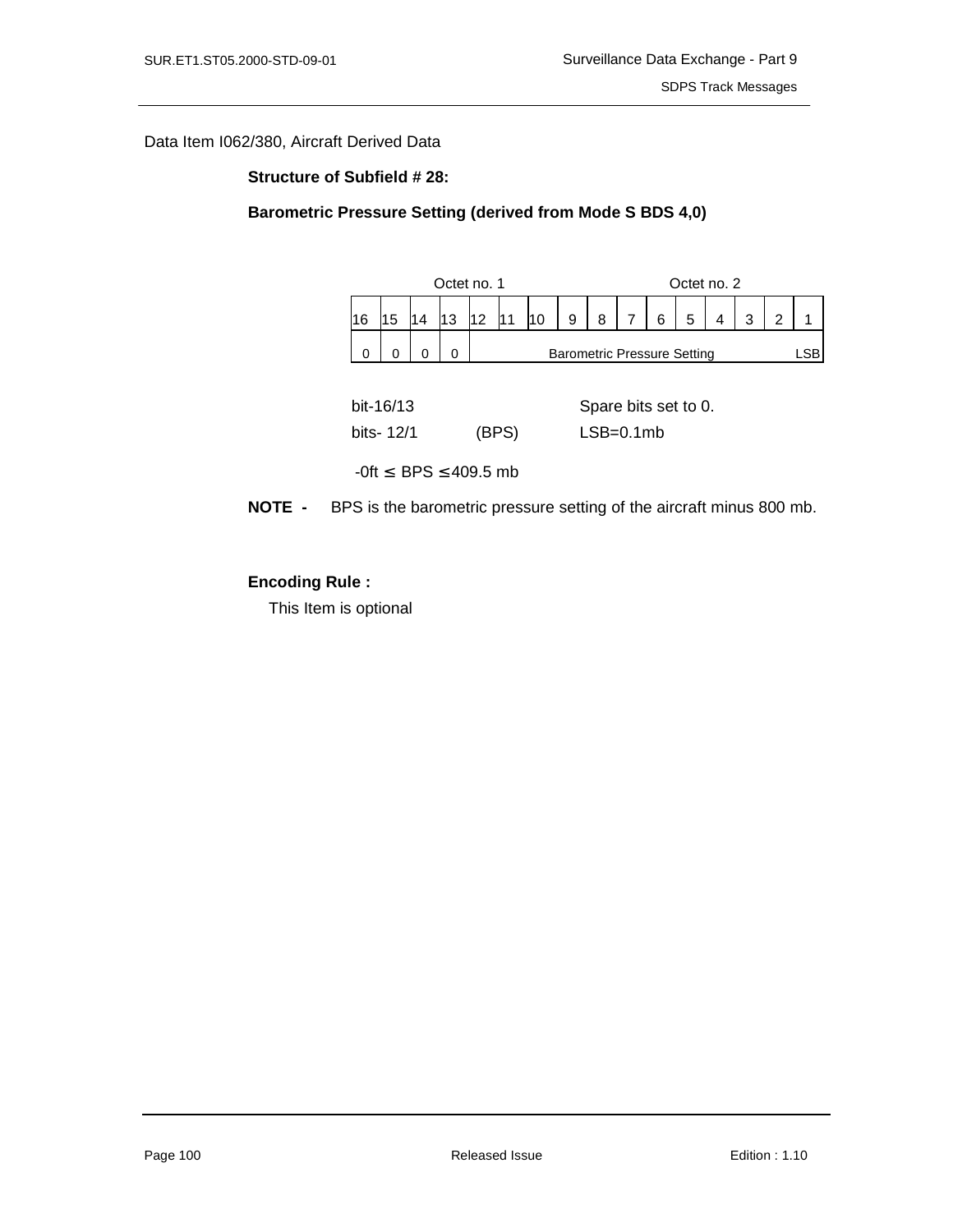Data Item I062/380, Aircraft Derived Data

#### **Structure of Subfield # 28:**

#### **Barometric Pressure Setting (derived from Mode S BDS 4,0)**



bit-16/13 Spare bits set to 0. bits- 12/1 (BPS) LSB=0.1mb

 $-0$ ft  $\leq$  BPS  $\leq$  409.5 mb

**NOTE -** BPS is the barometric pressure setting of the aircraft minus 800 mb.

# **Encoding Rule :**

This Item is optional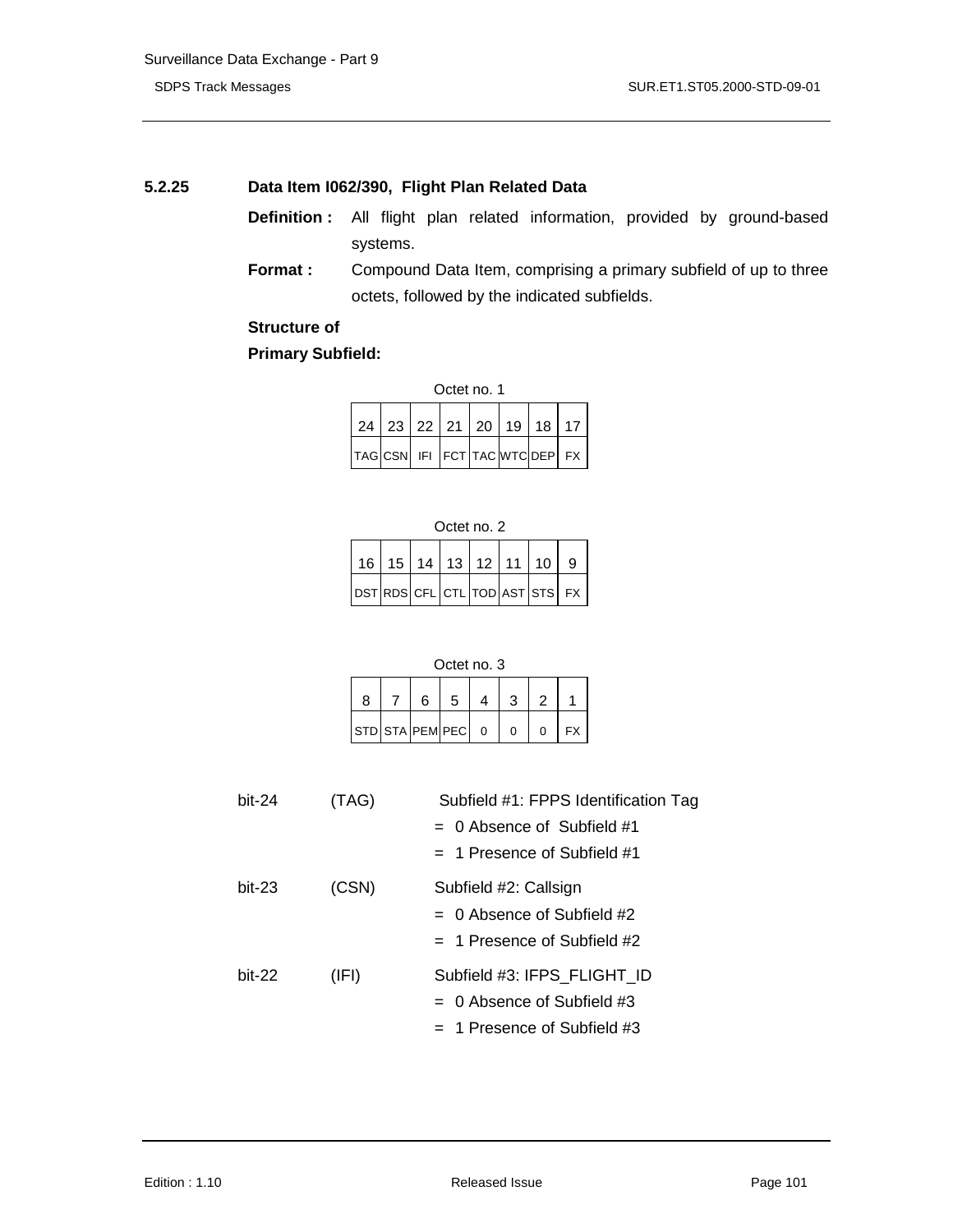- **Definition :** All flight plan related information, provided by ground-based systems.
- **Format :** Compound Data Item, comprising a primary subfield of up to three octets, followed by the indicated subfields.

#### **Structure of**

#### **Primary Subfield:**

| Octet no. 1 |                                                                                                        |  |  |  |  |  |  |  |  |  |  |  |
|-------------|--------------------------------------------------------------------------------------------------------|--|--|--|--|--|--|--|--|--|--|--|
|             | 24   23   22   21   20   19   18   17                                                                  |  |  |  |  |  |  |  |  |  |  |  |
|             | $\vert$ TAG $\vert$ CSN $\vert$ IFI $\vert$ FCT $\vert$ TAC $\vert$ WTC $\vert$ DEP $\vert$ FX $\vert$ |  |  |  |  |  |  |  |  |  |  |  |

|                          | Octet no. 2 |  |  |
|--------------------------|-------------|--|--|
| 16 15 14 13 12 11 10 9   |             |  |  |
| DSTRDSCFLCTLTODASTSTS FX |             |  |  |

| Octet no. 3 |  |    |                   |  |   |   |           |  |  |  |  |  |  |
|-------------|--|----|-------------------|--|---|---|-----------|--|--|--|--|--|--|
| 8           |  | 6. | 5                 |  | 3 | ာ |           |  |  |  |  |  |  |
|             |  |    | STD STA PEM PEC 0 |  | 0 | U | <b>FX</b> |  |  |  |  |  |  |

| $bit-24$ | (TAG) | Subfield #1: FPPS Identification Tag<br>$=$ 0 Absence of Subfield #1<br>$=$ 1 Presence of Subfield #1 |
|----------|-------|-------------------------------------------------------------------------------------------------------|
| $bit-23$ | (CSN) | Subfield #2: Callsign<br>$=$ 0 Absence of Subfield #2<br>$=$ 1 Presence of Subfield #2                |
| $bit-22$ | (IFI) | Subfield #3: IFPS FLIGHT ID<br>$= 0$ Absence of Subfield #3<br>$=$ 1 Presence of Subfield #3          |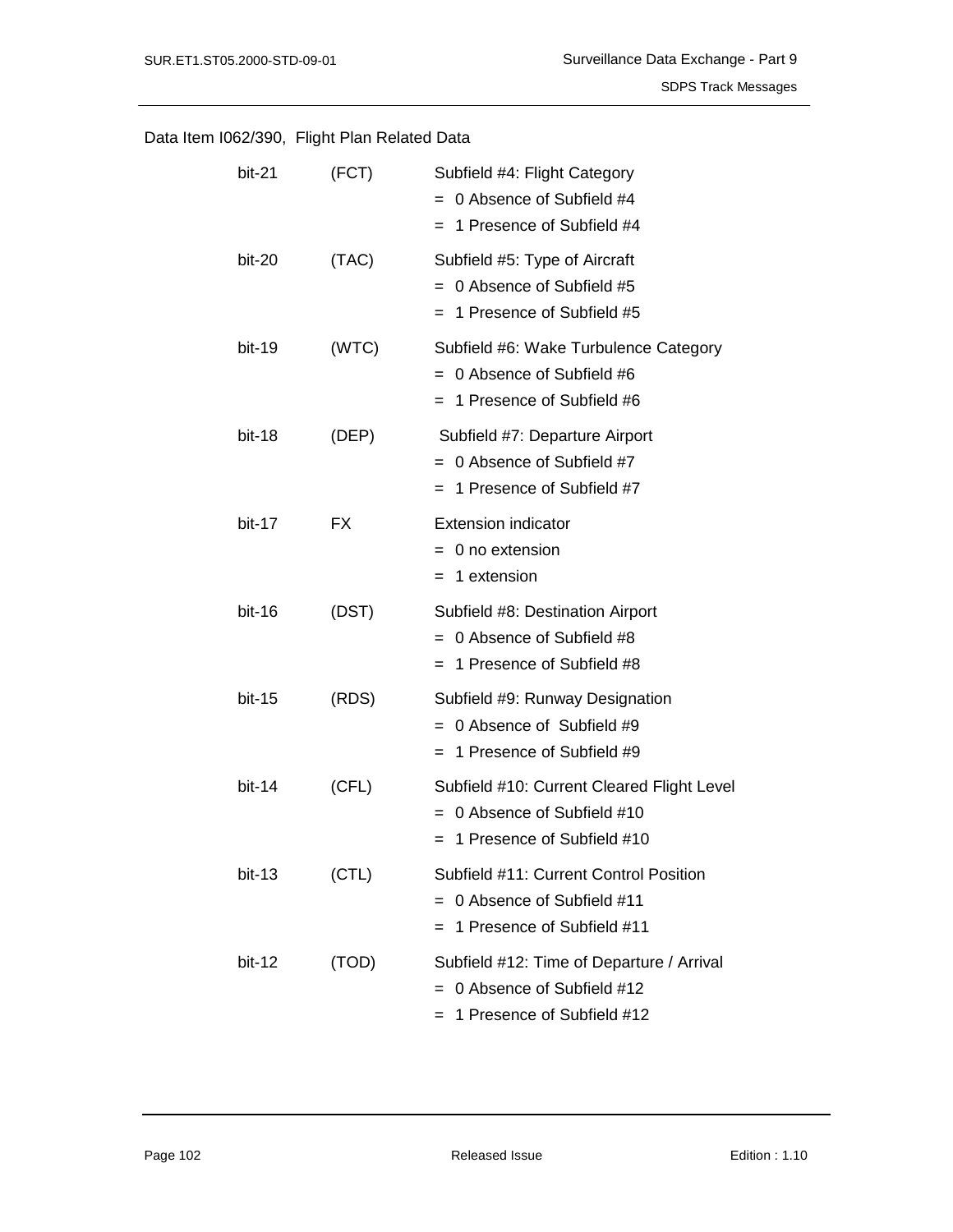| bit-21   | (FCT)     | Subfield #4: Flight Category<br>$= 0$ Absence of Subfield #4<br>$=$ 1 Presence of Subfield #4                 |
|----------|-----------|---------------------------------------------------------------------------------------------------------------|
| $bit-20$ | (TAC)     | Subfield #5: Type of Aircraft<br>$= 0$ Absence of Subfield #5<br>$=$ 1 Presence of Subfield #5                |
| bit-19   | (WTC)     | Subfield #6: Wake Turbulence Category<br>$= 0$ Absence of Subfield #6<br>$= 1$ Presence of Subfield #6        |
| bit-18   | (DEP)     | Subfield #7: Departure Airport<br>$= 0$ Absence of Subfield #7<br>$=$ 1 Presence of Subfield #7               |
| bit-17   | <b>FX</b> | <b>Extension indicator</b><br>$= 0$ no extension<br>$= 1$ extension                                           |
| $bit-16$ | (DST)     | Subfield #8: Destination Airport<br>$= 0$ Absence of Subfield #8<br>= 1 Presence of Subfield #8               |
| $bit-15$ | (RDS)     | Subfield #9: Runway Designation<br>$= 0$ Absence of Subfield #9<br>$=$ 1 Presence of Subfield #9              |
| $bit-14$ | (CFL)     | Subfield #10: Current Cleared Flight Level<br>$= 0$ Absence of Subfield #10<br>$=$ 1 Presence of Subfield #10 |
| $bit-13$ | (CTL)     | Subfield #11: Current Control Position<br>$= 0$ Absence of Subfield #11<br>$= 1$ Presence of Subfield #11     |
| bit-12   | (TOD)     | Subfield #12: Time of Departure / Arrival<br>$= 0$ Absence of Subfield #12<br>1 Presence of Subfield #12      |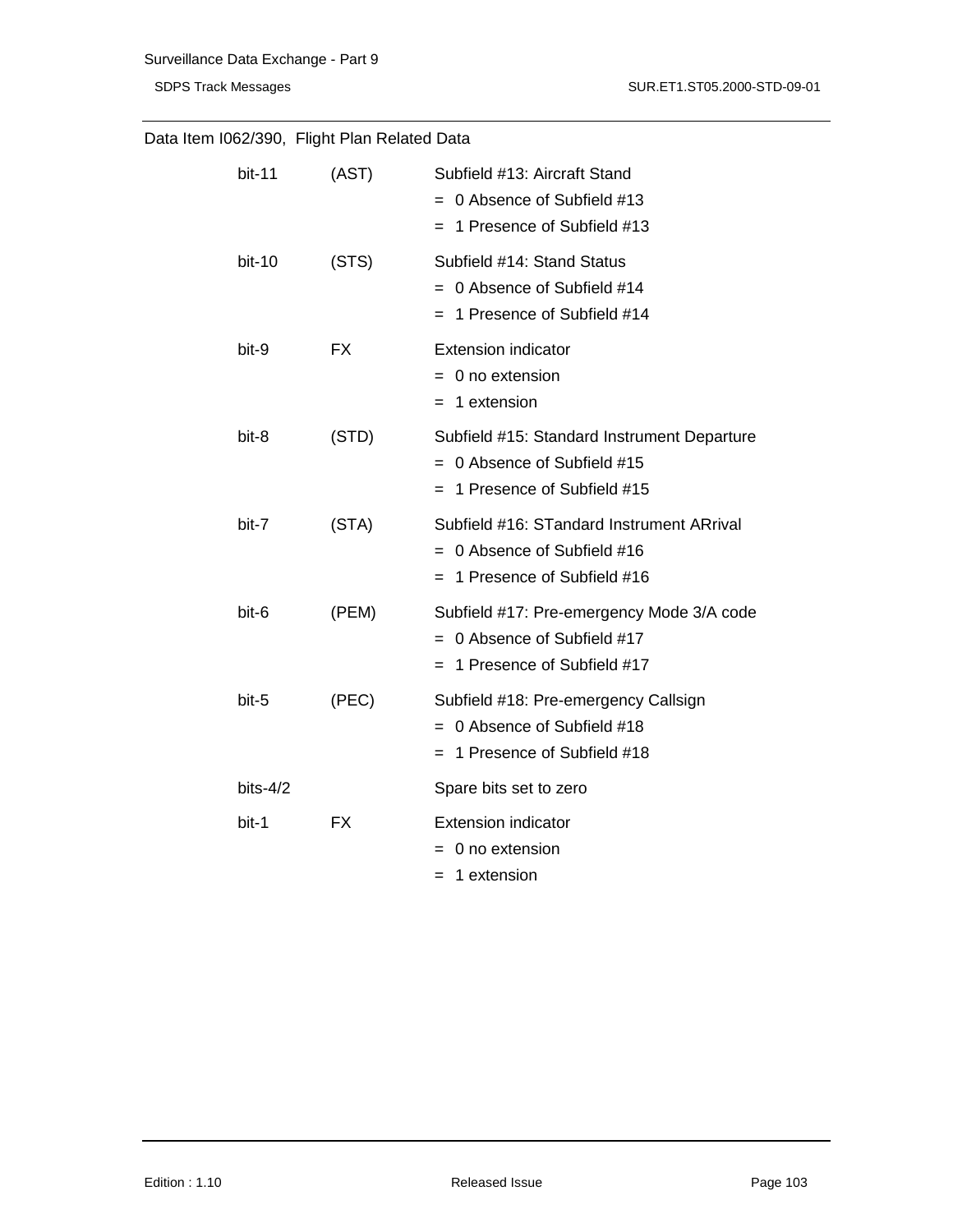#### Surveillance Data Exchange - Part 9

| $bit-11$   | (AST)     | Subfield #13: Aircraft Stand<br>$= 0$ Absence of Subfield #13<br>$= 1$ Presence of Subfield #13                |
|------------|-----------|----------------------------------------------------------------------------------------------------------------|
| $bit-10$   | (STS)     | Subfield #14: Stand Status<br>$= 0$ Absence of Subfield #14<br>$= 1$ Presence of Subfield #14                  |
| bit-9      | <b>FX</b> | <b>Extension indicator</b><br>$= 0$ no extension<br>$= 1$ extension                                            |
| bit-8      | (STD)     | Subfield #15: Standard Instrument Departure<br>$= 0$ Absence of Subfield #15<br>$= 1$ Presence of Subfield #15 |
| bit-7      | (STA)     | Subfield #16: STandard Instrument ARrival<br>$= 0$ Absence of Subfield #16<br>$= 1$ Presence of Subfield #16   |
| bit-6      | (PEM)     | Subfield #17: Pre-emergency Mode 3/A code<br>$= 0$ Absence of Subfield #17<br>$= 1$ Presence of Subfield #17   |
| bit-5      | (PEC)     | Subfield #18: Pre-emergency Callsign<br>$= 0$ Absence of Subfield #18<br>$= 1$ Presence of Subfield #18        |
| $bits-4/2$ |           | Spare bits set to zero                                                                                         |
| bit-1      | <b>FX</b> | <b>Extension indicator</b><br>$= 0$ no extension<br>$= 1$ extension                                            |

# Data Item I062/390, Flight Plan Related Data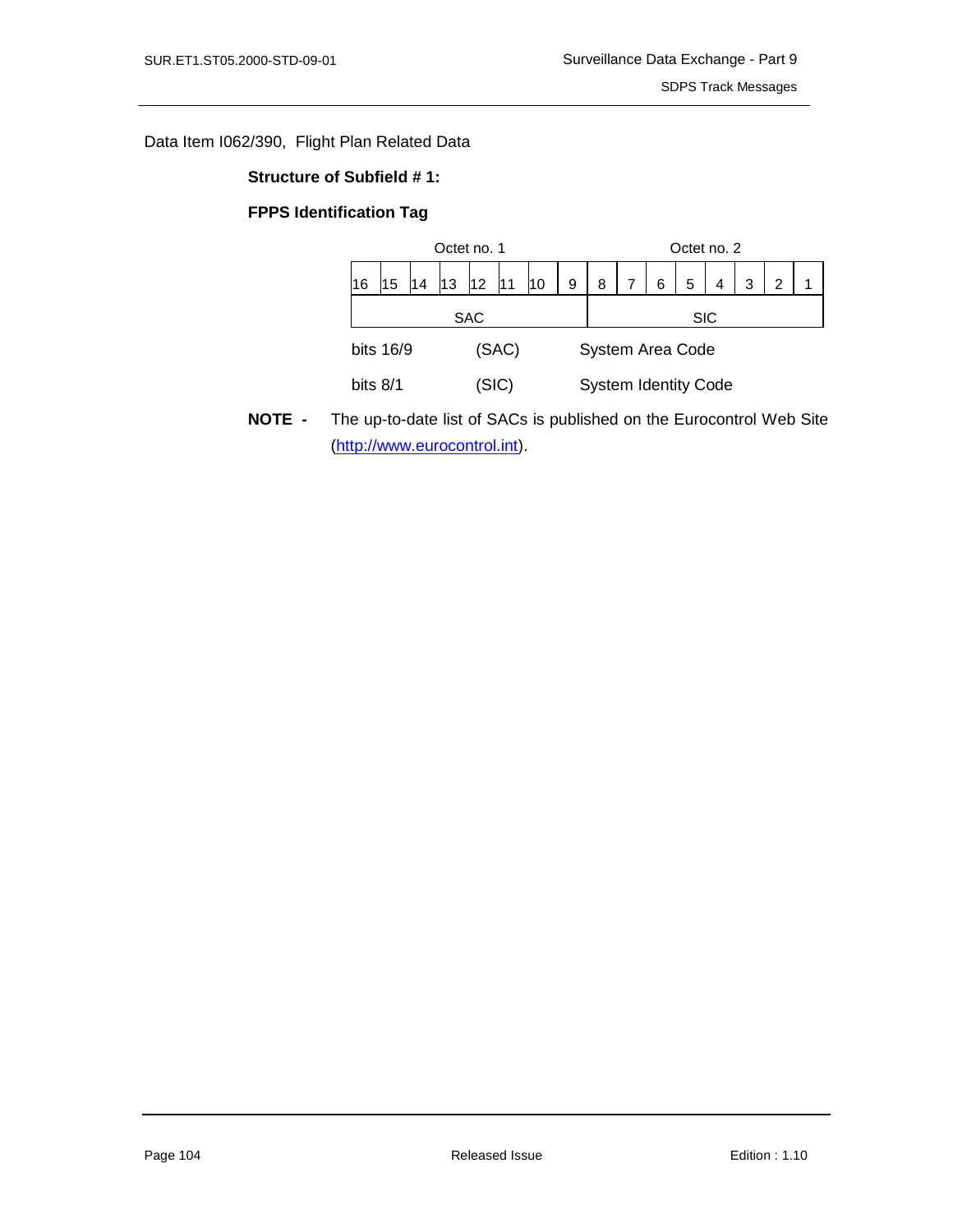#### **Structure of Subfield # 1:**

### **FPPS Identification Tag**

|                     | Octet no. 1        |    |    |            |                             |                  |   |   |            | Octet no. 2 |   |                |   |                |  |  |  |
|---------------------|--------------------|----|----|------------|-----------------------------|------------------|---|---|------------|-------------|---|----------------|---|----------------|--|--|--|
| 16                  | 15                 | 14 | 13 | $12 \, 11$ |                             | 10 <sup>1</sup>  | 9 | 8 |            | 6           | 5 | $\overline{4}$ | 3 | $\overline{2}$ |  |  |  |
|                     | <b>SAC</b>         |    |    |            |                             |                  |   |   | <b>SIC</b> |             |   |                |   |                |  |  |  |
|                     | bits 16/9<br>(SAC) |    |    |            |                             | System Area Code |   |   |            |             |   |                |   |                |  |  |  |
| bits $8/1$<br>(SIC) |                    |    |    |            | <b>System Identity Code</b> |                  |   |   |            |             |   |                |   |                |  |  |  |

**NOTE -** The up-to-date list of SACs is published on the Eurocontrol Web Site (http://www.eurocontrol.int).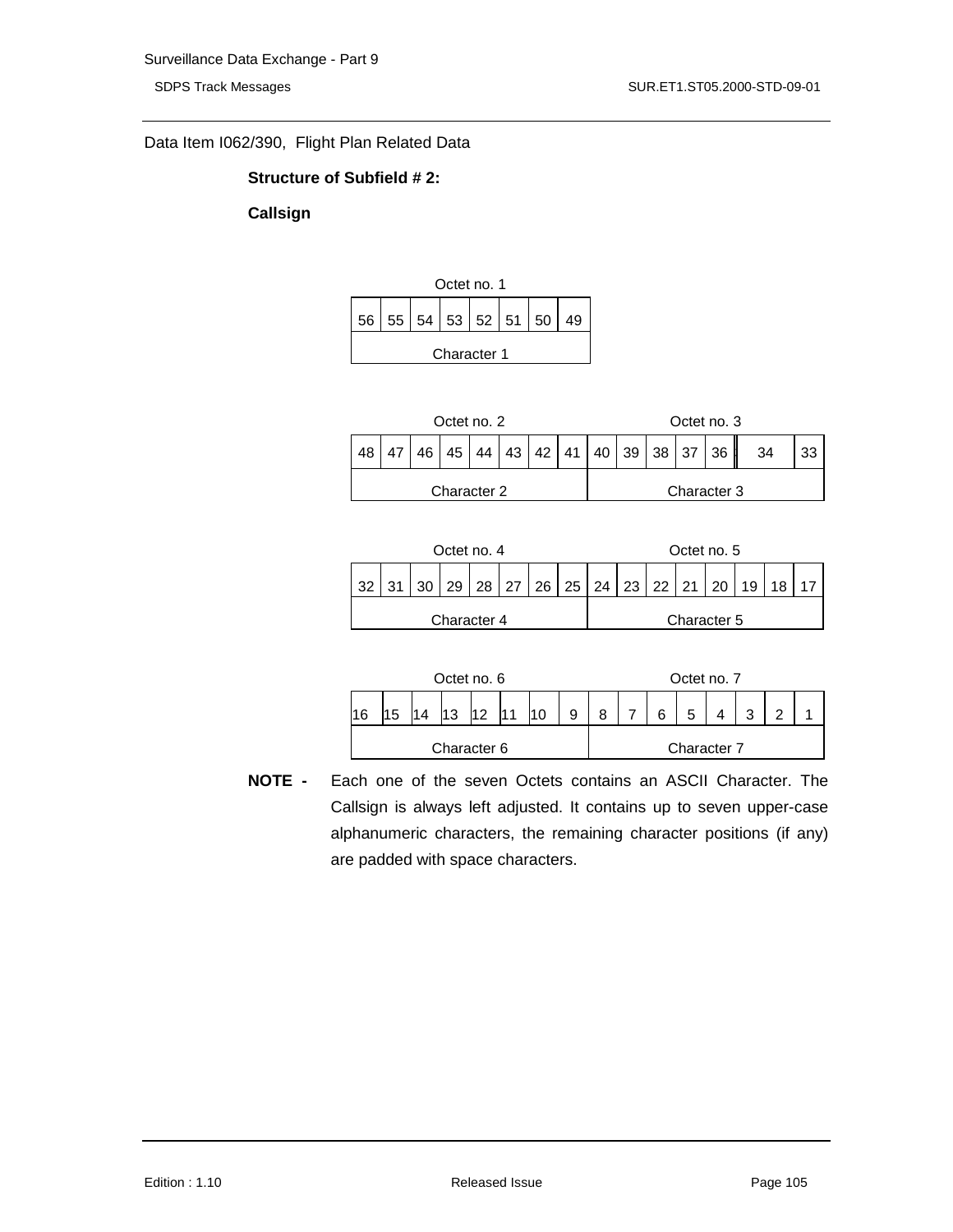### **Structure of Subfield # 2:**

#### **Callsign**







|             | Octet no. 6 |   |    |    |  |  |  |  | Octet no. 7 |   |   |             |   |  |  |
|-------------|-------------|---|----|----|--|--|--|--|-------------|---|---|-------------|---|--|--|
| 16          | 15          | 4 | 13 | 12 |  |  |  |  |             | 6 | 5 |             | ົ |  |  |
| Character 6 |             |   |    |    |  |  |  |  |             |   |   | Character 7 |   |  |  |

**NOTE -** Each one of the seven Octets contains an ASCII Character. The Callsign is always left adjusted. It contains up to seven upper-case alphanumeric characters, the remaining character positions (if any) are padded with space characters.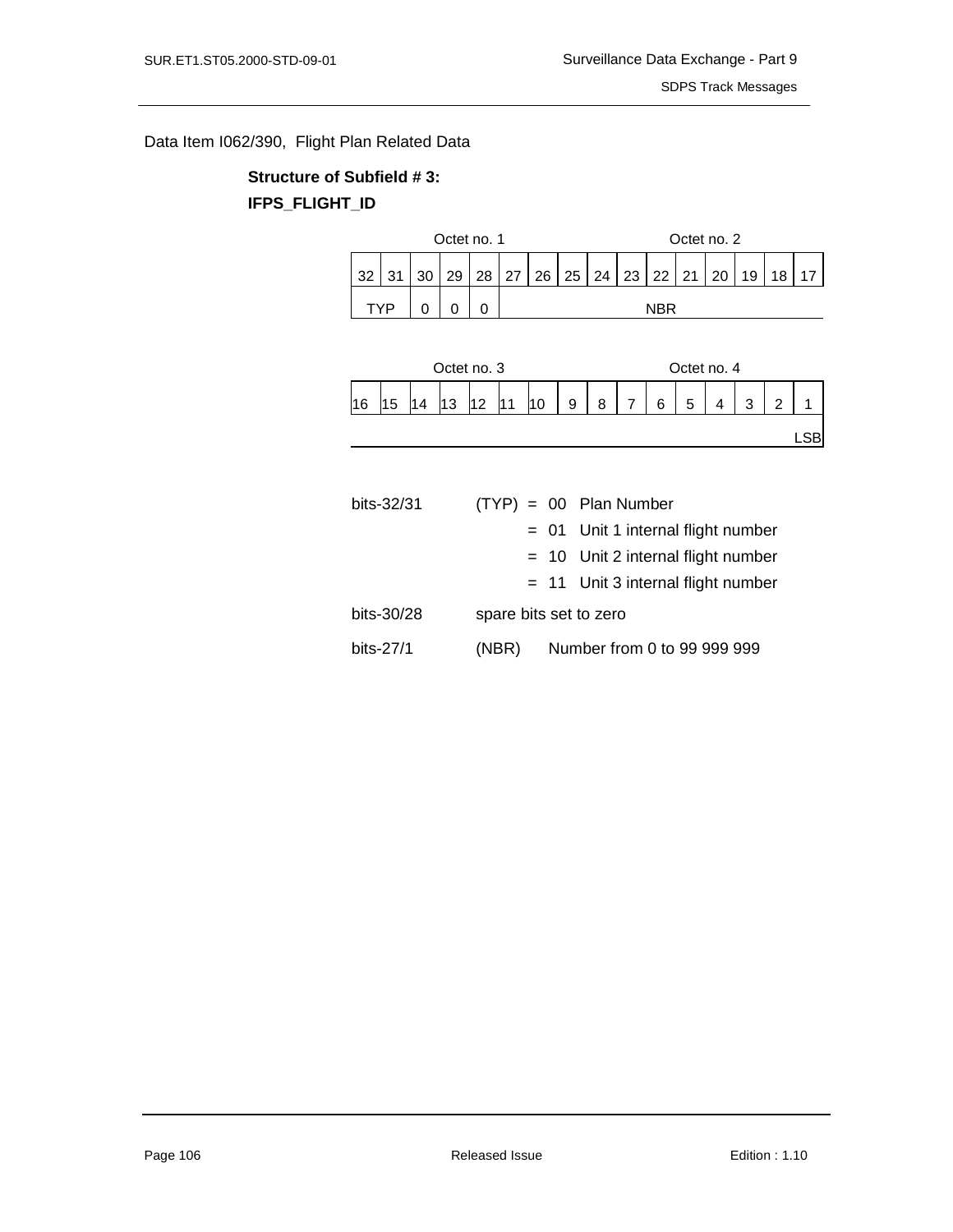# **Structure of Subfield # 3: IFPS\_FLIGHT\_ID**



|    | Octet no. 3 |  |    |    |     |    |   |   | Octet no. 4   |   |   |  |        |        |  |  |
|----|-------------|--|----|----|-----|----|---|---|---------------|---|---|--|--------|--------|--|--|
| 16 | 15          |  | 13 | 12 | 111 | 10 | 9 | 8 | $\rightarrow$ | 6 | 5 |  | ົ<br>J | $\sim$ |  |  |
|    |             |  |    |    |     |    |   |   |               |   |   |  |        |        |  |  |

| bits-32/31  |                        | $(TYP) = 00$ Plan Number             |
|-------------|------------------------|--------------------------------------|
|             |                        | $= 01$ Unit 1 internal flight number |
|             |                        | $= 10$ Unit 2 internal flight number |
|             |                        | $= 11$ Unit 3 internal flight number |
| bits-30/28  | spare bits set to zero |                                      |
| $bits-27/1$ | (NBR)                  | Number from 0 to 99 999 999          |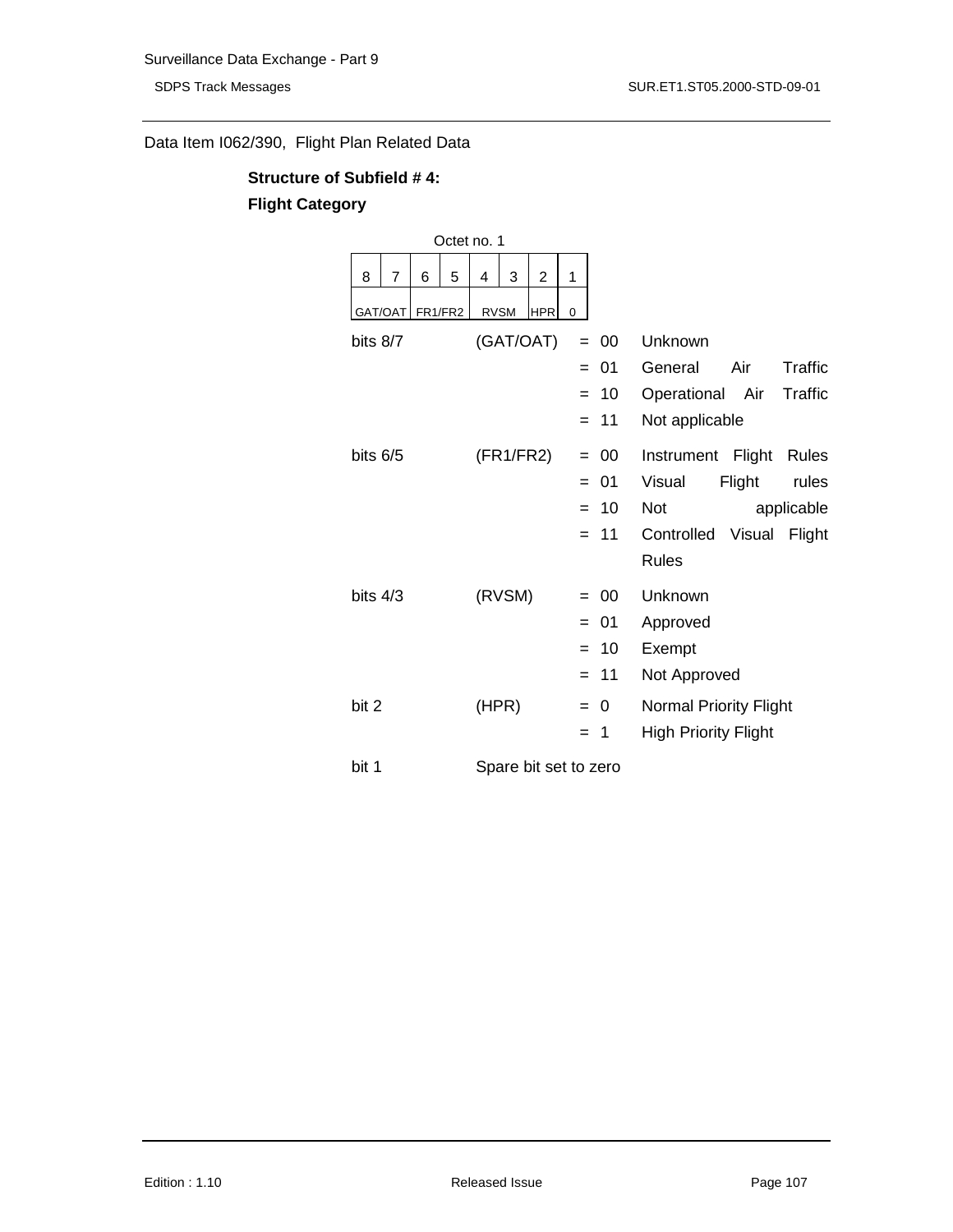# **Structure of Subfield # 4: Flight Category**

|            |                   |   | Octet no. 1 |                       |        |                |             |        |                                   |  |
|------------|-------------------|---|-------------|-----------------------|--------|----------------|-------------|--------|-----------------------------------|--|
| 8          | 7                 | 6 | 5           | 4                     | 3      | $\overline{2}$ | 1           |        |                                   |  |
|            | GAT/OAT   FR1/FR2 |   |             | <b>RVSM</b>           |        | <b>HPR</b>     | $\mathbf 0$ |        |                                   |  |
| bits 8/7   |                   |   |             |                       |        | (GAT/OAT)      | $=$         | 00     | Unknown                           |  |
|            |                   |   |             |                       |        |                |             | $= 01$ | Air<br>Traffic<br>General         |  |
|            |                   |   |             |                       |        |                | $=$         | 10     | Traffic<br>Operational Air        |  |
|            |                   |   |             |                       |        |                | $=$         | 11     | Not applicable                    |  |
| bits $6/5$ |                   |   |             |                       |        | (FR1/FR2)      |             | $= 00$ | Instrument Flight<br><b>Rules</b> |  |
|            |                   |   |             |                       |        |                | $=$         | 01     | Flight<br>Visual<br>rules         |  |
|            |                   |   |             |                       |        |                |             | $= 10$ | <b>Not</b><br>applicable          |  |
|            |                   |   |             |                       |        |                | $=$         | 11     | Controlled Visual<br>Flight       |  |
|            |                   |   |             |                       |        |                |             |        | <b>Rules</b>                      |  |
| bits $4/3$ |                   |   |             |                       | (RVSM) |                |             | $= 00$ | Unknown                           |  |
|            |                   |   |             |                       |        |                | $=$         | 01     | Approved                          |  |
|            |                   |   |             |                       |        |                |             | $= 10$ | Exempt                            |  |
|            |                   |   |             |                       |        |                |             | $= 11$ | Not Approved                      |  |
| bit 2      |                   |   |             | (HPR)                 |        |                | $=$         | - 0    | <b>Normal Priority Flight</b>     |  |
|            |                   |   |             |                       |        |                | $=$         | -1     | <b>High Priority Flight</b>       |  |
| bit 1      |                   |   |             | Spare bit set to zero |        |                |             |        |                                   |  |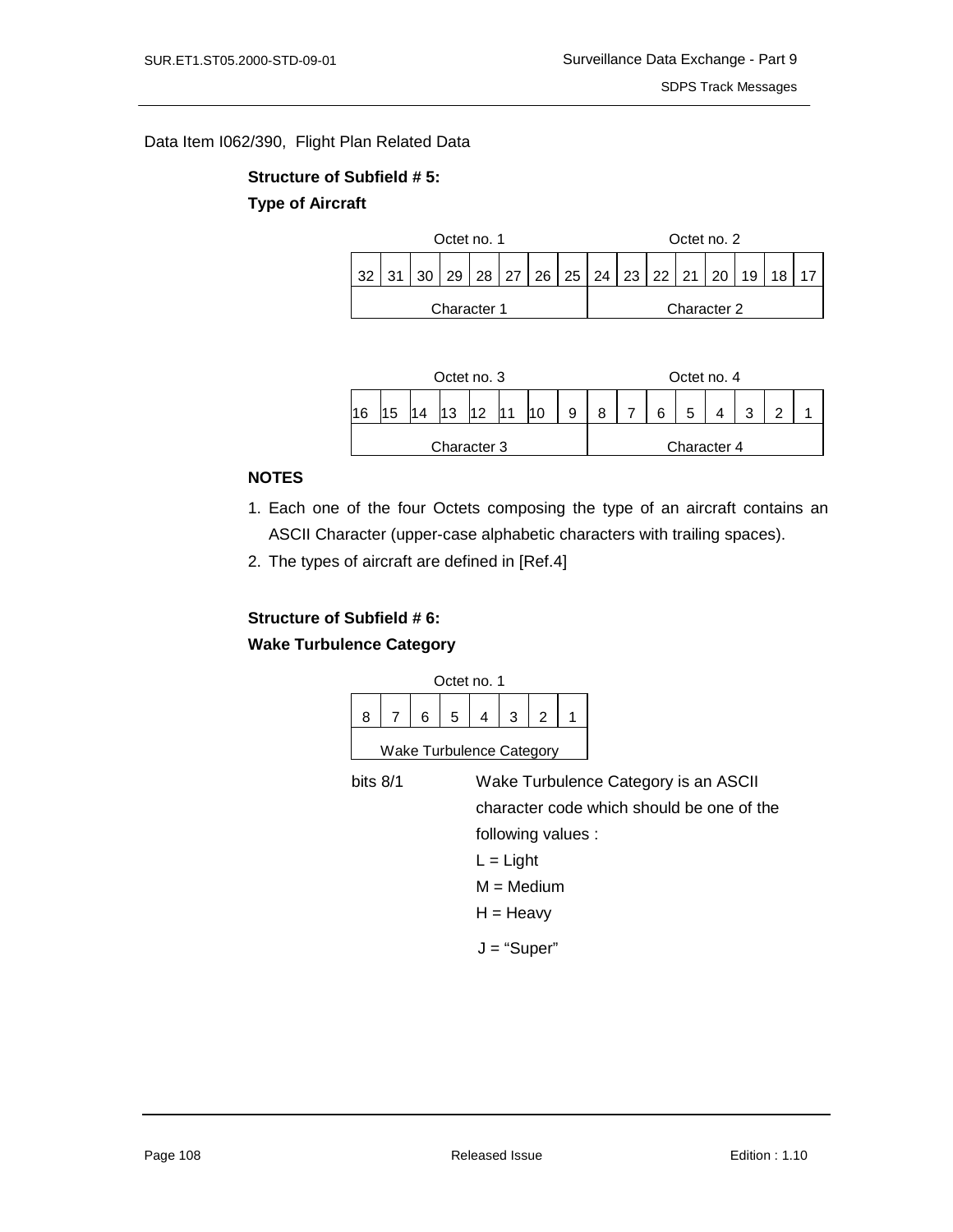# **Structure of Subfield # 5: Type of Aircraft**





#### **NOTES**

- 1. Each one of the four Octets composing the type of an aircraft contains an ASCII Character (upper-case alphabetic characters with trailing spaces).
- 2. The types of aircraft are defined in [Ref.4]

# **Structure of Subfield # 6: Wake Turbulence Category**



- $L =$  Light
- $M = \text{Median}$
- $H = Heavy$
- J = "Super"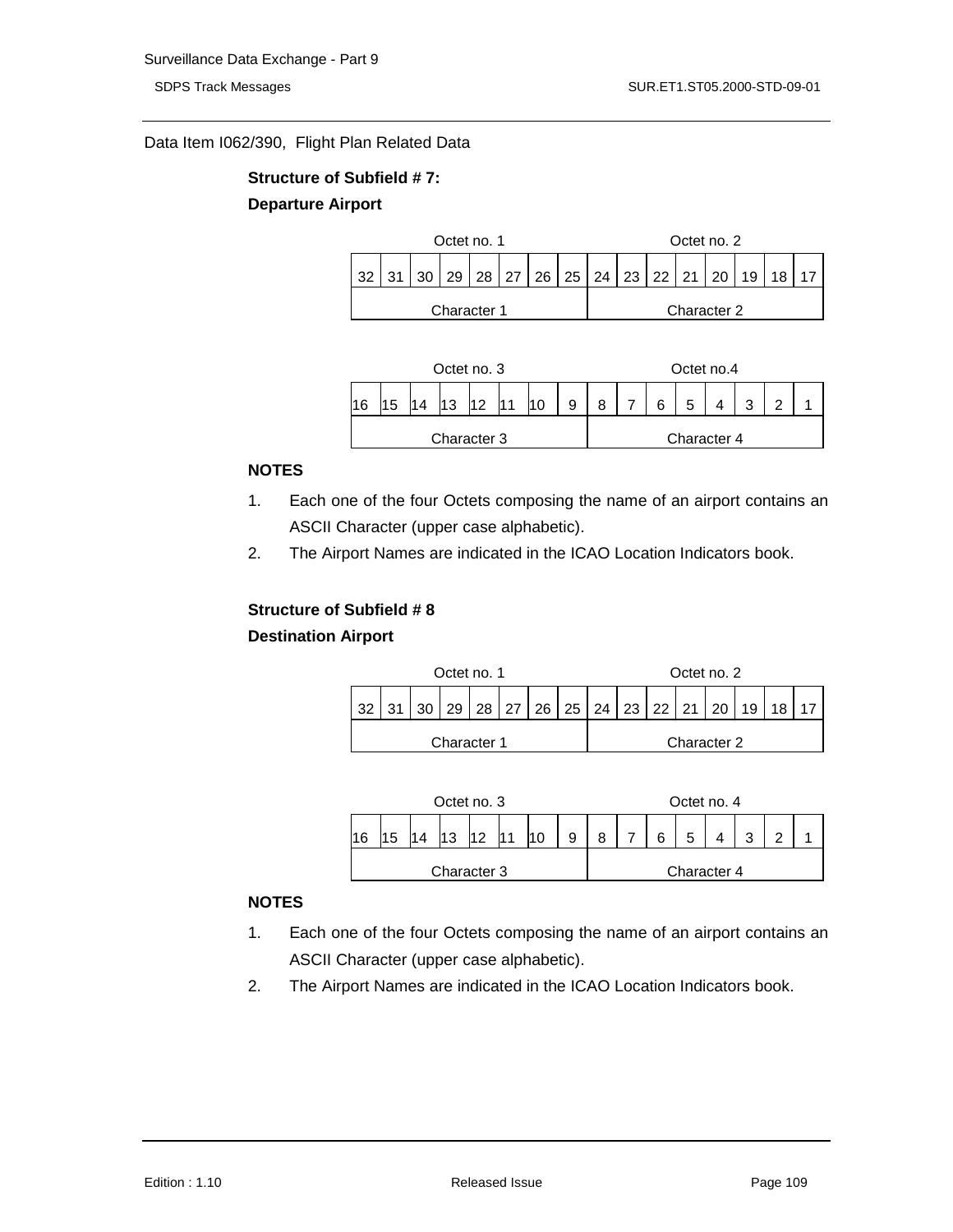# **Structure of Subfield # 7: Departure Airport**



|             | Octet no. 3<br>12 |  |  |  |  |  |  |             | Octet no.4 |                 |  |
|-------------|-------------------|--|--|--|--|--|--|-------------|------------|-----------------|--|
| 16          |                   |  |  |  |  |  |  |             | 片          | $\sqrt{2}$<br>∼ |  |
| Character 3 |                   |  |  |  |  |  |  | Character 4 |            |                 |  |

# **NOTES**

- 1. Each one of the four Octets composing the name of an airport contains an ASCII Character (upper case alphabetic).
- 2. The Airport Names are indicated in the ICAO Location Indicators book.

# **Structure of Subfield # 8**

# **Destination Airport**



|    |                 |  |  | Octet no. 3 |  |  |  |  |   |   | Octet no. 4 |  |  |
|----|-----------------|--|--|-------------|--|--|--|--|---|---|-------------|--|--|
| 16 | 9<br>11.2<br>.5 |  |  |             |  |  |  |  | 6 | 5 |             |  |  |
|    | Character 3     |  |  |             |  |  |  |  |   |   | Character 4 |  |  |

# **NOTES**

- 1. Each one of the four Octets composing the name of an airport contains an ASCII Character (upper case alphabetic).
- 2. The Airport Names are indicated in the ICAO Location Indicators book.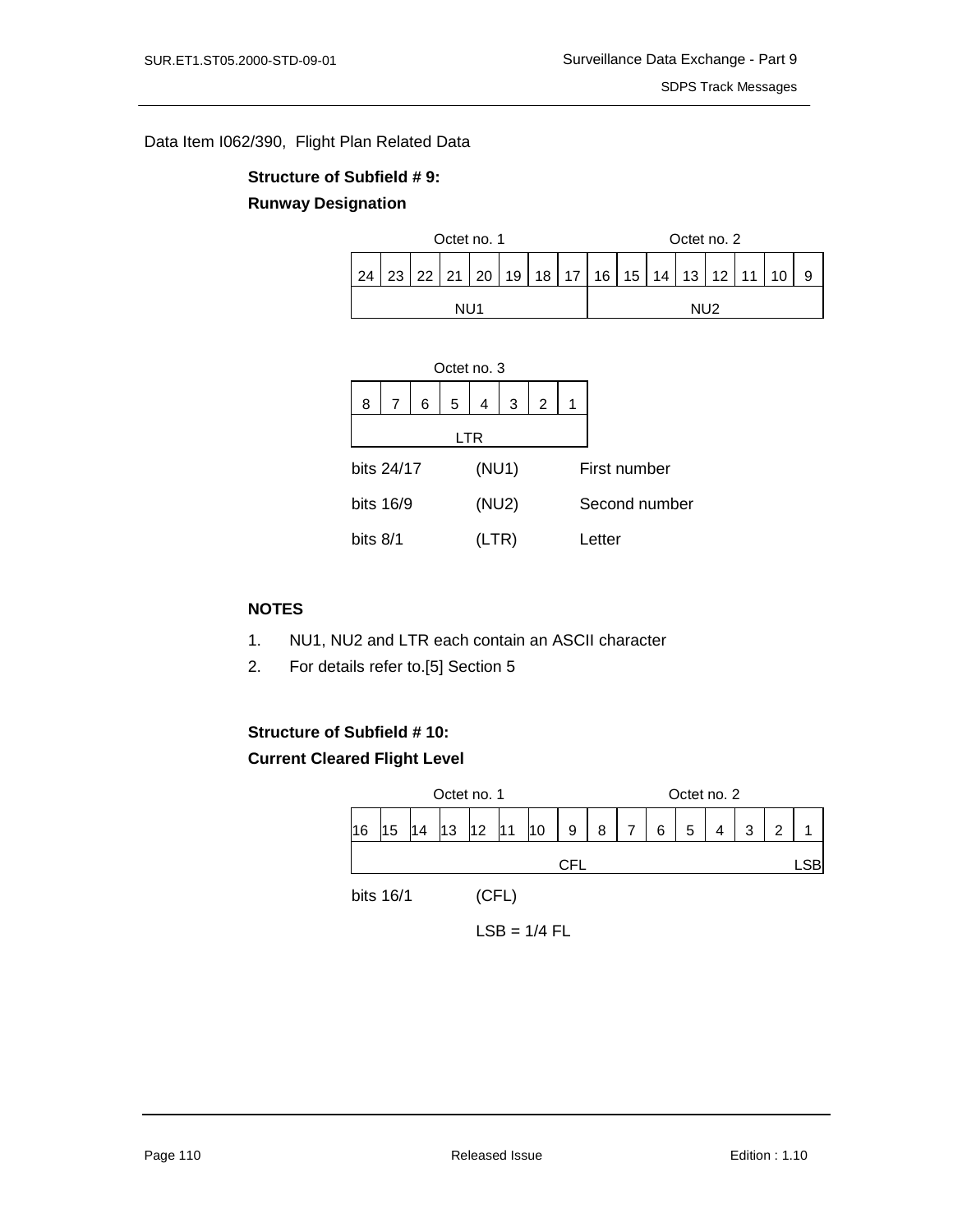# **Structure of Subfield # 9: Runway Designation**





#### **NOTES**

- 1. NU1, NU2 and LTR each contain an ASCII character
- 2. For details refer to.[5] Section 5

# **Structure of Subfield # 10: Current Cleared Flight Level**

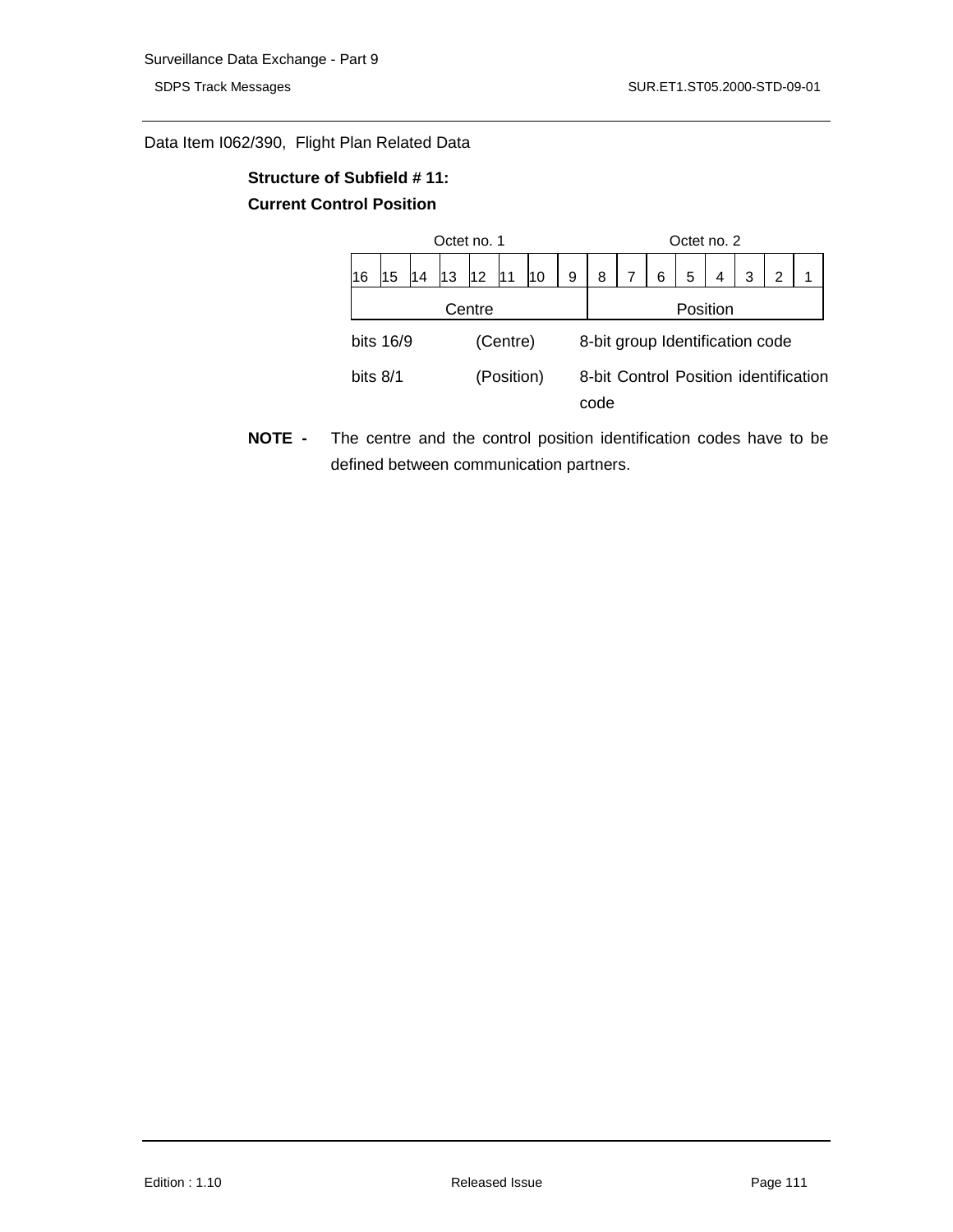# **Structure of Subfield # 11: Current Control Position**



**NOTE -** The centre and the control position identification codes have to be defined between communication partners.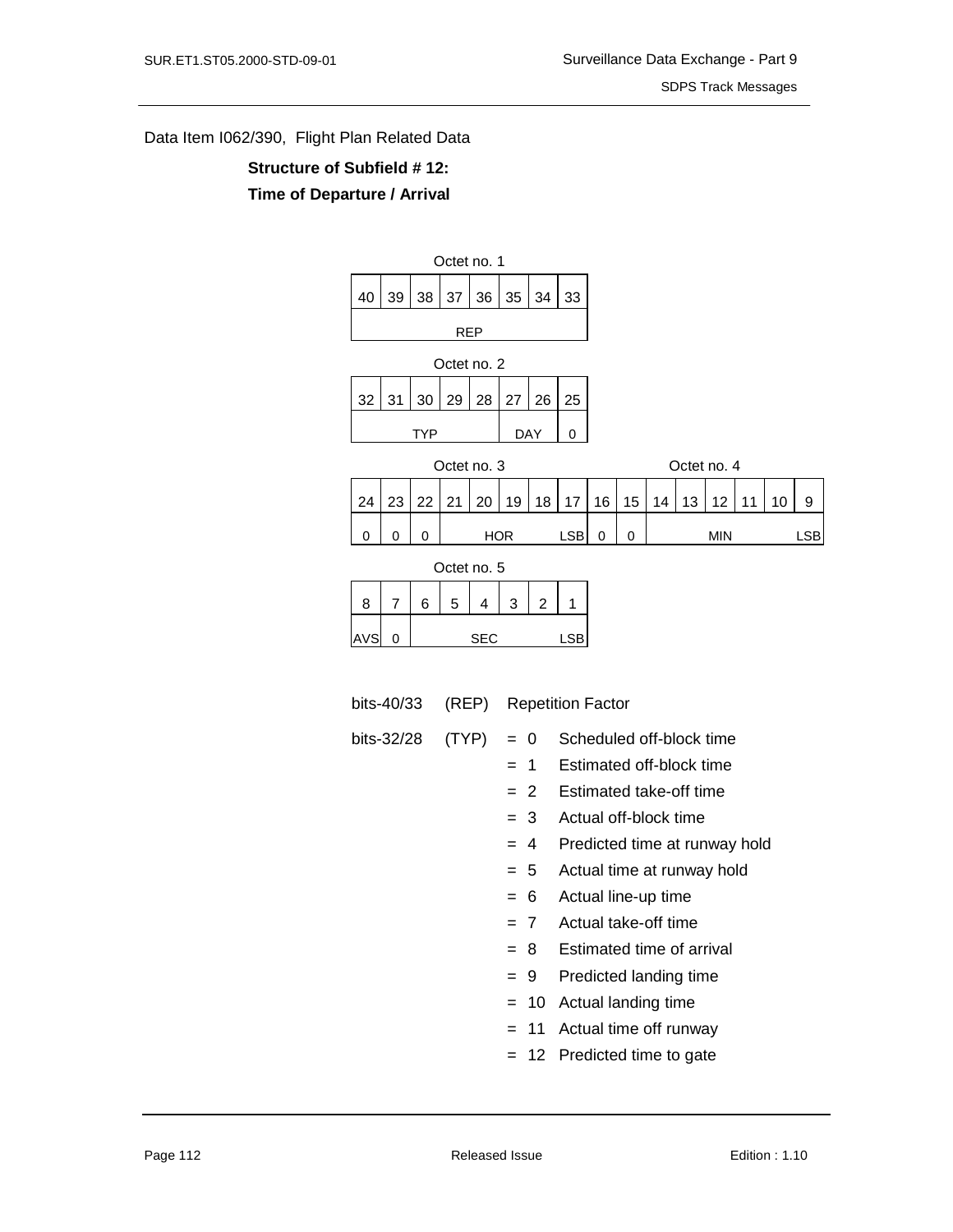# **Structure of Subfield # 12: Time of Departure / Arrival**



bits-40/33 (REP) Repetition Factor

bits-32/28  $(TYP) = 0$  Scheduled off-block time

- = 1 Estimated off-block time
- = 2 Estimated take-off time
- $= 3$  Actual off-block time
- = 4 Predicted time at runway hold
- = 5 Actual time at runway hold
- $= 6$  Actual line-up time
- = 7 Actual take-off time
- = 8 Estimated time of arrival
- = 9 Predicted landing time
- = 10 Actual landing time
- = 11 Actual time off runway
- = 12 Predicted time to gate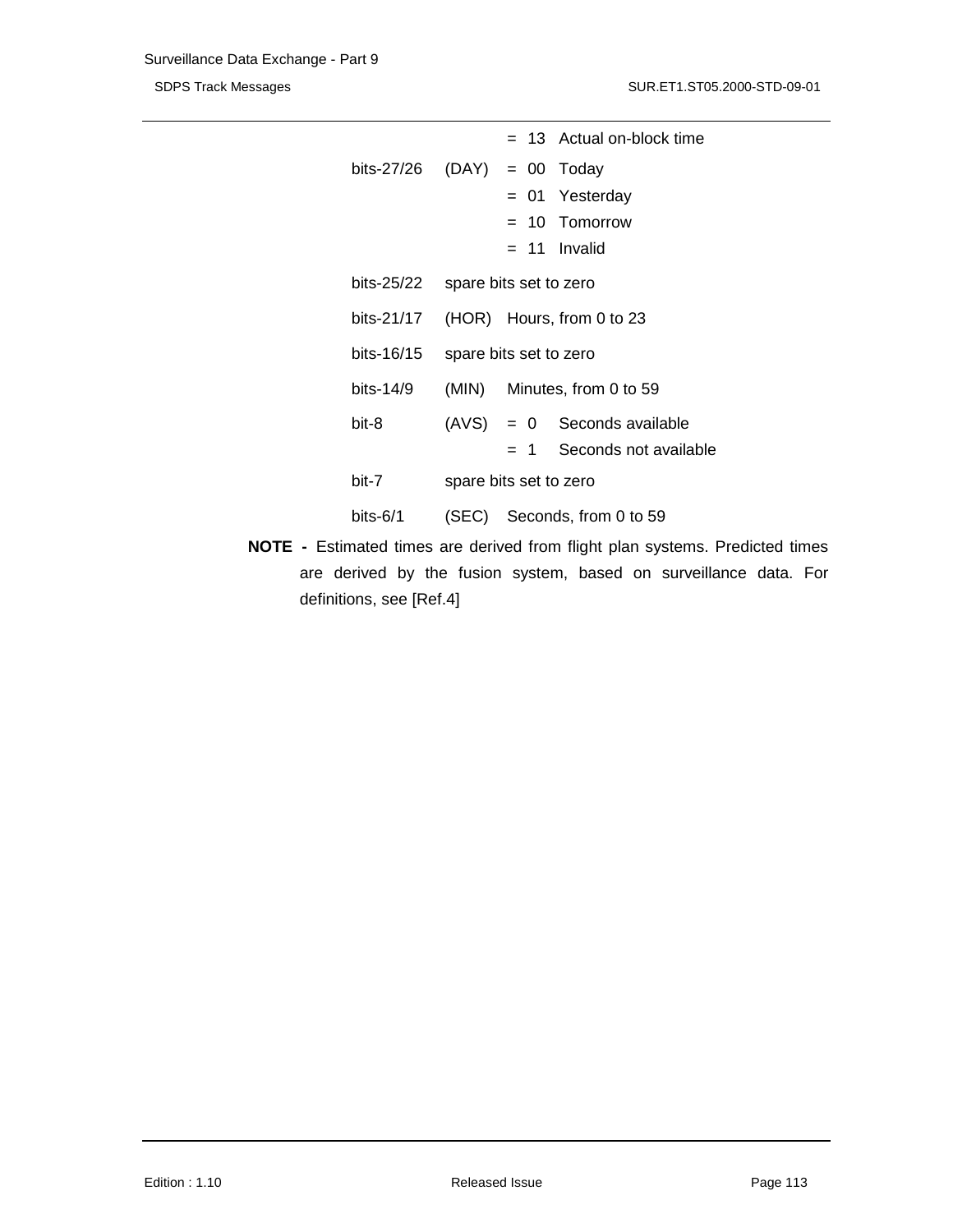|            |       | $= 13$ Actual on-block time              |
|------------|-------|------------------------------------------|
| bits-27/26 | (DAY) | $= 00$ Today                             |
|            |       | = 01 Yesterday                           |
|            |       | $= 10$ Tomorrow                          |
|            |       | = 11 Invalid                             |
| bits-25/22 |       | spare bits set to zero                   |
| bits-21/17 |       | (HOR) Hours, from 0 to 23                |
| bits-16/15 |       | spare bits set to zero                   |
| bits-14/9  |       | (MIN) Minutes, from 0 to 59              |
| bit-8      | (AVS) | $= 0$ Seconds available                  |
|            |       | Seconds not available<br>$\sim$ 1<br>$=$ |
| bit-7      |       | spare bits set to zero                   |
| bits-6/1   |       | (SEC) Seconds, from 0 to 59              |

**NOTE -** Estimated times are derived from flight plan systems. Predicted times are derived by the fusion system, based on surveillance data. For definitions, see [Ref.4]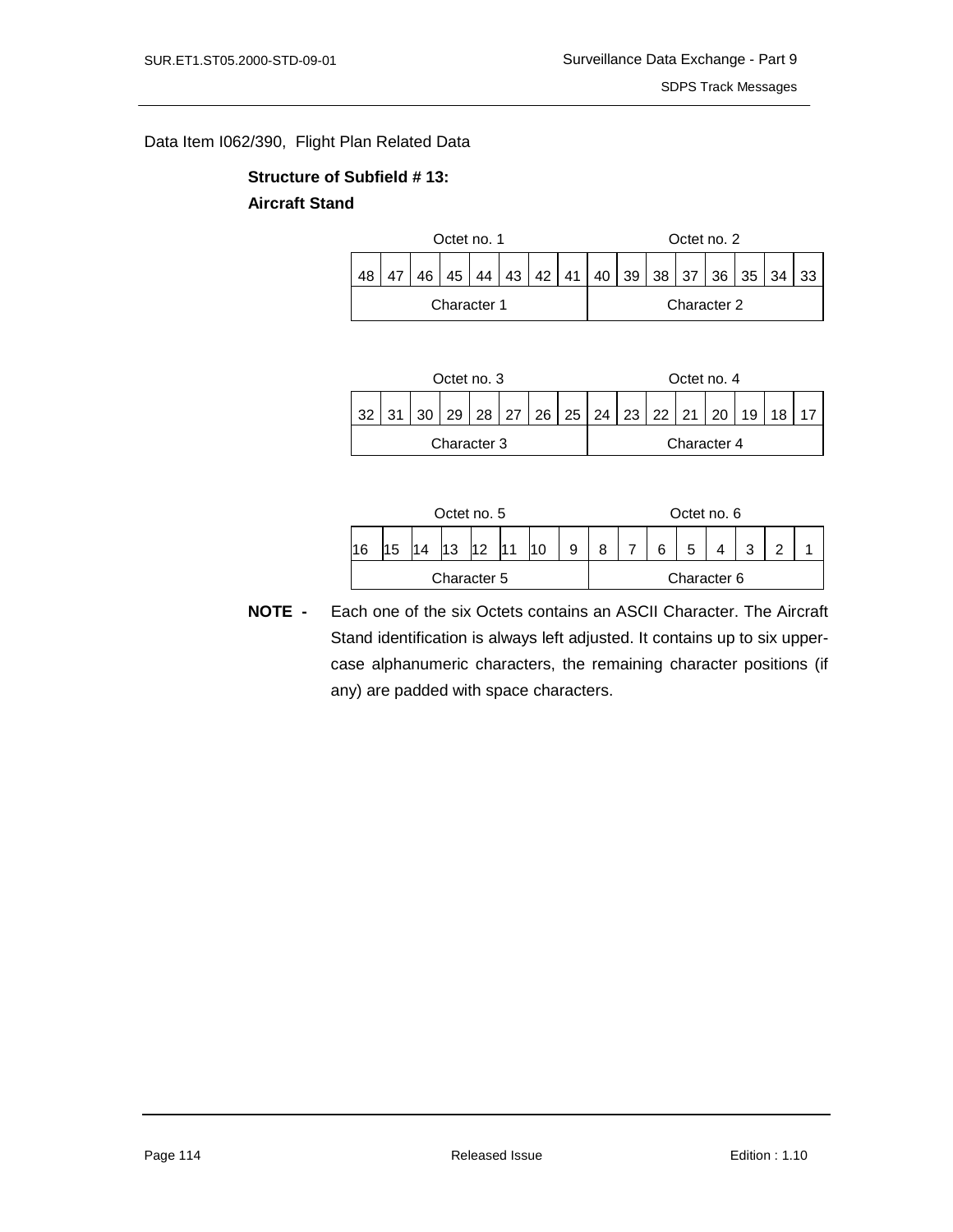# **Structure of Subfield # 13: Aircraft Stand**







**NOTE -** Each one of the six Octets contains an ASCII Character. The Aircraft Stand identification is always left adjusted. It contains up to six uppercase alphanumeric characters, the remaining character positions (if any) are padded with space characters.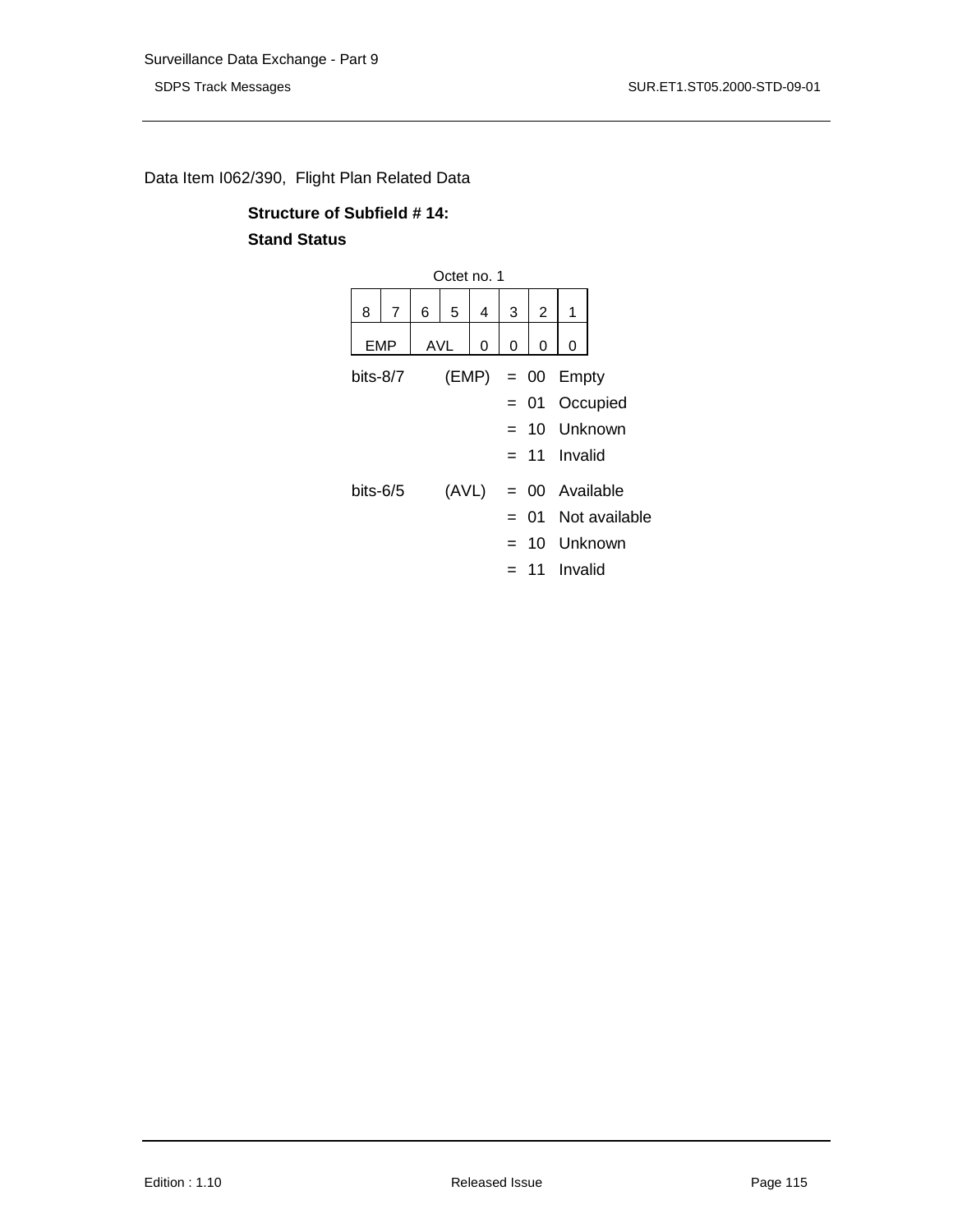# **Structure of Subfield # 14: Stand Status**

|            |   |            | Octet no. 1 |       |     |                |                    |                  |
|------------|---|------------|-------------|-------|-----|----------------|--------------------|------------------|
| 8          | 7 | 6          | 5           | 4     | 3   | $\overline{2}$ | 1                  |                  |
| <b>EMP</b> |   | <b>AVL</b> |             | 0     | 0   | 0              | 0                  |                  |
| bits-8/7   |   |            |             |       |     |                | $(EMP) = 00$ Empty |                  |
|            |   |            |             |       |     |                |                    | $= 01$ Occupied  |
|            |   |            |             |       |     |                |                    | $= 10$ Unknown   |
|            |   |            |             |       |     |                | $= 11$ Invalid     |                  |
| bits-6/5   |   |            |             | (AVL) |     |                |                    | $= 00$ Available |
|            |   |            |             |       | $=$ |                |                    | 01 Not available |
|            |   |            |             |       | $=$ |                |                    | 10 Unknown       |
|            |   |            |             |       |     |                | = 11 Invalid       |                  |
|            |   |            |             |       |     |                |                    |                  |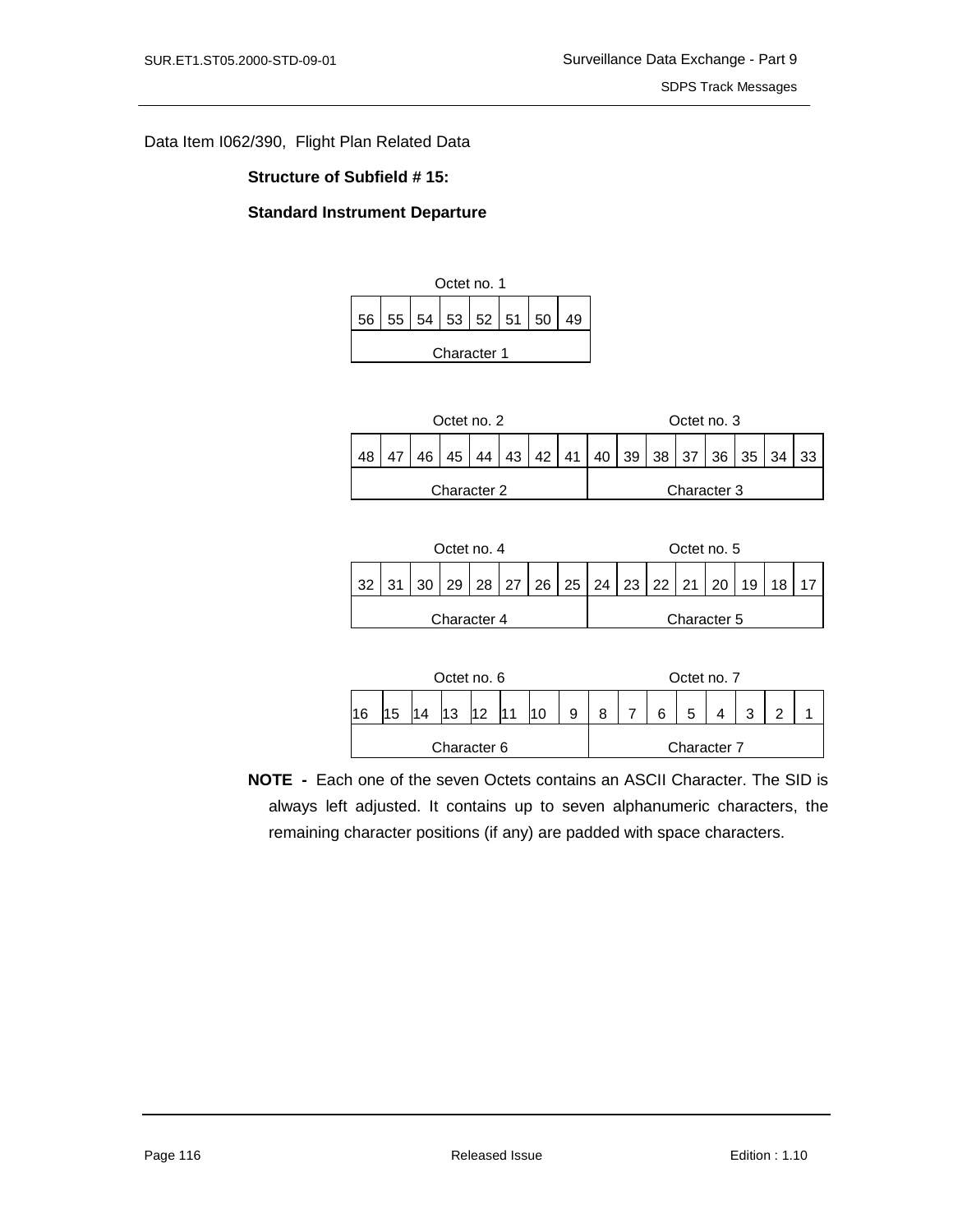### **Structure of Subfield # 15:**

#### **Standard Instrument Departure**





|                                                          |  |  | Octet no. 4 |  |  |  |  |  | Octet no. 5 |    |  |
|----------------------------------------------------------|--|--|-------------|--|--|--|--|--|-------------|----|--|
| 29   28   27   26   25   24   23   22   21   20  <br>-32 |  |  |             |  |  |  |  |  |             | 19 |  |
| Character 4                                              |  |  |             |  |  |  |  |  | Character 5 |    |  |

|             | Octet no. 6<br>11.2<br>13 |  |  |  |  |  |  |  |   | Octet no. 7 |            |  |
|-------------|---------------------------|--|--|--|--|--|--|--|---|-------------|------------|--|
| 16          | 9                         |  |  |  |  |  |  |  | г |             | $\sqrt{2}$ |  |
| Character 6 |                           |  |  |  |  |  |  |  |   | Character 7 |            |  |

**NOTE -** Each one of the seven Octets contains an ASCII Character. The SID is always left adjusted. It contains up to seven alphanumeric characters, the remaining character positions (if any) are padded with space characters.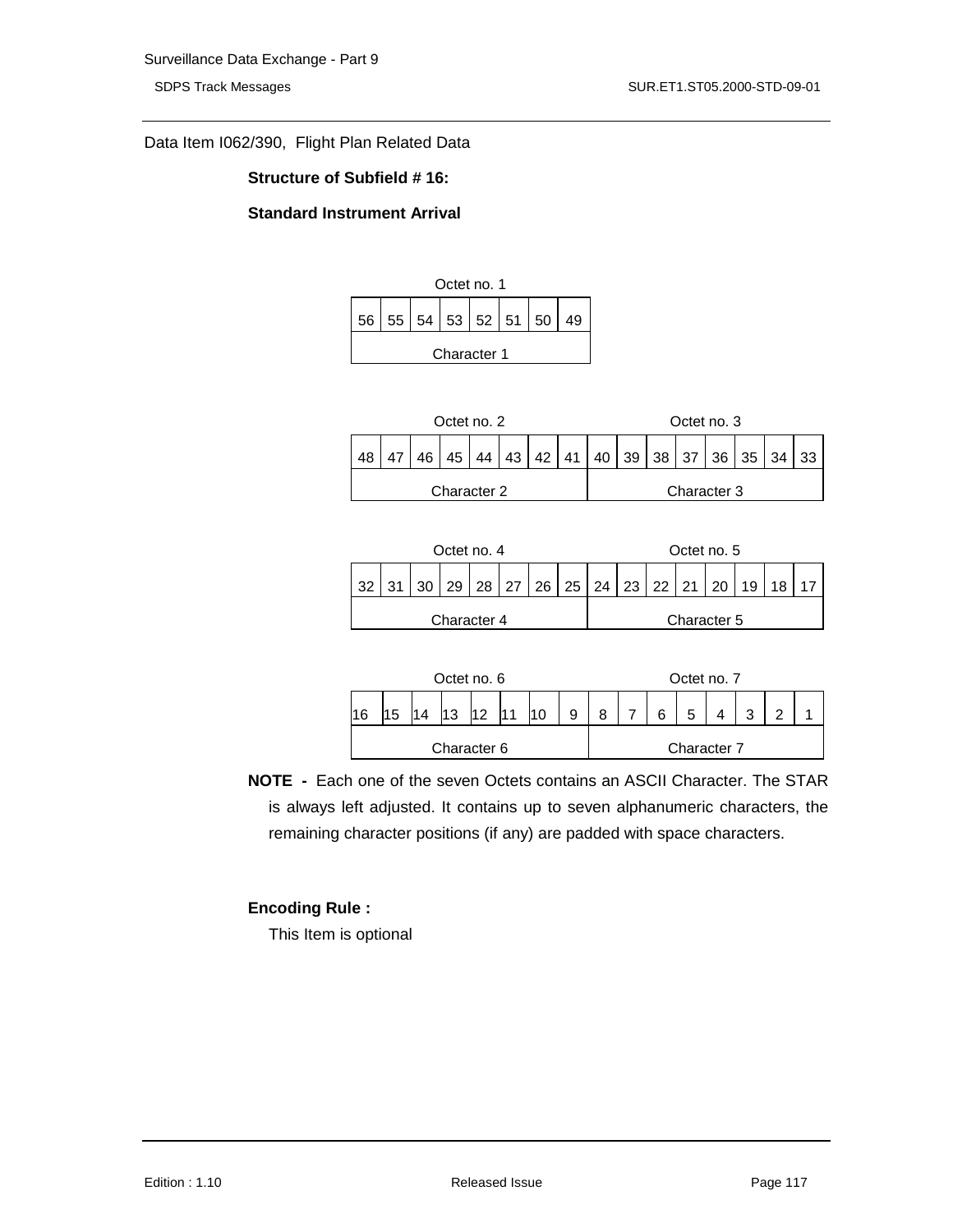#### **Structure of Subfield # 16:**

#### **Standard Instrument Arrival**







|    |               |  |  | Octet no. 6 |  |  |  |  |  | Octet no. 7 |            |  |
|----|---------------|--|--|-------------|--|--|--|--|--|-------------|------------|--|
| 16 | 9<br>12<br>1つ |  |  |             |  |  |  |  |  |             | $\sqrt{2}$ |  |
|    | Character 6   |  |  |             |  |  |  |  |  | Character 7 |            |  |

**NOTE -** Each one of the seven Octets contains an ASCII Character. The STAR is always left adjusted. It contains up to seven alphanumeric characters, the remaining character positions (if any) are padded with space characters.

#### **Encoding Rule :**

This Item is optional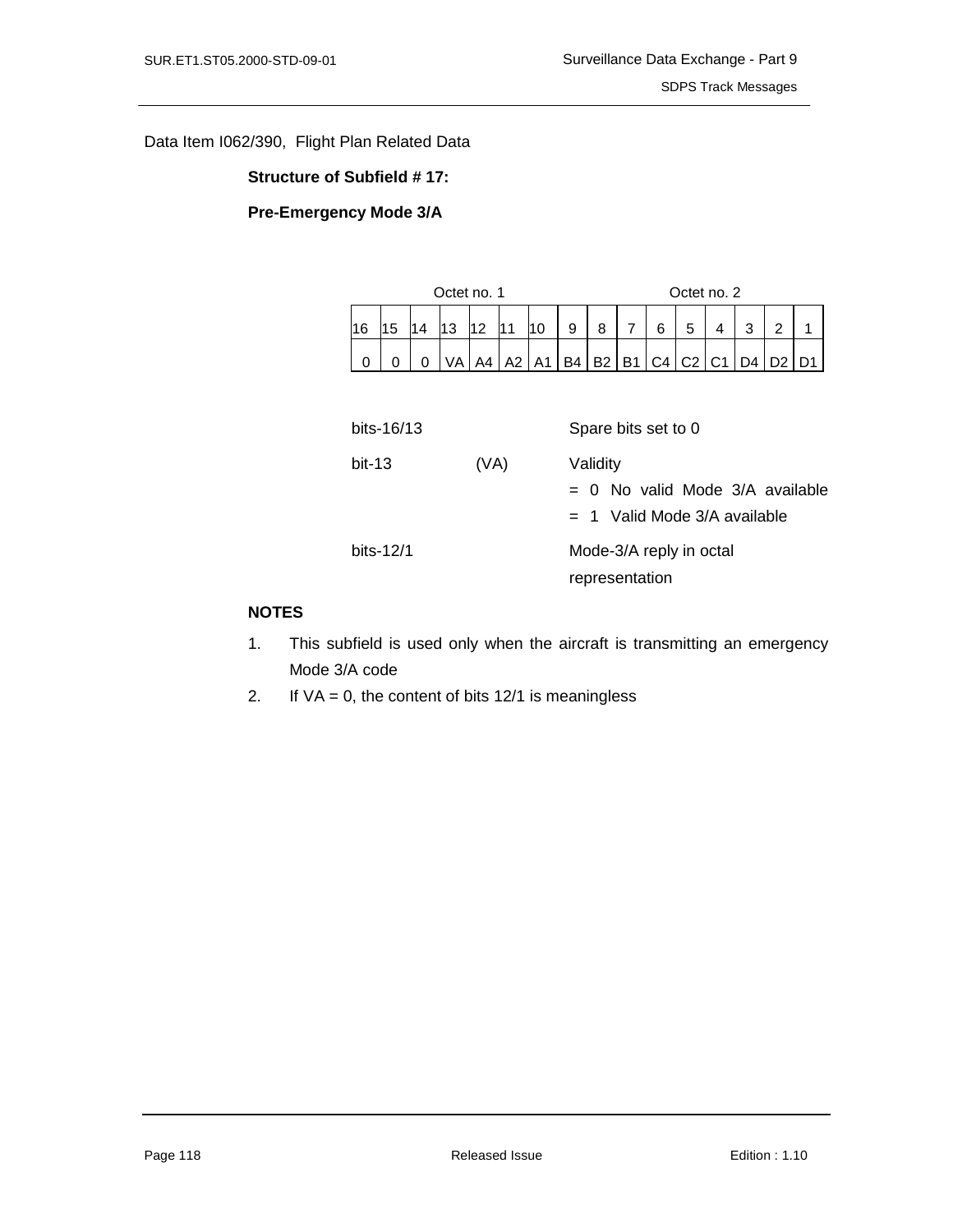#### **Structure of Subfield # 17:**

# **Pre-Emergency Mode 3/A**

|                                         |            |   | Octet no. 1 |      |    |    |                                     |                                |                |                |           | Octet no. 2 |                |                |                |
|-----------------------------------------|------------|---|-------------|------|----|----|-------------------------------------|--------------------------------|----------------|----------------|-----------|-------------|----------------|----------------|----------------|
| 12<br>111<br>10<br>13<br>16<br>15<br>14 |            |   |             |      |    |    |                                     | 8                              | $\overline{7}$ | 6              | 5         | 4           | 3              | 2              | 1              |
| 0                                       | 0          | 0 | VA          | A4   | A2 | AA | <b>B4</b>                           | <b>B2</b>                      | <b>B1</b>      | C <sub>4</sub> | $C2$ $C1$ |             | D <sub>4</sub> | D <sub>2</sub> | D <sub>1</sub> |
|                                         |            |   |             |      |    |    |                                     |                                |                |                |           |             |                |                |                |
|                                         | bits-16/13 |   |             |      |    |    | Spare bits set to 0                 |                                |                |                |           |             |                |                |                |
| $bit-13$                                |            |   |             | (VA) |    |    | Validity                            |                                |                |                |           |             |                |                |                |
|                                         |            |   |             |      |    |    | $= 0$ No valid Mode $3/A$ available |                                |                |                |           |             |                |                |                |
|                                         |            |   |             |      |    |    |                                     | $= 1$ Valid Mode 3/A available |                |                |           |             |                |                |                |
|                                         | bits-12/1  |   |             |      |    |    | Mode-3/A reply in octal             |                                |                |                |           |             |                |                |                |
|                                         |            |   |             |      |    |    |                                     | representation                 |                |                |           |             |                |                |                |

# **NOTES**

- 1. This subfield is used only when the aircraft is transmitting an emergency Mode 3/A code
- 2. If  $VA = 0$ , the content of bits 12/1 is meaningless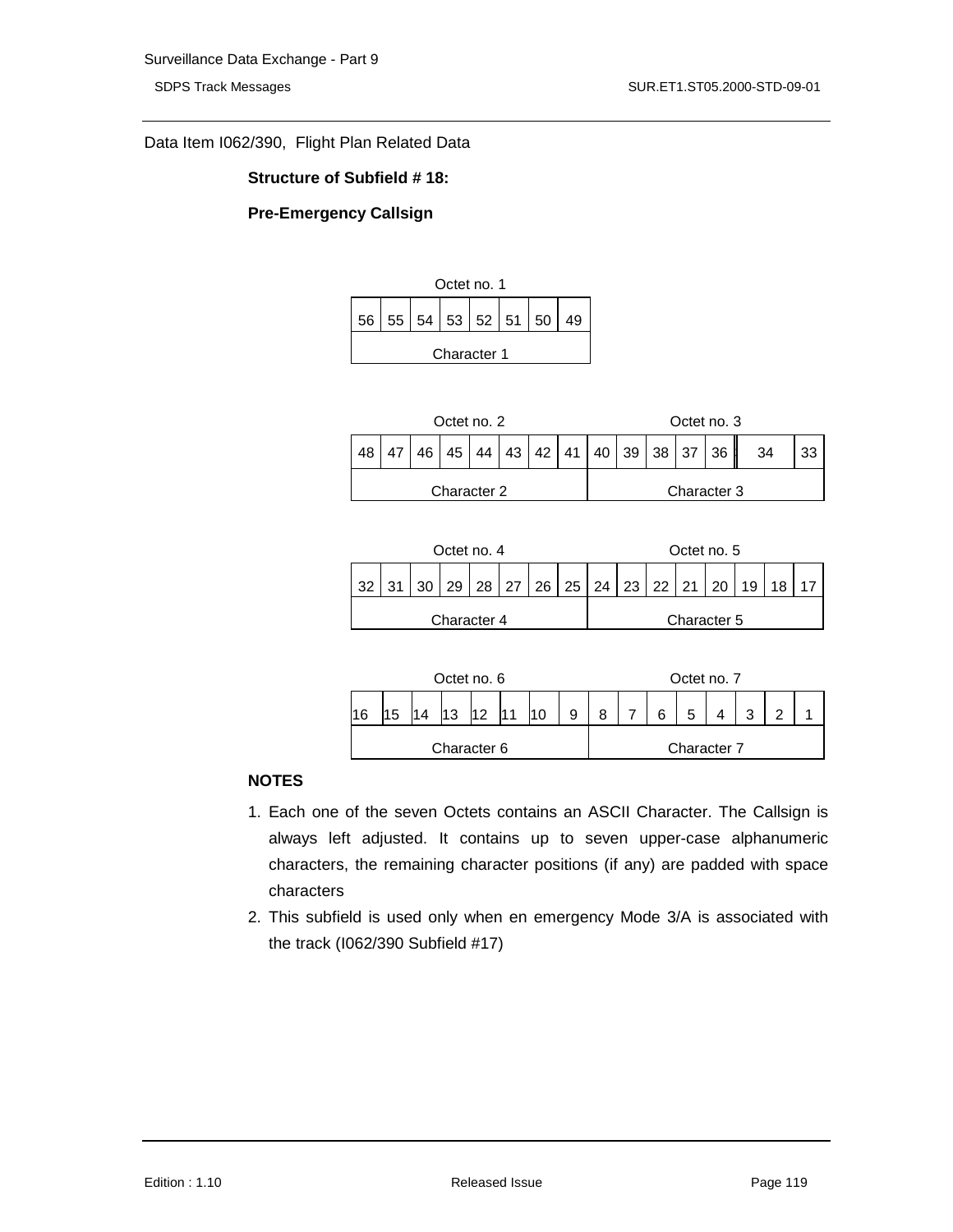#### **Structure of Subfield # 18:**

### **Pre-Emergency Callsign**









#### **NOTES**

- 1. Each one of the seven Octets contains an ASCII Character. The Callsign is always left adjusted. It contains up to seven upper-case alphanumeric characters, the remaining character positions (if any) are padded with space characters
- 2. This subfield is used only when en emergency Mode 3/A is associated with the track (I062/390 Subfield #17)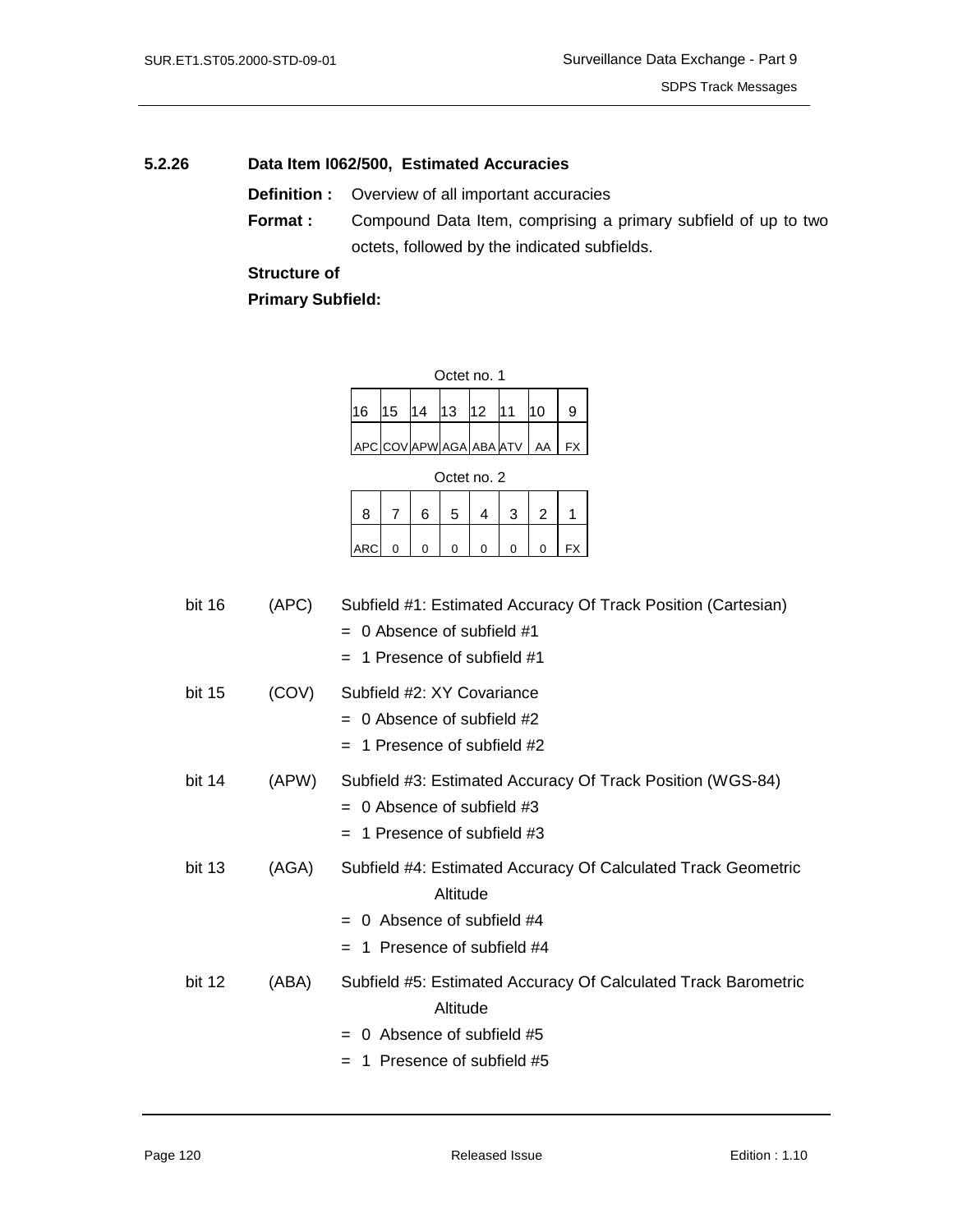**Definition :** Overview of all important accuracies

Format : Compound Data Item, comprising a primary subfield of up to two octets, followed by the indicated subfields.

**Structure of** 

#### **Primary Subfield:**

|                              | Octet no. 1    |  |  |  |  |    |  |  |  |  |  |  |  |
|------------------------------|----------------|--|--|--|--|----|--|--|--|--|--|--|--|
| 16                           | 15 14 13 12 11 |  |  |  |  | 10 |  |  |  |  |  |  |  |
| APCCOVAPWAGAABAATV   AA   FX |                |  |  |  |  |    |  |  |  |  |  |  |  |

|   |   | Octet no. 2 |  |  |
|---|---|-------------|--|--|
| 8 | ี | 5           |  |  |
|   |   |             |  |  |

ARC | 0 | 0 | 0 | 0 | 0 | 0 | FX

| bit 16        | (APC) | Subfield #1: Estimated Accuracy Of Track Position (Cartesian)<br>$= 0$ Absence of subfield #1<br>$=$ 1 Presence of subfield #1                      |
|---------------|-------|-----------------------------------------------------------------------------------------------------------------------------------------------------|
| <b>bit 15</b> | (COV) | Subfield #2: XY Covariance<br>$= 0$ Absence of subfield #2<br>1 Presence of subfield #2                                                             |
| bit 14        | (APW) | Subfield #3: Estimated Accuracy Of Track Position (WGS-84)<br>$= 0$ Absence of subfield #3<br>$=$ 1 Presence of subfield #3                         |
| bit 13        | (AGA) | Subfield #4: Estimated Accuracy Of Calculated Track Geometric<br>Altitude<br>$= 0$ Absence of subfield #4<br>1 Presence of subfield #4              |
| bit 12        | (ABA) | Subfield #5: Estimated Accuracy Of Calculated Track Barometric<br>Altitude<br>0 Absence of subfield $#5$<br>$=$<br>1 Presence of subfield #5<br>$=$ |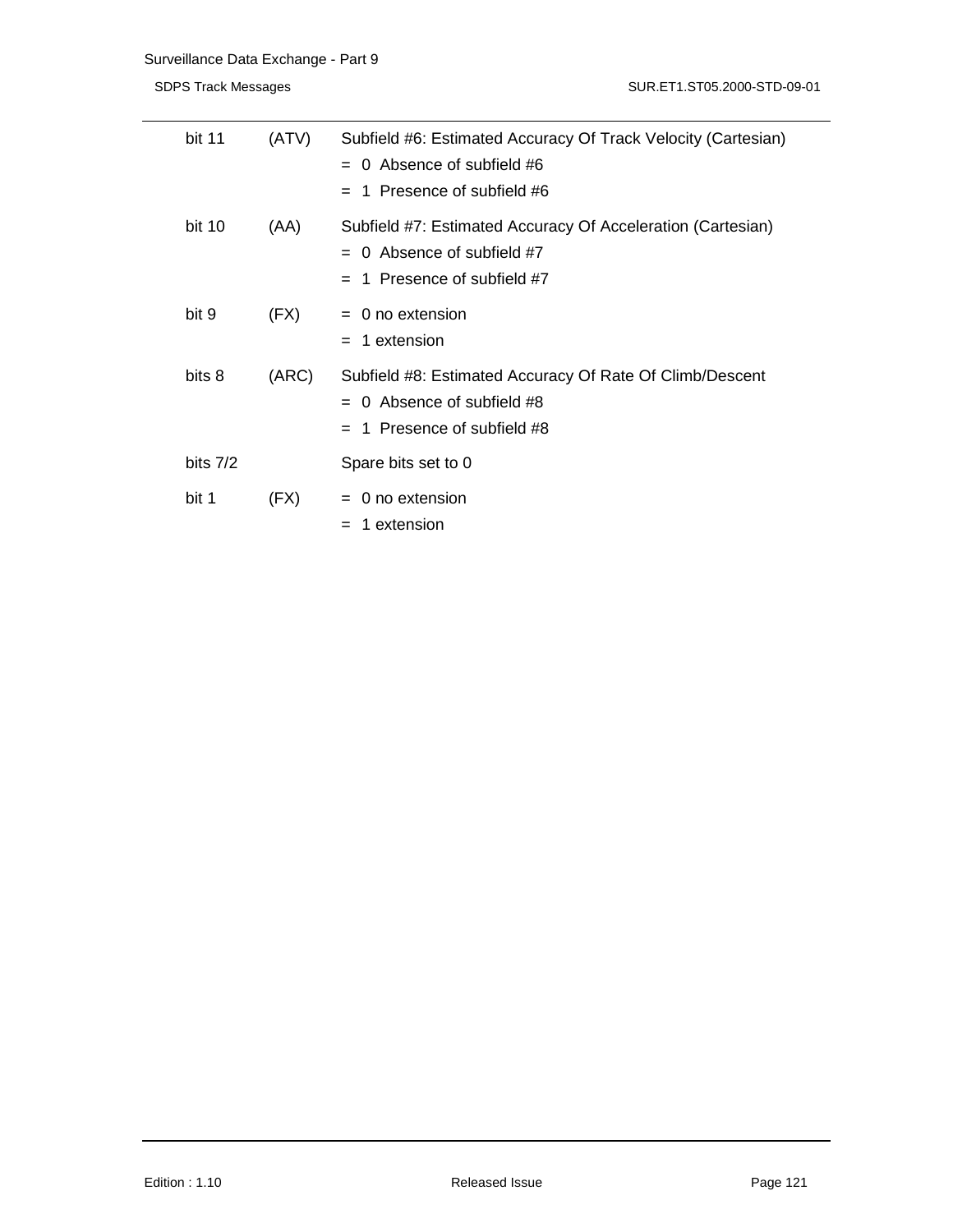Surveillance Data Exchange - Part 9

| bit 11     | (ATV) | Subfield #6: Estimated Accuracy Of Track Velocity (Cartesian)<br>$= 0$ Absence of subfield #6<br>1 Presence of subfield #6<br>$=$ |
|------------|-------|-----------------------------------------------------------------------------------------------------------------------------------|
| bit 10     | (AA)  | Subfield #7: Estimated Accuracy Of Acceleration (Cartesian)<br>$= 0$ Absence of subfield #7<br>$= 1$ Presence of subfield #7      |
| bit 9      | (FX)  | $= 0$ no extension<br>1 extension<br>$=$                                                                                          |
| bits 8     | (ARC) | Subfield #8: Estimated Accuracy Of Rate Of Climb/Descent<br>0 Absence of subfield #8<br>1 Presence of subfield #8<br>$=$          |
| bits $7/2$ |       | Spare bits set to 0                                                                                                               |
| bit 1      | (FX)  | $= 0$ no extension<br>1 extension<br>=                                                                                            |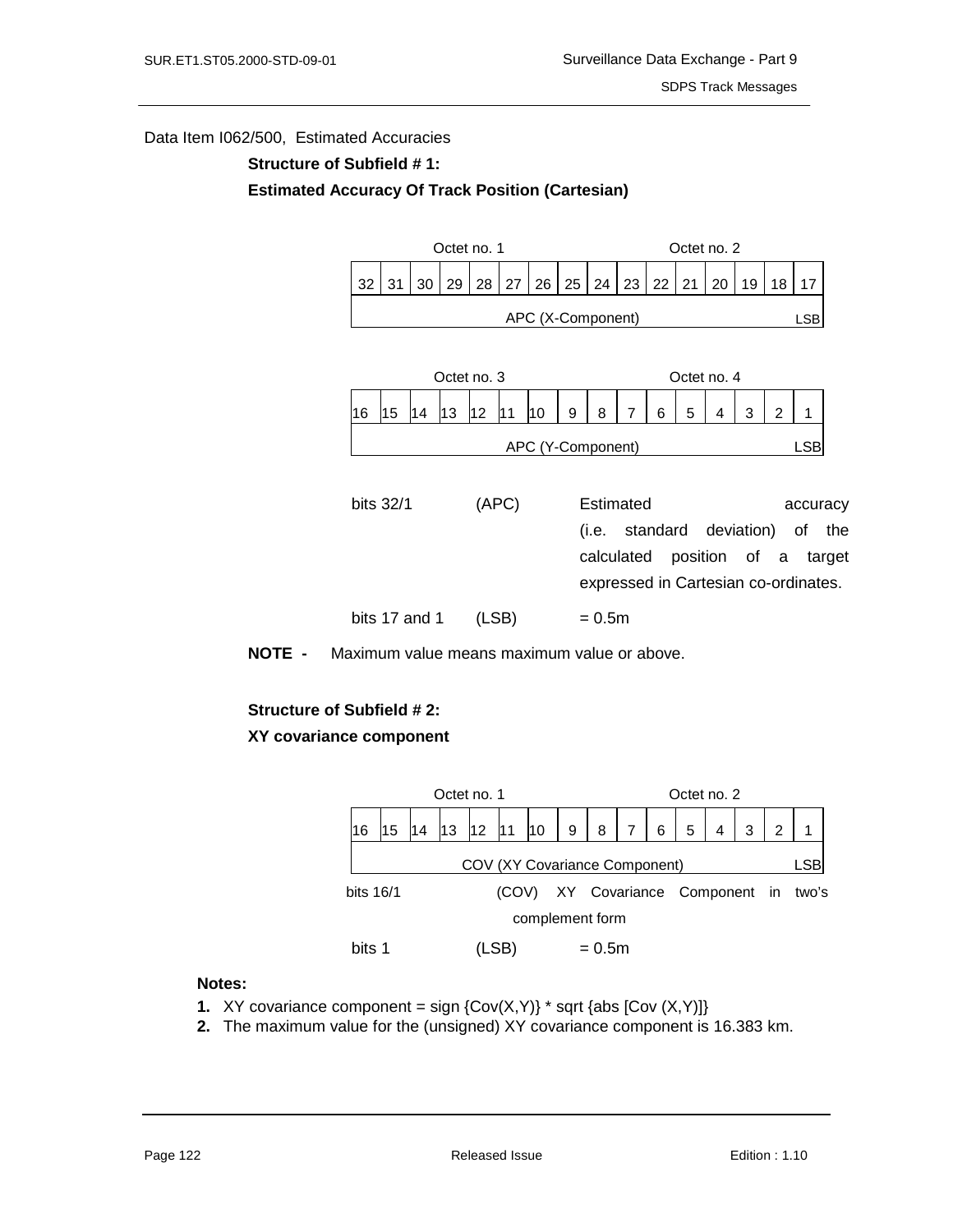#### **Structure of Subfield # 1:**

#### **Estimated Accuracy Of Track Position (Cartesian)**





| bits 32/1             | (APC) | Estimated<br>accuracy                |
|-----------------------|-------|--------------------------------------|
|                       |       | (i.e. standard deviation) of the     |
|                       |       | calculated position of a target      |
|                       |       | expressed in Cartesian co-ordinates. |
| bits 17 and 1 $(LSB)$ |       | $= 0.5m$                             |

**NOTE -** Maximum value means maximum value or above.

#### **Structure of Subfield # 2:**

### **XY covariance component**



### **Notes:**

- **1.** XY covariance component = sign  $\{Cov(X,Y)\}$  \* sqrt  $\{abs [Cov (X,Y)]\}$
- **2.** The maximum value for the (unsigned) XY covariance component is 16.383 km.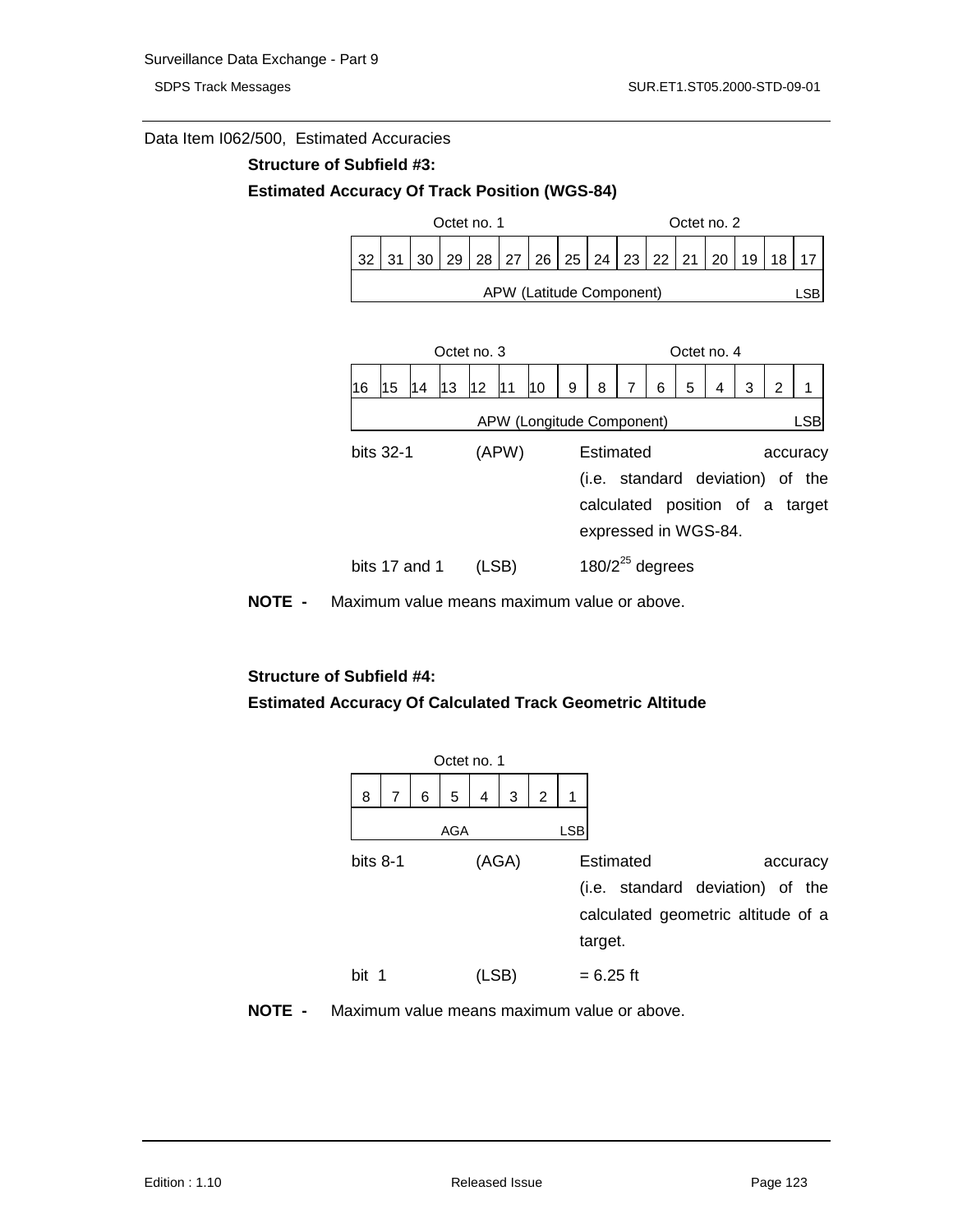#### **Structure of Subfield #3:**

#### **Estimated Accuracy Of Track Position (WGS-84)**





**NOTE -** Maximum value means maximum value or above.

# **Structure of Subfield #4:**

#### **Estimated Accuracy Of Calculated Track Geometric Altitude**



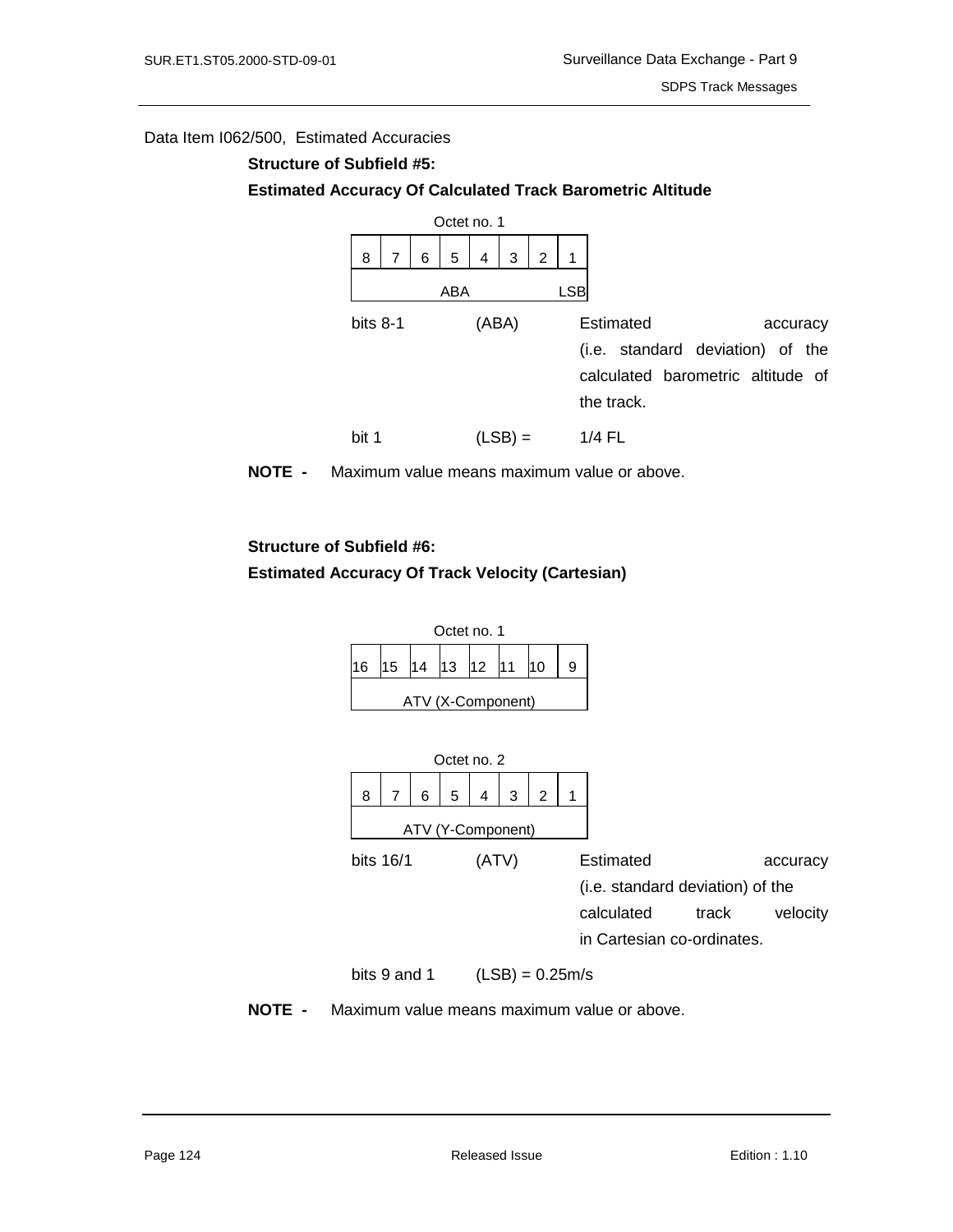#### **Structure of Subfield #5:**

#### **Estimated Accuracy Of Calculated Track Barometric Altitude**



**NOTE -** Maximum value means maximum value or above.

#### **Structure of Subfield #6:**

### **Estimated Accuracy Of Track Velocity (Cartesian)**





**NOTE -** Maximum value means maximum value or above.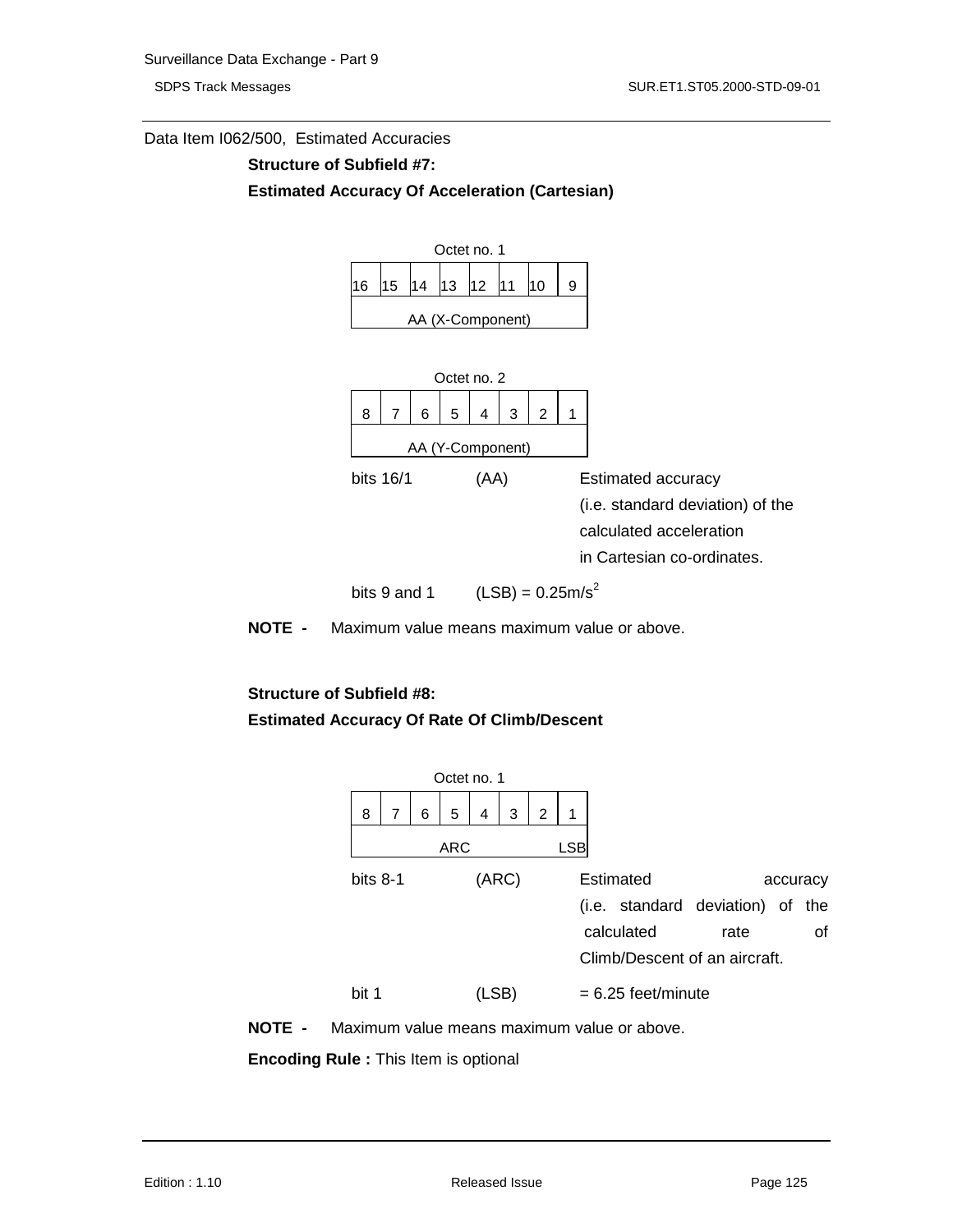### **Structure of Subfield #7:**

### **Estimated Accuracy Of Acceleration (Cartesian)**





 (i.e. standard deviation) of the calculated acceleration in Cartesian co-ordinates.

bits 9 and 1 (LSB) =  $0.25 \text{m/s}^2$ 

**NOTE -** Maximum value means maximum value or above.

### **Structure of Subfield #8:**

### **Estimated Accuracy Of Rate Of Climb/Descent**



**NOTE -** Maximum value means maximum value or above.

**Encoding Rule :** This Item is optional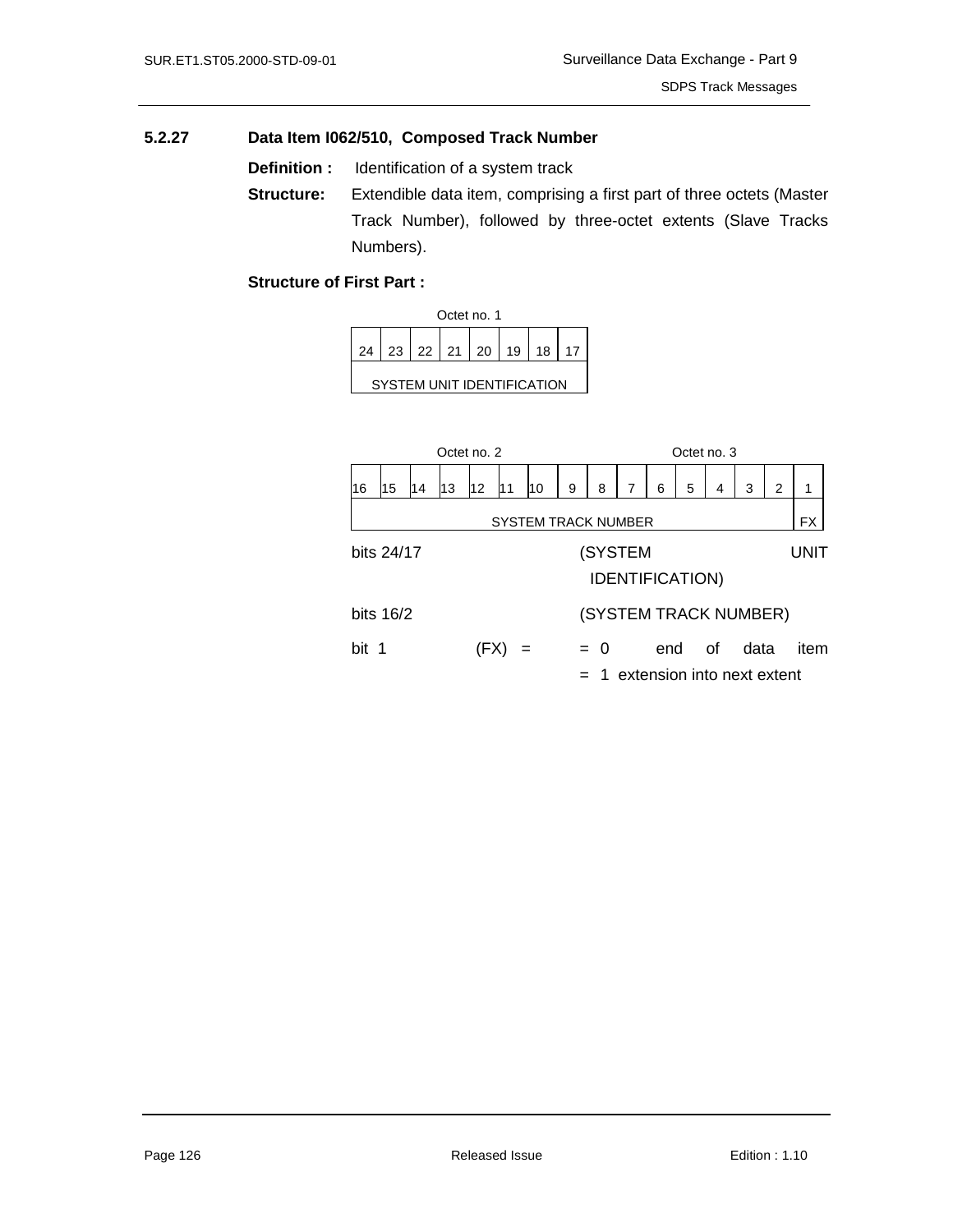### **5.2.27 Data Item I062/510, Composed Track Number**

**Definition :** Identification of a system track

**Structure:** Extendible data item, comprising a first part of three octets (Master Track Number), followed by three-octet extents (Slave Tracks Numbers).

# **Structure of First Part :**



| Octet no. 2                          |            |    |    |     |     |                            | Octet no. 3 |       |                        |     |   |    |                            |   |           |
|--------------------------------------|------------|----|----|-----|-----|----------------------------|-------------|-------|------------------------|-----|---|----|----------------------------|---|-----------|
| 16                                   | 15         | 14 | 13 | 12  | l11 | 10                         | 9           | 8     | 7                      | 6   | 5 | 4  | 3                          | 2 | 1         |
|                                      |            |    |    |     |     | <b>SYSTEM TRACK NUMBER</b> |             |       |                        |     |   |    |                            |   | <b>FX</b> |
|                                      | bits 24/17 |    |    |     |     |                            |             |       | (SYSTEM                |     |   |    |                            |   | UNIT      |
|                                      |            |    |    |     |     |                            |             |       | <b>IDENTIFICATION)</b> |     |   |    |                            |   |           |
| bits $16/2$<br>(SYSTEM TRACK NUMBER) |            |    |    |     |     |                            |             |       |                        |     |   |    |                            |   |           |
| bit 1                                |            |    |    | (FX |     |                            |             | $= 0$ |                        | end |   | οf | data                       |   | item      |
|                                      |            |    |    |     |     |                            |             | -1    |                        |     |   |    | extension into next extent |   |           |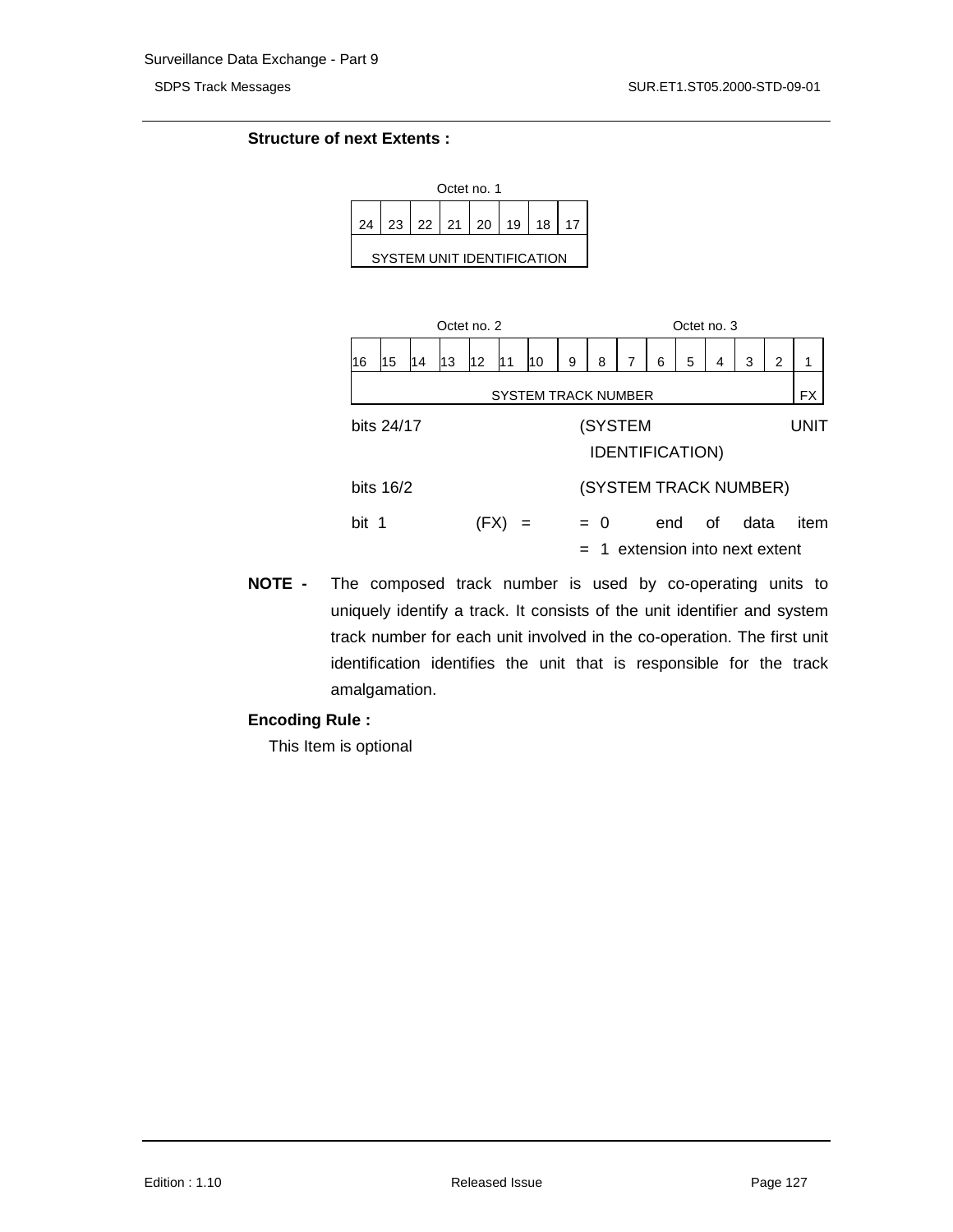### **Structure of next Extents :**





**NOTE -** The composed track number is used by co-operating units to uniquely identify a track. It consists of the unit identifier and system track number for each unit involved in the co-operation. The first unit identification identifies the unit that is responsible for the track amalgamation.

#### **Encoding Rule :**

This Item is optional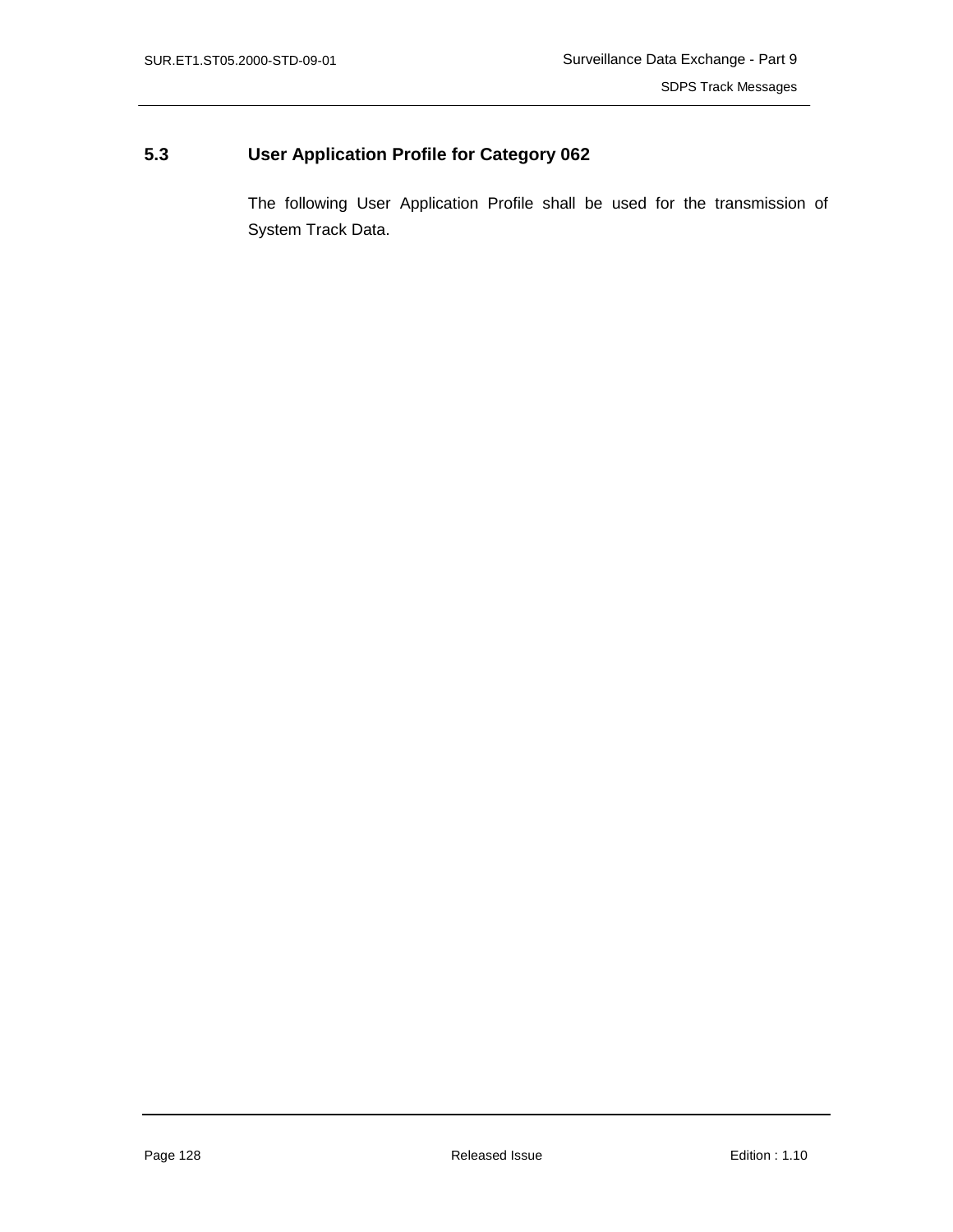# **5.3 User Application Profile for Category 062**

The following User Application Profile shall be used for the transmission of System Track Data.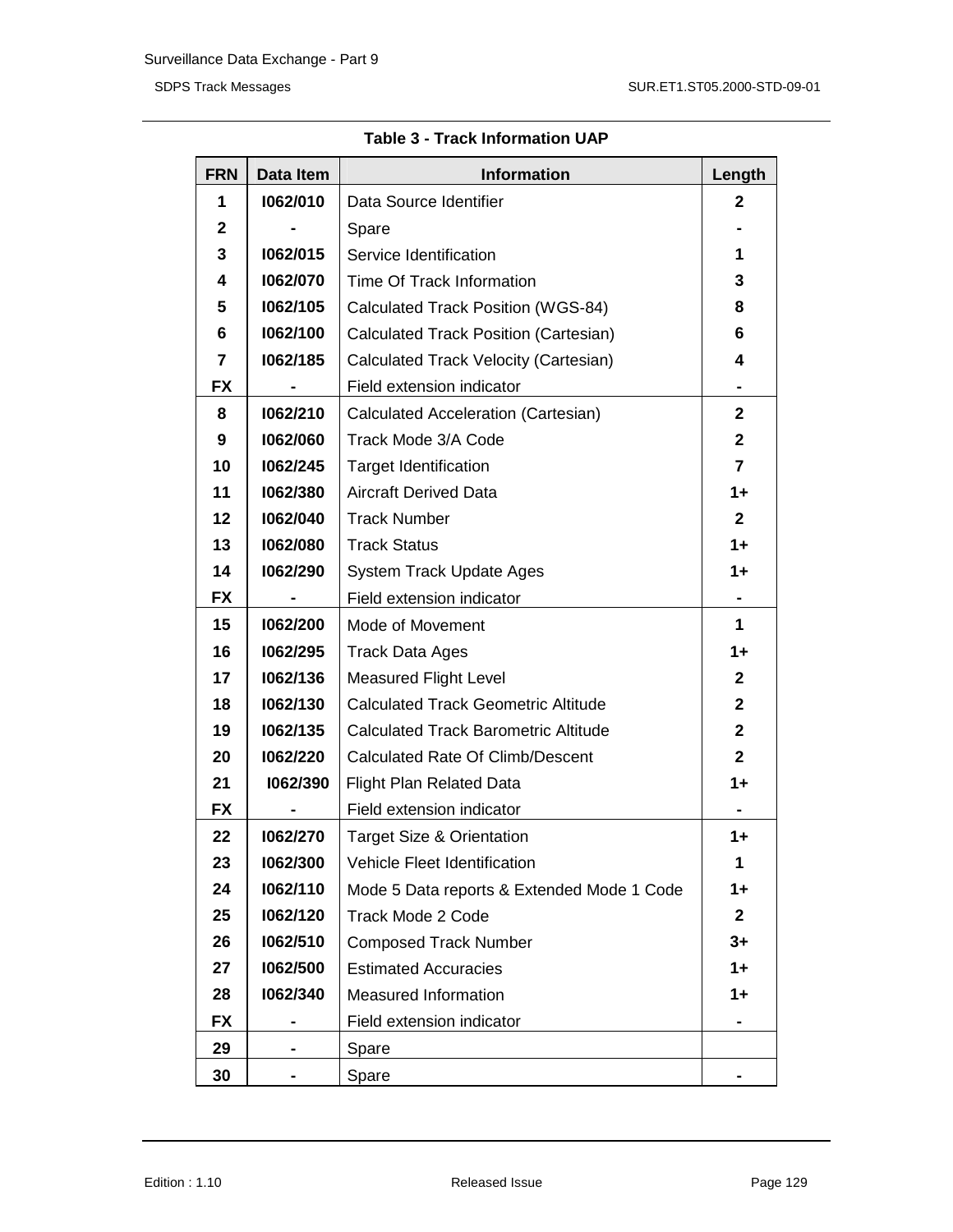| <b>FRN</b>     | Data Item | <b>Information</b>                           | Length         |
|----------------|-----------|----------------------------------------------|----------------|
| 1              | 1062/010  | Data Source Identifier                       | 2              |
| $\mathbf{2}$   |           | Spare                                        |                |
| 3              | 1062/015  | Service Identification                       | 1              |
| 4              | 1062/070  | <b>Time Of Track Information</b>             | 3              |
| 5              | 1062/105  | Calculated Track Position (WGS-84)           | 8              |
| 6              | 1062/100  | <b>Calculated Track Position (Cartesian)</b> | 6              |
| $\overline{7}$ | 1062/185  | Calculated Track Velocity (Cartesian)        | 4              |
| FX             |           | Field extension indicator                    |                |
| 8              | 1062/210  | Calculated Acceleration (Cartesian)          | $\overline{2}$ |
| 9              | 1062/060  | Track Mode 3/A Code                          | $\mathbf{2}$   |
| 10             | 1062/245  | <b>Target Identification</b>                 | $\overline{7}$ |
| 11             | 1062/380  | <b>Aircraft Derived Data</b>                 | $1+$           |
| 12             | 1062/040  | <b>Track Number</b>                          | $\mathbf{2}$   |
| 13             | 1062/080  | <b>Track Status</b>                          | $1+$           |
| 14             | 1062/290  | <b>System Track Update Ages</b>              | $1+$           |
| FX             |           | Field extension indicator                    |                |
| 15             | 1062/200  | Mode of Movement                             | 1              |
| 16             | 1062/295  | <b>Track Data Ages</b>                       | $1+$           |
| 17             | 1062/136  | <b>Measured Flight Level</b>                 | $\mathbf{2}$   |
| 18             | 1062/130  | <b>Calculated Track Geometric Altitude</b>   | $\overline{2}$ |
| 19             | 1062/135  | <b>Calculated Track Barometric Altitude</b>  | $\mathbf{2}$   |
| 20             | 1062/220  | <b>Calculated Rate Of Climb/Descent</b>      | $\mathbf{2}$   |
| 21             | 1062/390  | <b>Flight Plan Related Data</b>              | $1+$           |
| <b>FX</b>      |           | Field extension indicator                    |                |
| 22             | 1062/270  | <b>Target Size &amp; Orientation</b>         | $1+$           |
| 23             | 1062/300  | Vehicle Fleet Identification                 | 1              |
| 24             | 1062/110  | Mode 5 Data reports & Extended Mode 1 Code   | $1+$           |
| 25             | 1062/120  | <b>Track Mode 2 Code</b>                     | $\mathbf{2}$   |
| 26             | 1062/510  | <b>Composed Track Number</b>                 | $3+$           |
| 27             | 1062/500  | <b>Estimated Accuracies</b>                  | $1+$           |
| 28             | 1062/340  | <b>Measured Information</b>                  | $1+$           |
| FX             |           | Field extension indicator                    |                |
| 29             |           | Spare                                        |                |
| 30             |           | Spare                                        |                |

|  |  | <b>Table 3 - Track Information UAP</b> |  |
|--|--|----------------------------------------|--|
|--|--|----------------------------------------|--|